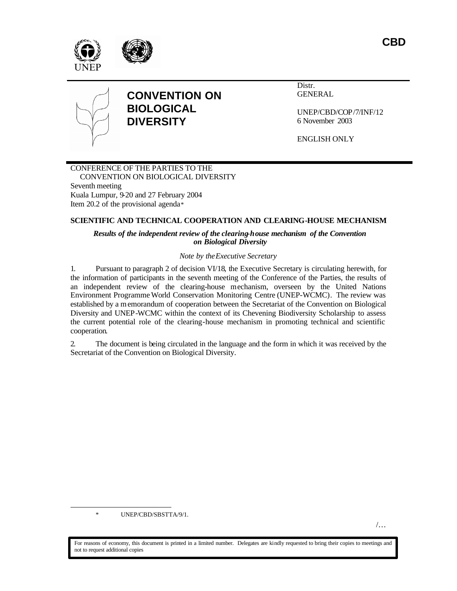



# **CONVENTION ON BIOLOGICAL DIVERSITY**

Distr. GENERAL

UNEP/CBD/COP/7/INF/12 6 November 2003

ENGLISH ONLY

#### CONFERENCE OF THE PARTIES TO THE CONVENTION ON BIOLOGICAL DIVERSITY Seventh meeting Kuala Lumpur, 9-20 and 27 February 2004

Item 20.2 of the provisional agenda\*

#### **SCIENTIFIC AND TECHNICAL COOPERATION AND CLEARING-HOUSE MECHANISM**

#### *Results of the independent review of the clearing-house mechanism of the Convention on Biological Diversity*

#### *Note by the Executive Secretary*

1. Pursuant to paragraph 2 of decision VI/18, the Executive Secretary is circulating herewith, for the information of participants in the seventh meeting of the Conference of the Parties, the results of an independent review of the clearing-house mechanism, overseen by the United Nations Environment Programme World Conservation Monitoring Centre (UNEP-WCMC). The review was established by a memorandum of cooperation between the Secretariat of the Convention on Biological Diversity and UNEP-WCMC within the context of its Chevening Biodiversity Scholarship to assess the current potential role of the clearing-house mechanism in promoting technical and scientific cooperation.

2. The document is being circulated in the language and the form in which it was received by the Secretariat of the Convention on Biological Diversity.

 $\overline{a}$ 

\* UNEP/CBD/SBSTTA/9/1.

For reasons of economy, this document is printed in a limited number. Delegates are kindly requested to bring their copies to meetings and not to request additional copies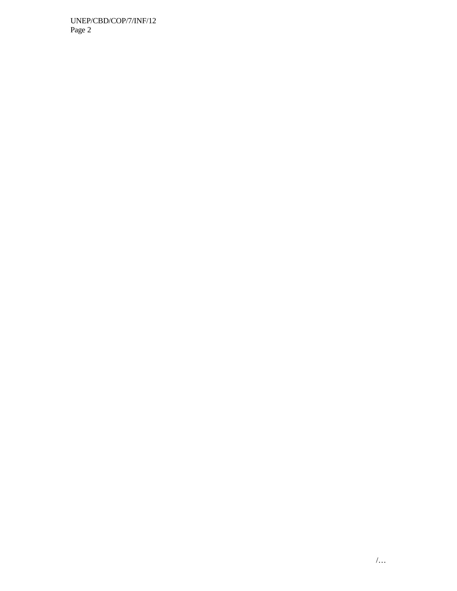UNEP/CBD/COP/7/INF/12 Page 2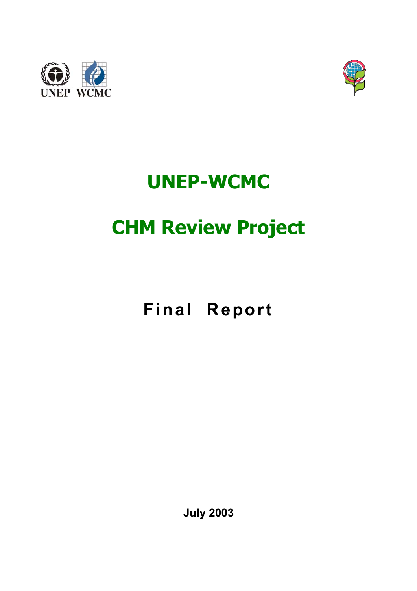



# **UNEP-WCMC**

# **CHM Review Project**

**Final Report** 

**July 2003**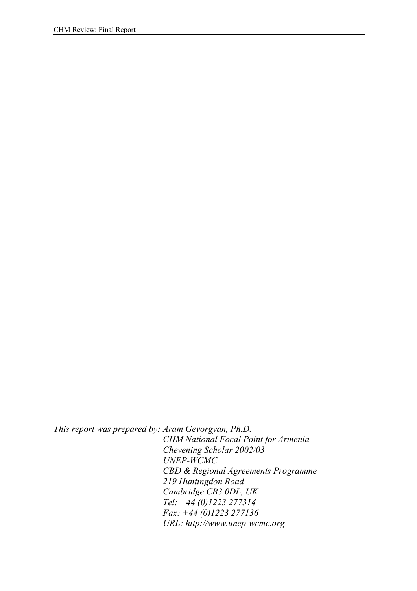*This report was prepared by: Aram Gevorgyan, Ph.D. CHM National Focal Point for Armenia Chevening Scholar 2002/03 UNEP-WCMC CBD & Regional Agreements Programme 219 Huntingdon Road Cambridge CB3 0DL, UK Tel: +44 (0)1223 277314 Fax: +44 (0)1223 277136 URL: http://www.unep-wcmc.org*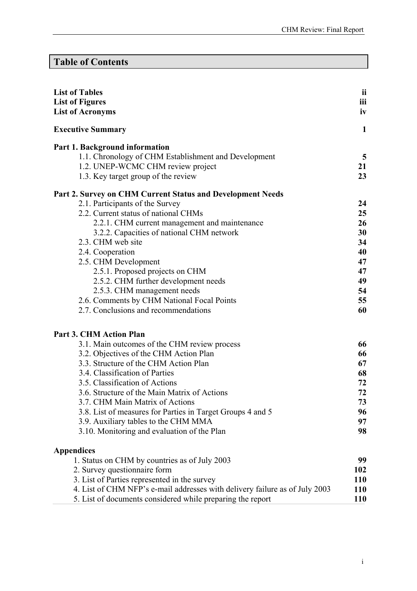# **Table of Contents**

| <b>List of Tables</b>                                                       | ii           |
|-----------------------------------------------------------------------------|--------------|
| <b>List of Figures</b>                                                      | iii          |
| <b>List of Acronyms</b>                                                     | iv           |
| <b>Executive Summary</b>                                                    | $\mathbf{1}$ |
| Part 1. Background information                                              |              |
| 1.1. Chronology of CHM Establishment and Development                        | 5            |
| 1.2. UNEP-WCMC CHM review project                                           | 21           |
| 1.3. Key target group of the review                                         | 23           |
| Part 2. Survey on CHM Current Status and Development Needs                  |              |
| 2.1. Participants of the Survey                                             | 24           |
| 2.2. Current status of national CHMs                                        | 25           |
| 2.2.1. CHM current management and maintenance                               | 26           |
| 3.2.2. Capacities of national CHM network                                   | 30           |
| 2.3. CHM web site                                                           | 34           |
| 2.4. Cooperation                                                            | 40           |
| 2.5. CHM Development                                                        | 47           |
| 2.5.1. Proposed projects on CHM                                             | 47           |
| 2.5.2. CHM further development needs                                        | 49           |
| 2.5.3. CHM management needs                                                 | 54           |
| 2.6. Comments by CHM National Focal Points                                  | 55           |
| 2.7. Conclusions and recommendations                                        | 60           |
| <b>Part 3. CHM Action Plan</b>                                              |              |
| 3.1. Main outcomes of the CHM review process                                | 66           |
| 3.2. Objectives of the CHM Action Plan                                      | 66           |
| 3.3. Structure of the CHM Action Plan                                       | 67           |
| 3.4. Classification of Parties                                              | 68           |
| 3.5. Classification of Actions                                              | 72           |
| 3.6. Structure of the Main Matrix of Actions                                | 72           |
| 3.7. CHM Main Matrix of Actions                                             | 73           |
| 3.8. List of measures for Parties in Target Groups 4 and 5                  | 96           |
| 3.9. Auxiliary tables to the CHM MMA                                        | 97           |
| 3.10. Monitoring and evaluation of the Plan                                 | 98           |
| <b>Appendices</b>                                                           |              |
| 1. Status on CHM by countries as of July 2003                               | 99           |
| 2. Survey questionnaire form                                                | 102          |
| 3. List of Parties represented in the survey                                | <b>110</b>   |
| 4. List of CHM NFP's e-mail addresses with delivery failure as of July 2003 | <b>110</b>   |
| 5. List of documents considered while preparing the report                  | 110          |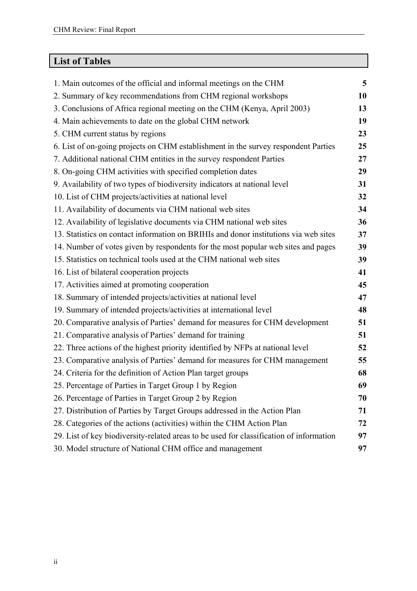# **List of Tables**

| 1. Main outcomes of the official and informal meetings on the CHM                       | 5  |
|-----------------------------------------------------------------------------------------|----|
| 2. Summary of key recommendations from CHM regional workshops                           | 10 |
| 3. Conclusions of Africa regional meeting on the CHM (Kenya, April 2003)                | 13 |
| 4. Main achievements to date on the global CHM network                                  | 19 |
| 5. CHM current status by regions                                                        | 23 |
| 6. List of on-going projects on CHM establishment in the survey respondent Parties      | 25 |
| 7. Additional national CHM entities in the survey respondent Parties                    | 27 |
| 8. On-going CHM activities with specified completion dates                              | 29 |
| 9. Availability of two types of biodiversity indicators at national level               | 31 |
| 10. List of CHM projects/activities at national level                                   | 32 |
| 11. Availability of documents via CHM national web sites                                | 34 |
| 12. Availability of legislative documents via CHM national web sites                    | 36 |
| 13. Statistics on contact information on BRIHIs and donor institutions via web sites    | 37 |
| 14. Number of votes given by respondents for the most popular web sites and pages       | 39 |
| 15. Statistics on technical tools used at the CHM national web sites                    | 39 |
| 16. List of bilateral cooperation projects                                              | 41 |
| 17. Activities aimed at promoting cooperation                                           | 45 |
| 18. Summary of intended projects/activities at national level                           | 47 |
| 19. Summary of intended projects/activities at international level                      | 48 |
| 20. Comparative analysis of Parties' demand for measures for CHM development            | 51 |
| 21. Comparative analysis of Parties' demand for training                                | 51 |
| 22. Three actions of the highest priority identified by NFPs at national level          | 52 |
| 23. Comparative analysis of Parties' demand for measures for CHM management             | 55 |
| 24. Criteria for the definition of Action Plan target groups                            | 68 |
| 25. Percentage of Parties in Target Group 1 by Region                                   | 69 |
| 26. Percentage of Parties in Target Group 2 by Region                                   | 70 |
| 27. Distribution of Parties by Target Groups addressed in the Action Plan               | 71 |
| 28. Categories of the actions (activities) within the CHM Action Plan                   | 72 |
| 29. List of key biodiversity-related areas to be used for classification of information | 97 |
| 30. Model structure of National CHM office and management                               | 97 |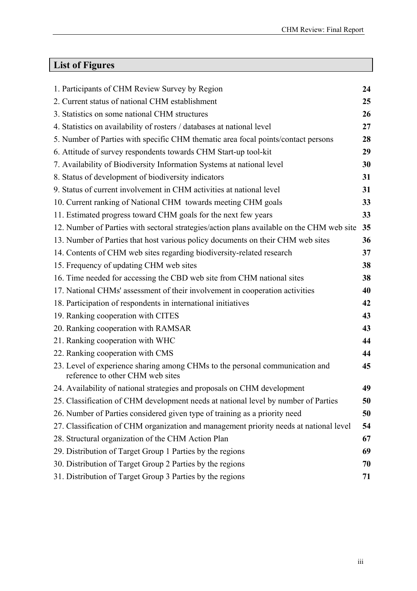# **List of Figures**

| 1. Participants of CHM Review Survey by Region                                                                   | 24 |
|------------------------------------------------------------------------------------------------------------------|----|
| 2. Current status of national CHM establishment                                                                  | 25 |
| 3. Statistics on some national CHM structures                                                                    | 26 |
| 4. Statistics on availability of rosters / databases at national level                                           | 27 |
| 5. Number of Parties with specific CHM thematic area focal points/contact persons                                | 28 |
| 6. Attitude of survey respondents towards CHM Start-up tool-kit                                                  | 29 |
| 7. Availability of Biodiversity Information Systems at national level                                            | 30 |
| 8. Status of development of biodiversity indicators                                                              | 31 |
| 9. Status of current involvement in CHM activities at national level                                             | 31 |
| 10. Current ranking of National CHM towards meeting CHM goals                                                    | 33 |
| 11. Estimated progress toward CHM goals for the next few years                                                   | 33 |
| 12. Number of Parties with sectoral strategies/action plans available on the CHM web site                        | 35 |
| 13. Number of Parties that host various policy documents on their CHM web sites                                  | 36 |
| 14. Contents of CHM web sites regarding biodiversity-related research                                            | 37 |
| 15. Frequency of updating CHM web sites                                                                          | 38 |
| 16. Time needed for accessing the CBD web site from CHM national sites                                           | 38 |
| 17. National CHMs' assessment of their involvement in cooperation activities                                     | 40 |
| 18. Participation of respondents in international initiatives                                                    | 42 |
| 19. Ranking cooperation with CITES                                                                               | 43 |
| 20. Ranking cooperation with RAMSAR                                                                              | 43 |
| 21. Ranking cooperation with WHC                                                                                 | 44 |
| 22. Ranking cooperation with CMS                                                                                 | 44 |
| 23. Level of experience sharing among CHMs to the personal communication and<br>reference to other CHM web sites | 45 |
| 24. Availability of national strategies and proposals on CHM development                                         | 49 |
| 25. Classification of CHM development needs at national level by number of Parties                               | 50 |
| 26. Number of Parties considered given type of training as a priority need                                       | 50 |
| 27. Classification of CHM organization and management priority needs at national level                           | 54 |
| 28. Structural organization of the CHM Action Plan                                                               | 67 |
| 29. Distribution of Target Group 1 Parties by the regions                                                        | 69 |
| 30. Distribution of Target Group 2 Parties by the regions                                                        | 70 |
| 31. Distribution of Target Group 3 Parties by the regions                                                        | 71 |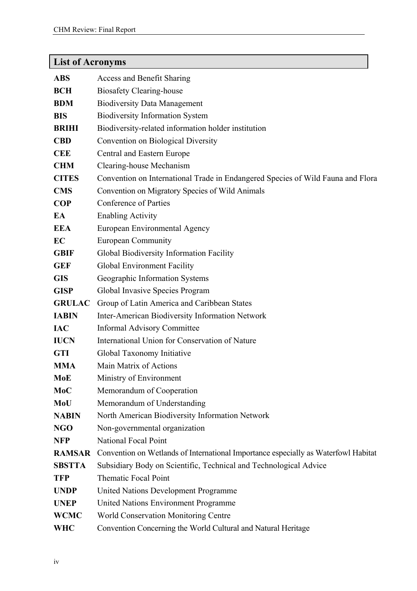| <b>List of Acronyms</b> |                                                                                    |  |  |
|-------------------------|------------------------------------------------------------------------------------|--|--|
| <b>ABS</b>              | <b>Access and Benefit Sharing</b>                                                  |  |  |
| <b>BCH</b>              | <b>Biosafety Clearing-house</b>                                                    |  |  |
| <b>BDM</b>              | <b>Biodiversity Data Management</b>                                                |  |  |
| <b>BIS</b>              | <b>Biodiversity Information System</b>                                             |  |  |
| <b>BRIHI</b>            | Biodiversity-related information holder institution                                |  |  |
| <b>CBD</b>              | Convention on Biological Diversity                                                 |  |  |
| <b>CEE</b>              | Central and Eastern Europe                                                         |  |  |
| <b>CHM</b>              | Clearing-house Mechanism                                                           |  |  |
| <b>CITES</b>            | Convention on International Trade in Endangered Species of Wild Fauna and Flora    |  |  |
| <b>CMS</b>              | Convention on Migratory Species of Wild Animals                                    |  |  |
| <b>COP</b>              | Conference of Parties                                                              |  |  |
| EA                      | <b>Enabling Activity</b>                                                           |  |  |
| <b>EEA</b>              | European Environmental Agency                                                      |  |  |
| EC                      | <b>European Community</b>                                                          |  |  |
| <b>GBIF</b>             | Global Biodiversity Information Facility                                           |  |  |
| <b>GEF</b>              | Global Environment Facility                                                        |  |  |
| <b>GIS</b>              | Geographic Information Systems                                                     |  |  |
| <b>GISP</b>             | Global Invasive Species Program                                                    |  |  |
| <b>GRULAC</b>           | Group of Latin America and Caribbean States                                        |  |  |
| <b>IABIN</b>            | <b>Inter-American Biodiversity Information Network</b>                             |  |  |
| <b>IAC</b>              | <b>Informal Advisory Committee</b>                                                 |  |  |
| <b>IUCN</b>             | International Union for Conservation of Nature                                     |  |  |
| <b>GTI</b>              | Global Taxonomy Initiative                                                         |  |  |
| MMA                     | Main Matrix of Actions                                                             |  |  |
| MoE                     | Ministry of Environment                                                            |  |  |
| <b>MoC</b>              | Memorandum of Cooperation                                                          |  |  |
| MoU                     | Memorandum of Understanding                                                        |  |  |
| <b>NABIN</b>            | North American Biodiversity Information Network                                    |  |  |
| <b>NGO</b>              | Non-governmental organization                                                      |  |  |
| <b>NFP</b>              | National Focal Point                                                               |  |  |
| <b>RAMSAR</b>           | Convention on Wetlands of International Importance especially as Waterfowl Habitat |  |  |
| <b>SBSTTA</b>           | Subsidiary Body on Scientific, Technical and Technological Advice                  |  |  |
| <b>TFP</b>              | <b>Thematic Focal Point</b>                                                        |  |  |
| <b>UNDP</b>             | United Nations Development Programme                                               |  |  |
| <b>UNEP</b>             | United Nations Environment Programme                                               |  |  |
| <b>WCMC</b>             | World Conservation Monitoring Centre                                               |  |  |
| <b>WHC</b>              | Convention Concerning the World Cultural and Natural Heritage                      |  |  |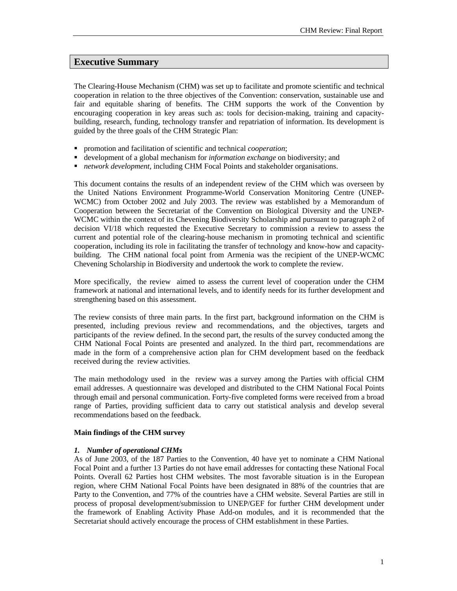#### **Executive Summary**

The Clearing-House Mechanism (CHM) was set up to facilitate and promote scientific and technical cooperation in relation to the three objectives of the Convention: conservation, sustainable use and fair and equitable sharing of benefits. The CHM supports the work of the Convention by encouraging cooperation in key areas such as: tools for decision-making, training and capacitybuilding, research, funding, technology transfer and repatriation of information. Its development is guided by the three goals of the CHM Strategic Plan:

- promotion and facilitation of scientific and technical *cooperation*;
- **Example 1** development of a global mechanism for *information exchange* on biodiversity; and
- **•** *network development,* including CHM Focal Points and stakeholder organisations.

This document contains the results of an independent review of the CHM which was overseen by the United Nations Environment Programme-World Conservation Monitoring Centre (UNEP-WCMC) from October 2002 and July 2003. The review was established by a Memorandum of Cooperation between the Secretariat of the Convention on Biological Diversity and the UNEP-WCMC within the context of its Chevening Biodiversity Scholarship and pursuant to paragraph 2 of decision VI/18 which requested the Executive Secretary to commission a review to assess the current and potential role of the clearing-house mechanism in promoting technical and scientific cooperation, including its role in facilitating the transfer of technology and know-how and capacitybuilding. The CHM national focal point from Armenia was the recipient of the UNEP-WCMC Chevening Scholarship in Biodiversity and undertook the work to complete the review.

More specifically, the review aimed to assess the current level of cooperation under the CHM framework at national and international levels, and to identify needs for its further development and strengthening based on this assessment.

The review consists of three main parts. In the first part, background information on the CHM is presented, including previous review and recommendations, and the objectives, targets and participants of the review defined. In the second part, the results of the survey conducted among the CHM National Focal Points are presented and analyzed. In the third part, recommendations are made in the form of a comprehensive action plan for CHM development based on the feedback received during the review activities.

The main methodology used in the review was a survey among the Parties with official CHM email addresses. A questionnaire was developed and distributed to the CHM National Focal Points through email and personal communication. Forty-five completed forms were received from a broad range of Parties, providing sufficient data to carry out statistical analysis and develop several recommendations based on the feedback.

#### **Main findings of the CHM survey**

#### *1. Number of operational CHMs*

As of June 2003, of the 187 Parties to the Convention, 40 have yet to nominate a CHM National Focal Point and a further 13 Parties do not have email addresses for contacting these National Focal Points. Overall 62 Parties host CHM websites. The most favorable situation is in the European region, where CHM National Focal Points have been designated in 88% of the countries that are Party to the Convention, and 77% of the countries have a CHM website. Several Parties are still in process of proposal development/submission to UNEP/GEF for further CHM development under the framework of Enabling Activity Phase Add-on modules, and it is recommended that the Secretariat should actively encourage the process of CHM establishment in these Parties.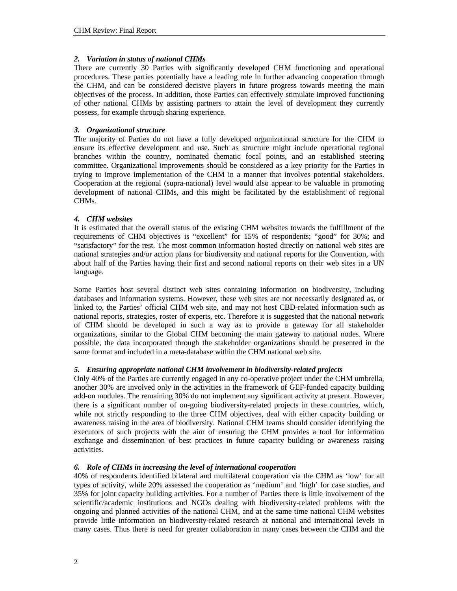#### *2. Variation in status of national CHMs*

There are currently 30 Parties with significantly developed CHM functioning and operational procedures. These parties potentially have a leading role in further advancing cooperation through the CHM, and can be considered decisive players in future progress towards meeting the main objectives of the process. In addition, those Parties can effectively stimulate improved functioning of other national CHMs by assisting partners to attain the level of development they currently possess, for example through sharing experience.

#### *3. Organizational structure*

The majority of Parties do not have a fully developed organizational structure for the CHM to ensure its effective development and use. Such as structure might include operational regional branches within the country, nominated thematic focal points, and an established steering committee. Organizational improvements should be considered as a key priority for the Parties in trying to improve implementation of the CHM in a manner that involves potential stakeholders. Cooperation at the regional (supra-national) level would also appear to be valuable in promoting development of national CHMs, and this might be facilitated by the establishment of regional CHMs.

#### *4. CHM websites*

It is estimated that the overall status of the existing CHM websites towards the fulfillment of the requirements of CHM objectives is "excellent" for 15% of respondents; "good" for 30%; and "satisfactory" for the rest. The most common information hosted directly on national web sites are national strategies and/or action plans for biodiversity and national reports for the Convention, with about half of the Parties having their first and second national reports on their web sites in a UN language.

Some Parties host several distinct web sites containing information on biodiversity, including databases and information systems. However, these web sites are not necessarily designated as, or linked to, the Parties' official CHM web site, and may not host CBD-related information such as national reports, strategies, roster of experts, etc. Therefore it is suggested that the national network of CHM should be developed in such a way as to provide a gateway for all stakeholder organizations, similar to the Global CHM becoming the main gateway to national nodes. Where possible, the data incorporated through the stakeholder organizations should be presented in the same format and included in a meta-database within the CHM national web site.

#### *5. Ensuring appropriate national CHM involvement in biodiversity-related projects*

Only 40% of the Parties are currently engaged in any co-operative project under the CHM umbrella, another 30% are involved only in the activities in the framework of GEF-funded capacity building add-on modules. The remaining 30% do not implement any significant activity at present. However, there is a significant number of on-going biodiversity-related projects in these countries, which, while not strictly responding to the three CHM objectives, deal with either capacity building or awareness raising in the area of biodiversity. National CHM teams should consider identifying the executors of such projects with the aim of ensuring the CHM provides a tool for information exchange and dissemination of best practices in future capacity building or awareness raising activities.

#### *6. Role of CHMs in increasing the level of international cooperation*

40% of respondents identified bilateral and multilateral cooperation via the CHM as 'low' for all types of activity, while 20% assessed the cooperation as 'medium' and 'high' for case studies, and 35% for joint capacity building activities. For a number of Parties there is little involvement of the scientific/academic institutions and NGOs dealing with biodiversity-related problems with the ongoing and planned activities of the national CHM, and at the same time national CHM websites provide little information on biodiversity-related research at national and international levels in many cases. Thus there is need for greater collaboration in many cases between the CHM and the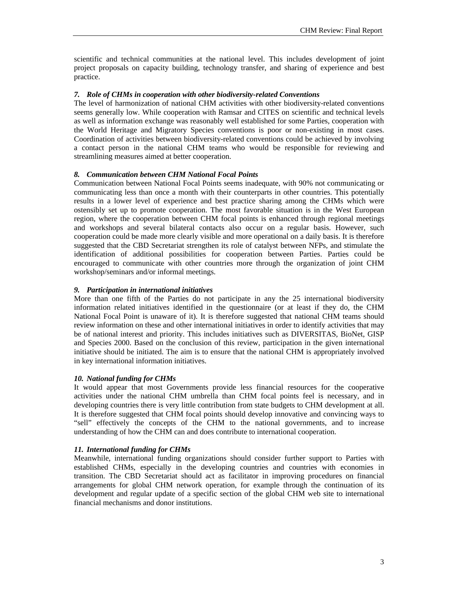scientific and technical communities at the national level. This includes development of joint project proposals on capacity building, technology transfer, and sharing of experience and best practice.

#### *7. Role of CHMs in cooperation with other biodiversity-related Conventions*

The level of harmonization of national CHM activities with other biodiversity-related conventions seems generally low. While cooperation with Ramsar and CITES on scientific and technical levels as well as information exchange was reasonably well established for some Parties, cooperation with the World Heritage and Migratory Species conventions is poor or non-existing in most cases. Coordination of activities between biodiversity-related conventions could be achieved by involving a contact person in the national CHM teams who would be responsible for reviewing and streamlining measures aimed at better cooperation.

#### *8. Communication between CHM National Focal Points*

Communication between National Focal Points seems inadequate, with 90% not communicating or communicating less than once a month with their counterparts in other countries. This potentially results in a lower level of experience and best practice sharing among the CHMs which were ostensibly set up to promote cooperation. The most favorable situation is in the West European region, where the cooperation between CHM focal points is enhanced through regional meetings and workshops and several bilateral contacts also occur on a regular basis. However, such cooperation could be made more clearly visible and more operational on a daily basis. It is therefore suggested that the CBD Secretariat strengthen its role of catalyst between NFPs, and stimulate the identification of additional possibilities for cooperation between Parties. Parties could be encouraged to communicate with other countries more through the organization of joint CHM workshop/seminars and/or informal meetings.

#### *9. Participation in international initiatives*

More than one fifth of the Parties do not participate in any the 25 international biodiversity information related initiatives identified in the questionnaire (or at least if they do, the CHM National Focal Point is unaware of it). It is therefore suggested that national CHM teams should review information on these and other international initiatives in order to identify activities that may be of national interest and priority. This includes initiatives such as DIVERSITAS, BioNet, GISP and Species 2000. Based on the conclusion of this review, participation in the given international initiative should be initiated. The aim is to ensure that the national CHM is appropriately involved in key international information initiatives.

#### *10. National funding for CHMs*

It would appear that most Governments provide less financial resources for the cooperative activities under the national CHM umbrella than CHM focal points feel is necessary, and in developing countries there is very little contribution from state budgets to CHM development at all. It is therefore suggested that CHM focal points should develop innovative and convincing ways to "sell" effectively the concepts of the CHM to the national governments, and to increase understanding of how the CHM can and does contribute to international cooperation.

#### *11. International funding for CHMs*

Meanwhile, international funding organizations should consider further support to Parties with established CHMs, especially in the developing countries and countries with economies in transition. The CBD Secretariat should act as facilitator in improving procedures on financial arrangements for global CHM network operation, for example through the continuation of its development and regular update of a specific section of the global CHM web site to international financial mechanisms and donor institutions.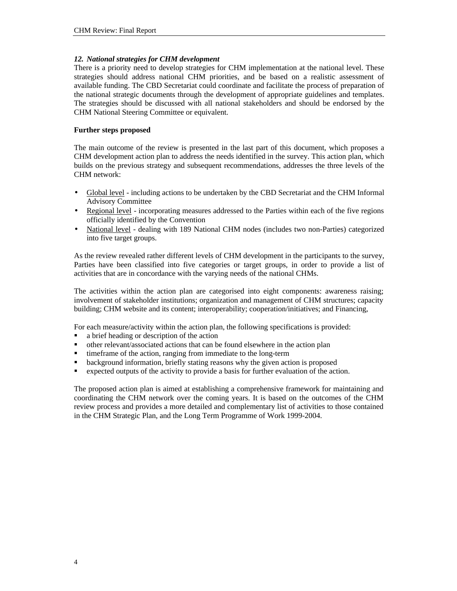#### *12. National strategies for CHM development*

There is a priority need to develop strategies for CHM implementation at the national level. These strategies should address national CHM priorities, and be based on a realistic assessment of available funding. The CBD Secretariat could coordinate and facilitate the process of preparation of the national strategic documents through the development of appropriate guidelines and templates. The strategies should be discussed with all national stakeholders and should be endorsed by the CHM National Steering Committee or equivalent.

#### **Further steps proposed**

The main outcome of the review is presented in the last part of this document, which proposes a CHM development action plan to address the needs identified in the survey. This action plan, which builds on the previous strategy and subsequent recommendations, addresses the three levels of the CHM network:

- Global level including actions to be undertaken by the CBD Secretariat and the CHM Informal Advisory Committee
- Regional level incorporating measures addressed to the Parties within each of the five regions officially identified by the Convention
- National level dealing with 189 National CHM nodes (includes two non-Parties) categorized into five target groups.

As the review revealed rather different levels of CHM development in the participants to the survey, Parties have been classified into five categories or target groups, in order to provide a list of activities that are in concordance with the varying needs of the national CHMs.

The activities within the action plan are categorised into eight components: awareness raising; involvement of stakeholder institutions; organization and management of CHM structures; capacity building; CHM website and its content; interoperability; cooperation/initiatives; and Financing,

For each measure/activity within the action plan, the following specifications is provided:

- ß a brief heading or description of the action
- **f** other relevant/associated actions that can be found elsewhere in the action plan
- **fi** timeframe of the action, ranging from immediate to the long-term
- ß background information, briefly stating reasons why the given action is proposed
- **Expected outputs of the activity to provide a basis for further evaluation of the action.**

The proposed action plan is aimed at establishing a comprehensive framework for maintaining and coordinating the CHM network over the coming years. It is based on the outcomes of the CHM review process and provides a more detailed and complementary list of activities to those contained in the CHM Strategic Plan, and the Long Term Programme of Work 1999-2004.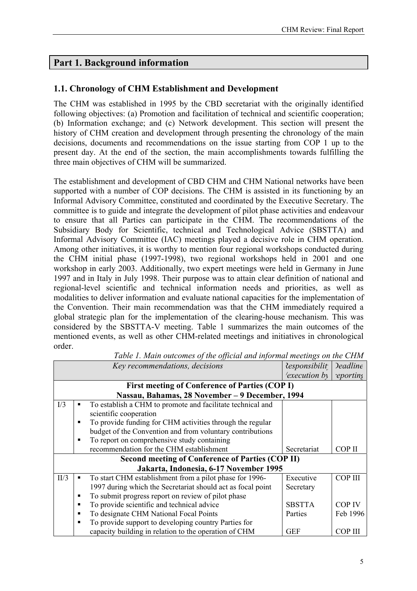# **Part 1. Background information**

## **1.1. Chronology of CHM Establishment and Development**

The CHM was established in 1995 by the CBD secretariat with the originally identified following objectives: (a) Promotion and facilitation of technical and scientific cooperation; (b) Information exchange; and (c) Network development. This section will present the history of CHM creation and development through presenting the chronology of the main decisions, documents and recommendations on the issue starting from COP 1 up to the present day. At the end of the section, the main accomplishments towards fulfilling the three main objectives of CHM will be summarized.

The establishment and development of CBD CHM and CHM National networks have been supported with a number of COP decisions. The CHM is assisted in its functioning by an Informal Advisory Committee, constituted and coordinated by the Executive Secretary. The committee is to guide and integrate the development of pilot phase activities and endeavour to ensure that all Parties can participate in the CHM. The recommendations of the Subsidiary Body for Scientific, technical and Technological Advice (SBSTTA) and Informal Advisory Committee (IAC) meetings played a decisive role in CHM operation. Among other initiatives, it is worthy to mention four regional workshops conducted during the CHM initial phase (1997-1998), two regional workshops held in 2001 and one workshop in early 2003. Additionally, two expert meetings were held in Germany in June 1997 and in Italy in July 1998. Their purpose was to attain clear definition of national and regional-level scientific and technical information needs and priorities, as well as modalities to deliver information and evaluate national capacities for the implementation of the Convention. Their main recommendation was that the CHM immediately required a global strategic plan for the implementation of the clearing-house mechanism. This was considered by the SBSTTA-V meeting. Table 1 summarizes the main outcomes of the mentioned events, as well as other CHM-related meetings and initiatives in chronological order.

| Key recommendations, decisions |                                                         | <i>Responsibilit</i>                                        | <b>Deadline</b>     |                 |  |
|--------------------------------|---------------------------------------------------------|-------------------------------------------------------------|---------------------|-----------------|--|
|                                |                                                         |                                                             | $\ell$ execution by | <i>eporting</i> |  |
|                                |                                                         | First meeting of Conference of Parties (COP I)              |                     |                 |  |
|                                |                                                         | Nassau, Bahamas, 28 November - 9 December, 1994             |                     |                 |  |
| I/3                            |                                                         | To establish a CHM to promote and facilitate technical and  |                     |                 |  |
|                                |                                                         | scientific cooperation                                      |                     |                 |  |
|                                | п                                                       | To provide funding for CHM activities through the regular   |                     |                 |  |
|                                |                                                         | budget of the Convention and from voluntary contributions   |                     |                 |  |
|                                | ٠                                                       | To report on comprehensive study containing                 |                     |                 |  |
|                                |                                                         | recommendation for the CHM establishment                    | Secretariat         | COP II          |  |
|                                | <b>Second meeting of Conference of Parties (COP II)</b> |                                                             |                     |                 |  |
|                                |                                                         | Jakarta, Indonesia, 6-17 November 1995                      |                     |                 |  |
| II/3                           | ٠                                                       | To start CHM establishment from a pilot phase for 1996-     | Executive           | COP III         |  |
|                                |                                                         | 1997 during which the Secretariat should act as focal point | Secretary           |                 |  |
|                                | ٠                                                       | To submit progress report on review of pilot phase          |                     |                 |  |
|                                | п                                                       | To provide scientific and technical advice                  | <b>SBSTTA</b>       | <b>COP IV</b>   |  |
|                                | ٠                                                       | To designate CHM National Focal Points                      | Parties             | Feb 1996        |  |
|                                |                                                         | To provide support to developing country Parties for        |                     |                 |  |
|                                |                                                         | capacity building in relation to the operation of CHM       | GEF                 | COP III         |  |

*Table 1. Main outcomes of the official and informal meetings on the CHM*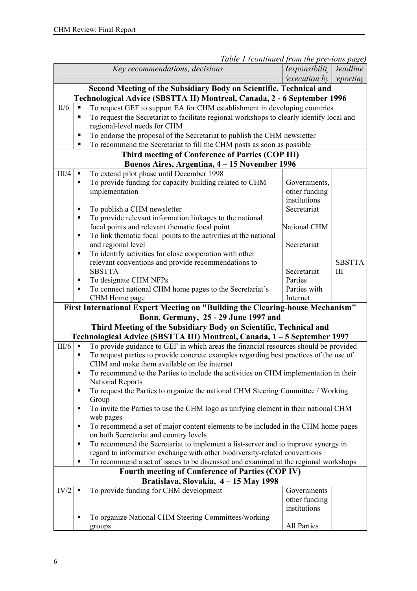|                                      | Table 1 (continued from the previous page)                                                                                       |                     |                 |  |
|--------------------------------------|----------------------------------------------------------------------------------------------------------------------------------|---------------------|-----------------|--|
|                                      | Key recommendations, decisions                                                                                                   | Responsibilit       | <b>Deadline</b> |  |
|                                      |                                                                                                                                  | $\ell$ execution by | eporting        |  |
|                                      | Second Meeting of the Subsidiary Body on Scientific, Technical and                                                               |                     |                 |  |
|                                      | Technological Advice (SBSTTA II) Montreal, Canada, 2 - 6 September 1996                                                          |                     |                 |  |
| II/6                                 | To request GEF to support EA for CHM establishment in developing countries<br>Е                                                  |                     |                 |  |
|                                      | To request the Secretariat to facilitate regional workshops to clearly identify local and<br>٠                                   |                     |                 |  |
|                                      | regional-level needs for CHM                                                                                                     |                     |                 |  |
|                                      | To endorse the proposal of the Secretariat to publish the CHM newsletter<br>Е                                                    |                     |                 |  |
|                                      | To recommend the Secretariat to fill the CHM posts as soon as possible<br>٠                                                      |                     |                 |  |
|                                      | Third meeting of Conference of Parties (COP III)                                                                                 |                     |                 |  |
|                                      | Buenos Aires, Argentina, 4 - 15 November 1996                                                                                    |                     |                 |  |
| III/4                                | To extend pilot phase until December 1998<br>٠                                                                                   |                     |                 |  |
|                                      | To provide funding for capacity building related to CHM<br>٠                                                                     | Governments,        |                 |  |
|                                      | implementation                                                                                                                   | other funding       |                 |  |
|                                      |                                                                                                                                  | institutions        |                 |  |
|                                      | To publish a CHM newsletter<br>٠                                                                                                 | Secretariat         |                 |  |
|                                      | To provide relevant information linkages to the national<br>٠                                                                    |                     |                 |  |
|                                      | focal points and relevant thematic focal point                                                                                   | National CHM        |                 |  |
|                                      | To link thematic focal points to the activities at the national<br>٠                                                             |                     |                 |  |
|                                      | and regional level                                                                                                               | Secretariat         |                 |  |
|                                      | To identify activities for close cooperation with other<br>٠                                                                     |                     |                 |  |
|                                      | relevant conventions and provide recommendations to                                                                              |                     | <b>SBSTTA</b>   |  |
|                                      | <b>SBSTTA</b>                                                                                                                    | Secretariat         | III             |  |
|                                      | To designate CHM NFPs<br>٠                                                                                                       | Parties             |                 |  |
|                                      | To connect national CHM home pages to the Secretariat's<br>٠                                                                     | Parties with        |                 |  |
|                                      | CHM Home page                                                                                                                    | Internet            |                 |  |
|                                      | First International Expert Meeting on "Building the Clearing-house Mechanism"                                                    |                     |                 |  |
| Bonn, Germany, 25 - 29 June 1997 and |                                                                                                                                  |                     |                 |  |
|                                      | Third Meeting of the Subsidiary Body on Scientific, Technical and                                                                |                     |                 |  |
|                                      | Technological Advice (SBSTTA III) Montreal, Canada, 1 - 5 September 1997                                                         |                     |                 |  |
| III/6                                | To provide guidance to GEF in which areas the financial resources should be provided<br>$\blacksquare$                           |                     |                 |  |
|                                      | To request parties to provide concrete examples regarding best practices of the use of<br>п                                      |                     |                 |  |
|                                      | CHM and make them available on the internet                                                                                      |                     |                 |  |
|                                      | To recommend to the Parties to include the activities on CHM implementation in their                                             |                     |                 |  |
|                                      | <b>National Reports</b>                                                                                                          |                     |                 |  |
|                                      | To request the Parties to organize the national CHM Steering Committee / Working<br>٠                                            |                     |                 |  |
|                                      | Group                                                                                                                            |                     |                 |  |
|                                      | To invite the Parties to use the CHM logo as unifying element in their national CHM<br>٠                                         |                     |                 |  |
|                                      | web pages                                                                                                                        |                     |                 |  |
|                                      | To recommend a set of major content elements to be included in the CHM home pages<br>٠                                           |                     |                 |  |
|                                      | on both Secretariat and country levels<br>To recommend the Secretariat to implement a list-server and to improve synergy in<br>٠ |                     |                 |  |
|                                      |                                                                                                                                  |                     |                 |  |
|                                      |                                                                                                                                  |                     |                 |  |
|                                      | regard to information exchange with other biodiversity-related conventions                                                       |                     |                 |  |
|                                      | To recommend a set of issues to be discussed and examined at the regional workshops<br>٠                                         |                     |                 |  |
|                                      | <b>Fourth meeting of Conference of Parties (COP IV)</b>                                                                          |                     |                 |  |
|                                      | Bratislava, Slovakia, 4 – 15 May 1998                                                                                            |                     |                 |  |
| IV/2                                 | To provide funding for CHM development<br>$\blacksquare$                                                                         | Governments         |                 |  |
|                                      |                                                                                                                                  | other funding       |                 |  |
|                                      | To organize National CHM Steering Committees/working<br>٠                                                                        | institutions        |                 |  |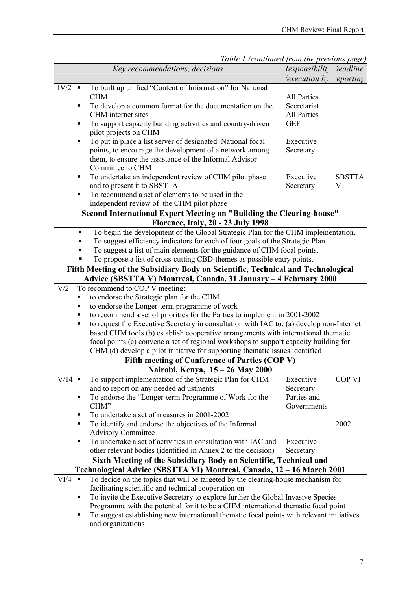|      | Table 1 (communed from the previous page)                                                           |                      |                 |
|------|-----------------------------------------------------------------------------------------------------|----------------------|-----------------|
|      | Key recommendations, decisions                                                                      | <i>Responsibilit</i> | <b>Deadline</b> |
|      |                                                                                                     | $\ell$ execution by  | <i>eporting</i> |
| IV/2 | To built up unified "Content of Information" for National<br>$\blacksquare$                         |                      |                 |
|      | <b>CHM</b>                                                                                          | <b>All Parties</b>   |                 |
|      | To develop a common format for the documentation on the<br>٠                                        | Secretariat          |                 |
|      | CHM internet sites                                                                                  | <b>All Parties</b>   |                 |
|      | To support capacity building activities and country-driven<br>٠                                     | <b>GEF</b>           |                 |
|      | pilot projects on CHM                                                                               |                      |                 |
|      | To put in place a list server of designated National focal<br>٠                                     | Executive            |                 |
|      | points, to encourage the development of a network among                                             | Secretary            |                 |
|      | them, to ensure the assistance of the Informal Advisor                                              |                      |                 |
|      | Committee to CHM                                                                                    |                      |                 |
|      | To undertake an independent review of CHM pilot phase<br>٠                                          | Executive            | <b>SBSTTA</b>   |
|      | and to present it to SBSTTA                                                                         | Secretary            | V               |
|      | To recommend a set of elements to be used in the<br>٠                                               |                      |                 |
|      | independent review of the CHM pilot phase                                                           |                      |                 |
|      | Second International Expert Meeting on "Building the Clearing-house"                                |                      |                 |
|      | <b>Florence, Italy, 20 - 23 July 1998</b>                                                           |                      |                 |
|      | To begin the development of the Global Strategic Plan for the CHM implementation.<br>$\blacksquare$ |                      |                 |
|      | To suggest efficiency indicators for each of four goals of the Strategic Plan.                      |                      |                 |
|      | To suggest a list of main elements for the guidance of CHM focal points.                            |                      |                 |
|      | To propose a list of cross-cutting CBD-themes as possible entry points.                             |                      |                 |
|      | Fifth Meeting of the Subsidiary Body on Scientific, Technical and Technological                     |                      |                 |
|      | Advice (SBSTTA V) Montreal, Canada, 31 January - 4 February 2000                                    |                      |                 |
| V/2  | To recommend to COP V meeting:                                                                      |                      |                 |
|      | to endorse the Strategic plan for the CHM<br>٠                                                      |                      |                 |
|      | to endorse the Longer-term programme of work<br>٠                                                   |                      |                 |
|      | to recommend a set of priorities for the Parties to implement in 2001-2002<br>٠                     |                      |                 |
|      | to request the Executive Secretary in consultation with IAC to: (a) develop non-Internet<br>٠       |                      |                 |
|      | based CHM tools (b) establish cooperative arrangements with international thematic                  |                      |                 |
|      | focal points (c) convene a set of regional workshops to support capacity building for               |                      |                 |
|      | CHM (d) develop a pilot initiative for supporting thematic issues identified                        |                      |                 |
|      | Fifth meeting of Conference of Parties (COP V)                                                      |                      |                 |
|      | Nairobi, Kenya, 15 – 26 May 2000                                                                    |                      |                 |
| V/14 | To support implementation of the Strategic Plan for CHM<br>٠                                        | Executive            | COP VI          |
|      | and to report on any needed adjustments                                                             | Secretary            |                 |
|      | To endorse the "Longer-term Programme of Work for the<br>٠                                          | Parties and          |                 |
|      | CHM"                                                                                                | Governments          |                 |
|      | To undertake a set of measures in 2001-2002<br>٠                                                    |                      |                 |
|      | To identify and endorse the objectives of the Informal<br>٠                                         |                      | 2002            |
|      | <b>Advisory Committee</b>                                                                           |                      |                 |
|      | To undertake a set of activities in consultation with IAC and<br>٠                                  | Executive            |                 |
|      | other relevant bodies (identified in Annex 2 to the decision)                                       | Secretary            |                 |
|      | Sixth Meeting of the Subsidiary Body on Scientific, Technical and                                   |                      |                 |
|      | Technological Advice (SBSTTA VI) Montreal, Canada, 12 – 16 March 2001                               |                      |                 |
| VI/4 | To decide on the topics that will be targeted by the clearing-house mechanism for<br>$\blacksquare$ |                      |                 |
|      | facilitating scientific and technical cooperation on                                                |                      |                 |
|      | To invite the Executive Secretary to explore further the Global Invasive Species<br>٠               |                      |                 |
|      | Programme with the potential for it to be a CHM international thematic focal point                  |                      |                 |
|      | To suggest establishing new international thematic focal points with relevant initiatives<br>Е      |                      |                 |
|      | and organizations                                                                                   |                      |                 |

*Table 1 (continued from the previous page)*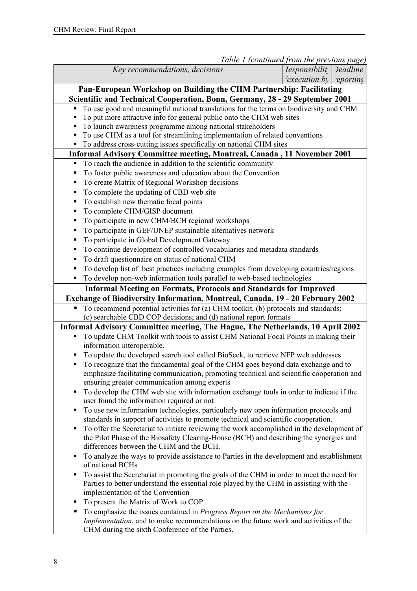| Table 1 (continued from the previous page)                                                                                                                                        |                              |                 |
|-----------------------------------------------------------------------------------------------------------------------------------------------------------------------------------|------------------------------|-----------------|
| Key recommendations, decisions                                                                                                                                                    | $\{e^{s}$ <i>sponsibilit</i> | <b>Deadline</b> |
|                                                                                                                                                                                   | 'execution $b_1$ 'eporting'  |                 |
| Pan-European Workshop on Building the CHM Partnership: Facilitating                                                                                                               |                              |                 |
| Scientific and Technical Cooperation, Bonn, Germany, 28 - 29 September 2001                                                                                                       |                              |                 |
| To use good and meaningful national translations for the terms on biodiversity and CHM                                                                                            |                              |                 |
| To put more attractive info for general public onto the CHM web sites                                                                                                             |                              |                 |
| To launch awareness programme among national stakeholders                                                                                                                         |                              |                 |
| To use CHM as a tool for streamlining implementation of related conventions<br>To address cross-cutting issues specifically on national CHM sites                                 |                              |                 |
| <b>Informal Advisory Committee meeting, Montreal, Canada, 11 November 2001</b>                                                                                                    |                              |                 |
| To reach the audience in addition to the scientific community<br>٠                                                                                                                |                              |                 |
| To foster public awareness and education about the Convention                                                                                                                     |                              |                 |
| To create Matrix of Regional Workshop decisions                                                                                                                                   |                              |                 |
| To complete the updating of CBD web site<br>п                                                                                                                                     |                              |                 |
| To establish new thematic focal points<br>٠                                                                                                                                       |                              |                 |
| To complete CHM/GISP document                                                                                                                                                     |                              |                 |
| To participate in new CHM/BCH regional workshops                                                                                                                                  |                              |                 |
| To participate in GEF/UNEP sustainable alternatives network<br>п                                                                                                                  |                              |                 |
| To participate in Global Development Gateway                                                                                                                                      |                              |                 |
| To continue development of controlled vocabularies and metadata standards                                                                                                         |                              |                 |
| To draft questionnaire on status of national CHM                                                                                                                                  |                              |                 |
| To develop list of best practices including examples from developing countries/regions                                                                                            |                              |                 |
| To develop non-web information tools parallel to web-based technologies                                                                                                           |                              |                 |
| <b>Informal Meeting on Formats, Protocols and Standards for Improved</b>                                                                                                          |                              |                 |
| <b>Exchange of Biodiversity Information, Montreal, Canada, 19 - 20 February 2002</b>                                                                                              |                              |                 |
| To recommend potential activities for (a) CHM toolkit, (b) protocols and standards;                                                                                               |                              |                 |
| (c) searchable CBD COP decisions; and (d) national report formats                                                                                                                 |                              |                 |
| Informal Advisory Committee meeting, The Hague, The Netherlands, 10 April 2002                                                                                                    |                              |                 |
| To update CHM Toolkit with tools to assist CHM National Focal Points in making their<br>٠                                                                                         |                              |                 |
| information interoperable.                                                                                                                                                        |                              |                 |
| To update the developed search tool called BioSeek, to retrieve NFP web addresses                                                                                                 |                              |                 |
| To recognize that the fundamental goal of the CHM goes beyond data exchange and to                                                                                                |                              |                 |
| emphasize facilitating communication, promoting technical and scientific cooperation and                                                                                          |                              |                 |
| ensuring greater communication among experts                                                                                                                                      |                              |                 |
| To develop the CHM web site with information exchange tools in order to indicate if the<br>٠                                                                                      |                              |                 |
| user found the information required or not                                                                                                                                        |                              |                 |
| To use new information technologies, particularly new open information protocols and<br>٠                                                                                         |                              |                 |
| standards in support of activities to promote technical and scientific cooperation.<br>To offer the Secretariat to initiate reviewing the work accomplished in the development of |                              |                 |
| ٠<br>the Pilot Phase of the Biosafety Clearing-House (BCH) and describing the synergies and                                                                                       |                              |                 |
| differences between the CHM and the BCH.                                                                                                                                          |                              |                 |
| To analyze the ways to provide assistance to Parties in the development and establishment<br>٠                                                                                    |                              |                 |
| of national BCHs                                                                                                                                                                  |                              |                 |
| To assist the Secretariat in promoting the goals of the CHM in order to meet the need for<br>٠                                                                                    |                              |                 |
| Parties to better understand the essential role played by the CHM in assisting with the                                                                                           |                              |                 |
| implementation of the Convention                                                                                                                                                  |                              |                 |
| To present the Matrix of Work to COP<br>п                                                                                                                                         |                              |                 |
| To emphasize the issues contained in Progress Report on the Mechanisms for                                                                                                        |                              |                 |
| Implementation, and to make recommendations on the future work and activities of the                                                                                              |                              |                 |
| CHM during the sixth Conference of the Parties.                                                                                                                                   |                              |                 |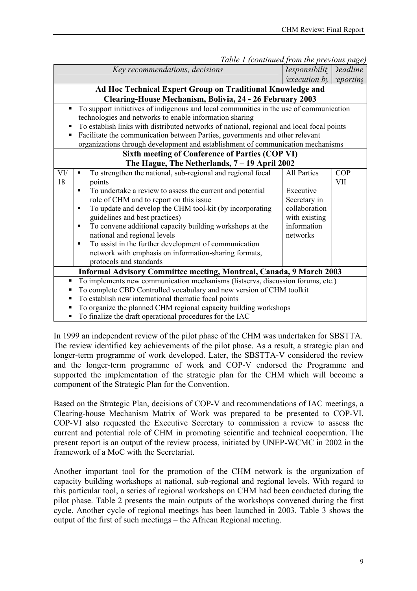|                                                                            | Table 1 (continued from the previous page)                                                |                     |            |  |  |
|----------------------------------------------------------------------------|-------------------------------------------------------------------------------------------|---------------------|------------|--|--|
|                                                                            | Key recommendations, decisions<br><i>Responsibilit</i><br><b>Deadline</b>                 |                     |            |  |  |
|                                                                            |                                                                                           | $\ell$ execution by | eporting   |  |  |
|                                                                            | Ad Hoc Technical Expert Group on Traditional Knowledge and                                |                     |            |  |  |
|                                                                            | Clearing-House Mechanism, Bolivia, 24 - 26 February 2003                                  |                     |            |  |  |
|                                                                            | To support initiatives of indigenous and local communities in the use of communication    |                     |            |  |  |
|                                                                            | technologies and networks to enable information sharing                                   |                     |            |  |  |
|                                                                            | To establish links with distributed networks of national, regional and local focal points |                     |            |  |  |
|                                                                            | Facilitate the communication between Parties, governments and other relevant              |                     |            |  |  |
|                                                                            | organizations through development and establishment of communication mechanisms           |                     |            |  |  |
|                                                                            | <b>Sixth meeting of Conference of Parties (COP VI)</b>                                    |                     |            |  |  |
|                                                                            | The Hague, The Netherlands, 7 - 19 April 2002                                             |                     |            |  |  |
| VI/                                                                        | To strengthen the national, sub-regional and regional focal<br>٠                          | All Parties         | <b>COP</b> |  |  |
| 18                                                                         | points                                                                                    |                     | VII        |  |  |
|                                                                            | To undertake a review to assess the current and potential<br>٠                            | Executive           |            |  |  |
|                                                                            | role of CHM and to report on this issue                                                   | Secretary in        |            |  |  |
|                                                                            | To update and develop the CHM tool-kit (by incorporating<br>٠                             | collaboration       |            |  |  |
|                                                                            | guidelines and best practices)                                                            | with existing       |            |  |  |
|                                                                            | To convene additional capacity building workshops at the<br>٠                             | information         |            |  |  |
|                                                                            | national and regional levels                                                              | networks            |            |  |  |
|                                                                            | To assist in the further development of communication<br>٠                                |                     |            |  |  |
|                                                                            | network with emphasis on information-sharing formats,                                     |                     |            |  |  |
|                                                                            | protocols and standards                                                                   |                     |            |  |  |
| <b>Informal Advisory Committee meeting, Montreal, Canada, 9 March 2003</b> |                                                                                           |                     |            |  |  |
|                                                                            | To implements new communication mechanisms (listservs, discussion forums, etc.)           |                     |            |  |  |
| To complete CBD Controlled vocabulary and new version of CHM toolkit<br>٠  |                                                                                           |                     |            |  |  |
|                                                                            | To establish new international thematic focal points                                      |                     |            |  |  |
|                                                                            | To organize the planned CHM regional capacity building workshops                          |                     |            |  |  |
|                                                                            | To finalize the draft operational procedures for the IAC                                  |                     |            |  |  |

In 1999 an independent review of the pilot phase of the CHM was undertaken for SBSTTA. The review identified key achievements of the pilot phase. As a result, a strategic plan and longer-term programme of work developed. Later, the SBSTTA-V considered the review and the longer-term programme of work and COP-V endorsed the Programme and supported the implementation of the strategic plan for the CHM which will become a component of the Strategic Plan for the Convention.

Based on the Strategic Plan, decisions of COP-V and recommendations of IAC meetings, a Clearing-house Mechanism Matrix of Work was prepared to be presented to COP-VI. COP-VI also requested the Executive Secretary to commission a review to assess the current and potential role of CHM in promoting scientific and technical cooperation. The present report is an output of the review process, initiated by UNEP-WCMC in 2002 in the framework of a MoC with the Secretariat.

Another important tool for the promotion of the CHM network is the organization of capacity building workshops at national, sub-regional and regional levels. With regard to this particular tool, a series of regional workshops on CHM had been conducted during the pilot phase. Table 2 presents the main outputs of the workshops convened during the first cycle. Another cycle of regional meetings has been launched in 2003. Table 3 shows the output of the first of such meetings – the African Regional meeting.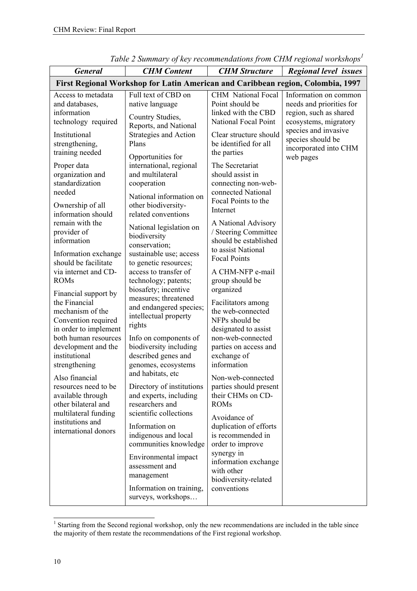| <b>General</b>                                                                                                                                                                                                                                                                                                                                                                                                                                                                                                                                                                                                                                                                                                                             | <b>CHM</b> Content                                                                                                                                                                                                                                                                                                                                                                                                                                                                                                                                                                                                                                                                                                                                                                                                                                                                                                                                                             | <b>CHM Structure</b>                                                                                                                                                                                                                                                                                                                                                                                                                                                                                                                                                                                                                                                                                                                                                                                                                                                                            | <b>Regional level issues</b>                                                                                                                                                            |  |  |
|--------------------------------------------------------------------------------------------------------------------------------------------------------------------------------------------------------------------------------------------------------------------------------------------------------------------------------------------------------------------------------------------------------------------------------------------------------------------------------------------------------------------------------------------------------------------------------------------------------------------------------------------------------------------------------------------------------------------------------------------|--------------------------------------------------------------------------------------------------------------------------------------------------------------------------------------------------------------------------------------------------------------------------------------------------------------------------------------------------------------------------------------------------------------------------------------------------------------------------------------------------------------------------------------------------------------------------------------------------------------------------------------------------------------------------------------------------------------------------------------------------------------------------------------------------------------------------------------------------------------------------------------------------------------------------------------------------------------------------------|-------------------------------------------------------------------------------------------------------------------------------------------------------------------------------------------------------------------------------------------------------------------------------------------------------------------------------------------------------------------------------------------------------------------------------------------------------------------------------------------------------------------------------------------------------------------------------------------------------------------------------------------------------------------------------------------------------------------------------------------------------------------------------------------------------------------------------------------------------------------------------------------------|-----------------------------------------------------------------------------------------------------------------------------------------------------------------------------------------|--|--|
| First Regional Workshop for Latin American and Caribbean region, Colombia, 1997                                                                                                                                                                                                                                                                                                                                                                                                                                                                                                                                                                                                                                                            |                                                                                                                                                                                                                                                                                                                                                                                                                                                                                                                                                                                                                                                                                                                                                                                                                                                                                                                                                                                |                                                                                                                                                                                                                                                                                                                                                                                                                                                                                                                                                                                                                                                                                                                                                                                                                                                                                                 |                                                                                                                                                                                         |  |  |
| Access to metadata<br>and databases,<br>information<br>technology required<br>Institutional<br>strengthening,<br>training needed<br>Proper data<br>organization and<br>standardization<br>needed<br>Ownership of all<br>information should<br>remain with the<br>provider of<br>information<br>Information exchange<br>should be facilitate<br>via internet and CD-<br><b>ROMs</b><br>Financial support by<br>the Financial<br>mechanism of the<br>Convention required<br>in order to implement<br>both human resources<br>development and the<br>institutional<br>strengthening<br>Also financial<br>resources need to be<br>available through<br>other bilateral and<br>multilateral funding<br>institutions and<br>international donors | Full text of CBD on<br>native language<br>Country Studies,<br>Reports, and National<br><b>Strategies and Action</b><br>Plans<br>Opportunities for<br>international, regional<br>and multilateral<br>cooperation<br>National information on<br>other biodiversity-<br>related conventions<br>National legislation on<br>biodiversity<br>conservation;<br>sustainable use; access<br>to genetic resources;<br>access to transfer of<br>technology; patents;<br>biosafety; incentive<br>measures; threatened<br>and endangered species;<br>intellectual property<br>rights<br>Info on components of<br>biodiversity including<br>described genes and<br>genomes, ecosystems<br>and habitats, etc<br>Directory of institutions<br>and experts, including<br>researchers and<br>scientific collections<br>Information on<br>indigenous and local<br>communities knowledge<br>Environmental impact<br>assessment and<br>management<br>Information on training,<br>surveys, workshops | <b>CHM</b> National Focal<br>Point should be<br>linked with the CBD<br>National Focal Point<br>Clear structure should<br>be identified for all<br>the parties<br>The Secretariat<br>should assist in<br>connecting non-web-<br>connected National<br>Focal Points to the<br>Internet<br>A National Advisory<br>/ Steering Committee<br>should be established<br>to assist National<br><b>Focal Points</b><br>A CHM-NFP e-mail<br>group should be<br>organized<br>Facilitators among<br>the web-connected<br>NFPs should be<br>designated to assist<br>non-web-connected<br>parties on access and<br>exchange of<br>information<br>Non-web-connected<br>parties should present<br>their CHMs on CD-<br><b>ROMs</b><br>Avoidance of<br>duplication of efforts<br>is recommended in<br>order to improve<br>synergy in<br>information exchange<br>with other<br>biodiversity-related<br>conventions | Information on common<br>needs and priorities for<br>region, such as shared<br>ecosystems, migratory<br>species and invasive<br>species should be<br>incorporated into CHM<br>web pages |  |  |

*Table 2 Summary of key recommendations from CHM regional workshops<sup>1</sup>*

<sup>&</sup>lt;sup>1</sup> Starting from the Second regional workshop, only the new recommendations are included in the table since the majority of them restate the recommendations of the First regional workshop.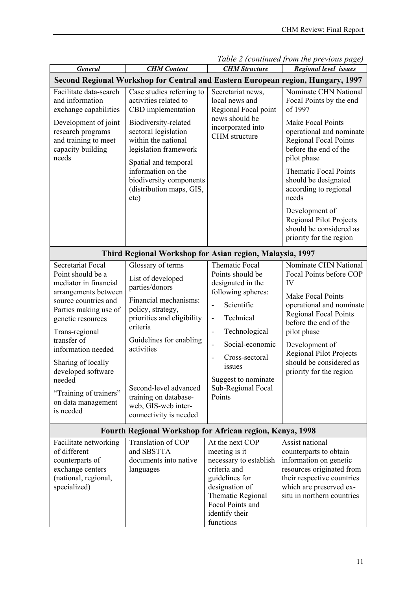| <b>General</b>                                                                                                                                                                                                                                                                                                                          | <b>CHM</b> Content                                                                                                                                                                                                                                                                           | <b>CHM Structure</b>                                                                                                                                                                                                                                                                                                     | <b>Regional level issues</b>                                                                                                                                                                                                                                                              |  |  |
|-----------------------------------------------------------------------------------------------------------------------------------------------------------------------------------------------------------------------------------------------------------------------------------------------------------------------------------------|----------------------------------------------------------------------------------------------------------------------------------------------------------------------------------------------------------------------------------------------------------------------------------------------|--------------------------------------------------------------------------------------------------------------------------------------------------------------------------------------------------------------------------------------------------------------------------------------------------------------------------|-------------------------------------------------------------------------------------------------------------------------------------------------------------------------------------------------------------------------------------------------------------------------------------------|--|--|
|                                                                                                                                                                                                                                                                                                                                         |                                                                                                                                                                                                                                                                                              |                                                                                                                                                                                                                                                                                                                          | Second Regional Workshop for Central and Eastern European region, Hungary, 1997                                                                                                                                                                                                           |  |  |
| Facilitate data-search<br>and information<br>exchange capabilities                                                                                                                                                                                                                                                                      | Case studies referring to<br>activities related to<br>CBD implementation                                                                                                                                                                                                                     | Secretariat news,<br>local news and<br>Regional Focal point<br>news should be                                                                                                                                                                                                                                            | Nominate CHN National<br>Focal Points by the end<br>of 1997                                                                                                                                                                                                                               |  |  |
| Development of joint<br>research programs<br>and training to meet<br>capacity building<br>needs                                                                                                                                                                                                                                         | Biodiversity-related<br>sectoral legislation<br>within the national<br>legislation framework                                                                                                                                                                                                 | incorporated into<br><b>CHM</b> structure                                                                                                                                                                                                                                                                                | <b>Make Focal Points</b><br>operational and nominate<br><b>Regional Focal Points</b><br>before the end of the<br>pilot phase                                                                                                                                                              |  |  |
|                                                                                                                                                                                                                                                                                                                                         | Spatial and temporal<br>information on the<br>biodiversity components<br>(distribution maps, GIS,<br>etc)                                                                                                                                                                                    |                                                                                                                                                                                                                                                                                                                          | <b>Thematic Focal Points</b><br>should be designated<br>according to regional<br>needs                                                                                                                                                                                                    |  |  |
|                                                                                                                                                                                                                                                                                                                                         |                                                                                                                                                                                                                                                                                              |                                                                                                                                                                                                                                                                                                                          | Development of<br><b>Regional Pilot Projects</b><br>should be considered as<br>priority for the region                                                                                                                                                                                    |  |  |
|                                                                                                                                                                                                                                                                                                                                         | Third Regional Workshop for Asian region, Malaysia, 1997                                                                                                                                                                                                                                     |                                                                                                                                                                                                                                                                                                                          |                                                                                                                                                                                                                                                                                           |  |  |
| Secretariat Focal<br>Point should be a<br>mediator in financial<br>arrangements between<br>source countries and<br>Parties making use of<br>genetic resources<br>Trans-regional<br>transfer of<br>information needed<br>Sharing of locally<br>developed software<br>needed<br>"Training of trainers"<br>on data management<br>is needed | Glossary of terms<br>List of developed<br>parties/donors<br>Financial mechanisms:<br>policy, strategy,<br>priorities and eligibility<br>criteria<br>Guidelines for enabling<br>activities<br>Second-level advanced<br>training on database-<br>web, GIS-web inter-<br>connectivity is needed | <b>Thematic Focal</b><br>Points should be<br>designated in the<br>following spheres:<br>Scientific<br>$\overline{a}$<br>Technical<br>$\overline{\phantom{0}}$<br>Technological<br>$\overline{a}$<br>Social-economic<br>$\overline{a}$<br>Cross-sectoral<br>issues<br>Suggest to nominate<br>Sub-Regional Focal<br>Points | Nominate CHN National<br>Focal Points before COP<br>IV<br>Make Focal Points<br>operational and nominate<br><b>Regional Focal Points</b><br>before the end of the<br>pilot phase<br>Development of<br><b>Regional Pilot Projects</b><br>should be considered as<br>priority for the region |  |  |
| Fourth Regional Workshop for African region, Kenya, 1998                                                                                                                                                                                                                                                                                |                                                                                                                                                                                                                                                                                              |                                                                                                                                                                                                                                                                                                                          |                                                                                                                                                                                                                                                                                           |  |  |
| Facilitate networking<br>of different<br>counterparts of<br>exchange centers<br>(national, regional,<br>specialized)                                                                                                                                                                                                                    | Translation of COP<br>and SBSTTA<br>documents into native<br>languages                                                                                                                                                                                                                       | At the next COP<br>meeting is it<br>necessary to establish<br>criteria and<br>guidelines for<br>designation of<br>Thematic Regional<br>Focal Points and<br>identify their<br>functions                                                                                                                                   | Assist national<br>counterparts to obtain<br>information on genetic<br>resources originated from<br>their respective countries<br>which are preserved ex-<br>situ in northern countries                                                                                                   |  |  |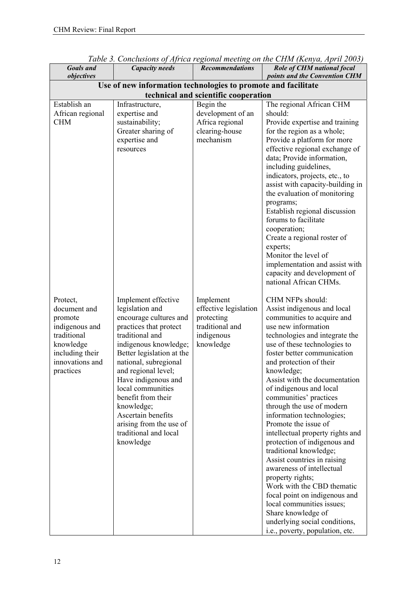| <b>Goals</b> and<br>objectives                                                                                                       | <b>Capacity needs</b>                                                                                                                                                                                                                                                                                                                                                                      | <b>Recommendations</b>                                                                         | <b>Role of CHM national focal</b><br>points and the Convention CHM                                                                                                                                                                                                                                                                                                                                                                                                                                                                                                                                                                                                                                                                                                                         |  |  |  |
|--------------------------------------------------------------------------------------------------------------------------------------|--------------------------------------------------------------------------------------------------------------------------------------------------------------------------------------------------------------------------------------------------------------------------------------------------------------------------------------------------------------------------------------------|------------------------------------------------------------------------------------------------|--------------------------------------------------------------------------------------------------------------------------------------------------------------------------------------------------------------------------------------------------------------------------------------------------------------------------------------------------------------------------------------------------------------------------------------------------------------------------------------------------------------------------------------------------------------------------------------------------------------------------------------------------------------------------------------------------------------------------------------------------------------------------------------------|--|--|--|
| Use of new information technologies to promote and facilitate                                                                        |                                                                                                                                                                                                                                                                                                                                                                                            |                                                                                                |                                                                                                                                                                                                                                                                                                                                                                                                                                                                                                                                                                                                                                                                                                                                                                                            |  |  |  |
|                                                                                                                                      | technical and scientific cooperation                                                                                                                                                                                                                                                                                                                                                       |                                                                                                |                                                                                                                                                                                                                                                                                                                                                                                                                                                                                                                                                                                                                                                                                                                                                                                            |  |  |  |
| Establish an<br>African regional<br><b>CHM</b>                                                                                       | Infrastructure,<br>expertise and<br>sustainability;<br>Greater sharing of<br>expertise and<br>resources                                                                                                                                                                                                                                                                                    | Begin the<br>development of an<br>Africa regional<br>clearing-house<br>mechanism               | The regional African CHM<br>should:<br>Provide expertise and training<br>for the region as a whole;<br>Provide a platform for more<br>effective regional exchange of<br>data; Provide information,<br>including guidelines,<br>indicators, projects, etc., to<br>assist with capacity-building in<br>the evaluation of monitoring<br>programs;<br>Establish regional discussion<br>forums to facilitate<br>cooperation;<br>Create a regional roster of<br>experts;<br>Monitor the level of<br>implementation and assist with<br>capacity and development of<br>national African CHMs.                                                                                                                                                                                                      |  |  |  |
| Protect,<br>document and<br>promote<br>indigenous and<br>traditional<br>knowledge<br>including their<br>innovations and<br>practices | Implement effective<br>legislation and<br>encourage cultures and<br>practices that protect<br>traditional and<br>indigenous knowledge;<br>Better legislation at the<br>national, subregional<br>and regional level;<br>Have indigenous and<br>local communities<br>benefit from their<br>knowledge;<br>Ascertain benefits<br>arising from the use of<br>traditional and local<br>knowledge | Implement<br>effective legislation<br>protecting<br>traditional and<br>indigenous<br>knowledge | CHM NFPs should:<br>Assist indigenous and local<br>communities to acquire and<br>use new information<br>technologies and integrate the<br>use of these technologies to<br>foster better communication<br>and protection of their<br>knowledge;<br>Assist with the documentation<br>of indigenous and local<br>communities' practices<br>through the use of modern<br>information technologies;<br>Promote the issue of<br>intellectual property rights and<br>protection of indigenous and<br>traditional knowledge;<br>Assist countries in raising<br>awareness of intellectual<br>property rights;<br>Work with the CBD thematic<br>focal point on indigenous and<br>local communities issues;<br>Share knowledge of<br>underlying social conditions,<br>i.e., poverty, population, etc. |  |  |  |

*Table 3. Conclusions of Africa regional meeting on the CHM (Kenya, April 2003)*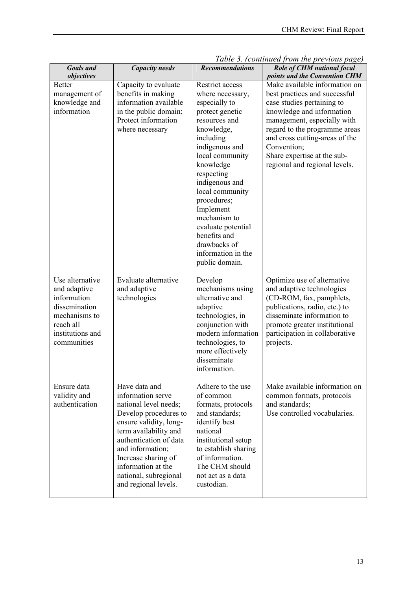| <b>Goals</b> and<br>objectives | <b>Capacity needs</b>                   | <b>Recommendations</b>                  | Role of CHM national focal<br>points and the Convention CHM     |
|--------------------------------|-----------------------------------------|-----------------------------------------|-----------------------------------------------------------------|
| <b>Better</b>                  | Capacity to evaluate                    | Restrict access                         | Make available information on                                   |
| management of                  | benefits in making                      | where necessary,                        | best practices and successful                                   |
| knowledge and                  | information available                   | especially to                           | case studies pertaining to                                      |
| information                    | in the public domain;                   | protect genetic                         | knowledge and information                                       |
|                                | Protect information                     | resources and                           | management, especially with                                     |
|                                | where necessary                         | knowledge,                              | regard to the programme areas                                   |
|                                |                                         | including                               | and cross cutting-areas of the                                  |
|                                |                                         | indigenous and                          | Convention;                                                     |
|                                |                                         | local community                         | Share expertise at the sub-                                     |
|                                |                                         | knowledge                               | regional and regional levels.                                   |
|                                |                                         | respecting                              |                                                                 |
|                                |                                         | indigenous and                          |                                                                 |
|                                |                                         | local community                         |                                                                 |
|                                |                                         | procedures;                             |                                                                 |
|                                |                                         | Implement<br>mechanism to               |                                                                 |
|                                |                                         | evaluate potential                      |                                                                 |
|                                |                                         | benefits and                            |                                                                 |
|                                |                                         | drawbacks of                            |                                                                 |
|                                |                                         | information in the                      |                                                                 |
|                                |                                         | public domain.                          |                                                                 |
|                                |                                         |                                         |                                                                 |
| Use alternative                | Evaluate alternative                    | Develop                                 | Optimize use of alternative                                     |
| and adaptive                   | and adaptive                            | mechanisms using                        | and adaptive technologies                                       |
| information                    | technologies                            | alternative and                         | (CD-ROM, fax, pamphlets,                                        |
| dissemination                  |                                         | adaptive                                | publications, radio, etc.) to                                   |
| mechanisms to<br>reach all     |                                         | technologies, in<br>conjunction with    | disseminate information to                                      |
| institutions and               |                                         | modern information                      | promote greater institutional<br>participation in collaborative |
| communities                    |                                         | technologies, to                        | projects.                                                       |
|                                |                                         | more effectively                        |                                                                 |
|                                |                                         | disseminate                             |                                                                 |
|                                |                                         | information.                            |                                                                 |
|                                |                                         |                                         |                                                                 |
| Ensure data                    | Have data and                           | Adhere to the use                       | Make available information on                                   |
| validity and                   | information serve                       | of common                               | common formats, protocols                                       |
| authentication                 | national level needs;                   | formats, protocols                      | and standards;                                                  |
|                                | Develop procedures to                   | and standards;                          | Use controlled vocabularies.                                    |
|                                | ensure validity, long-                  | identify best                           |                                                                 |
|                                | term availability and                   | national                                |                                                                 |
|                                | authentication of data                  | institutional setup                     |                                                                 |
|                                | and information;<br>Increase sharing of | to establish sharing<br>of information. |                                                                 |
|                                | information at the                      | The CHM should                          |                                                                 |
|                                | national, subregional                   | not act as a data                       |                                                                 |
|                                | and regional levels.                    | custodian.                              |                                                                 |
|                                |                                         |                                         |                                                                 |

*Table 3. (continued from the previous page)*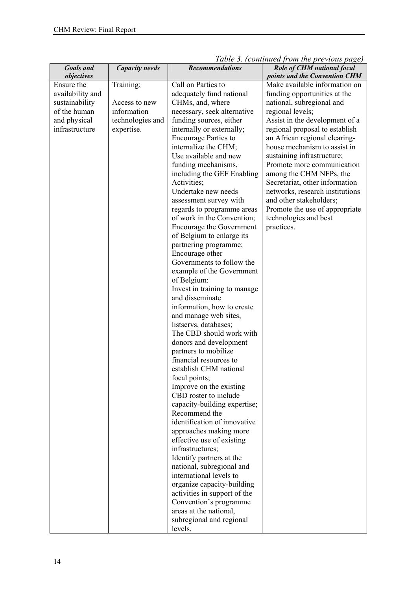| <b>Goals</b> and | <b>Capacity needs</b> | <b>Recommendations</b>                       | Twore 5. (communed ji one me previous page)<br><b>Role of CHM national focal</b> |
|------------------|-----------------------|----------------------------------------------|----------------------------------------------------------------------------------|
| objectives       |                       |                                              | points and the Convention CHM                                                    |
| Ensure the       | Training;             | Call on Parties to                           | Make available information on                                                    |
| availability and |                       | adequately fund national                     | funding opportunities at the                                                     |
| sustainability   | Access to new         | CHMs, and, where                             | national, subregional and                                                        |
| of the human     | information           | necessary, seek alternative                  | regional levels;                                                                 |
| and physical     | technologies and      | funding sources, either                      | Assist in the development of a                                                   |
| infrastructure   | expertise.            | internally or externally;                    | regional proposal to establish                                                   |
|                  |                       | <b>Encourage Parties to</b>                  | an African regional clearing-                                                    |
|                  |                       | internalize the CHM;                         | house mechanism to assist in                                                     |
|                  |                       | Use available and new                        | sustaining infrastructure;                                                       |
|                  |                       | funding mechanisms,                          | Promote more communication                                                       |
|                  |                       | including the GEF Enabling                   | among the CHM NFPs, the                                                          |
|                  |                       | Activities;                                  | Secretariat, other information                                                   |
|                  |                       | Undertake new needs                          | networks, research institutions                                                  |
|                  |                       | assessment survey with                       | and other stakeholders;                                                          |
|                  |                       | regards to programme areas                   | Promote the use of appropriate                                                   |
|                  |                       | of work in the Convention;                   | technologies and best                                                            |
|                  |                       | <b>Encourage the Government</b>              | practices.                                                                       |
|                  |                       | of Belgium to enlarge its                    |                                                                                  |
|                  |                       | partnering programme;                        |                                                                                  |
|                  |                       | Encourage other<br>Governments to follow the |                                                                                  |
|                  |                       |                                              |                                                                                  |
|                  |                       | example of the Government<br>of Belgium:     |                                                                                  |
|                  |                       | Invest in training to manage                 |                                                                                  |
|                  |                       | and disseminate                              |                                                                                  |
|                  |                       | information, how to create                   |                                                                                  |
|                  |                       | and manage web sites,                        |                                                                                  |
|                  |                       | listservs, databases;                        |                                                                                  |
|                  |                       | The CBD should work with                     |                                                                                  |
|                  |                       | donors and development                       |                                                                                  |
|                  |                       | partners to mobilize                         |                                                                                  |
|                  |                       | financial resources to                       |                                                                                  |
|                  |                       | establish CHM national                       |                                                                                  |
|                  |                       | focal points;                                |                                                                                  |
|                  |                       | Improve on the existing                      |                                                                                  |
|                  |                       | CBD roster to include                        |                                                                                  |
|                  |                       | capacity-building expertise;                 |                                                                                  |
|                  |                       | Recommend the                                |                                                                                  |
|                  |                       | identification of innovative                 |                                                                                  |
|                  |                       | approaches making more                       |                                                                                  |
|                  |                       | effective use of existing                    |                                                                                  |
|                  |                       | infrastructures;                             |                                                                                  |
|                  |                       | Identify partners at the                     |                                                                                  |
|                  |                       | national, subregional and                    |                                                                                  |
|                  |                       | international levels to                      |                                                                                  |
|                  |                       | organize capacity-building                   |                                                                                  |
|                  |                       | activities in support of the                 |                                                                                  |
|                  |                       | Convention's programme                       |                                                                                  |
|                  |                       | areas at the national,                       |                                                                                  |
|                  |                       | subregional and regional                     |                                                                                  |
|                  |                       | levels.                                      |                                                                                  |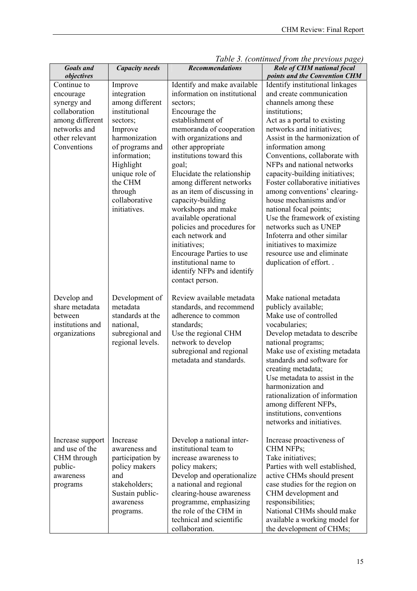| <b>Goals</b> and<br>objectives                                                        | <b>Capacity needs</b>                                                                                                               | <b>Recommendations</b>                                                                                                                                                                                                                                                               | Role of CHM national focal<br>points and the Convention CHM                                                                                                                                                                                                                                                                                                                                                    |
|---------------------------------------------------------------------------------------|-------------------------------------------------------------------------------------------------------------------------------------|--------------------------------------------------------------------------------------------------------------------------------------------------------------------------------------------------------------------------------------------------------------------------------------|----------------------------------------------------------------------------------------------------------------------------------------------------------------------------------------------------------------------------------------------------------------------------------------------------------------------------------------------------------------------------------------------------------------|
| Continue to                                                                           | Improve                                                                                                                             | Identify and make available                                                                                                                                                                                                                                                          | Identify institutional linkages                                                                                                                                                                                                                                                                                                                                                                                |
| encourage                                                                             | integration                                                                                                                         | information on institutional                                                                                                                                                                                                                                                         | and create communication                                                                                                                                                                                                                                                                                                                                                                                       |
| synergy and                                                                           | among different                                                                                                                     | sectors;                                                                                                                                                                                                                                                                             | channels among these                                                                                                                                                                                                                                                                                                                                                                                           |
| collaboration                                                                         | institutional                                                                                                                       | Encourage the                                                                                                                                                                                                                                                                        | institutions;                                                                                                                                                                                                                                                                                                                                                                                                  |
| among different                                                                       | sectors;                                                                                                                            | establishment of                                                                                                                                                                                                                                                                     | Act as a portal to existing                                                                                                                                                                                                                                                                                                                                                                                    |
| networks and                                                                          | Improve                                                                                                                             | memoranda of cooperation                                                                                                                                                                                                                                                             | networks and initiatives;                                                                                                                                                                                                                                                                                                                                                                                      |
| other relevant                                                                        | harmonization                                                                                                                       | with organizations and                                                                                                                                                                                                                                                               | Assist in the harmonization of                                                                                                                                                                                                                                                                                                                                                                                 |
| Conventions                                                                           | of programs and<br>information;<br>Highlight<br>unique role of<br>the CHM<br>through<br>collaborative<br>initiatives.               | other appropriate<br>institutions toward this<br>goal;<br>Elucidate the relationship<br>among different networks<br>as an item of discussing in<br>capacity-building<br>workshops and make<br>available operational                                                                  | information among<br>Conventions, collaborate with<br>NFPs and national networks<br>capacity-building initiatives;<br>Foster collaborative initiatives<br>among conventions' clearing-<br>house mechanisms and/or<br>national focal points;<br>Use the framework of existing                                                                                                                                   |
|                                                                                       |                                                                                                                                     | policies and procedures for<br>each network and<br>initiatives;<br>Encourage Parties to use<br>institutional name to<br>identify NFPs and identify<br>contact person.                                                                                                                | networks such as UNEP<br>Infoterra and other similar<br>initiatives to maximize<br>resource use and eliminate<br>duplication of effort                                                                                                                                                                                                                                                                         |
| Develop and<br>share metadata<br>between<br>institutions and<br>organizations         | Development of<br>metadata<br>standards at the<br>national,<br>subregional and<br>regional levels.                                  | Review available metadata<br>standards, and recommend<br>adherence to common<br>standards;<br>Use the regional CHM<br>network to develop<br>subregional and regional<br>metadata and standards.                                                                                      | Make national metadata<br>publicly available;<br>Make use of controlled<br>vocabularies;<br>Develop metadata to describe<br>national programs;<br>Make use of existing metadata<br>standards and software for<br>creating metadata;<br>Use metadata to assist in the<br>harmonization and<br>rationalization of information<br>among different NFPs,<br>institutions, conventions<br>networks and initiatives. |
| Increase support<br>and use of the<br>CHM through<br>public-<br>awareness<br>programs | Increase<br>awareness and<br>participation by<br>policy makers<br>and<br>stakeholders;<br>Sustain public-<br>awareness<br>programs. | Develop a national inter-<br>institutional team to<br>increase awareness to<br>policy makers;<br>Develop and operationalize<br>a national and regional<br>clearing-house awareness<br>programme, emphasizing<br>the role of the CHM in<br>technical and scientific<br>collaboration. | Increase proactiveness of<br>CHM NFPs;<br>Take initiatives;<br>Parties with well established,<br>active CHMs should present<br>case studies for the region on<br>CHM development and<br>responsibilities;<br>National CHMs should make<br>available a working model for<br>the development of CHMs;                                                                                                            |

*Table 3. (continued from the previous page)*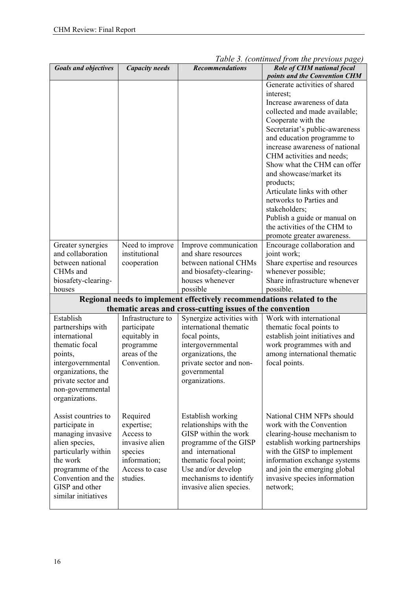|                             |                       |                                                                        | Table 5. (communed from the previous page)                         |
|-----------------------------|-----------------------|------------------------------------------------------------------------|--------------------------------------------------------------------|
| <b>Goals and objectives</b> | <b>Capacity needs</b> | <b>Recommendations</b>                                                 | <b>Role of CHM national focal</b><br>points and the Convention CHM |
|                             |                       |                                                                        | Generate activities of shared                                      |
|                             |                       |                                                                        |                                                                    |
|                             |                       |                                                                        | interest;                                                          |
|                             |                       |                                                                        | Increase awareness of data                                         |
|                             |                       |                                                                        | collected and made available;                                      |
|                             |                       |                                                                        | Cooperate with the                                                 |
|                             |                       |                                                                        | Secretariat's public-awareness                                     |
|                             |                       |                                                                        | and education programme to                                         |
|                             |                       |                                                                        | increase awareness of national                                     |
|                             |                       |                                                                        | CHM activities and needs;                                          |
|                             |                       |                                                                        | Show what the CHM can offer                                        |
|                             |                       |                                                                        | and showcase/market its                                            |
|                             |                       |                                                                        | products;                                                          |
|                             |                       |                                                                        | Articulate links with other                                        |
|                             |                       |                                                                        | networks to Parties and                                            |
|                             |                       |                                                                        | stakeholders;                                                      |
|                             |                       |                                                                        | Publish a guide or manual on                                       |
|                             |                       |                                                                        | the activities of the CHM to                                       |
|                             |                       |                                                                        | promote greater awareness.                                         |
| Greater synergies           | Need to improve       | Improve communication                                                  | Encourage collaboration and                                        |
| and collaboration           | institutional         | and share resources                                                    | joint work;                                                        |
| between national            | cooperation           | between national CHMs                                                  | Share expertise and resources                                      |
| CHMs and                    |                       | and biosafety-clearing-                                                | whenever possible;                                                 |
| biosafety-clearing-         |                       | houses whenever                                                        | Share infrastructure whenever                                      |
| houses                      |                       | possible                                                               | possible.                                                          |
|                             |                       | Regional needs to implement effectively recommendations related to the |                                                                    |
|                             |                       | thematic areas and cross-cutting issues of the convention              |                                                                    |
| Establish                   | Infrastructure to     | Synergize activities with                                              | Work with international                                            |
| partnerships with           | participate           | international thematic                                                 | thematic focal points to                                           |
| international               | equitably in          | focal points,                                                          | establish joint initiatives and                                    |
| thematic focal              | programme             | intergovernmental                                                      | work programmes with and                                           |
| points,                     | areas of the          | organizations, the                                                     | among international thematic                                       |
| intergovernmental           | Convention.           | private sector and non-                                                | focal points.                                                      |
| organizations, the          |                       | governmental                                                           |                                                                    |
| private sector and          |                       | organizations.                                                         |                                                                    |
| non-governmental            |                       |                                                                        |                                                                    |
| organizations.              |                       |                                                                        |                                                                    |
|                             |                       |                                                                        |                                                                    |
| Assist countries to         | Required              | Establish working                                                      | National CHM NFPs should                                           |
| participate in              | expertise;            | relationships with the                                                 | work with the Convention                                           |
| managing invasive           | Access to             | GISP within the work                                                   | clearing-house mechanism to                                        |
| alien species,              | invasive alien        | programme of the GISP                                                  | establish working partnerships                                     |
| particularly within         | species               | and international                                                      | with the GISP to implement                                         |
| the work                    | information;          | thematic focal point;                                                  | information exchange systems                                       |
| programme of the            | Access to case        | Use and/or develop                                                     | and join the emerging global                                       |
| Convention and the          | studies.              | mechanisms to identify                                                 | invasive species information                                       |
| GISP and other              |                       | invasive alien species.                                                | network;                                                           |
| similar initiatives         |                       |                                                                        |                                                                    |
|                             |                       |                                                                        |                                                                    |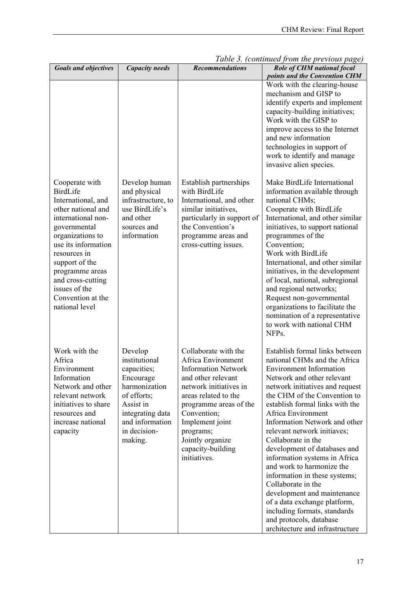| <b>Goals and objectives</b>                                                                                                                                               | <b>Capacity needs</b>                                                                                                                                               | <b>Recommendations</b>                                                                                                                                                                                                                                                             | ruote s. (communeu ji ont me previous page)<br><b>Role of CHM national focal</b>                                                                                                                                                                                                                                                                                                                                                                                                                                                                                                                                                                                   |
|---------------------------------------------------------------------------------------------------------------------------------------------------------------------------|---------------------------------------------------------------------------------------------------------------------------------------------------------------------|------------------------------------------------------------------------------------------------------------------------------------------------------------------------------------------------------------------------------------------------------------------------------------|--------------------------------------------------------------------------------------------------------------------------------------------------------------------------------------------------------------------------------------------------------------------------------------------------------------------------------------------------------------------------------------------------------------------------------------------------------------------------------------------------------------------------------------------------------------------------------------------------------------------------------------------------------------------|
| Cooperate with<br><b>BirdLife</b><br>International, and<br>other national and<br>international non-<br>governmental                                                       | Develop human<br>and physical<br>infrastructure, to<br>use BirdLife's<br>and other<br>sources and                                                                   | Establish partnerships<br>with BirdLife<br>International, and other<br>similar initiatives,<br>particularly in support of<br>the Convention's                                                                                                                                      | points and the Convention CHM<br>Work with the clearing-house<br>mechanism and GISP to<br>identify experts and implement<br>capacity-building initiatives;<br>Work with the GISP to<br>improve access to the Internet<br>and new information<br>technologies in support of<br>work to identify and manage<br>invasive alien species.<br>Make BirdLife International<br>information available through<br>national CHMs;<br>Cooperate with BirdLife<br>International, and other similar<br>initiatives, to support national                                                                                                                                          |
| organizations to<br>use its information<br>resources in<br>support of the<br>programme areas<br>and cross-cutting<br>issues of the<br>Convention at the<br>national level | information                                                                                                                                                         | programme areas and<br>cross-cutting issues.                                                                                                                                                                                                                                       | programmes of the<br>Convention;<br>Work with BirdLife<br>International, and other similar<br>initiatives, in the development<br>of local, national, subregional<br>and regional networks;<br>Request non-governmental<br>organizations to facilitate the<br>nomination of a representative<br>to work with national CHM<br>NFP <sub>s</sub> .                                                                                                                                                                                                                                                                                                                     |
| Work with the<br>Africa<br>Environment<br>Information<br>Network and other<br>relevant network<br>initiatives to share<br>resources and<br>increase national<br>capacity  | Develop<br>institutional<br>capacities;<br>Encourage<br>harmonization<br>of efforts;<br>Assist in<br>integrating data<br>and information<br>in decision-<br>making. | Collaborate with the<br>Africa Environment<br><b>Information Network</b><br>and other relevant<br>network initiatives in<br>areas related to the<br>programme areas of the<br>Convention;<br>Implement joint<br>programs;<br>Jointly organize<br>capacity-building<br>initiatives. | Establish formal links between<br>national CHMs and the Africa<br><b>Environment Information</b><br>Network and other relevant<br>network initiatives and request<br>the CHM of the Convention to<br>establish formal links with the<br>Africa Environment<br>Information Network and other<br>relevant network initiaves;<br>Collaborate in the<br>development of databases and<br>information systems in Africa<br>and work to harmonize the<br>information in these systems;<br>Collaborate in the<br>development and maintenance<br>of a data exchange platform,<br>including formats, standards<br>and protocols, database<br>architecture and infrastructure |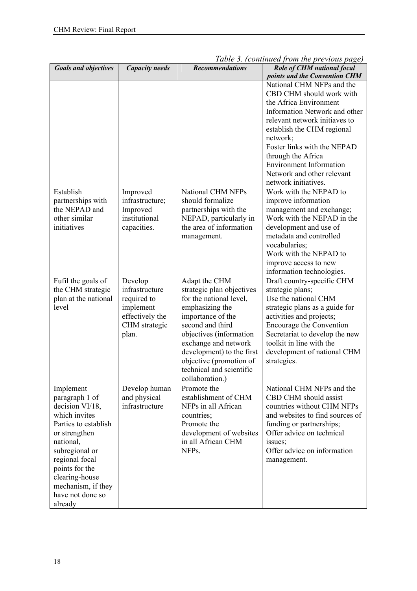| <b>Goals and objectives</b>          | <b>Capacity needs</b>     | <b>Recommendations</b>                          | Tuble 5. (Communed J. ont the previous page)<br><b>Role of CHM national focal</b>                                                                                                                                                                                                                                                        |
|--------------------------------------|---------------------------|-------------------------------------------------|------------------------------------------------------------------------------------------------------------------------------------------------------------------------------------------------------------------------------------------------------------------------------------------------------------------------------------------|
|                                      |                           |                                                 | points and the Convention CHM                                                                                                                                                                                                                                                                                                            |
|                                      |                           |                                                 | National CHM NFPs and the<br>CBD CHM should work with<br>the Africa Environment<br>Information Network and other<br>relevant network initiaves to<br>establish the CHM regional<br>network;<br>Foster links with the NEPAD<br>through the Africa<br><b>Environment Information</b><br>Network and other relevant<br>network initiatives. |
| Establish                            | Improved                  | National CHM NFPs                               | Work with the NEPAD to                                                                                                                                                                                                                                                                                                                   |
| partnerships with                    | infrastructure;           | should formalize                                | improve information                                                                                                                                                                                                                                                                                                                      |
| the NEPAD and<br>other similar       | Improved<br>institutional | partnerships with the<br>NEPAD, particularly in | management and exchange;<br>Work with the NEPAD in the                                                                                                                                                                                                                                                                                   |
| initiatives                          | capacities.               | the area of information                         | development and use of                                                                                                                                                                                                                                                                                                                   |
|                                      |                           | management.                                     | metadata and controlled                                                                                                                                                                                                                                                                                                                  |
|                                      |                           |                                                 | vocabularies;                                                                                                                                                                                                                                                                                                                            |
|                                      |                           |                                                 | Work with the NEPAD to                                                                                                                                                                                                                                                                                                                   |
|                                      |                           |                                                 | improve access to new                                                                                                                                                                                                                                                                                                                    |
| Fufil the goals of                   | Develop                   | Adapt the CHM                                   | information technologies.<br>Draft country-specific CHM                                                                                                                                                                                                                                                                                  |
| the CHM strategic                    | infrastructure            | strategic plan objectives                       | strategic plans;                                                                                                                                                                                                                                                                                                                         |
| plan at the national                 | required to               | for the national level,                         | Use the national CHM                                                                                                                                                                                                                                                                                                                     |
| level                                | implement                 | emphasizing the                                 | strategic plans as a guide for                                                                                                                                                                                                                                                                                                           |
|                                      | effectively the           | importance of the                               | activities and projects;                                                                                                                                                                                                                                                                                                                 |
|                                      | CHM strategic             | second and third                                | <b>Encourage the Convention</b>                                                                                                                                                                                                                                                                                                          |
|                                      | plan.                     | objectives (information<br>exchange and network | Secretariat to develop the new<br>toolkit in line with the                                                                                                                                                                                                                                                                               |
|                                      |                           | development) to the first                       | development of national CHM                                                                                                                                                                                                                                                                                                              |
|                                      |                           | objective (promotion of                         | strategies.                                                                                                                                                                                                                                                                                                                              |
|                                      |                           | technical and scientific                        |                                                                                                                                                                                                                                                                                                                                          |
|                                      |                           | collaboration.)                                 |                                                                                                                                                                                                                                                                                                                                          |
| Implement                            | Develop human             | Promote the                                     | National CHM NFPs and the                                                                                                                                                                                                                                                                                                                |
| paragraph 1 of                       | and physical              | establishment of CHM                            | CBD CHM should assist<br>countries without CHM NFPs                                                                                                                                                                                                                                                                                      |
| decision VI/18,<br>which invites     | infrastructure            | NFPs in all African<br>countries;               | and websites to find sources of                                                                                                                                                                                                                                                                                                          |
| Parties to establish                 |                           | Promote the                                     | funding or partnerships;                                                                                                                                                                                                                                                                                                                 |
| or strengthen                        |                           | development of websites                         | Offer advice on technical                                                                                                                                                                                                                                                                                                                |
| national,                            |                           | in all African CHM                              | issues;                                                                                                                                                                                                                                                                                                                                  |
| subregional or                       |                           | NFPs.                                           | Offer advice on information                                                                                                                                                                                                                                                                                                              |
| regional focal                       |                           |                                                 | management.                                                                                                                                                                                                                                                                                                                              |
| points for the                       |                           |                                                 |                                                                                                                                                                                                                                                                                                                                          |
| clearing-house<br>mechanism, if they |                           |                                                 |                                                                                                                                                                                                                                                                                                                                          |
| have not done so                     |                           |                                                 |                                                                                                                                                                                                                                                                                                                                          |
| already                              |                           |                                                 |                                                                                                                                                                                                                                                                                                                                          |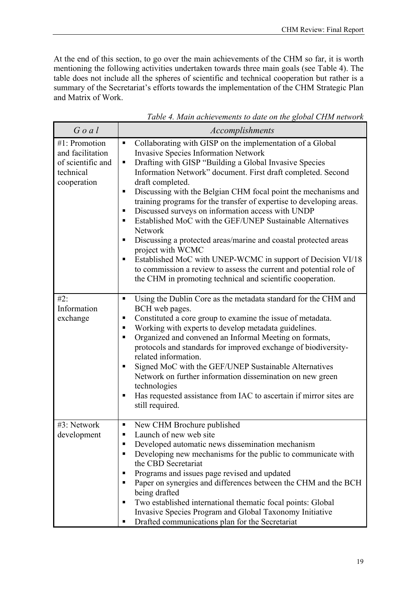At the end of this section, to go over the main achievements of the CHM so far, it is worth mentioning the following activities undertaken towards three main goals (see Table 4). The table does not include all the spheres of scientific and technical cooperation but rather is a summary of the Secretariat's efforts towards the implementation of the CHM Strategic Plan and Matrix of Work.

| $G$ o a l                                                                          | Accomplishments                                                                                                                                                                                                                                                                                                                                                                                                                                                                                                                                                                                                                                                                                                                                                                                                                                                |
|------------------------------------------------------------------------------------|----------------------------------------------------------------------------------------------------------------------------------------------------------------------------------------------------------------------------------------------------------------------------------------------------------------------------------------------------------------------------------------------------------------------------------------------------------------------------------------------------------------------------------------------------------------------------------------------------------------------------------------------------------------------------------------------------------------------------------------------------------------------------------------------------------------------------------------------------------------|
| #1: Promotion<br>and facilitation<br>of scientific and<br>technical<br>cooperation | Collaborating with GISP on the implementation of a Global<br>п<br><b>Invasive Species Information Network</b><br>Drafting with GISP "Building a Global Invasive Species<br>Ξ<br>Information Network" document. First draft completed. Second<br>draft completed.<br>Discussing with the Belgian CHM focal point the mechanisms and<br>п<br>training programs for the transfer of expertise to developing areas.<br>Discussed surveys on information access with UNDP<br>Established MoC with the GEF/UNEP Sustainable Alternatives<br>٠<br><b>Network</b><br>Discussing a protected areas/marine and coastal protected areas<br>٠<br>project with WCMC<br>Established MoC with UNEP-WCMC in support of Decision VI/18<br>٠<br>to commission a review to assess the current and potential role of<br>the CHM in promoting technical and scientific cooperation. |
| #2:<br>Information<br>exchange                                                     | Using the Dublin Core as the metadata standard for the CHM and<br>٠<br>BCH web pages.<br>Constituted a core group to examine the issue of metadata.<br>п<br>Working with experts to develop metadata guidelines.<br>٠<br>Organized and convened an Informal Meeting on formats,<br>п<br>protocols and standards for improved exchange of biodiversity-<br>related information.<br>Signed MoC with the GEF/UNEP Sustainable Alternatives<br>п<br>Network on further information dissemination on new green<br>technologies<br>Has requested assistance from IAC to ascertain if mirror sites are<br>п<br>still required.                                                                                                                                                                                                                                        |
| #3: Network<br>development                                                         | New CHM Brochure published<br>п<br>Launch of new web site<br>Developed automatic news dissemination mechanism<br>п<br>Developing new mechanisms for the public to communicate with<br>٠<br>the CBD Secretariat<br>Programs and issues page revised and updated<br>п<br>Paper on synergies and differences between the CHM and the BCH<br>being drafted<br>Two established international thematic focal points: Global<br>п<br>Invasive Species Program and Global Taxonomy Initiative<br>Drafted communications plan for the Secretariat<br>п                                                                                                                                                                                                                                                                                                                  |

*Table 4. Main achievements to date on the global CHM network*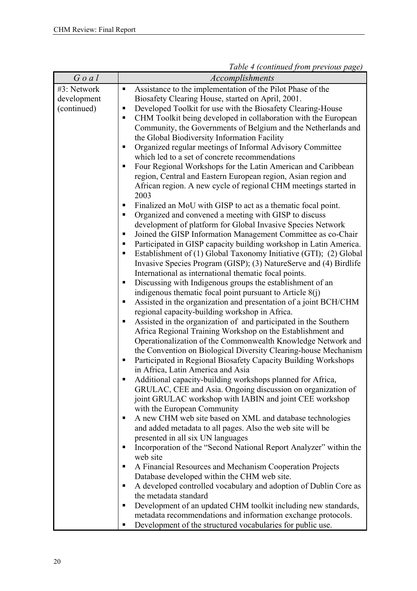|             | Tuble 4 (continued from previous page)                                                                                     |
|-------------|----------------------------------------------------------------------------------------------------------------------------|
| $G$ o a l   | Accomplishments                                                                                                            |
| #3: Network | Assistance to the implementation of the Pilot Phase of the<br>п                                                            |
| development | Biosafety Clearing House, started on April, 2001.                                                                          |
| (continued) | Developed Toolkit for use with the Biosafety Clearing-House<br>П                                                           |
|             | CHM Toolkit being developed in collaboration with the European<br>٠                                                        |
|             | Community, the Governments of Belgium and the Netherlands and                                                              |
|             | the Global Biodiversity Information Facility                                                                               |
|             | Organized regular meetings of Informal Advisory Committee                                                                  |
|             | which led to a set of concrete recommendations                                                                             |
|             | Four Regional Workshops for the Latin American and Caribbean<br>п                                                          |
|             | region, Central and Eastern European region, Asian region and                                                              |
|             | African region. A new cycle of regional CHM meetings started in                                                            |
|             | 2003                                                                                                                       |
|             | Finalized an MoU with GISP to act as a thematic focal point.<br>п                                                          |
|             | Organized and convened a meeting with GISP to discuss<br>٠                                                                 |
|             | development of platform for Global Invasive Species Network                                                                |
|             | Joined the GISP Information Management Committee as co-Chair<br>٠                                                          |
|             | Participated in GISP capacity building workshop in Latin America.                                                          |
|             | Establishment of (1) Global Taxonomy Initiative (GTI); (2) Global<br>٠                                                     |
|             | Invasive Species Program (GISP); (3) NatureServe and (4) Birdlife                                                          |
|             | International as international thematic focal points.                                                                      |
|             | Discussing with Indigenous groups the establishment of an<br>п                                                             |
|             | indigenous thematic focal point pursuant to Article $8(j)$                                                                 |
|             | Assisted in the organization and presentation of a joint BCH/CHM<br>٠                                                      |
|             | regional capacity-building workshop in Africa.                                                                             |
|             | Assisted in the organization of and participated in the Southern<br>٠                                                      |
|             | Africa Regional Training Workshop on the Establishment and                                                                 |
|             | Operationalization of the Commonwealth Knowledge Network and                                                               |
|             | the Convention on Biological Diversity Clearing-house Mechanism                                                            |
|             | Participated in Regional Biosafety Capacity Building Workshops<br>٠                                                        |
|             | in Africa, Latin America and Asia                                                                                          |
|             | Additional capacity-building workshops planned for Africa,                                                                 |
|             | GRULAC, CEE and Asia. Ongoing discussion on organization of                                                                |
|             | joint GRULAC workshop with IABIN and joint CEE workshop                                                                    |
|             | with the European Community                                                                                                |
|             | A new CHM web site based on XML and database technologies<br>п                                                             |
|             | and added metadata to all pages. Also the web site will be                                                                 |
|             | presented in all six UN languages                                                                                          |
|             | Incorporation of the "Second National Report Analyzer" within the<br>٠                                                     |
|             | web site                                                                                                                   |
|             | A Financial Resources and Mechanism Cooperation Projects                                                                   |
|             | Database developed within the CHM web site.                                                                                |
|             | A developed controlled vocabulary and adoption of Dublin Core as<br>٠                                                      |
|             | the metadata standard                                                                                                      |
|             | п                                                                                                                          |
|             | Development of an updated CHM toolkit including new standards,                                                             |
|             | metadata recommendations and information exchange protocols.<br>Dovelopment of the structured veceshuleries for public use |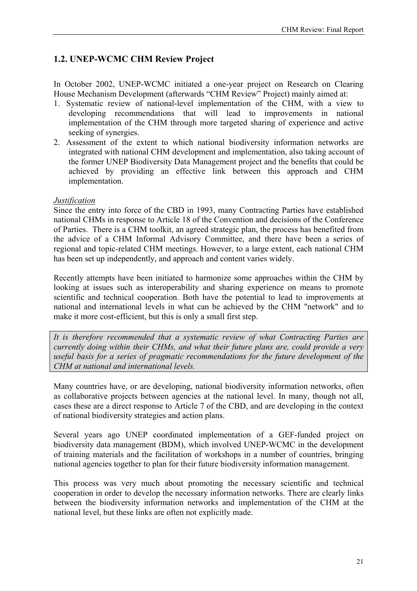# **1.2. UNEP-WCMC CHM Review Project**

In October 2002, UNEP-WCMC initiated a one-year project on Research on Clearing House Mechanism Development (afterwards "CHM Review" Project) mainly aimed at:

- 1. Systematic review of national-level implementation of the CHM, with a view to developing recommendations that will lead to improvements in national implementation of the CHM through more targeted sharing of experience and active seeking of synergies.
- 2. Assessment of the extent to which national biodiversity information networks are integrated with national CHM development and implementation, also taking account of the former UNEP Biodiversity Data Management project and the benefits that could be achieved by providing an effective link between this approach and CHM implementation.

### *Justification*

Since the entry into force of the CBD in 1993, many Contracting Parties have established national CHMs in response to Article 18 of the Convention and decisions of the Conference of Parties. There is a CHM toolkit, an agreed strategic plan, the process has benefited from the advice of a CHM Informal Advisory Committee, and there have been a series of regional and topic-related CHM meetings. However, to a large extent, each national CHM has been set up independently, and approach and content varies widely.

Recently attempts have been initiated to harmonize some approaches within the CHM by looking at issues such as interoperability and sharing experience on means to promote scientific and technical cooperation. Both have the potential to lead to improvements at national and international levels in what can be achieved by the CHM "network" and to make it more cost-efficient, but this is only a small first step.

*It is therefore recommended that a systematic review of what Contracting Parties are currently doing within their CHMs, and what their future plans are, could provide a very useful basis for a series of pragmatic recommendations for the future development of the CHM at national and international levels.* 

Many countries have, or are developing, national biodiversity information networks, often as collaborative projects between agencies at the national level. In many, though not all, cases these are a direct response to Article 7 of the CBD, and are developing in the context of national biodiversity strategies and action plans.

Several years ago UNEP coordinated implementation of a GEF-funded project on biodiversity data management (BDM), which involved UNEP-WCMC in the development of training materials and the facilitation of workshops in a number of countries, bringing national agencies together to plan for their future biodiversity information management.

This process was very much about promoting the necessary scientific and technical cooperation in order to develop the necessary information networks. There are clearly links between the biodiversity information networks and implementation of the CHM at the national level, but these links are often not explicitly made.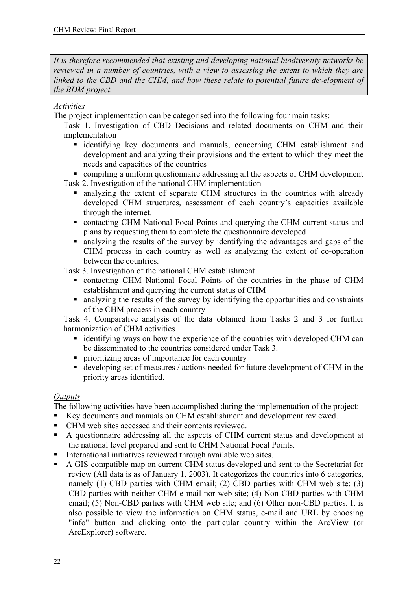*It is therefore recommended that existing and developing national biodiversity networks be reviewed in a number of countries, with a view to assessing the extent to which they are linked to the CBD and the CHM, and how these relate to potential future development of the BDM project.* 

### *Activities*

The project implementation can be categorised into the following four main tasks:

- Task 1. Investigation of CBD Decisions and related documents on CHM and their implementation
	- identifying key documents and manuals, concerning CHM establishment and development and analyzing their provisions and the extent to which they meet the needs and capacities of the countries

compiling a uniform questionnaire addressing all the aspects of CHM development

Task 2. Investigation of the national CHM implementation

- analyzing the extent of separate CHM structures in the countries with already developed CHM structures, assessment of each country's capacities available through the internet.
- contacting CHM National Focal Points and querying the CHM current status and plans by requesting them to complete the questionnaire developed
- analyzing the results of the survey by identifying the advantages and gaps of the CHM process in each country as well as analyzing the extent of co-operation between the countries.

Task 3. Investigation of the national CHM establishment

- contacting CHM National Focal Points of the countries in the phase of CHM establishment and querying the current status of CHM
- analyzing the results of the survey by identifying the opportunities and constraints of the CHM process in each country

Task 4. Comparative analysis of the data obtained from Tasks 2 and 3 for further harmonization of CHM activities

- identifying ways on how the experience of the countries with developed CHM can be disseminated to the countries considered under Task 3.
- **P** prioritizing areas of importance for each country
- developing set of measures / actions needed for future development of CHM in the priority areas identified.

## *Outputs*

The following activities have been accomplished during the implementation of the project:

- Key documents and manuals on CHM establishment and development reviewed.
- CHM web sites accessed and their contents reviewed.
- A questionnaire addressing all the aspects of CHM current status and development at the national level prepared and sent to CHM National Focal Points.
- International initiatives reviewed through available web sites.
- A GIS-compatible map on current CHM status developed and sent to the Secretariat for review (All data is as of January 1, 2003). It categorizes the countries into 6 categories, namely (1) CBD parties with CHM email; (2) CBD parties with CHM web site; (3) CBD parties with neither CHM e-mail nor web site; (4) Non-CBD parties with CHM email; (5) Non-CBD parties with CHM web site; and (6) Other non-CBD parties. It is also possible to view the information on CHM status, e-mail and URL by choosing "info" button and clicking onto the particular country within the ArcView (or ArcExplorer) software.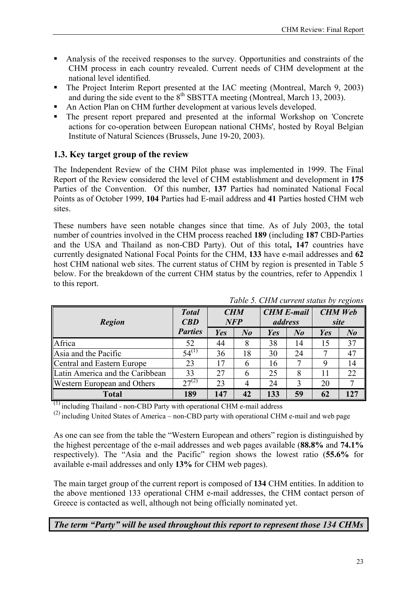- Analysis of the received responses to the survey. Opportunities and constraints of the CHM process in each country revealed. Current needs of CHM development at the national level identified.
- The Project Interim Report presented at the IAC meeting (Montreal, March 9, 2003) and during the side event to the  $8<sup>th</sup>$  SBSTTA meeting (Montreal, March 13, 2003).
- An Action Plan on CHM further development at various levels developed.
- The present report prepared and presented at the informal Workshop on 'Concrete actions for co-operation between European national CHMs', hosted by Royal Belgian Institute of Natural Sciences (Brussels, June 19-20, 2003).

# **1.3. Key target group of the review**

The Independent Review of the CHM Pilot phase was implemented in 1999. The Final Report of the Review considered the level of CHM establishment and development in **175** Parties of the Convention. Of this number, **137** Parties had nominated National Focal Points as of October 1999, **104** Parties had E-mail address and **41** Parties hosted CHM web sites.

These numbers have seen notable changes since that time. As of July 2003, the total number of countries involved in the CHM process reached **189** (including **187** CBD-Parties and the USA and Thailand as non-CBD Party). Out of this total**, 147** countries have currently designated National Focal Points for the CHM, **133** have e-mail addresses and **62** host CHM national web sites. The current status of CHM by region is presented in Table 5 below. For the breakdown of the current CHM status by the countries, refer to Appendix 1 to this report.

| <b>Region</b>                   | <b>Total</b><br>CBD | <b>CHM</b><br><b>NFP</b> |         | <b>CHM E-mail</b><br>address |         | <b>CHM</b> Web<br>site |         |
|---------------------------------|---------------------|--------------------------|---------|------------------------------|---------|------------------------|---------|
|                                 | <b>Parties</b>      | Yes                      | $N_{0}$ | Yes                          | $N_{0}$ | Yes                    | $N_{0}$ |
| Africa                          | 52                  | 44                       | 8       | 38                           | 14      | 15                     | 37      |
| Asia and the Pacific            | $54^{(1)}$          | 36                       | 18      | 30                           | 24      |                        | 47      |
| Central and Eastern Europe      | 23                  | 17                       | 6       | 16                           | ⇁       | 9                      | 14      |
| Latin America and the Caribbean | 33                  | 27                       | 6       | 25                           | 8       | 11                     | 22      |
| Western European and Others     | $27^{(2)}$          | 23                       | 4       | 24                           | 3       | 20                     | 7       |
| <b>Total</b>                    | 189                 | 147                      | 42      | 133                          | 59      | 62                     | 127     |

*Table 5. CHM current status by regions*

 $(1)$  including Thailand - non-CBD Party with operational CHM e-mail address

 $(2)$  including United States of America – non-CBD party with operational CHM e-mail and web page

As one can see from the table the "Western European and others" region is distinguished by the highest percentage of the e-mail addresses and web pages available (**88.8%** and **74.1%** respectively). The "Asia and the Pacific" region shows the lowest ratio (**55.6%** for available e-mail addresses and only **13%** for CHM web pages).

The main target group of the current report is composed of **134** CHM entities. In addition to the above mentioned 133 operational CHM e-mail addresses, the CHM contact person of Greece is contacted as well, although not being officially nominated yet.

*The term "Party" will be used throughout this report to represent those 134 CHMs*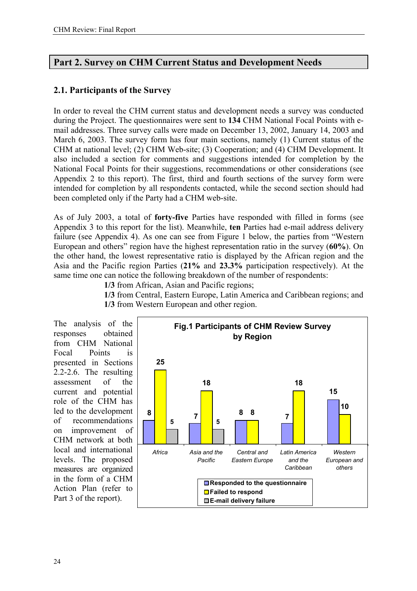# **Part 2. Survey on CHM Current Status and Development Needs**

# **2.1. Participants of the Survey**

In order to reveal the CHM current status and development needs a survey was conducted during the Project. The questionnaires were sent to **134** CHM National Focal Points with email addresses. Three survey calls were made on December 13, 2002, January 14, 2003 and March 6, 2003. The survey form has four main sections, namely (1) Current status of the CHM at national level; (2) CHM Web-site; (3) Cooperation; and (4) CHM Development. It also included a section for comments and suggestions intended for completion by the National Focal Points for their suggestions, recommendations or other considerations (see Appendix 2 to this report). The first, third and fourth sections of the survey form were intended for completion by all respondents contacted, while the second section should had been completed only if the Party had a CHM web-site.

As of July 2003, a total of **forty-five** Parties have responded with filled in forms (see Appendix 3 to this report for the list). Meanwhile, **ten** Parties had e-mail address delivery failure (see Appendix 4). As one can see from Figure 1 below, the parties from "Western European and others" region have the highest representation ratio in the survey (**60%**). On the other hand, the lowest representative ratio is displayed by the African region and the Asia and the Pacific region Parties (**21%** and **23.3%** participation respectively). At the same time one can notice the following breakdown of the number of respondents:

**1/3** from African, Asian and Pacific regions;

**1/3** from Central, Eastern Europe, Latin America and Caribbean regions; and **1/3** from Western European and other region.

The analysis of the responses obtained from CHM National Focal Points is presented in Sections 2.2-2.6. The resulting assessment of the current and potential role of the CHM has led to the development of recommendations on improvement of CHM network at both local and international levels. The proposed measures are organized in the form of a CHM Action Plan (refer to Part 3 of the report).



24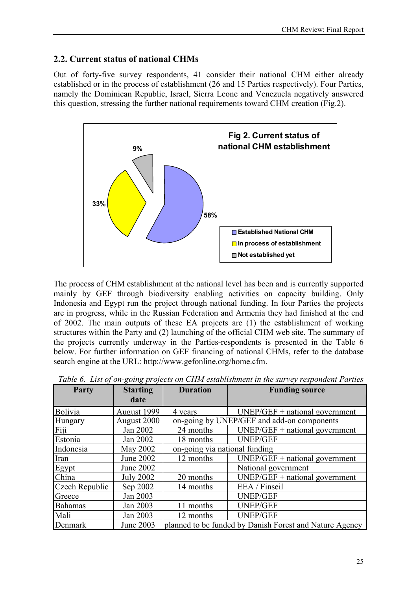## **2.2. Current status of national CHMs**

Out of forty-five survey respondents, 41 consider their national CHM either already established or in the process of establishment (26 and 15 Parties respectively). Four Parties, namely the Dominican Republic, Israel, Sierra Leone and Venezuela negatively answered this question, stressing the further national requirements toward CHM creation (Fig.2).



The process of CHM establishment at the national level has been and is currently supported mainly by GEF through biodiversity enabling activities on capacity building. Only Indonesia and Egypt run the project through national funding. In four Parties the projects are in progress, while in the Russian Federation and Armenia they had finished at the end of 2002. The main outputs of these EA projects are (1) the establishment of working structures within the Party and (2) launching of the official CHM web site. The summary of the projects currently underway in the Parties-respondents is presented in the Table 6 below. For further information on GEF financing of national CHMs, refer to the database search engine at the URL: http://www.gefonline.org/home.cfm.

| Party          | <b>Starting</b>  | <b>Duration</b> | <b>Funding source</b>                                   |  |
|----------------|------------------|-----------------|---------------------------------------------------------|--|
|                | date             |                 |                                                         |  |
| <b>Bolivia</b> | August 1999      | 4 vears         | $UNEP/GEF + national government$                        |  |
| Hungary        | August 2000      |                 | on-going by UNEP/GEF and add-on components              |  |
| Fiji           | Jan 2002         | 24 months       | $UNEP/GEF + \text{national government}$                 |  |
| Estonia        | Jan 2002         | 18 months       | <b>UNEP/GEF</b>                                         |  |
| Indonesia      | May 2002         |                 | on-going via national funding                           |  |
| Iran           | June 2002        | 12 months       | $UNEP/GEF + \text{national government}$                 |  |
| Egypt          | June 2002        |                 | National government                                     |  |
| China          | <b>July 2002</b> | 20 months       | $UNEP/GEF + \text{national government}$                 |  |
| Czech Republic | Sep 2002         | 14 months       | EEA / Finseil                                           |  |
| Greece         | Jan 2003         |                 | <b>UNEP/GEF</b>                                         |  |
| <b>Bahamas</b> | Jan 2003         | 11 months       | <b>UNEP/GEF</b>                                         |  |
| Mali           | Jan 2003         | 12 months       | <b>UNEP/GEF</b>                                         |  |
| Denmark        | June 2003        |                 | planned to be funded by Danish Forest and Nature Agency |  |

*Table 6. List of on-going projects on CHM establishment in the survey respondent Parties*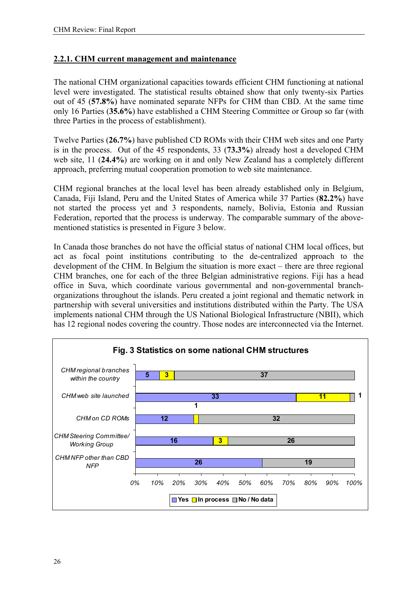## **2.2.1. CHM current management and maintenance**

The national CHM organizational capacities towards efficient CHM functioning at national level were investigated. The statistical results obtained show that only twenty-six Parties out of 45 (**57.8%**) have nominated separate NFPs for CHM than CBD. At the same time only 16 Parties (**35.6%**) have established a CHM Steering Committee or Group so far (with three Parties in the process of establishment).

Twelve Parties (**26.7%**) have published CD ROMs with their CHM web sites and one Party is in the process. Out of the 45 respondents, 33 (**73.3%**) already host a developed CHM web site, 11 (**24.4%**) are working on it and only New Zealand has a completely different approach, preferring mutual cooperation promotion to web site maintenance.

CHM regional branches at the local level has been already established only in Belgium, Canada, Fiji Island, Peru and the United States of America while 37 Parties (**82.2%**) have not started the process yet and 3 respondents, namely, Bolivia, Estonia and Russian Federation, reported that the process is underway. The comparable summary of the abovementioned statistics is presented in Figure 3 below.

In Canada those branches do not have the official status of national CHM local offices, but act as focal point institutions contributing to the de-centralized approach to the development of the CHM. In Belgium the situation is more exact – there are three regional CHM branches, one for each of the three Belgian administrative regions. Fiji has a head office in Suva, which coordinate various governmental and non-governmental branchorganizations throughout the islands. Peru created a joint regional and thematic network in partnership with several universities and institutions distributed within the Party. The USA implements national CHM through the US National Biological Infrastructure (NBII), which has 12 regional nodes covering the country. Those nodes are interconnected via the Internet.

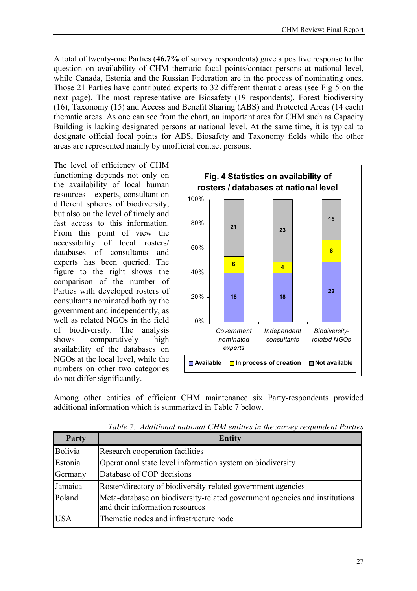A total of twenty-one Parties (**46.7%** of survey respondents) gave a positive response to the question on availability of CHM thematic focal points/contact persons at national level, while Canada, Estonia and the Russian Federation are in the process of nominating ones. Those 21 Parties have contributed experts to 32 different thematic areas (see Fig 5 on the next page). The most representative are Biosafety (19 respondents), Forest biodiversity (16), Taxonomy (15) and Access and Benefit Sharing (ABS) and Protected Areas (14 each) thematic areas. As one can see from the chart, an important area for CHM such as Capacity Building is lacking designated persons at national level. At the same time, it is typical to designate official focal points for ABS, Biosafety and Taxonomy fields while the other areas are represented mainly by unofficial contact persons.

The level of efficiency of CHM functioning depends not only on the availability of local human resources – experts, consultant on different spheres of biodiversity, but also on the level of timely and fast access to this information. From this point of view the accessibility of local rosters/ databases of consultants and experts has been queried. The figure to the right shows the comparison of the number of Parties with developed rosters of consultants nominated both by the government and independently, as well as related NGOs in the field of biodiversity. The analysis shows comparatively high availability of the databases on NGOs at the local level, while the numbers on other two categories do not differ significantly.



Among other entities of efficient CHM maintenance six Party-respondents provided additional information which is summarized in Table 7 below.

| Party      | <b>Entity</b>                                                                                                 |
|------------|---------------------------------------------------------------------------------------------------------------|
| Bolivia    | Research cooperation facilities                                                                               |
| Estonia    | Operational state level information system on biodiversity                                                    |
| Germany    | Database of COP decisions                                                                                     |
| Jamaica    | Roster/directory of biodiversity-related government agencies                                                  |
| Poland     | Meta-database on biodiversity-related government agencies and institutions<br>and their information resources |
| <b>USA</b> | Thematic nodes and infrastructure node                                                                        |

*Table 7. Additional national CHM entities in the survey respondent Parties*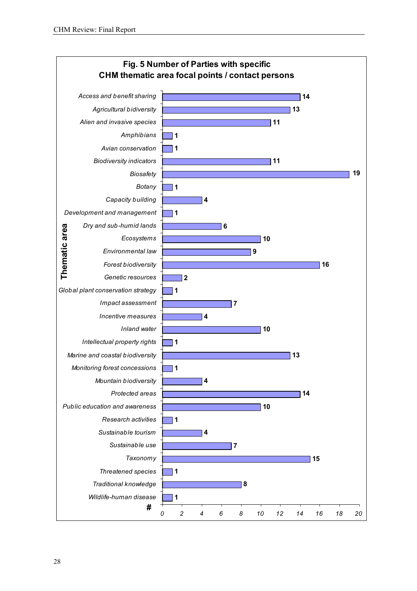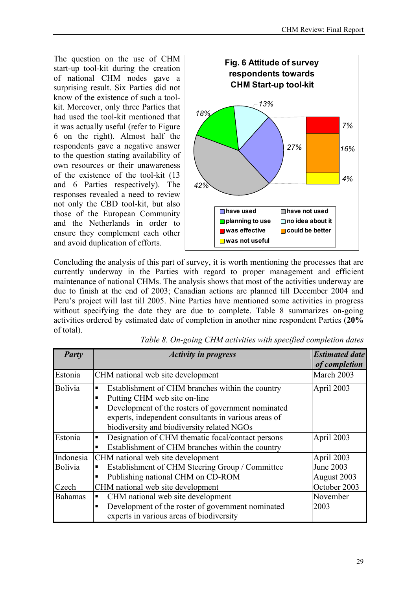The question on the use of CHM start-up tool-kit during the creation of national CHM nodes gave a surprising result. Six Parties did not know of the existence of such a toolkit. Moreover, only three Parties that had used the tool-kit mentioned that it was actually useful (refer to Figure 6 on the right). Almost half the respondents gave a negative answer to the question stating availability of own resources or their unawareness of the existence of the tool-kit (13 and 6 Parties respectively). The responses revealed a need to review not only the CBD tool-kit, but also those of the European Community and the Netherlands in order to ensure they complement each other and avoid duplication of efforts.



Concluding the analysis of this part of survey, it is worth mentioning the processes that are currently underway in the Parties with regard to proper management and efficient maintenance of national CHMs. The analysis shows that most of the activities underway are due to finish at the end of 2003; Canadian actions are planned till December 2004 and Peru's project will last till 2005. Nine Parties have mentioned some activities in progress without specifying the date they are due to complete. Table 8 summarizes on-going activities ordered by estimated date of completion in another nine respondent Parties (**20%** of total).

| <b>Party</b>   | <b>Activity in progress</b>                                                                                                                                                                                                                                 | <b>Estimated date</b><br>of completion |  |  |  |  |
|----------------|-------------------------------------------------------------------------------------------------------------------------------------------------------------------------------------------------------------------------------------------------------------|----------------------------------------|--|--|--|--|
| Estonia        | CHM national web site development                                                                                                                                                                                                                           | March 2003                             |  |  |  |  |
| Bolivia        | Establishment of CHM branches within the country<br>п<br>Putting CHM web site on-line<br>п<br>Development of the rosters of government nominated<br>п<br>experts, independent consultants in various areas of<br>biodiversity and biodiversity related NGOs | April 2003                             |  |  |  |  |
| Estonia        | Designation of CHM thematic focal/contact persons<br>٠<br>Establishment of CHM branches within the country<br>п                                                                                                                                             | April 2003                             |  |  |  |  |
| Indonesia      | CHM national web site development<br>April 2003                                                                                                                                                                                                             |                                        |  |  |  |  |
| <b>Bolivia</b> | Establishment of CHM Steering Group / Committee<br>п<br>Publishing national CHM on CD-ROM<br>п                                                                                                                                                              | June 2003<br>August 2003               |  |  |  |  |
| Czech          | CHM national web site development                                                                                                                                                                                                                           | October 2003                           |  |  |  |  |
| Bahamas        | CHM national web site development<br>п<br>Development of the roster of government nominated<br>٠<br>experts in various areas of biodiversity                                                                                                                | November<br>2003                       |  |  |  |  |

*Table 8. On-going CHM activities with specified completion dates*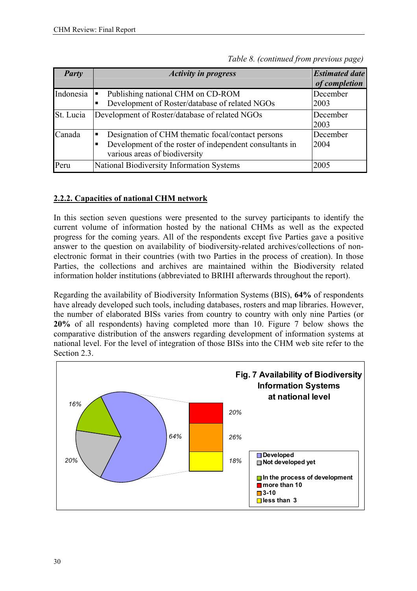| <b>Party</b> | <b>Activity in progress</b>                                                                                                                        | <b>Estimated date</b><br>of completion |
|--------------|----------------------------------------------------------------------------------------------------------------------------------------------------|----------------------------------------|
| Indonesia    | Publishing national CHM on CD-ROM<br>Development of Roster/database of related NGOs                                                                | December<br>2003                       |
| St. Lucia    | Development of Roster/database of related NGOs                                                                                                     | December<br>2003                       |
| Canada       | Designation of CHM thematic focal/contact persons<br>٠<br>Development of the roster of independent consultants in<br>various areas of biodiversity | December<br>2004                       |
| Peru         | National Biodiversity Information Systems                                                                                                          | 2005                                   |

*Table 8. (continued from previous page)* 

# **2.2.2. Capacities of national CHM network**

In this section seven questions were presented to the survey participants to identify the current volume of information hosted by the national CHMs as well as the expected progress for the coming years. All of the respondents except five Parties gave a positive answer to the question on availability of biodiversity-related archives/collections of nonelectronic format in their countries (with two Parties in the process of creation). In those Parties, the collections and archives are maintained within the Biodiversity related information holder institutions (abbreviated to BRIHI afterwards throughout the report).

Regarding the availability of Biodiversity Information Systems (BIS), **64%** of respondents have already developed such tools, including databases, rosters and map libraries. However, the number of elaborated BISs varies from country to country with only nine Parties (or **20%** of all respondents) having completed more than 10. Figure 7 below shows the comparative distribution of the answers regarding development of information systems at national level. For the level of integration of those BISs into the CHM web site refer to the Section 2.3.

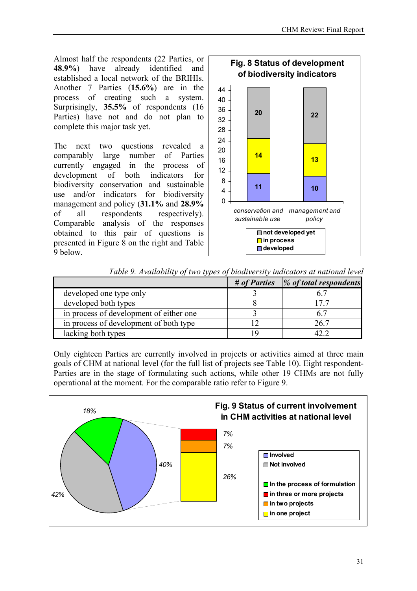Almost half the respondents (22 Parties, or **48.9%**) have already identified and established a local network of the BRIHIs. Another 7 Parties (**15.6%**) are in the process of creating such a system. Surprisingly, **35.5%** of respondents (16 Parties) have not and do not plan to complete this major task yet.

The next two questions revealed a comparably large number of Parties currently engaged in the process of development of both indicators for biodiversity conservation and sustainable use and/or indicators for biodiversity management and policy (**31.1%** and **28.9%** of all respondents respectively). Comparable analysis of the responses obtained to this pair of questions is presented in Figure 8 on the right and Table 9 below.



*Table 9. Availability of two types of biodiversity indicators at national level* 

|                                         | $\#$ of Parties $\%$ of total respondents |
|-----------------------------------------|-------------------------------------------|
| developed one type only                 |                                           |
| developed both types                    |                                           |
| in process of development of either one |                                           |
| in process of development of both type  | 26.7                                      |
| lacking both types                      |                                           |

Only eighteen Parties are currently involved in projects or activities aimed at three main goals of CHM at national level (for the full list of projects see Table 10). Eight respondent-Parties are in the stage of formulating such actions, while other 19 CHMs are not fully operational at the moment. For the comparable ratio refer to Figure 9.

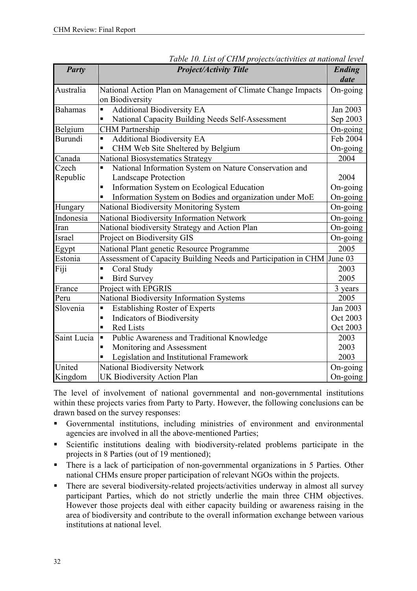| <b>Party</b>   | <b>Project/Activity Title</b>                                                   | <b>Ending</b><br>date |  |  |  |  |
|----------------|---------------------------------------------------------------------------------|-----------------------|--|--|--|--|
| Australia      | National Action Plan on Management of Climate Change Impacts<br>on Biodiversity | On-going              |  |  |  |  |
| <b>Bahamas</b> | <b>Additional Biodiversity EA</b><br>$\blacksquare$                             | Jan 2003              |  |  |  |  |
|                | National Capacity Building Needs Self-Assessment<br>٠                           | Sep 2003              |  |  |  |  |
| Belgium        | <b>CHM</b> Partnership                                                          | On-going              |  |  |  |  |
| <b>Burundi</b> | <b>Additional Biodiversity EA</b><br>$\blacksquare$                             | Feb 2004              |  |  |  |  |
|                | CHM Web Site Sheltered by Belgium<br>Ξ                                          | On-going              |  |  |  |  |
| Canada         | <b>National Biosystematics Strategy</b>                                         | 2004                  |  |  |  |  |
| Czech          | National Information System on Nature Conservation and<br>$\blacksquare$        |                       |  |  |  |  |
| Republic       | <b>Landscape Protection</b>                                                     | 2004                  |  |  |  |  |
|                | Information System on Ecological Education<br>П                                 | On-going              |  |  |  |  |
|                | Information System on Bodies and organization under MoE                         | On-going              |  |  |  |  |
| Hungary        | National Biodiversity Monitoring System                                         |                       |  |  |  |  |
| Indonesia      | National Biodiversity Information Network                                       |                       |  |  |  |  |
| Iran           | National biodiversity Strategy and Action Plan                                  |                       |  |  |  |  |
| Israel         | Project on Biodiversity GIS                                                     |                       |  |  |  |  |
| Egypt          | National Plant genetic Resource Programme                                       |                       |  |  |  |  |
| Estonia        | Assessment of Capacity Building Needs and Participation in CHM                  | June 03               |  |  |  |  |
| Fiji           | Coral Study<br>$\blacksquare$                                                   | 2003                  |  |  |  |  |
|                | <b>Bird Survey</b><br>$\blacksquare$                                            | 2005                  |  |  |  |  |
| France         | Project with EPGRIS                                                             | 3 years               |  |  |  |  |
| Peru           | National Biodiversity Information Systems                                       | 2005                  |  |  |  |  |
| Slovenia       | <b>Establishing Roster of Experts</b><br>$\blacksquare$                         | Jan 2003              |  |  |  |  |
|                | <b>Indicators of Biodiversity</b><br>$\blacksquare$                             | Oct 2003              |  |  |  |  |
|                | <b>Red Lists</b><br>$\blacksquare$                                              | Oct 2003              |  |  |  |  |
| Saint Lucia    | Public Awareness and Traditional Knowledge<br>$\blacksquare$                    | 2003                  |  |  |  |  |
|                | Monitoring and Assessment<br>$\blacksquare$                                     | 2003                  |  |  |  |  |
|                | Legislation and Institutional Framework<br>Ξ                                    | 2003                  |  |  |  |  |
| United         | National Biodiversity Network                                                   | On-going              |  |  |  |  |
| Kingdom        | UK Biodiversity Action Plan<br>On-going                                         |                       |  |  |  |  |

*Table 10. List of CHM projects/activities at national level* 

The level of involvement of national governmental and non-governmental institutions within these projects varies from Party to Party. However, the following conclusions can be drawn based on the survey responses:

- Governmental institutions, including ministries of environment and environmental agencies are involved in all the above-mentioned Parties;
- Scientific institutions dealing with biodiversity-related problems participate in the projects in 8 Parties (out of 19 mentioned);
- There is a lack of participation of non-governmental organizations in 5 Parties. Other national CHMs ensure proper participation of relevant NGOs within the projects.
- There are several biodiversity-related projects/activities underway in almost all survey participant Parties, which do not strictly underlie the main three CHM objectives. However those projects deal with either capacity building or awareness raising in the area of biodiversity and contribute to the overall information exchange between various institutions at national level.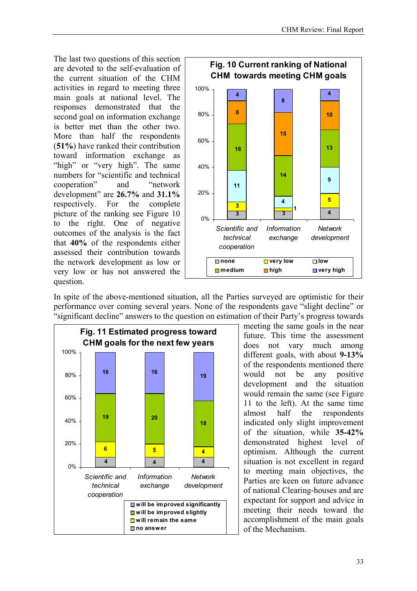The last two questions of this section are devoted to the self-evaluation of the current situation of the CHM activities in regard to meeting three main goals at national level. The responses demonstrated that the second goal on information exchange is better met than the other two. More than half the respondents (**51%**) have ranked their contribution toward information exchange as "high" or "very high". The same numbers for "scientific and technical cooperation" and "network development" are **26.7%** and **31.1%** respectively. For the complete picture of the ranking see Figure 10 to the right. One of negative outcomes of the analysis is the fact that **40%** of the respondents either assessed their contribution towards the network development as low or very low or has not answered the question.



In spite of the above-mentioned situation, all the Parties surveyed are optimistic for their performance over coming several years. None of the respondents gave "slight decline" or "significant decline" answers to the question on estimation of their Party's progress towards



meeting the same goals in the near future. This time the assessment does not vary much among different goals, with about **9-13%** of the respondents mentioned there would not be any positive development and the situation would remain the same (see Figure 11 to the left). At the same time almost half the respondents indicated only slight improvement of the situation, while **35-42%** demonstrated highest level of optimism. Although the current situation is not excellent in regard to meeting main objectives, the Parties are keen on future advance of national Clearing-houses and are expectant for support and advice in meeting their needs toward the accomplishment of the main goals of the Mechanism.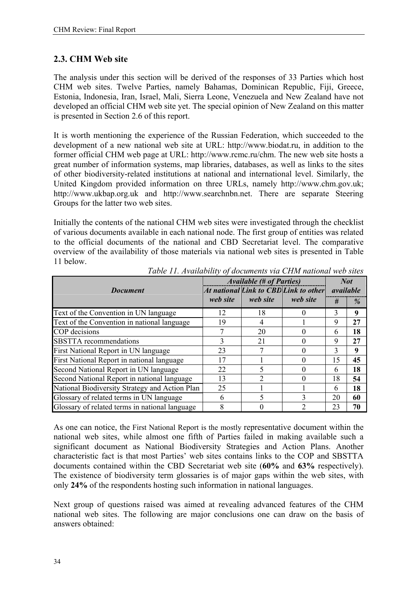# **2.3. CHM Web site**

The analysis under this section will be derived of the responses of 33 Parties which host CHM web sites. Twelve Parties, namely Bahamas, Dominican Republic, Fiji, Greece, Estonia, Indonesia, Iran, Israel, Mali, Sierra Leone, Venezuela and New Zealand have not developed an official CHM web site yet. The special opinion of New Zealand on this matter is presented in Section 2.6 of this report.

It is worth mentioning the experience of the Russian Federation, which succeeded to the development of a new national web site at URL: http://www.biodat.ru, in addition to the former official CHM web page at URL: http://www.rcmc.ru/chm. The new web site hosts a great number of information systems, map libraries, databases, as well as links to the sites of other biodiversity-related institutions at national and international level. Similarly, the United Kingdom provided information on three URLs, namely http://www.chm.gov.uk; http://www.ukbap.org.uk and http://www.searchnbn.net. There are separate Steering Groups for the latter two web sites.

Initially the contents of the national CHM web sites were investigated through the checklist of various documents available in each national node. The first group of entities was related to the official documents of the national and CBD Secretariat level. The comparative overview of the availability of those materials via national web sites is presented in Table 11 below.

|                                                |          | <b>Available (# of Parties)</b> |                                       |               |               |
|------------------------------------------------|----------|---------------------------------|---------------------------------------|---------------|---------------|
| <b>Document</b>                                |          |                                 | At national Link to CBD Link to other | available     |               |
|                                                | web site | web site                        | web site                              | #             | $\frac{0}{2}$ |
| Text of the Convention in UN language          | 12       | 18                              |                                       | $\mathcal{E}$ | 9             |
| Text of the Convention in national language    | 19       |                                 |                                       | 9             | 27            |
| COP decisions                                  |          | 20                              |                                       | 6             | 18            |
| <b>SBSTTA</b> recommendations                  | 3        | 21                              |                                       | 9             | 27            |
| First National Report in UN language           | 23       |                                 | $\Omega$                              | 3             | 9             |
| First National Report in national language     | 17       |                                 |                                       | 15            | 45            |
| Second National Report in UN language          | 22       |                                 |                                       | 6             | 18            |
| Second National Report in national language    | 13       | $\mathcal{D}_{\mathcal{L}}$     | $\theta$                              | 18            | 54            |
| National Biodiversity Strategy and Action Plan | 25       |                                 |                                       | 6             | 18            |
| Glossary of related terms in UN language       | 6        |                                 | 3                                     | 20            | 60            |
| Glossary of related terms in national language | 8        |                                 |                                       | 23            | 70            |

*Table 11. Availability of documents via CHM national web sites* 

As one can notice, the First National Report is the mostly representative document within the national web sites, while almost one fifth of Parties failed in making available such a significant document as National Biodiversity Strategies and Action Plans. Another characteristic fact is that most Parties' web sites contains links to the COP and SBSTTA documents contained within the CBD Secretariat web site (**60%** and **63%** respectively). The existence of biodiversity term glossaries is of major gaps within the web sites, with only **24%** of the respondents hosting such information in national languages.

Next group of questions raised was aimed at revealing advanced features of the CHM national web sites. The following are major conclusions one can draw on the basis of answers obtained: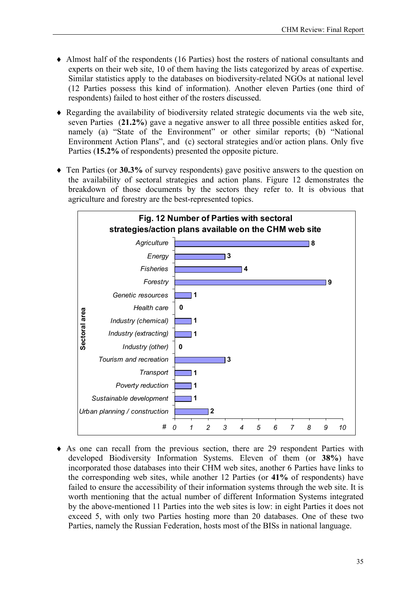- ♦ Almost half of the respondents (16 Parties) host the rosters of national consultants and experts on their web site, 10 of them having the lists categorized by areas of expertise. Similar statistics apply to the databases on biodiversity-related NGOs at national level (12 Parties possess this kind of information). Another eleven Parties (one third of respondents) failed to host either of the rosters discussed.
- ♦ Regarding the availability of biodiversity related strategic documents via the web site, seven Parties (**21.2%**) gave a negative answer to all three possible entities asked for, namely (a) "State of the Environment" or other similar reports; (b) "National Environment Action Plans", and (c) sectoral strategies and/or action plans. Only five Parties (**15.2%** of respondents) presented the opposite picture.
- ♦ Ten Parties (or **30.3%** of survey respondents) gave positive answers to the question on the availability of sectoral strategies and action plans. Figure 12 demonstrates the breakdown of those documents by the sectors they refer to. It is obvious that agriculture and forestry are the best-represented topics.



♦ As one can recall from the previous section, there are 29 respondent Parties with developed Biodiversity Information Systems. Eleven of them (or **38%**) have incorporated those databases into their CHM web sites, another 6 Parties have links to the corresponding web sites, while another 12 Parties (or **41%** of respondents) have failed to ensure the accessibility of their information systems through the web site. It is worth mentioning that the actual number of different Information Systems integrated by the above-mentioned 11 Parties into the web sites is low: in eight Parties it does not exceed 5, with only two Parties hosting more than 20 databases. One of these two Parties, namely the Russian Federation, hosts most of the BISs in national language.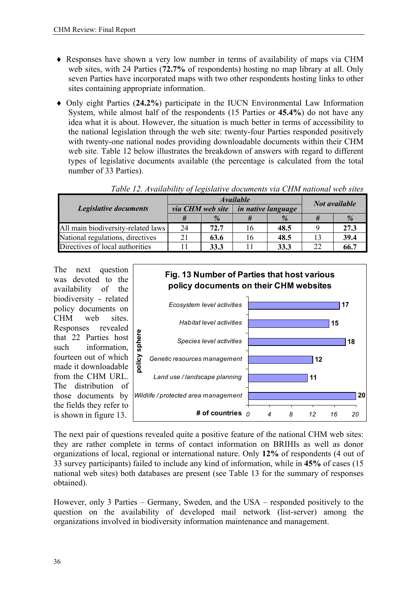- ♦ Responses have shown a very low number in terms of availability of maps via CHM web sites, with 24 Parties (**72.7%** of respondents) hosting no map library at all. Only seven Parties have incorporated maps with two other respondents hosting links to other sites containing appropriate information.
- ♦ Only eight Parties (**24.2%**) participate in the IUCN Environmental Law Information System, while almost half of the respondents (15 Parties or **45.4%**) do not have any idea what it is about. However, the situation is much better in terms of accessibility to the national legislation through the web site: twenty-four Parties responded positively with twenty-one national nodes providing downloadable documents within their CHM web site. Table 12 below illustrates the breakdown of answers with regard to different types of legislative documents available (the percentage is calculated from the total number of 33 Parties).

|                                    |                  | <i><b>Available</b></i> |                    |      |    | Not available |  |  |
|------------------------------------|------------------|-------------------------|--------------------|------|----|---------------|--|--|
| Legislative documents              | via CHM web site |                         | in native language |      |    |               |  |  |
|                                    | #                | $\frac{0}{2}$           | #                  | %    | #  | $\frac{0}{6}$ |  |  |
| All main biodiversity-related laws | 24               | 72.7                    | 16                 | 48.5 |    | 27.3          |  |  |
| National regulations, directives   | 21               | 63.6                    | 16                 | 48.5 |    | 39.4          |  |  |
| Directives of local authorities    |                  | 33.3                    |                    | 33.3 | າາ | 66.7          |  |  |

*Table 12. Availability of legislative documents via CHM national web sites* 

The next question was devoted to the availability of the biodiversity - related policy documents on CHM web sites. Responses revealed that 22 Parties host such information, fourteen out of which made it downloadable from the CHM URL. The distribution of those documents by the fields they refer to is shown in figure 13.



The next pair of questions revealed quite a positive feature of the national CHM web sites: they are rather complete in terms of contact information on BRIHIs as well as donor organizations of local, regional or international nature. Only **12%** of respondents (4 out of 33 survey participants) failed to include any kind of information, while in **45%** of cases (15 national web sites) both databases are present (see Table 13 for the summary of responses obtained).

However, only 3 Parties – Germany, Sweden, and the USA – responded positively to the question on the availability of developed mail network (list-server) among the organizations involved in biodiversity information maintenance and management.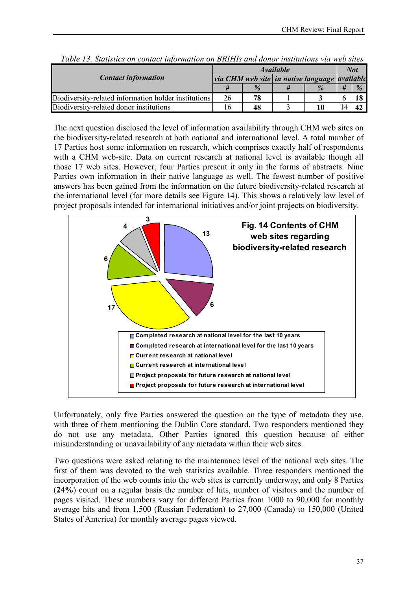|                                                      |    | <i><b>Available</b></i> |                                               |               |  |               |
|------------------------------------------------------|----|-------------------------|-----------------------------------------------|---------------|--|---------------|
| <b>Contact information</b>                           |    |                         | via CHM web site in native language available |               |  |               |
|                                                      |    | $\frac{9}{6}$           |                                               | $\frac{9}{6}$ |  | $\frac{9}{6}$ |
| Biodiversity-related information holder institutions | 26 | 78                      |                                               |               |  |               |
| Biodiversity-related donor institutions              | 6  | 48                      |                                               | 10            |  |               |

*Table 13. Statistics on contact information on BRIHIs and donor institutions via web sites*

The next question disclosed the level of information availability through CHM web sites on the biodiversity-related research at both national and international level. A total number of 17 Parties host some information on research, which comprises exactly half of respondents with a CHM web-site. Data on current research at national level is available though all those 17 web sites. However, four Parties present it only in the forms of abstracts. Nine Parties own information in their native language as well. The fewest number of positive answers has been gained from the information on the future biodiversity-related research at the international level (for more details see Figure 14). This shows a relatively low level of project proposals intended for international initiatives and/or joint projects on biodiversity.



Unfortunately, only five Parties answered the question on the type of metadata they use, with three of them mentioning the Dublin Core standard. Two responders mentioned they do not use any metadata. Other Parties ignored this question because of either misunderstanding or unavailability of any metadata within their web sites.

Two questions were asked relating to the maintenance level of the national web sites. The first of them was devoted to the web statistics available. Three responders mentioned the incorporation of the web counts into the web sites is currently underway, and only 8 Parties (**24%**) count on a regular basis the number of hits, number of visitors and the number of pages visited. These numbers vary for different Parties from 1000 to 90,000 for monthly average hits and from 1,500 (Russian Federation) to 27,000 (Canada) to 150,000 (United States of America) for monthly average pages viewed.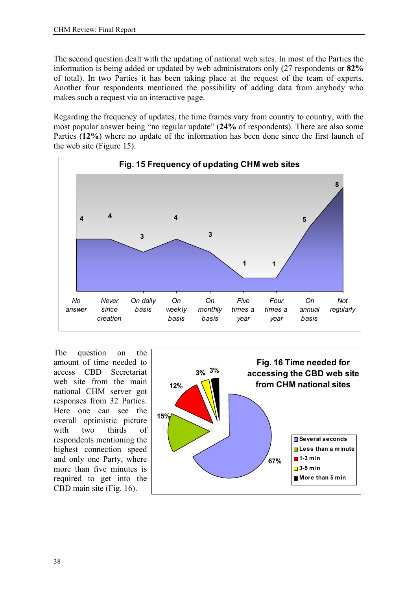The second question dealt with the updating of national web sites. In most of the Parties the information is being added or updated by web administrators only (27 respondents or **82%** of total). In two Parties it has been taking place at the request of the team of experts. Another four respondents mentioned the possibility of adding data from anybody who makes such a request via an interactive page.

Regarding the frequency of updates, the time frames vary from country to country, with the most popular answer being "no regular update" (**24%** of respondents). There are also some Parties (**12%**) where no update of the information has been done since the first launch of the web site (Figure 15).



The question on the amount of time needed to access CBD Secretariat web site from the main national CHM server got responses from 32 Parties. Here one can see the overall optimistic picture with two thirds of respondents mentioning the highest connection speed and only one Party, where more than five minutes is required to get into the CBD main site (Fig. 16).

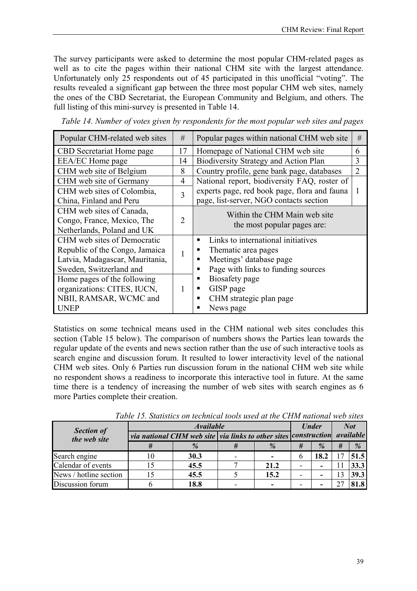The survey participants were asked to determine the most popular CHM-related pages as well as to cite the pages within their national CHM site with the largest attendance. Unfortunately only 25 respondents out of 45 participated in this unofficial "voting". The results revealed a significant gap between the three most popular CHM web sites, namely the ones of the CBD Secretariat, the European Community and Belgium, and others. The full listing of this mini-survey is presented in Table 14.

| Popular CHM-related web sites                                                                                               | #                           | Popular pages within national CHM web site<br>#                                                                                      |                |  |  |
|-----------------------------------------------------------------------------------------------------------------------------|-----------------------------|--------------------------------------------------------------------------------------------------------------------------------------|----------------|--|--|
| CBD Secretariat Home page                                                                                                   | 17                          | Homepage of National CHM web site                                                                                                    | 6              |  |  |
| EEA/EC Home page                                                                                                            | 14                          | Biodiversity Strategy and Action Plan                                                                                                | 3              |  |  |
| CHM web site of Belgium                                                                                                     | 8                           | Country profile, gene bank page, databases                                                                                           | $\overline{2}$ |  |  |
| CHM web site of Germany                                                                                                     | $\overline{4}$              | National report, biodiversity FAQ, roster of                                                                                         |                |  |  |
| CHM web sites of Colombia,                                                                                                  | 3                           | experts page, red book page, flora and fauna                                                                                         | 1              |  |  |
| China, Finland and Peru                                                                                                     |                             | page, list-server, NGO contacts section                                                                                              |                |  |  |
| CHM web sites of Canada,<br>Congo, France, Mexico, The<br>Netherlands, Poland and UK                                        | $\mathcal{D}_{\mathcal{L}}$ | Within the CHM Main web site<br>the most popular pages are:                                                                          |                |  |  |
| CHM web sites of Democratic<br>Republic of the Congo, Jamaica<br>Latvia, Madagascar, Mauritania,<br>Sweden, Switzerland and |                             | Links to international initiatives<br>٠<br>Thematic area pages<br>Meetings' database page<br>Page with links to funding sources<br>٠ |                |  |  |
| Home pages of the following<br>organizations: CITES, IUCN,<br>NBII, RAMSAR, WCMC and<br>UNEP                                |                             | Biosafety page<br>GISP page<br>п<br>CHM strategic plan page<br>п<br>News page<br>п                                                   |                |  |  |

*Table 14. Number of votes given by respondents for the most popular web sites and pages* 

Statistics on some technical means used in the CHM national web sites concludes this section (Table 15 below). The comparison of numbers shows the Parties lean towards the regular update of the events and news section rather than the use of such interactive tools as search engine and discussion forum. It resulted to lower interactivity level of the national CHM web sites. Only 6 Parties run discussion forum in the national CHM web site while no respondent shows a readiness to incorporate this interactive tool in future. At the same time there is a tendency of increasing the number of web sites with search engines as 6 more Parties complete their creation.

| <b>Section of</b>      | <b>Available</b>                                                          |                          | <b><i><u>Under</u></i></b> |   |      |   |      |
|------------------------|---------------------------------------------------------------------------|--------------------------|----------------------------|---|------|---|------|
| the web site           | via national CHM web site via links to other sites construction available |                          |                            |   |      |   |      |
|                        | %                                                                         | #                        | %                          | # | %    | # | %    |
| Search engine          | 30.3                                                                      | $\overline{\phantom{0}}$ |                            |   | 18.2 |   | 51.5 |
| Calendar of events     | 45.5                                                                      |                          | 21.2                       |   |      |   | 33.3 |
| News / hotline section | 45.5                                                                      |                          | 15.2                       |   |      |   | 39.3 |
| Discussion forum       | 18.8                                                                      |                          |                            |   |      |   | 81.8 |

*Table 15. Statistics on technical tools used at the CHM national web sites*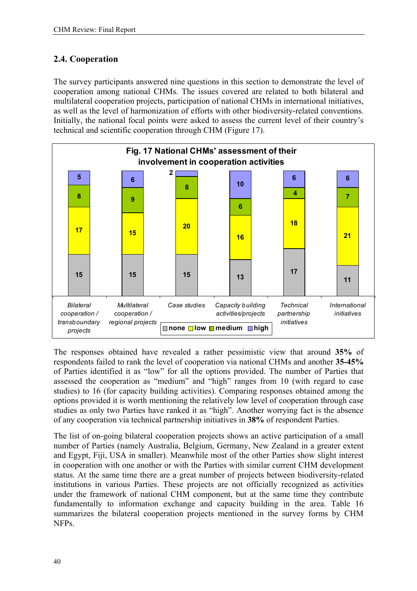# **2.4. Cooperation**

The survey participants answered nine questions in this section to demonstrate the level of cooperation among national CHMs. The issues covered are related to both bilateral and multilateral cooperation projects, participation of national CHMs in international initiatives, as well as the level of harmonization of efforts with other biodiversity-related conventions. Initially, the national focal points were asked to assess the current level of their country's technical and scientific cooperation through CHM (Figure 17).



The responses obtained have revealed a rather pessimistic view that around **35%** of respondents failed to rank the level of cooperation via national CHMs and another **35-45%** of Parties identified it as "low" for all the options provided. The number of Parties that assessed the cooperation as "medium" and "high" ranges from 10 (with regard to case studies) to 16 (for capacity building activities). Comparing responses obtained among the options provided it is worth mentioning the relatively low level of cooperation through case studies as only two Parties have ranked it as "high". Another worrying fact is the absence of any cooperation via technical partnership initiatives in **38%** of respondent Parties.

The list of on-going bilateral cooperation projects shows an active participation of a small number of Parties (namely Australia, Belgium, Germany, New Zealand in a greater extent and Egypt, Fiji, USA in smaller). Meanwhile most of the other Parties show slight interest in cooperation with one another or with the Parties with similar current CHM development status. At the same time there are a great number of projects between biodiversity-related institutions in various Parties. These projects are not officially recognized as activities under the framework of national CHM component, but at the same time they contribute fundamentally to information exchange and capacity building in the area. Table 16 summarizes the bilateral cooperation projects mentioned in the survey forms by CHM NFPs.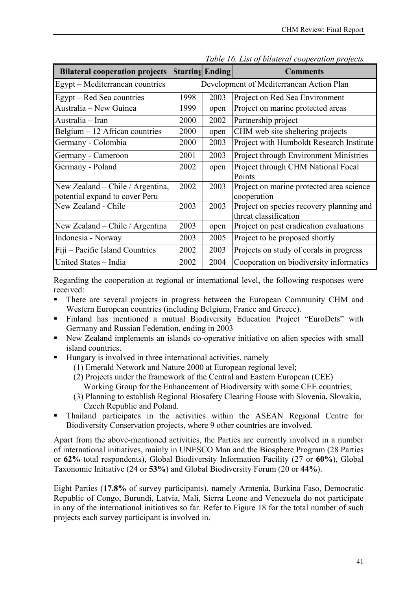| <b>Bilateral cooperation projects</b>                              | <b>Starting Ending</b> |      | Comments                                                          |
|--------------------------------------------------------------------|------------------------|------|-------------------------------------------------------------------|
| Egypt – Mediterranean countries                                    |                        |      | Development of Mediterranean Action Plan                          |
| Egypt – Red Sea countries                                          | 1998                   | 2003 | Project on Red Sea Environment                                    |
| Australia - New Guinea                                             | 1999                   | open | Project on marine protected areas                                 |
| Australia – Iran                                                   | 2000                   | 2002 | Partnership project                                               |
| Belgium - 12 African countries                                     | 2000                   | open | CHM web site sheltering projects                                  |
| Germany - Colombia                                                 | 2000                   | 2003 | Project with Humboldt Research Institute                          |
| Germany - Cameroon                                                 | 2001                   | 2003 | Project through Environment Ministries                            |
| Germany - Poland                                                   | 2002                   | open | Project through CHM National Focal<br>Points                      |
| New Zealand – Chile / Argentina,<br>potential expand to cover Peru | 2002                   | 2003 | Project on marine protected area science<br>cooperation           |
| New Zealand - Chile                                                | 2003                   | 2003 | Project on species recovery planning and<br>threat classification |
| New Zealand – Chile / Argentina                                    | 2003                   | open | Project on pest eradication evaluations                           |
| Indonesia - Norway                                                 | 2003                   | 2005 | Project to be proposed shortly                                    |
| Fiji - Pacific Island Countries                                    | 2002                   | 2003 | Projects on study of corals in progress                           |
| United States - India                                              | 2002                   | 2004 | Cooperation on biodiversity informatics                           |

*Table 16. List of bilateral cooperation projects*

Regarding the cooperation at regional or international level, the following responses were received:

- There are several projects in progress between the European Community CHM and Western European countries (including Belgium, France and Greece).
- Finland has mentioned a mutual Biodiversity Education Project "EuroDets" with Germany and Russian Federation, ending in 2003
- New Zealand implements an islands co-operative initiative on alien species with small island countries.
- Hungary is involved in three international activities, namely
	- (1) Emerald Network and Nature 2000 at European regional level;
	- (2) Projects under the framework of the Central and Eastern European (CEE)
	- Working Group for the Enhancement of Biodiversity with some CEE countries; (3) Planning to establish Regional Biosafety Clearing House with Slovenia, Slovakia,
	- Czech Republic and Poland.
- Thailand participates in the activities within the ASEAN Regional Centre for Biodiversity Conservation projects, where 9 other countries are involved.

Apart from the above-mentioned activities, the Parties are currently involved in a number of international initiatives, mainly in UNESCO Man and the Biosphere Program (28 Parties or **62%** total respondents), Global Biodiversity Information Facility (27 or **60%**), Global Taxonomic Initiative (24 or **53%**) and Global Biodiversity Forum (20 or **44%**).

Eight Parties (**17.8%** of survey participants), namely Armenia, Burkina Faso, Democratic Republic of Congo, Burundi, Latvia, Mali, Sierra Leone and Venezuela do not participate in any of the international initiatives so far. Refer to Figure 18 for the total number of such projects each survey participant is involved in.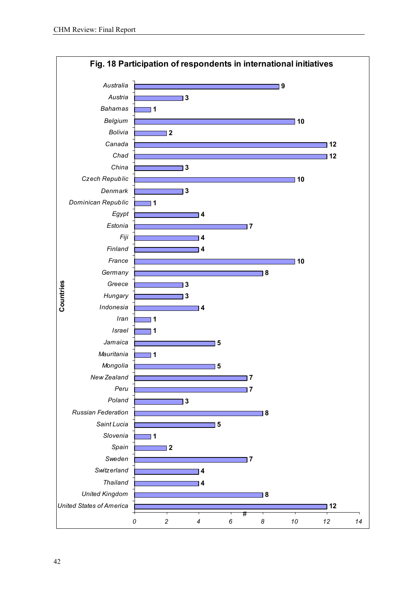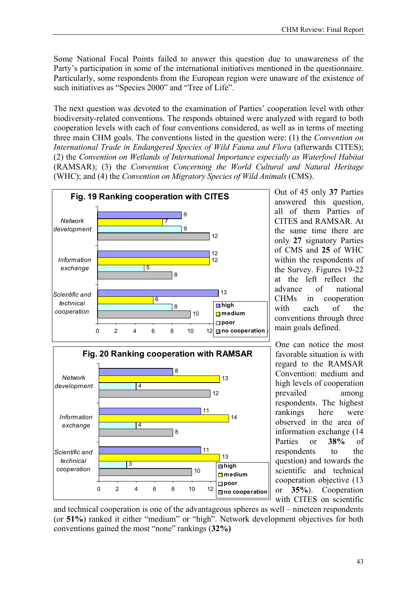Some National Focal Points failed to answer this question due to unawareness of the Party's participation in some of the international initiatives mentioned in the questionnaire. Particularly, some respondents from the European region were unaware of the existence of such initiatives as "Species 2000" and "Tree of Life".

The next question was devoted to the examination of Parties' cooperation level with other biodiversity-related conventions. The responds obtained were analyzed with regard to both cooperation levels with each of four conventions considered, as well as in terms of meeting three main CHM goals. The conventions listed in the question were: (1) the *Convention on International Trade in Endangered Species of Wild Fauna and Flora (afterwards CITES);* (2) the *Convention on Wetlands of International Importance especially as Waterfowl Habitat*  (RAMSAR); (3) the *Convention Concerning the World Cultural and Natural Heritage*  (WHC); and (4) the *Convention on Migratory Species of Wild Animals* (CMS).



Out of 45 only **37** Parties answered this question, all of them Parties of CITES and RAMSAR. At the same time there are only **27** signatory Parties of CMS and **25** of WHC within the respondents of the Survey. Figures 19-22 at the left reflect the advance of national CHMs in cooperation with each of the conventions through three main goals defined.

One can notice the most favorable situation is with regard to the RAMSAR Convention: medium and high levels of cooperation prevailed among respondents. The highest rankings here were observed in the area of information exchange (14 Parties or **38%** of respondents to the question) and towards the scientific and technical cooperation objective (13 or **35%**). Cooperation with CITES on scientific

and technical cooperation is one of the advantageous spheres as well – nineteen respondents (or **51%**) ranked it either "medium" or "high". Network development objectives for both conventions gained the most "none" rankings (**32%)**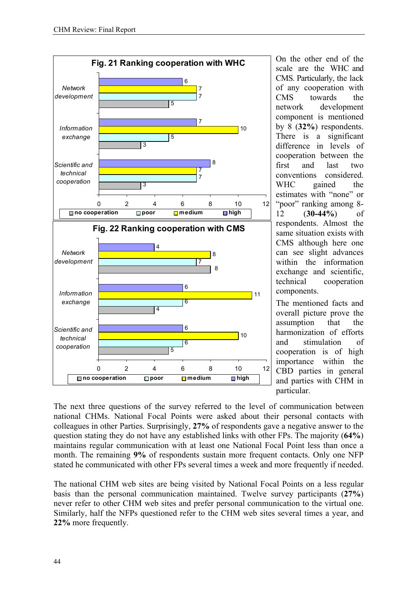

On the other end of the scale are the WHC and CMS. Particularly, the lack of any cooperation with CMS towards the network development component is mentioned by 8 (**32%**) respondents. There is a significant difference in levels of cooperation between the first and last two conventions considered. WHC gained the estimates with "none" or "poor" ranking among 8- 12 (**30-44%**) of respondents. Almost the same situation exists with CMS although here one can see slight advances within the information exchange and scientific, technical cooperation components.

The mentioned facts and overall picture prove the assumption that the harmonization of efforts and stimulation of cooperation is of high importance within the CBD parties in general and parties with CHM in particular.

The next three questions of the survey referred to the level of communication between national CHMs. National Focal Points were asked about their personal contacts with colleagues in other Parties. Surprisingly, **27%** of respondents gave a negative answer to the question stating they do not have any established links with other FPs. The majority (**64%**) maintains regular communication with at least one National Focal Point less than once a month. The remaining **9%** of respondents sustain more frequent contacts. Only one NFP stated he communicated with other FPs several times a week and more frequently if needed.

The national CHM web sites are being visited by National Focal Points on a less regular basis than the personal communication maintained. Twelve survey participants (**27%**) never refer to other CHM web sites and prefer personal communication to the virtual one. Similarly, half the NFPs questioned refer to the CHM web sites several times a year, and **22%** more frequently.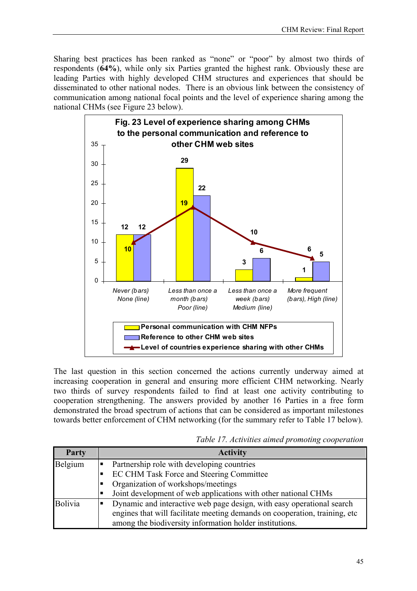Sharing best practices has been ranked as "none" or "poor" by almost two thirds of respondents (**64%**), while only six Parties granted the highest rank. Obviously these are leading Parties with highly developed CHM structures and experiences that should be disseminated to other national nodes. There is an obvious link between the consistency of communication among national focal points and the level of experience sharing among the national CHMs (see Figure 23 below).



The last question in this section concerned the actions currently underway aimed at increasing cooperation in general and ensuring more efficient CHM networking. Nearly two thirds of survey respondents failed to find at least one activity contributing to cooperation strengthening. The answers provided by another 16 Parties in a free form demonstrated the broad spectrum of actions that can be considered as important milestones towards better enforcement of CHM networking (for the summary refer to Table 17 below).

| <b>Party</b>   |                | <b>Activity</b>                                                             |
|----------------|----------------|-----------------------------------------------------------------------------|
| Belgium        | E              | Partnership role with developing countries                                  |
|                | ∣∎             | <b>EC CHM Task Force and Steering Committee</b>                             |
|                | $\blacksquare$ | Organization of workshops/meetings                                          |
|                | $\blacksquare$ | Joint development of web applications with other national CHMs              |
| <b>Bolivia</b> | E              | Dynamic and interactive web page design, with easy operational search       |
|                |                | engines that will facilitate meeting demands on cooperation, training, etc. |
|                |                | among the biodiversity information holder institutions.                     |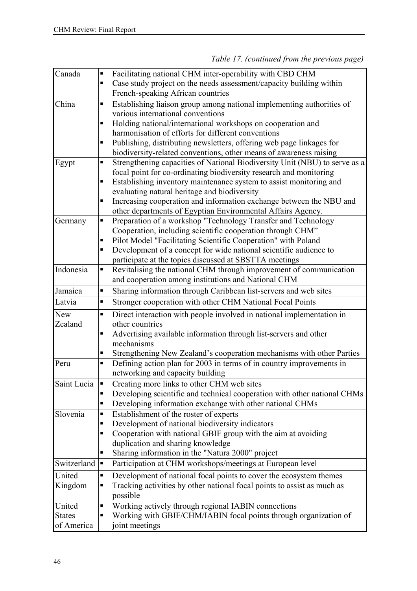| Cana <sub>da</sub> | Ξ      | Facilitating national CHM inter-operability with CBD CHM                                                            |
|--------------------|--------|---------------------------------------------------------------------------------------------------------------------|
|                    | ٠      | Case study project on the needs assessment/capacity building within                                                 |
|                    |        | French-speaking African countries                                                                                   |
| China              | п      | Establishing liaison group among national implementing authorities of                                               |
|                    |        | various international conventions                                                                                   |
|                    | ٠      | Holding national/international workshops on cooperation and                                                         |
|                    |        | harmonisation of efforts for different conventions                                                                  |
|                    | ٠      | Publishing, distributing newsletters, offering web page linkages for                                                |
|                    |        | biodiversity-related conventions, other means of awareness raising                                                  |
| Egypt              | Ξ      | Strengthening capacities of National Biodiversity Unit (NBU) to serve as a                                          |
|                    |        | focal point for co-ordinating biodiversity research and monitoring                                                  |
|                    | п      | Establishing inventory maintenance system to assist monitoring and                                                  |
|                    | ٠      | evaluating natural heritage and biodiversity<br>Increasing cooperation and information exchange between the NBU and |
|                    |        | other departments of Egyptian Environmental Affairs Agency.                                                         |
| Germany            | Ξ      | Preparation of a workshop "Technology Transfer and Technology                                                       |
|                    |        | Cooperation, including scientific cooperation through CHM"                                                          |
|                    | п      | Pilot Model "Facilitating Scientific Cooperation" with Poland                                                       |
|                    | п      | Development of a concept for wide national scientific audience to                                                   |
|                    |        | participate at the topics discussed at SBSTTA meetings                                                              |
| Indonesia          | ٠      | Revitalising the national CHM through improvement of communication                                                  |
|                    |        | and cooperation among institutions and National CHM                                                                 |
| Jamaica            | ٠      | Sharing information through Caribbean list-servers and web sites                                                    |
| Latvia             | ×,     | Stronger cooperation with other CHM National Focal Points                                                           |
| <b>New</b>         | ٠      | Direct interaction with people involved in national implementation in                                               |
| Zealand            |        | other countries                                                                                                     |
|                    | ٠      | Advertising available information through list-servers and other                                                    |
|                    |        | mechanisms                                                                                                          |
|                    |        | Strengthening New Zealand's cooperation mechanisms with other Parties                                               |
| Peru               | ×,     | Defining action plan for 2003 in terms of in country improvements in                                                |
|                    |        | networking and capacity building                                                                                    |
| Saint Lucia        | п      | Creating more links to other CHM web sites                                                                          |
|                    |        | Developing scientific and technical cooperation with other national CHMs                                            |
|                    | ٠      | Developing information exchange with other national CHMs                                                            |
| Slovenia           | п<br>п | Establishment of the roster of experts<br>Development of national biodiversity indicators                           |
|                    | п      | Cooperation with national GBIF group with the aim at avoiding                                                       |
|                    |        | duplication and sharing knowledge                                                                                   |
|                    | ш      | Sharing information in the "Natura 2000" project                                                                    |
| Switzerland        | ٠      | Participation at CHM workshops/meetings at European level                                                           |
| United             | п      | Development of national focal points to cover the ecosystem themes                                                  |
| Kingdom            | п      | Tracking activities by other national focal points to assist as much as                                             |
|                    |        | possible                                                                                                            |
| United             | П      | Working actively through regional IABIN connections                                                                 |
| <b>States</b>      | п      | Working with GBIF/CHM/IABIN focal points through organization of                                                    |
| of America         |        | joint meetings                                                                                                      |

*Table 17. (continued from the previous page)*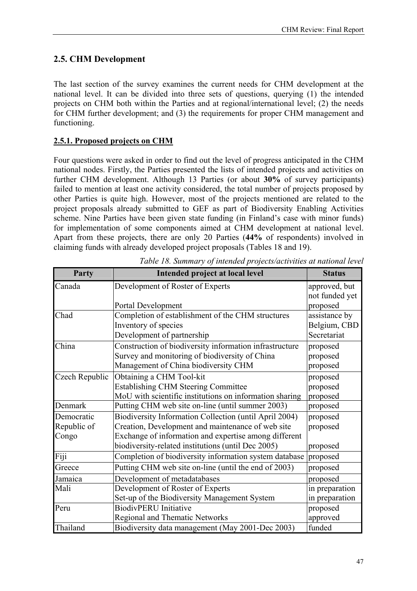# **2.5. CHM Development**

The last section of the survey examines the current needs for CHM development at the national level. It can be divided into three sets of questions, querying (1) the intended projects on CHM both within the Parties and at regional/international level; (2) the needs for CHM further development; and (3) the requirements for proper CHM management and functioning.

# **2.5.1. Proposed projects on CHM**

Four questions were asked in order to find out the level of progress anticipated in the CHM national nodes. Firstly, the Parties presented the lists of intended projects and activities on further CHM development. Although 13 Parties (or about **30%** of survey participants) failed to mention at least one activity considered, the total number of projects proposed by other Parties is quite high. However, most of the projects mentioned are related to the project proposals already submitted to GEF as part of Biodiversity Enabling Activities scheme. Nine Parties have been given state funding (in Finland's case with minor funds) for implementation of some components aimed at CHM development at national level. Apart from these projects, there are only 20 Parties (**44%** of respondents) involved in claiming funds with already developed project proposals (Tables 18 and 19).

| Party                                | Intended project at local level                         | <b>Status</b>  |
|--------------------------------------|---------------------------------------------------------|----------------|
| Canada                               | Development of Roster of Experts                        | approved, but  |
|                                      |                                                         | not funded yet |
|                                      | Portal Development                                      | proposed       |
| Chad                                 | Completion of establishment of the CHM structures       | assistance by  |
|                                      | Inventory of species                                    | Belgium, CBD   |
|                                      | Development of partnership                              | Secretariat    |
| China                                | Construction of biodiversity information infrastructure | proposed       |
|                                      | Survey and monitoring of biodiversity of China          | proposed       |
|                                      | Management of China biodiversity CHM                    | proposed       |
| Czech Republic                       | Obtaining a CHM Tool-kit                                | proposed       |
|                                      | <b>Establishing CHM Steering Committee</b>              | proposed       |
|                                      | MoU with scientific institutions on information sharing | proposed       |
| Denmark                              | Putting CHM web site on-line (until summer 2003)        | proposed       |
| Democratic                           | Biodiversity Information Collection (until April 2004)  | proposed       |
| Republic of                          | Creation, Development and maintenance of web site       | proposed       |
| Congo                                | Exchange of information and expertise among different   |                |
|                                      | biodiversity-related institutions (until Dec 2005)      | proposed       |
| Fiji                                 | Completion of biodiversity information system database  | proposed       |
| Greece                               | Putting CHM web site on-line (until the end of 2003)    | proposed       |
| Jamaica                              | Development of metadatabases                            | proposed       |
| Mali                                 | Development of Roster of Experts                        | in preparation |
|                                      | Set-up of the Biodiversity Management System            | in preparation |
| <b>BiodivPERU</b> Initiative<br>Peru |                                                         | proposed       |
|                                      | Regional and Thematic Networks                          | approved       |
| Thailand                             | Biodiversity data management (May 2001-Dec 2003)        | funded         |

*Table 18. Summary of intended projects/activities at national level*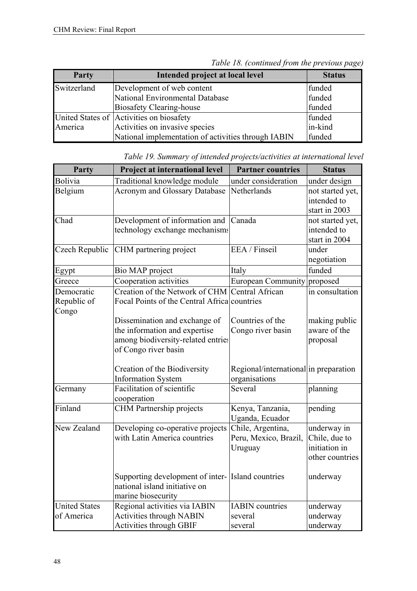| Party       | Intended project at local level                     | <b>Status</b> |
|-------------|-----------------------------------------------------|---------------|
| Switzerland | Development of web content                          | funded        |
|             | National Environmental Database                     | funded        |
|             | <b>Biosafety Clearing-house</b>                     | funded        |
|             | United States of Activities on biosafety            | funded        |
| America     | Activities on invasive species                      | in-kind       |
|             | National implementation of activities through IABIN | funded        |

*Table 18. (continued from the previous page)* 

|  |  |  | Table 19. Summary of intended projects/activities at international level |
|--|--|--|--------------------------------------------------------------------------|
|--|--|--|--------------------------------------------------------------------------|

| Party                | <b>Project at international level</b>          | <b>Partner countries</b>              | <b>Status</b>    |  |
|----------------------|------------------------------------------------|---------------------------------------|------------------|--|
| Bolivia              | Traditional knowledge module                   | under consideration                   | under design     |  |
| Belgium              | <b>Acronym and Glossary Database</b>           | Netherlands                           | not started yet, |  |
|                      |                                                |                                       | intended to      |  |
|                      |                                                |                                       | start in 2003    |  |
| Chad                 | Development of information and                 | Canada                                | not started yet, |  |
|                      | technology exchange mechanisms                 |                                       | intended to      |  |
|                      |                                                |                                       | start in 2004    |  |
| Czech Republic       | CHM partnering project                         | EEA / Finseil                         | under            |  |
|                      |                                                |                                       | negotiation      |  |
| Egypt                | Bio MAP project                                | Italy                                 | funded           |  |
| Greece               | Cooperation activities                         | European Community proposed           |                  |  |
| Democratic           | Creation of the Network of CHM Central African |                                       | in consultation  |  |
| Republic of          | Focal Points of the Central Africa countries   |                                       |                  |  |
| Congo                |                                                |                                       |                  |  |
|                      | Dissemination and exchange of                  | Countries of the                      | making public    |  |
|                      | the information and expertise                  | Congo river basin                     | aware of the     |  |
|                      | among biodiversity-related entries             |                                       | proposal         |  |
|                      | of Congo river basin                           |                                       |                  |  |
|                      | Creation of the Biodiversity                   | Regional/international in preparation |                  |  |
|                      | <b>Information System</b>                      | organisations                         |                  |  |
| Germany              | Facilitation of scientific                     | Several                               | planning         |  |
|                      | cooperation                                    |                                       |                  |  |
| Finland              | <b>CHM</b> Partnership projects                | Kenya, Tanzania,                      | pending          |  |
|                      |                                                | Uganda, Ecuador                       |                  |  |
| New Zealand          | Developing co-operative projects               | Chile, Argentina,                     | underway in      |  |
|                      | with Latin America countries                   | Peru, Mexico, Brazil,                 | Chile, due to    |  |
|                      |                                                | Uruguay                               | initiation in    |  |
|                      |                                                |                                       | other countries  |  |
|                      | Supporting development of inter-               | Island countries                      | underway         |  |
|                      | national island initiative on                  |                                       |                  |  |
|                      | marine biosecurity                             |                                       |                  |  |
| <b>United States</b> | Regional activities via IABIN                  | <b>IABIN</b> countries                | underway         |  |
| of America           | <b>Activities through NABIN</b>                | several                               | underway         |  |
|                      | <b>Activities through GBIF</b>                 | several                               | underway         |  |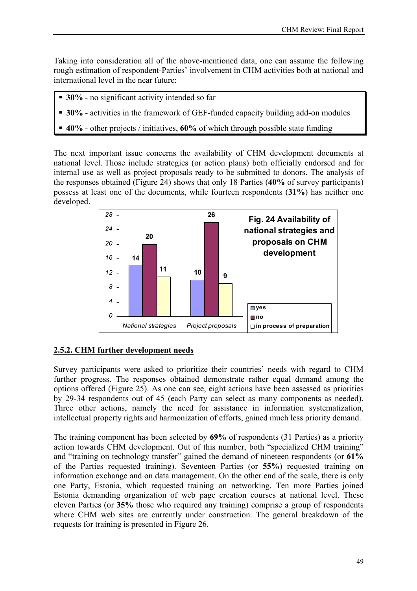Taking into consideration all of the above-mentioned data, one can assume the following rough estimation of respondent-Parties' involvement in CHM activities both at national and international level in the near future:

- **30%** no significant activity intended so far
- **30%** activities in the framework of GEF-funded capacity building add-on modules
- **40%** other projects / initiatives, **60%** of which through possible state funding

The next important issue concerns the availability of CHM development documents at national level. Those include strategies (or action plans) both officially endorsed and for internal use as well as project proposals ready to be submitted to donors. The analysis of the responses obtained (Figure 24) shows that only 18 Parties (**40%** of survey participants) possess at least one of the documents, while fourteen respondents (**31%**) has neither one developed.



### **2.5.2. CHM further development needs**

Survey participants were asked to prioritize their countries' needs with regard to CHM further progress. The responses obtained demonstrate rather equal demand among the options offered (Figure 25). As one can see, eight actions have been assessed as priorities by 29-34 respondents out of 45 (each Party can select as many components as needed). Three other actions, namely the need for assistance in information systematization, intellectual property rights and harmonization of efforts, gained much less priority demand.

The training component has been selected by **69%** of respondents (31 Parties) as a priority action towards CHM development. Out of this number, both "specialized CHM training" and "training on technology transfer" gained the demand of nineteen respondents (or **61%** of the Parties requested training). Seventeen Parties (or **55%**) requested training on information exchange and on data management. On the other end of the scale, there is only one Party, Estonia, which requested training on networking. Ten more Parties joined Estonia demanding organization of web page creation courses at national level. These eleven Parties (or **35%** those who required any training) comprise a group of respondents where CHM web sites are currently under construction. The general breakdown of the requests for training is presented in Figure 26.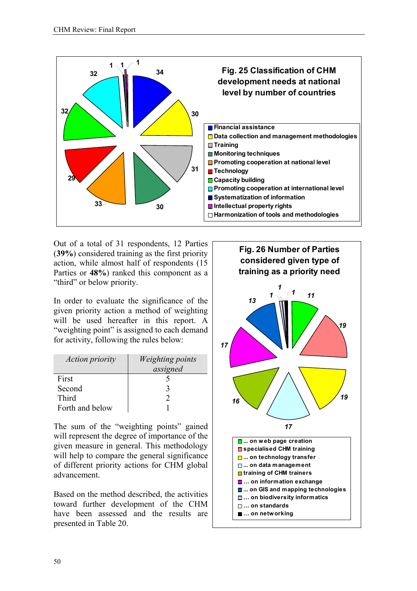

Out of a total of 31 respondents, 12 Parties (**39%**) considered training as the first priority action, while almost half of respondents (15 Parties or **48%**) ranked this component as a "third" or below priority.

In order to evaluate the significance of the given priority action a method of weighting will be used hereafter in this report. A "weighting point" is assigned to each demand for activity, following the rules below:

| <b>Action priority</b> | Weighting points |
|------------------------|------------------|
|                        | assigned         |
| First                  |                  |
| Second                 |                  |
| Third                  |                  |
| Forth and below        |                  |

The sum of the "weighting points" gained will represent the degree of importance of the given measure in general. This methodology will help to compare the general significance of different priority actions for CHM global advancement.

Based on the method described, the activities toward further development of the CHM have been assessed and the results are presented in Table 20.

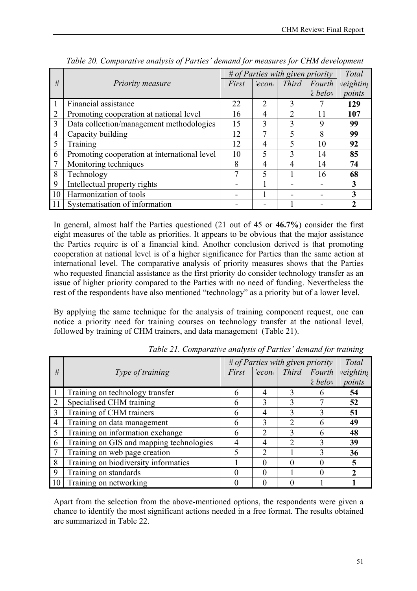|                |                                              |       | $#$ of Parties with given priority |                |            |          |
|----------------|----------------------------------------------|-------|------------------------------------|----------------|------------|----------|
| #              | Priority measure                             | First | $\epsilon$ con                     | <b>Third</b>   | Fourth     | veightin |
|                |                                              |       |                                    |                | $\&$ belov | points   |
|                | Financial assistance                         | 22    | $\mathfrak{D}$                     | 3              |            | 129      |
| 2              | Promoting cooperation at national level      | 16    | 4                                  | $\mathfrak{D}$ |            | 107      |
| 3              | Data collection/management methodologies     | 15    | 3                                  | 3              | 9          | 99       |
| $\overline{4}$ | Capacity building                            | 12    |                                    | 5              | 8          | 99       |
| 5              | Training                                     | 12    | 4                                  | 5              | 10         | 92       |
| 6              | Promoting cooperation at international level | 10    | 5                                  | 3              | 14         | 85       |
|                | Monitoring techniques                        | 8     | 4                                  | 4              | 14         | 74       |
| 8              | Technology                                   |       | 5                                  |                | 16         | 68       |
| 9              | Intellectual property rights                 |       |                                    |                |            | 3        |
| 10             | Harmonization of tools                       |       |                                    |                |            | 3        |
|                | Systematisation of information               |       |                                    |                |            |          |

*Table 20. Comparative analysis of Parties' demand for measures for CHM development*

In general, almost half the Parties questioned (21 out of 45 or **46.7%**) consider the first eight measures of the table as priorities. It appears to be obvious that the major assistance the Parties require is of a financial kind. Another conclusion derived is that promoting cooperation at national level is of a higher significance for Parties than the same action at international level. The comparative analysis of priority measures shows that the Parties who requested financial assistance as the first priority do consider technology transfer as an issue of higher priority compared to the Parties with no need of funding. Nevertheless the rest of the respondents have also mentioned "technology" as a priority but of a lower level.

By applying the same technique for the analysis of training component request, one can notice a priority need for training courses on technology transfer at the national level, followed by training of CHM trainers, and data management (Table 21).

|                |                                          |       | $#$ of Parties with given priority |               |            |                         |
|----------------|------------------------------------------|-------|------------------------------------|---------------|------------|-------------------------|
| #              | <i>Type of training</i>                  | First | econ                               | <b>Third</b>  | Fourth     | veighting               |
|                |                                          |       |                                    |               | $\&$ belov | points                  |
|                | Training on technology transfer          |       | 4                                  | 3             |            | 54                      |
|                | Specialised CHM training                 | h     | 3                                  |               |            | 52                      |
| $\overline{3}$ | Training of CHM trainers                 | h     | 4                                  |               |            | 51                      |
| $\overline{4}$ | Training on data management              | 6     | 3                                  | 2             |            | 49                      |
| 5              | Training on information exchange         | 6     | 2                                  |               | h          | 48                      |
| 6              | Training on GIS and mapping technologies |       |                                    | $\mathcal{D}$ |            | 39                      |
|                | Training on web page creation            |       | $\overline{2}$                     |               |            | 36                      |
| 8              | Training on biodiversity informatics     |       | $\theta$                           |               |            | $\overline{\mathbf{5}}$ |
| 9              | Training on standards                    |       | $\Omega$                           |               |            | $\mathfrak{D}$          |
| <sup>10</sup>  | Training on networking                   |       |                                    |               |            |                         |

*Table 21. Comparative analysis of Parties' demand for training*

Apart from the selection from the above-mentioned options, the respondents were given a chance to identify the most significant actions needed in a free format. The results obtained are summarized in Table 22.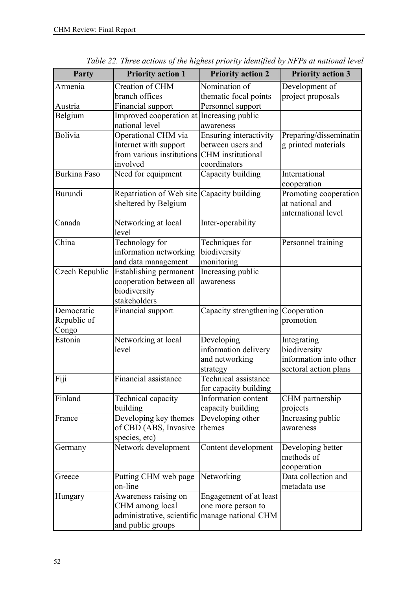| Party               | <b>Priority action 1</b>   | <b>Priority action 2</b>           | <b>Priority action 3</b> |
|---------------------|----------------------------|------------------------------------|--------------------------|
| Armenia             | Creation of CHM            | Nomination of                      | Development of           |
|                     | branch offices             | thematic focal points              | project proposals        |
| Austria             | Financial support          | Personnel support                  |                          |
| Belgium             | Improved cooperation at    | Increasing public                  |                          |
|                     | national level             | awareness                          |                          |
| <b>Bolivia</b>      | Operational CHM via        | Ensuring interactivity             | Preparing/disseminatin   |
|                     | Internet with support      | between users and                  | g printed materials      |
|                     | from various institutions  | <b>CHM</b> institutional           |                          |
|                     | involved                   | coordinators                       |                          |
| <b>Burkina Faso</b> | Need for equipment         | Capacity building                  | International            |
|                     |                            |                                    | cooperation              |
| Burundi             | Repatriation of Web site   | Capacity building                  | Promoting cooperation    |
|                     | sheltered by Belgium       |                                    | at national and          |
|                     |                            |                                    | international level      |
| Canada              | Networking at local        | Inter-operability                  |                          |
|                     | level                      |                                    |                          |
| China               | Technology for             | Techniques for                     | Personnel training       |
|                     | information networking     | biodiversity                       |                          |
|                     | and data management        | monitoring                         |                          |
| Czech Republic      | Establishing permanent     | Increasing public                  |                          |
|                     | cooperation between all    | awareness                          |                          |
|                     | biodiversity               |                                    |                          |
|                     | stakeholders               |                                    |                          |
| Democratic          | Financial support          | Capacity strengthening Cooperation |                          |
| Republic of         |                            |                                    | promotion                |
| Congo               |                            |                                    |                          |
| Estonia             | Networking at local        | Developing                         | Integrating              |
|                     | level                      | information delivery               | biodiversity             |
|                     |                            | and networking                     | information into other   |
|                     |                            | strategy                           | sectoral action plans    |
| Fiji                | Financial assistance       | <b>Technical assistance</b>        |                          |
|                     |                            | for capacity building              |                          |
| Finland             | Technical capacity         | Information content                | CHM partnership          |
|                     | building                   | capacity building                  | projects                 |
| France              | Developing key themes      | Developing other                   | Increasing public        |
|                     | of CBD (ABS, Invasive      | themes                             | awareness                |
|                     | species, etc)              |                                    |                          |
| Germany             | Network development        | Content development                | Developing better        |
|                     |                            |                                    | methods of               |
|                     |                            |                                    | cooperation              |
| Greece              | Putting CHM web page       | Networking                         | Data collection and      |
|                     | on-line                    |                                    | metadata use             |
| Hungary             | Awareness raising on       | Engagement of at least             |                          |
|                     | CHM among local            | one more person to                 |                          |
|                     | administrative, scientific | manage national CHM                |                          |
|                     | and public groups          |                                    |                          |

*Table 22. Three actions of the highest priority identified by NFPs at national level*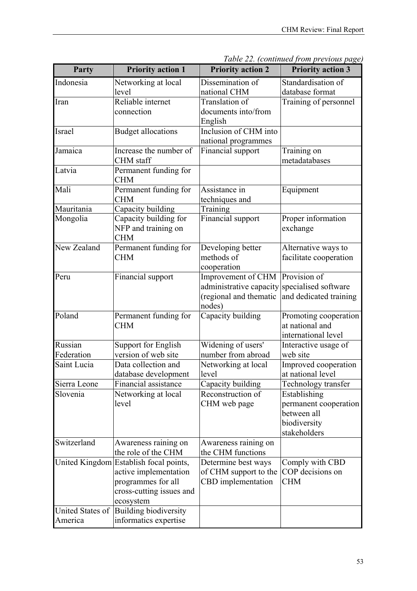| Party            | <b>Priority action 1</b>                    | <b>Priority action 2</b>                     | commune pronous page<br><b>Priority action 3</b> |
|------------------|---------------------------------------------|----------------------------------------------|--------------------------------------------------|
| Indonesia        | Networking at local                         | Dissemination of                             | Standardisation of                               |
|                  | level                                       | national CHM                                 | database format                                  |
| Iran             | Reliable internet                           | Translation of                               | Training of personnel                            |
|                  | connection                                  | documents into/from                          |                                                  |
|                  |                                             | English                                      |                                                  |
| Israel           | <b>Budget allocations</b>                   | Inclusion of CHM into                        |                                                  |
|                  |                                             | national programmes                          |                                                  |
| Jamaica          | Increase the number of                      | Financial support                            | Training on                                      |
|                  | <b>CHM</b> staff                            |                                              | metadatabases                                    |
| Latvia           | Permanent funding for<br><b>CHM</b>         |                                              |                                                  |
| Mali             | Permanent funding for                       | Assistance in                                | Equipment                                        |
|                  | <b>CHM</b>                                  | techniques and                               |                                                  |
| Mauritania       | Capacity building                           | Training                                     |                                                  |
| Mongolia         | Capacity building for                       | Financial support                            | Proper information                               |
|                  | NFP and training on<br><b>CHM</b>           |                                              | exchange                                         |
| New Zealand      | Permanent funding for                       | Developing better                            | Alternative ways to                              |
|                  | <b>CHM</b>                                  | methods of                                   | facilitate cooperation                           |
|                  |                                             | cooperation                                  |                                                  |
| Peru             | Financial support                           | Improvement of CHM                           | Provision of                                     |
|                  |                                             | administrative capacity specialised software |                                                  |
|                  |                                             | (regional and thematic                       | and dedicated training                           |
|                  |                                             | nodes)                                       |                                                  |
| Poland           | Permanent funding for                       | Capacity building                            |                                                  |
|                  | <b>CHM</b>                                  |                                              | Promoting cooperation<br>at national and         |
|                  |                                             |                                              | international level                              |
| Russian          | Support for English                         | Widening of users'                           | Interactive usage of                             |
| Federation       | version of web site                         | number from abroad                           | web site                                         |
| Saint Lucia      | Data collection and                         | Networking at local                          | Improved cooperation                             |
|                  | database development                        | level                                        | at national level                                |
| Sierra Leone     | Financial assistance                        | Capacity building                            | Technology transfer                              |
| Slovenia         |                                             | Reconstruction of                            | Establishing                                     |
|                  | Networking at local<br>level                |                                              |                                                  |
|                  |                                             | CHM web page                                 | permanent cooperation<br>between all             |
|                  |                                             |                                              |                                                  |
|                  |                                             |                                              | biodiversity<br>stakeholders                     |
|                  |                                             |                                              |                                                  |
| Switzerland      | Awareness raining on<br>the role of the CHM | Awareness raining on<br>the CHM functions    |                                                  |
|                  |                                             | Determine best ways                          |                                                  |
|                  | United Kingdom Establish focal points,      |                                              | Comply with CBD<br>COP decisions on              |
|                  | active implementation                       | of CHM support to the                        | <b>CHM</b>                                       |
|                  | programmes for all                          | CBD implementation                           |                                                  |
|                  | cross-cutting issues and                    |                                              |                                                  |
|                  | ecosystem                                   |                                              |                                                  |
| United States of | Building biodiversity                       |                                              |                                                  |
| America          | informatics expertise                       |                                              |                                                  |

*Table 22. (continued from previous page)*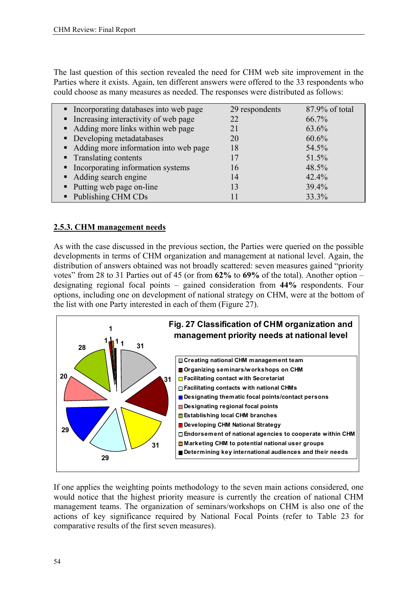The last question of this section revealed the need for CHM web site improvement in the Parties where it exists. Again, ten different answers were offered to the 33 respondents who could choose as many measures as needed. The responses were distributed as follows:

| • Incorporating databases into web page | 29 respondents | $87.9\%$ of total |
|-----------------------------------------|----------------|-------------------|
| • Increasing interactivity of web page  | 22             | 66.7%             |
| • Adding more links within web page     | 21             | 63.6%             |
| • Developing metadatabases              | 20             | 60.6%             |
| • Adding more information into web page | 18             | 54.5%             |
| • Translating contents                  |                | 51.5%             |
| • Incorporating information systems     | 16             | 48.5%             |
| • Adding search engine                  | 14             | 42.4%             |
| • Putting web page on-line              | 13             | 39.4%             |
| • Publishing CHM CDs                    |                | 33.3%             |

# **2.5.3. CHM management needs**

As with the case discussed in the previous section, the Parties were queried on the possible developments in terms of CHM organization and management at national level. Again, the distribution of answers obtained was not broadly scattered: seven measures gained "priority votes" from 28 to 31 Parties out of 45 (or from **62%** to **69%** of the total). Another option – designating regional focal points – gained consideration from **44%** respondents. Four options, including one on development of national strategy on CHM, were at the bottom of the list with one Party interested in each of them (Figure 27).



If one applies the weighting points methodology to the seven main actions considered, one would notice that the highest priority measure is currently the creation of national CHM management teams. The organization of seminars/workshops on CHM is also one of the actions of key significance required by National Focal Points (refer to Table 23 for comparative results of the first seven measures).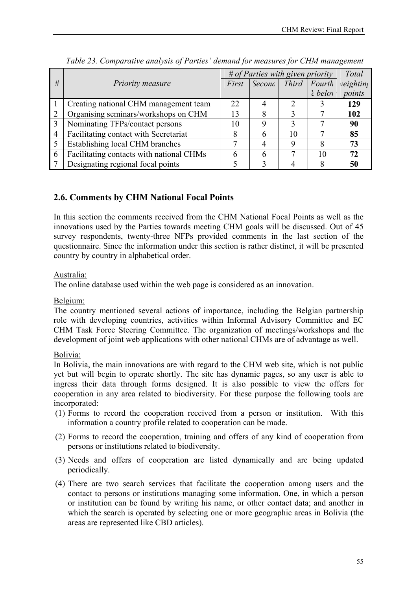|                |                                          |                | $#$ of Parties with given priority |    |                  | Total     |
|----------------|------------------------------------------|----------------|------------------------------------|----|------------------|-----------|
| #              | Priority measure                         | First          | Secona                             |    | Third Fourth     | veighting |
|                |                                          |                |                                    |    | $\epsilon$ belor | points    |
|                | Creating national CHM management team    | 22             |                                    |    |                  | 129       |
|                | Organising seminars/workshops on CHM     | 13             |                                    |    |                  | 102       |
| 3              | Nominating TFPs/contact persons          | $\overline{0}$ | Q                                  | 2  |                  | 90        |
| $\overline{4}$ | Facilitating contact with Secretariat    |                |                                    | 10 |                  | 85        |
|                | Establishing local CHM branches          |                |                                    | Q  |                  | 73        |
| 6              | Facilitating contacts with national CHMs |                |                                    | ⇁  | ١O               | 72        |
|                | Designating regional focal points        |                |                                    |    |                  | 50        |

*Table 23. Comparative analysis of Parties' demand for measures for CHM management*

# **2.6. Comments by CHM National Focal Points**

In this section the comments received from the CHM National Focal Points as well as the innovations used by the Parties towards meeting CHM goals will be discussed. Out of 45 survey respondents, twenty-three NFPs provided comments in the last section of the questionnaire. Since the information under this section is rather distinct, it will be presented country by country in alphabetical order.

#### Australia:

The online database used within the web page is considered as an innovation.

#### Belgium:

The country mentioned several actions of importance, including the Belgian partnership role with developing countries, activities within Informal Advisory Committee and EC CHM Task Force Steering Committee. The organization of meetings/workshops and the development of joint web applications with other national CHMs are of advantage as well.

### Bolivia:

In Bolivia, the main innovations are with regard to the CHM web site, which is not public yet but will begin to operate shortly. The site has dynamic pages, so any user is able to ingress their data through forms designed. It is also possible to view the offers for cooperation in any area related to biodiversity. For these purpose the following tools are incorporated:

- (1) Forms to record the cooperation received from a person or institution. With this information a country profile related to cooperation can be made.
- (2) Forms to record the cooperation, training and offers of any kind of cooperation from persons or institutions related to biodiversity.
- (3) Needs and offers of cooperation are listed dynamically and are being updated periodically.
- (4) There are two search services that facilitate the cooperation among users and the contact to persons or institutions managing some information. One, in which a person or institution can be found by writing his name, or other contact data; and another in which the search is operated by selecting one or more geographic areas in Bolivia (the areas are represented like CBD articles).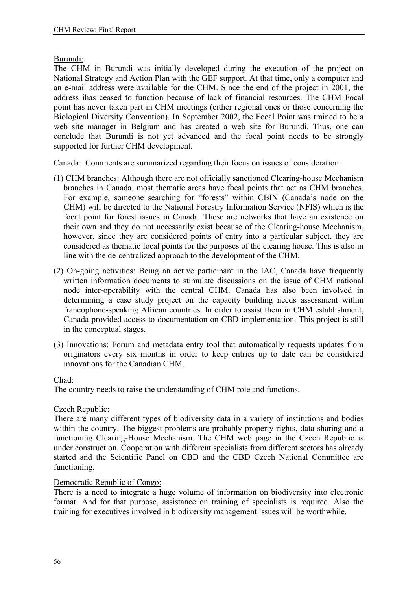Burundi:

The CHM in Burundi was initially developed during the execution of the project on National Strategy and Action Plan with the GEF support. At that time, only a computer and an e-mail address were available for the CHM. Since the end of the project in 2001, the address ihas ceased to function because of lack of financial resources. The CHM Focal point has never taken part in CHM meetings (either regional ones or those concerning the Biological Diversity Convention). In September 2002, the Focal Point was trained to be a web site manager in Belgium and has created a web site for Burundi. Thus, one can conclude that Burundi is not yet advanced and the focal point needs to be strongly supported for further CHM development.

Canada: Comments are summarized regarding their focus on issues of consideration:

- (1) CHM branches: Although there are not officially sanctioned Clearing-house Mechanism branches in Canada, most thematic areas have focal points that act as CHM branches. For example, someone searching for "forests" within CBIN (Canada's node on the CHM) will be directed to the National Forestry Information Service (NFIS) which is the focal point for forest issues in Canada. These are networks that have an existence on their own and they do not necessarily exist because of the Clearing-house Mechanism, however, since they are considered points of entry into a particular subject, they are considered as thematic focal points for the purposes of the clearing house. This is also in line with the de-centralized approach to the development of the CHM.
- (2) On-going activities: Being an active participant in the IAC, Canada have frequently written information documents to stimulate discussions on the issue of CHM national node inter-operability with the central CHM. Canada has also been involved in determining a case study project on the capacity building needs assessment within francophone-speaking African countries. In order to assist them in CHM establishment, Canada provided access to documentation on CBD implementation. This project is still in the conceptual stages.
- (3) Innovations: Forum and metadata entry tool that automatically requests updates from originators every six months in order to keep entries up to date can be considered innovations for the Canadian CHM.

### Chad:

The country needs to raise the understanding of CHM role and functions.

### Czech Republic:

There are many different types of biodiversity data in a variety of institutions and bodies within the country. The biggest problems are probably property rights, data sharing and a functioning Clearing-House Mechanism. The CHM web page in the Czech Republic is under construction. Cooperation with different specialists from different sectors has already started and the Scientific Panel on CBD and the CBD Czech National Committee are functioning.

#### Democratic Republic of Congo:

There is a need to integrate a huge volume of information on biodiversity into electronic format. And for that purpose, assistance on training of specialists is required. Also the training for executives involved in biodiversity management issues will be worthwhile.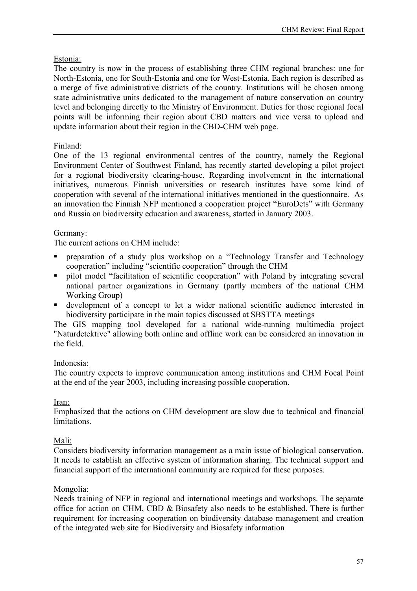### Estonia:

The country is now in the process of establishing three CHM regional branches: one for North-Estonia, one for South-Estonia and one for West-Estonia. Each region is described as a merge of five administrative districts of the country. Institutions will be chosen among state administrative units dedicated to the management of nature conservation on country level and belonging directly to the Ministry of Environment. Duties for those regional focal points will be informing their region about CBD matters and vice versa to upload and update information about their region in the CBD-CHM web page.

# Finland:

One of the 13 regional environmental centres of the country, namely the Regional Environment Center of Southwest Finland, has recently started developing a pilot project for a regional biodiversity clearing-house. Regarding involvement in the international initiatives, numerous Finnish universities or research institutes have some kind of cooperation with several of the international initiatives mentioned in the questionnaire. As an innovation the Finnish NFP mentioned a cooperation project "EuroDets" with Germany and Russia on biodiversity education and awareness, started in January 2003.

### Germany:

The current actions on CHM include:

- **•** preparation of a study plus workshop on a "Technology Transfer and Technology cooperation" including "scientific cooperation" through the CHM
- pilot model "facilitation of scientific cooperation" with Poland by integrating several national partner organizations in Germany (partly members of the national CHM Working Group)
- development of a concept to let a wider national scientific audience interested in biodiversity participate in the main topics discussed at SBSTTA meetings

The GIS mapping tool developed for a national wide-running multimedia project "Naturdetektive" allowing both online and offline work can be considered an innovation in the field.

### Indonesia:

The country expects to improve communication among institutions and CHM Focal Point at the end of the year 2003, including increasing possible cooperation.

### Iran:

Emphasized that the actions on CHM development are slow due to technical and financial limitations.

# Mali:

Considers biodiversity information management as a main issue of biological conservation. It needs to establish an effective system of information sharing. The technical support and financial support of the international community are required for these purposes.

### Mongolia:

Needs training of NFP in regional and international meetings and workshops. The separate office for action on CHM, CBD & Biosafety also needs to be established. There is further requirement for increasing cooperation on biodiversity database management and creation of the integrated web site for Biodiversity and Biosafety information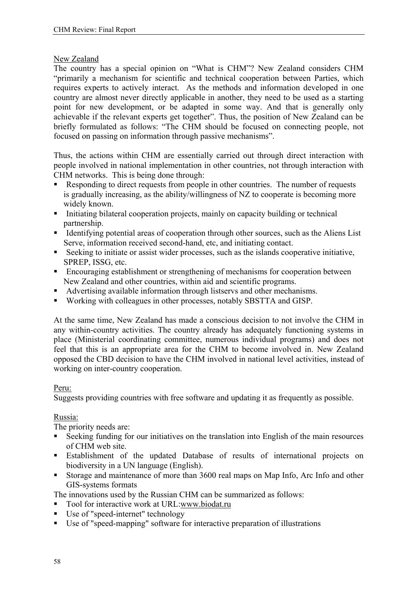### New Zealand

The country has a special opinion on "What is CHM"? New Zealand considers CHM "primarily a mechanism for scientific and technical cooperation between Parties, which requires experts to actively interact. As the methods and information developed in one country are almost never directly applicable in another, they need to be used as a starting point for new development, or be adapted in some way. And that is generally only achievable if the relevant experts get together". Thus, the position of New Zealand can be briefly formulated as follows: "The CHM should be focused on connecting people, not focused on passing on information through passive mechanisms".

Thus, the actions within CHM are essentially carried out through direct interaction with people involved in national implementation in other countries, not through interaction with CHM networks. This is being done through:

- Responding to direct requests from people in other countries. The number of requests is gradually increasing, as the ability/willingness of NZ to cooperate is becoming more widely known.
- Initiating bilateral cooperation projects, mainly on capacity building or technical partnership.
- Identifying potential areas of cooperation through other sources, such as the Aliens List Serve, information received second-hand, etc, and initiating contact.
- Seeking to initiate or assist wider processes, such as the islands cooperative initiative, SPREP, ISSG, etc.
- Encouraging establishment or strengthening of mechanisms for cooperation between New Zealand and other countries, within aid and scientific programs.
- Advertising available information through listservs and other mechanisms.
- Working with colleagues in other processes, notably SBSTTA and GISP.

At the same time, New Zealand has made a conscious decision to not involve the CHM in any within-country activities. The country already has adequately functioning systems in place (Ministerial coordinating committee, numerous individual programs) and does not feel that this is an appropriate area for the CHM to become involved in. New Zealand opposed the CBD decision to have the CHM involved in national level activities, instead of working on inter-country cooperation.

### Peru:

Suggests providing countries with free software and updating it as frequently as possible.

# Russia:

The priority needs are:

- Seeking funding for our initiatives on the translation into English of the main resources of CHM web site.
- Establishment of the updated Database of results of international projects on biodiversity in a UN language (English).
- Storage and maintenance of more than 3600 real maps on Map Info, Arc Info and other GIS-systems formats

The innovations used by the Russian CHM can be summarized as follows:

- Tool for interactive work at URL:www.biodat.ru
- Use of "speed-internet" technology
- Use of "speed-mapping" software for interactive preparation of illustrations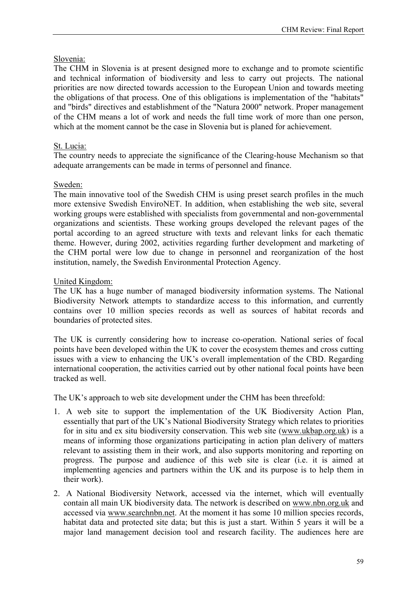#### Slovenia:

The CHM in Slovenia is at present designed more to exchange and to promote scientific and technical information of biodiversity and less to carry out projects. The national priorities are now directed towards accession to the European Union and towards meeting the obligations of that process. One of this obligations is implementation of the "habitats" and "birds" directives and establishment of the "Natura 2000" network. Proper management of the CHM means a lot of work and needs the full time work of more than one person, which at the moment cannot be the case in Slovenia but is planed for achievement.

### St. Lucia:

The country needs to appreciate the significance of the Clearing-house Mechanism so that adequate arrangements can be made in terms of personnel and finance.

### Sweden:

The main innovative tool of the Swedish CHM is using preset search profiles in the much more extensive Swedish EnviroNET. In addition, when establishing the web site, several working groups were established with specialists from governmental and non-governmental organizations and scientists. These working groups developed the relevant pages of the portal according to an agreed structure with texts and relevant links for each thematic theme. However, during 2002, activities regarding further development and marketing of the CHM portal were low due to change in personnel and reorganization of the host institution, namely, the Swedish Environmental Protection Agency.

#### United Kingdom:

The UK has a huge number of managed biodiversity information systems. The National Biodiversity Network attempts to standardize access to this information, and currently contains over 10 million species records as well as sources of habitat records and boundaries of protected sites.

The UK is currently considering how to increase co-operation. National series of focal points have been developed within the UK to cover the ecosystem themes and cross cutting issues with a view to enhancing the UK's overall implementation of the CBD. Regarding international cooperation, the activities carried out by other national focal points have been tracked as well.

The UK's approach to web site development under the CHM has been threefold:

- 1. A web site to support the implementation of the UK Biodiversity Action Plan, essentially that part of the UK's National Biodiversity Strategy which relates to priorities for in situ and ex situ biodiversity conservation. This web site (www.ukbap.org.uk) is a means of informing those organizations participating in action plan delivery of matters relevant to assisting them in their work, and also supports monitoring and reporting on progress. The purpose and audience of this web site is clear (i.e. it is aimed at implementing agencies and partners within the UK and its purpose is to help them in their work).
- 2. A National Biodiversity Network, accessed via the internet, which will eventually contain all main UK biodiversity data. The network is described on www.nbn.org.uk and accessed via www.searchnbn.net. At the moment it has some 10 million species records, habitat data and protected site data; but this is just a start. Within 5 years it will be a major land management decision tool and research facility. The audiences here are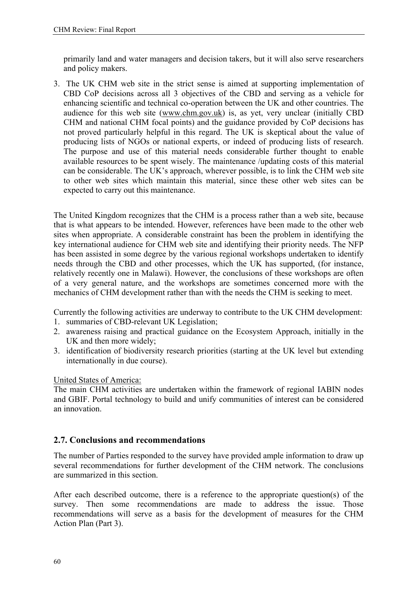primarily land and water managers and decision takers, but it will also serve researchers and policy makers.

3. The UK CHM web site in the strict sense is aimed at supporting implementation of CBD CoP decisions across all 3 objectives of the CBD and serving as a vehicle for enhancing scientific and technical co-operation between the UK and other countries. The audience for this web site (www.chm.gov.uk) is, as yet, very unclear (initially CBD CHM and national CHM focal points) and the guidance provided by CoP decisions has not proved particularly helpful in this regard. The UK is skeptical about the value of producing lists of NGOs or national experts, or indeed of producing lists of research. The purpose and use of this material needs considerable further thought to enable available resources to be spent wisely. The maintenance /updating costs of this material can be considerable. The UK's approach, wherever possible, is to link the CHM web site to other web sites which maintain this material, since these other web sites can be expected to carry out this maintenance.

The United Kingdom recognizes that the CHM is a process rather than a web site, because that is what appears to be intended. However, references have been made to the other web sites when appropriate. A considerable constraint has been the problem in identifying the key international audience for CHM web site and identifying their priority needs. The NFP has been assisted in some degree by the various regional workshops undertaken to identify needs through the CBD and other processes, which the UK has supported, (for instance, relatively recently one in Malawi). However, the conclusions of these workshops are often of a very general nature, and the workshops are sometimes concerned more with the mechanics of CHM development rather than with the needs the CHM is seeking to meet.

Currently the following activities are underway to contribute to the UK CHM development:

- 1. summaries of CBD-relevant UK Legislation;
- 2. awareness raising and practical guidance on the Ecosystem Approach, initially in the UK and then more widely;
- 3. identification of biodiversity research priorities (starting at the UK level but extending internationally in due course).

# United States of America:

The main CHM activities are undertaken within the framework of regional IABIN nodes and GBIF. Portal technology to build and unify communities of interest can be considered an innovation.

# **2.7. Conclusions and recommendations**

The number of Parties responded to the survey have provided ample information to draw up several recommendations for further development of the CHM network. The conclusions are summarized in this section.

After each described outcome, there is a reference to the appropriate question(s) of the survey. Then some recommendations are made to address the issue. Those recommendations will serve as a basis for the development of measures for the CHM Action Plan (Part 3).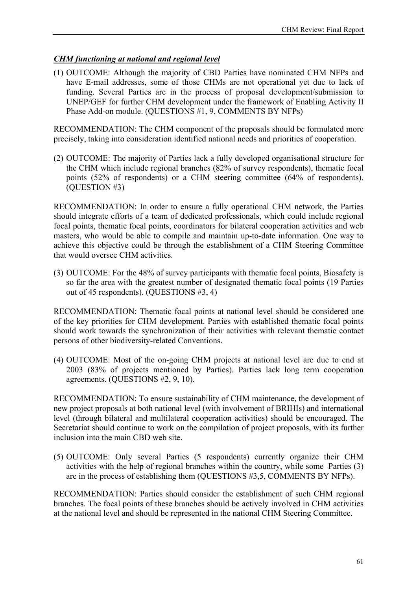## *CHM functioning at national and regional level*

(1) OUTCOME: Although the majority of CBD Parties have nominated CHM NFPs and have E-mail addresses, some of those CHMs are not operational yet due to lack of funding. Several Parties are in the process of proposal development/submission to UNEP/GEF for further CHM development under the framework of Enabling Activity II Phase Add-on module. (QUESTIONS #1, 9, COMMENTS BY NFPs)

RECOMMENDATION: The CHM component of the proposals should be formulated more precisely, taking into consideration identified national needs and priorities of cooperation.

(2) OUTCOME: The majority of Parties lack a fully developed organisational structure for the CHM which include regional branches (82% of survey respondents), thematic focal points (52% of respondents) or a CHM steering committee (64% of respondents). (QUESTION #3)

RECOMMENDATION: In order to ensure a fully operational CHM network, the Parties should integrate efforts of a team of dedicated professionals, which could include regional focal points, thematic focal points, coordinators for bilateral cooperation activities and web masters, who would be able to compile and maintain up-to-date information. One way to achieve this objective could be through the establishment of a CHM Steering Committee that would oversee CHM activities.

(3) OUTCOME: For the 48% of survey participants with thematic focal points, Biosafety is so far the area with the greatest number of designated thematic focal points (19 Parties out of 45 respondents). (QUESTIONS #3, 4)

RECOMMENDATION: Thematic focal points at national level should be considered one of the key priorities for CHM development. Parties with established thematic focal points should work towards the synchronization of their activities with relevant thematic contact persons of other biodiversity-related Conventions.

(4) OUTCOME: Most of the on-going CHM projects at national level are due to end at 2003 (83% of projects mentioned by Parties). Parties lack long term cooperation agreements. (QUESTIONS #2, 9, 10).

RECOMMENDATION: To ensure sustainability of CHM maintenance, the development of new project proposals at both national level (with involvement of BRIHIs) and international level (through bilateral and multilateral cooperation activities) should be encouraged. The Secretariat should continue to work on the compilation of project proposals, with its further inclusion into the main CBD web site.

(5) OUTCOME: Only several Parties (5 respondents) currently organize their CHM activities with the help of regional branches within the country, while some Parties (3) are in the process of establishing them (QUESTIONS #3,5, COMMENTS BY NFPs).

RECOMMENDATION: Parties should consider the establishment of such CHM regional branches. The focal points of these branches should be actively involved in CHM activities at the national level and should be represented in the national CHM Steering Committee.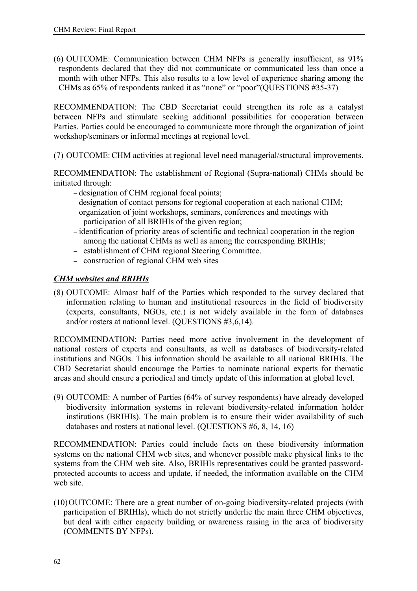(6) OUTCOME: Communication between CHM NFPs is generally insufficient, as 91% respondents declared that they did not communicate or communicated less than once a month with other NFPs. This also results to a low level of experience sharing among the CHMs as 65% of respondents ranked it as "none" or "poor"(QUESTIONS #35-37)

RECOMMENDATION: The CBD Secretariat could strengthen its role as a catalyst between NFPs and stimulate seeking additional possibilities for cooperation between Parties. Parties could be encouraged to communicate more through the organization of joint workshop/seminars or informal meetings at regional level.

(7) OUTCOME: CHM activities at regional level need managerial/structural improvements.

RECOMMENDATION: The establishment of Regional (Supra-national) CHMs should be initiated through:

- − designation of CHM regional focal points;
- − designation of contact persons for regional cooperation at each national CHM;
- − organization of joint workshops, seminars, conferences and meetings with participation of all BRIHIs of the given region;
- − identification of priority areas of scientific and technical cooperation in the region among the national CHMs as well as among the corresponding BRIHIs;
- − establishment of CHM regional Steering Committee.
- − construction of regional CHM web sites

# *CHM websites and BRIHIs*

(8) OUTCOME: Almost half of the Parties which responded to the survey declared that information relating to human and institutional resources in the field of biodiversity (experts, consultants, NGOs, etc.) is not widely available in the form of databases and/or rosters at national level. (QUESTIONS #3,6,14).

RECOMMENDATION: Parties need more active involvement in the development of national rosters of experts and consultants, as well as databases of biodiversity-related institutions and NGOs. This information should be available to all national BRIHIs. The CBD Secretariat should encourage the Parties to nominate national experts for thematic areas and should ensure a periodical and timely update of this information at global level.

(9) OUTCOME: A number of Parties (64% of survey respondents) have already developed biodiversity information systems in relevant biodiversity-related information holder institutions (BRIHIs). The main problem is to ensure their wider availability of such databases and rosters at national level. (QUESTIONS #6, 8, 14, 16)

RECOMMENDATION: Parties could include facts on these biodiversity information systems on the national CHM web sites, and whenever possible make physical links to the systems from the CHM web site. Also, BRIHIs representatives could be granted passwordprotected accounts to access and update, if needed, the information available on the CHM web site.

(10) OUTCOME: There are a great number of on-going biodiversity-related projects (with participation of BRIHIs), which do not strictly underlie the main three CHM objectives, but deal with either capacity building or awareness raising in the area of biodiversity (COMMENTS BY NFPs).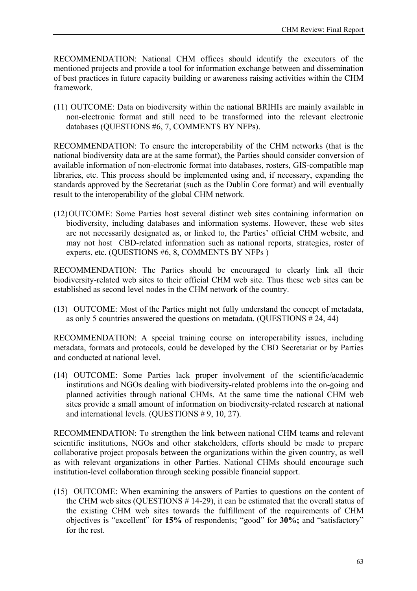RECOMMENDATION: National CHM offices should identify the executors of the mentioned projects and provide a tool for information exchange between and dissemination of best practices in future capacity building or awareness raising activities within the CHM framework.

(11) OUTCOME: Data on biodiversity within the national BRIHIs are mainly available in non-electronic format and still need to be transformed into the relevant electronic databases (QUESTIONS #6, 7, COMMENTS BY NFPs).

RECOMMENDATION: To ensure the interoperability of the CHM networks (that is the national biodiversity data are at the same format), the Parties should consider conversion of available information of non-electronic format into databases, rosters, GIS-compatible map libraries, etc. This process should be implemented using and, if necessary, expanding the standards approved by the Secretariat (such as the Dublin Core format) and will eventually result to the interoperability of the global CHM network.

(12) OUTCOME: Some Parties host several distinct web sites containing information on biodiversity, including databases and information systems. However, these web sites are not necessarily designated as, or linked to, the Parties' official CHM website, and may not host CBD-related information such as national reports, strategies, roster of experts, etc. (QUESTIONS #6, 8, COMMENTS BY NFPs )

RECOMMENDATION: The Parties should be encouraged to clearly link all their biodiversity-related web sites to their official CHM web site. Thus these web sites can be established as second level nodes in the CHM network of the country.

(13) OUTCOME: Most of the Parties might not fully understand the concept of metadata, as only 5 countries answered the questions on metadata. (QUESTIONS # 24, 44)

RECOMMENDATION: A special training course on interoperability issues, including metadata, formats and protocols, could be developed by the CBD Secretariat or by Parties and conducted at national level.

(14) OUTCOME: Some Parties lack proper involvement of the scientific/academic institutions and NGOs dealing with biodiversity-related problems into the on-going and planned activities through national CHMs. At the same time the national CHM web sites provide a small amount of information on biodiversity-related research at national and international levels. (QUESTIONS # 9, 10, 27).

RECOMMENDATION: To strengthen the link between national CHM teams and relevant scientific institutions, NGOs and other stakeholders, efforts should be made to prepare collaborative project proposals between the organizations within the given country, as well as with relevant organizations in other Parties. National CHMs should encourage such institution-level collaboration through seeking possible financial support.

(15) OUTCOME: When examining the answers of Parties to questions on the content of the CHM web sites (QUESTIONS # 14-29), it can be estimated that the overall status of the existing CHM web sites towards the fulfillment of the requirements of CHM objectives is "excellent" for **15%** of respondents; "good" for **30%;** and "satisfactory" for the rest.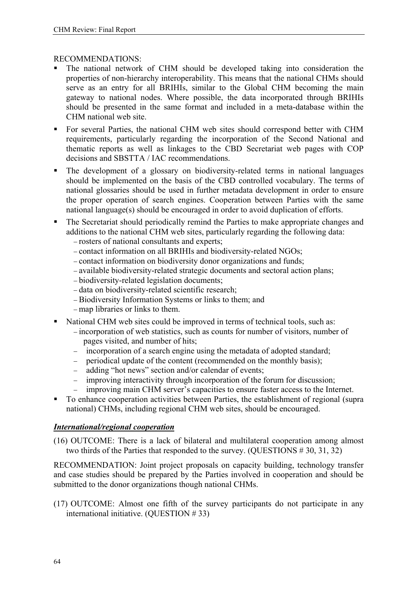#### RECOMMENDATIONS:

- The national network of CHM should be developed taking into consideration the properties of non-hierarchy interoperability. This means that the national CHMs should serve as an entry for all BRIHIs, similar to the Global CHM becoming the main gateway to national nodes. Where possible, the data incorporated through BRIHIs should be presented in the same format and included in a meta-database within the CHM national web site.
- For several Parties, the national CHM web sites should correspond better with CHM requirements, particularly regarding the incorporation of the Second National and thematic reports as well as linkages to the CBD Secretariat web pages with COP decisions and SBSTTA / IAC recommendations.
- The development of a glossary on biodiversity-related terms in national languages should be implemented on the basis of the CBD controlled vocabulary. The terms of national glossaries should be used in further metadata development in order to ensure the proper operation of search engines. Cooperation between Parties with the same national language(s) should be encouraged in order to avoid duplication of efforts.
- The Secretariat should periodically remind the Parties to make appropriate changes and additions to the national CHM web sites, particularly regarding the following data:
	- − rosters of national consultants and experts;
	- − contact information on all BRIHIs and biodiversity-related NGOs;
	- − contact information on biodiversity donor organizations and funds;
	- − available biodiversity-related strategic documents and sectoral action plans;
	- − biodiversity-related legislation documents;
	- − data on biodiversity-related scientific research;
	- − Biodiversity Information Systems or links to them; and
	- − map libraries or links to them.
- National CHM web sites could be improved in terms of technical tools, such as:
	- − incorporation of web statistics, such as counts for number of visitors, number of pages visited, and number of hits;
	- − incorporation of a search engine using the metadata of adopted standard;
	- − periodical update of the content (recommended on the monthly basis);
	- − adding "hot news" section and/or calendar of events;
	- − improving interactivity through incorporation of the forum for discussion;
	- − improving main CHM server's capacities to ensure faster access to the Internet.
- To enhance cooperation activities between Parties, the establishment of regional (supra national) CHMs, including regional CHM web sites, should be encouraged.

### *International/regional cooperation*

(16) OUTCOME: There is a lack of bilateral and multilateral cooperation among almost two thirds of the Parties that responded to the survey. (QUESTIONS  $# 30, 31, 32$ )

RECOMMENDATION: Joint project proposals on capacity building, technology transfer and case studies should be prepared by the Parties involved in cooperation and should be submitted to the donor organizations though national CHMs.

(17) OUTCOME: Almost one fifth of the survey participants do not participate in any international initiative. (QUESTION # 33)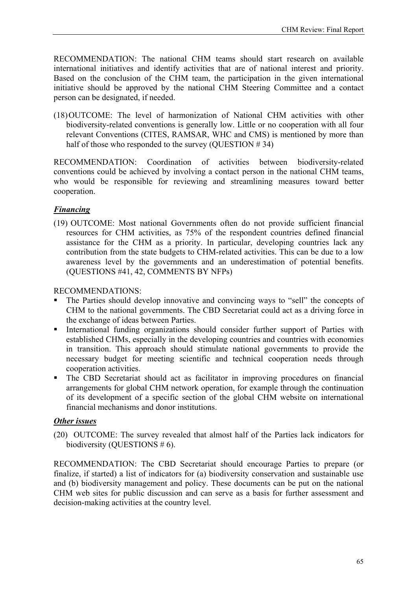RECOMMENDATION: The national CHM teams should start research on available international initiatives and identify activities that are of national interest and priority. Based on the conclusion of the CHM team, the participation in the given international initiative should be approved by the national CHM Steering Committee and a contact person can be designated, if needed.

(18) OUTCOME: The level of harmonization of National CHM activities with other biodiversity-related conventions is generally low. Little or no cooperation with all four relevant Conventions (CITES, RAMSAR, WHC and CMS) is mentioned by more than half of those who responded to the survey (QUESTION # 34)

RECOMMENDATION: Coordination of activities between biodiversity-related conventions could be achieved by involving a contact person in the national CHM teams, who would be responsible for reviewing and streamlining measures toward better cooperation.

#### *Financing*

(19) OUTCOME: Most national Governments often do not provide sufficient financial resources for CHM activities, as 75% of the respondent countries defined financial assistance for the CHM as a priority. In particular, developing countries lack any contribution from the state budgets to CHM-related activities. This can be due to a low awareness level by the governments and an underestimation of potential benefits. (QUESTIONS #41, 42, COMMENTS BY NFPs)

#### RECOMMENDATIONS:

- The Parties should develop innovative and convincing ways to "sell" the concepts of CHM to the national governments. The CBD Secretariat could act as a driving force in the exchange of ideas between Parties.
- International funding organizations should consider further support of Parties with established CHMs, especially in the developing countries and countries with economies in transition. This approach should stimulate national governments to provide the necessary budget for meeting scientific and technical cooperation needs through cooperation activities.
- The CBD Secretariat should act as facilitator in improving procedures on financial arrangements for global CHM network operation, for example through the continuation of its development of a specific section of the global CHM website on international financial mechanisms and donor institutions.

#### *Other issues*

(20) OUTCOME: The survey revealed that almost half of the Parties lack indicators for biodiversity (QUESTIONS # 6).

RECOMMENDATION: The CBD Secretariat should encourage Parties to prepare (or finalize, if started) a list of indicators for (a) biodiversity conservation and sustainable use and (b) biodiversity management and policy. These documents can be put on the national CHM web sites for public discussion and can serve as a basis for further assessment and decision-making activities at the country level.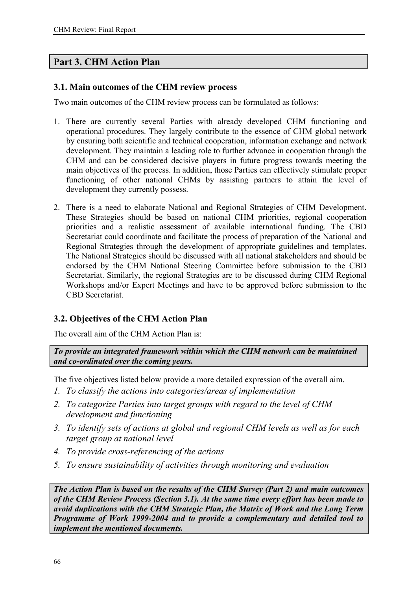## **Part 3. CHM Action Plan**

#### **3.1. Main outcomes of the CHM review process**

Two main outcomes of the CHM review process can be formulated as follows:

- 1. There are currently several Parties with already developed CHM functioning and operational procedures. They largely contribute to the essence of CHM global network by ensuring both scientific and technical cooperation, information exchange and network development. They maintain a leading role to further advance in cooperation through the CHM and can be considered decisive players in future progress towards meeting the main objectives of the process. In addition, those Parties can effectively stimulate proper functioning of other national CHMs by assisting partners to attain the level of development they currently possess.
- 2. There is a need to elaborate National and Regional Strategies of CHM Development. These Strategies should be based on national CHM priorities, regional cooperation priorities and a realistic assessment of available international funding. The CBD Secretariat could coordinate and facilitate the process of preparation of the National and Regional Strategies through the development of appropriate guidelines and templates. The National Strategies should be discussed with all national stakeholders and should be endorsed by the CHM National Steering Committee before submission to the CBD Secretariat. Similarly, the regional Strategies are to be discussed during CHM Regional Workshops and/or Expert Meetings and have to be approved before submission to the CBD Secretariat.

## **3.2. Objectives of the CHM Action Plan**

The overall aim of the CHM Action Plan is:

*To provide an integrated framework within which the CHM network can be maintained and co-ordinated over the coming years.* 

The five objectives listed below provide a more detailed expression of the overall aim.

- *1. To classify the actions into categories/areas of implementation*
- *2. To categorize Parties into target groups with regard to the level of CHM development and functioning*
- *3. To identify sets of actions at global and regional CHM levels as well as for each target group at national level*
- *4. To provide cross-referencing of the actions*
- *5. To ensure sustainability of activities through monitoring and evaluation*

*The Action Plan is based on the results of the CHM Survey (Part 2) and main outcomes of the CHM Review Process (Section 3.1). At the same time every effort has been made to avoid duplications with the CHM Strategic Plan, the Matrix of Work and the Long Term Programme of Work 1999-2004 and to provide a complementary and detailed tool to implement the mentioned documents.*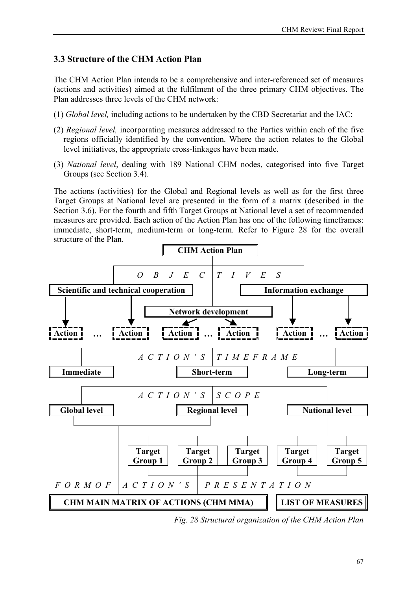## **3.3 Structure of the CHM Action Plan**

The CHM Action Plan intends to be a comprehensive and inter-referenced set of measures (actions and activities) aimed at the fulfilment of the three primary CHM objectives. The Plan addresses three levels of the CHM network:

- (1) *Global level,* including actions to be undertaken by the CBD Secretariat and the IAC;
- (2) *Regional level,* incorporating measures addressed to the Parties within each of the five regions officially identified by the convention. Where the action relates to the Global level initiatives, the appropriate cross-linkages have been made.
- (3) *National level*, dealing with 189 National CHM nodes, categorised into five Target Groups (see Section 3.4).

The actions (activities) for the Global and Regional levels as well as for the first three Target Groups at National level are presented in the form of a matrix (described in the Section 3.6). For the fourth and fifth Target Groups at National level a set of recommended measures are provided. Each action of the Action Plan has one of the following timeframes: immediate, short-term, medium-term or long-term. Refer to Figure 28 for the overall structure of the Plan.



*Fig. 28 Structural organization of the CHM Action Plan*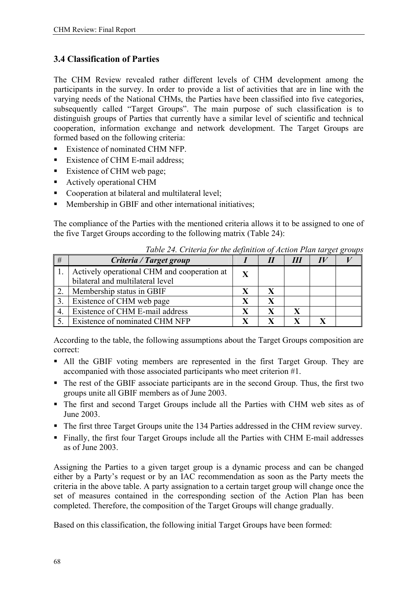## **3.4 Classification of Parties**

The CHM Review revealed rather different levels of CHM development among the participants in the survey. In order to provide a list of activities that are in line with the varying needs of the National CHMs, the Parties have been classified into five categories, subsequently called "Target Groups". The main purpose of such classification is to distinguish groups of Parties that currently have a similar level of scientific and technical cooperation, information exchange and network development. The Target Groups are formed based on the following criteria:

- Existence of nominated CHM NFP.
- Existence of CHM E-mail address:
- Existence of CHM web page;
- **Actively operational CHM**
- Cooperation at bilateral and multilateral level;
- **Membership in GBIF and other international initiatives;**

The compliance of the Parties with the mentioned criteria allows it to be assigned to one of the five Target Groups according to the following matrix (Table 24):

| #  | Criteria / Target group                                                         |   |  |  |
|----|---------------------------------------------------------------------------------|---|--|--|
|    | Actively operational CHM and cooperation at<br>bilateral and multilateral level | X |  |  |
|    | Membership status in GBIF                                                       |   |  |  |
|    | Existence of CHM web page                                                       |   |  |  |
| 4. | Existence of CHM E-mail address                                                 |   |  |  |
|    | Existence of nominated CHM NFP                                                  |   |  |  |

*Table 24. Criteria for the definition of Action Plan target groups*

According to the table, the following assumptions about the Target Groups composition are correct:

- All the GBIF voting members are represented in the first Target Group. They are accompanied with those associated participants who meet criterion #1.
- The rest of the GBIF associate participants are in the second Group. Thus, the first two groups unite all GBIF members as of June 2003.
- The first and second Target Groups include all the Parties with CHM web sites as of June 2003.
- The first three Target Groups unite the 134 Parties addressed in the CHM review survey.
- Finally, the first four Target Groups include all the Parties with CHM E-mail addresses as of June 2003.

Assigning the Parties to a given target group is a dynamic process and can be changed either by a Party's request or by an IAC recommendation as soon as the Party meets the criteria in the above table. A party assignation to a certain target group will change once the set of measures contained in the corresponding section of the Action Plan has been completed. Therefore, the composition of the Target Groups will change gradually.

Based on this classification, the following initial Target Groups have been formed: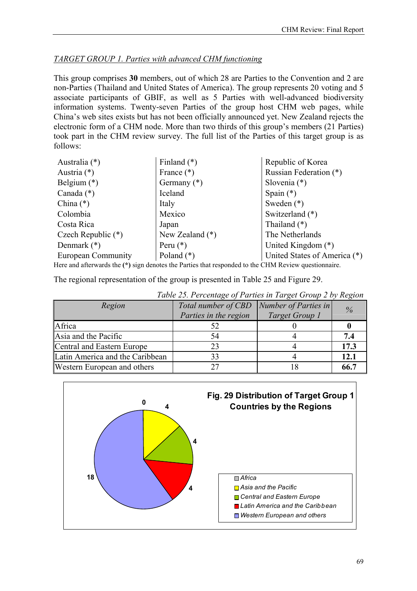#### *TARGET GROUP 1. Parties with advanced CHM functioning*

This group comprises **30** members, out of which 28 are Parties to the Convention and 2 are non-Parties (Thailand and United States of America). The group represents 20 voting and 5 associate participants of GBIF, as well as 5 Parties with well-advanced biodiversity information systems. Twenty-seven Parties of the group host CHM web pages, while China's web sites exists but has not been officially announced yet. New Zealand rejects the electronic form of a CHM node. More than two thirds of this group's members (21 Parties) took part in the CHM review survey. The full list of the Parties of this target group is as follows:

| United States of America (*) |
|------------------------------|
|                              |

Here and afterwards the **(\*)** sign denotes the Parties that responded to the CHM Review questionnaire.

The regional representation of the group is presented in Table 25 and Figure 29.

| Table 25. Percentage of Parties in Target Group 2 by Region |                       |                      |               |  |  |  |
|-------------------------------------------------------------|-----------------------|----------------------|---------------|--|--|--|
| Region                                                      | Total number of CBD   | Number of Parties in | $\frac{0}{0}$ |  |  |  |
|                                                             | Parties in the region | Target Group 1       |               |  |  |  |
| Africa                                                      | 52                    |                      |               |  |  |  |
| Asia and the Pacific                                        | 54                    |                      | 7.4           |  |  |  |
| Central and Eastern Europe                                  | 23                    |                      | 17.3          |  |  |  |
| Latin America and the Caribbean                             | 33                    |                      | 12.1          |  |  |  |
| Western European and others                                 |                       |                      | 66.7          |  |  |  |

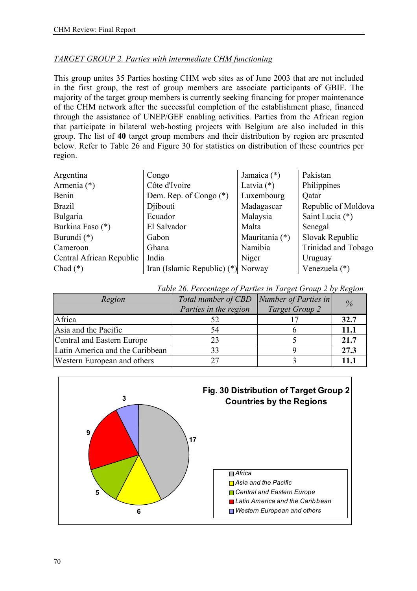#### *TARGET GROUP 2. Parties with intermediate CHM functioning*

This group unites 35 Parties hosting CHM web sites as of June 2003 that are not included in the first group, the rest of group members are associate participants of GBIF. The majority of the target group members is currently seeking financing for proper maintenance of the CHM network after the successful completion of the establishment phase, financed through the assistance of UNEP/GEF enabling activities. Parties from the African region that participate in bilateral web-hosting projects with Belgium are also included in this group. The list of **40** target group members and their distribution by region are presented below. Refer to Table 26 and Figure 30 for statistics on distribution of these countries per region.

| Argentina                | Congo                              | Jamaica (*)    | Pakistan            |
|--------------------------|------------------------------------|----------------|---------------------|
| Armenia (*)              | Côte d'Ivoire                      | Latvia $(*)$   | Philippines         |
| Benin                    | Dem. Rep. of Congo $(*)$           | Luxembourg     | Qatar               |
| <b>Brazil</b>            | Djibouti                           | Madagascar     | Republic of Moldova |
| Bulgaria                 | Ecuador                            | Malaysia       | Saint Lucia (*)     |
| Burkina Faso (*)         | El Salvador                        | Malta          | Senegal             |
| Burundi (*)              | Gabon                              | Mauritania (*) | Slovak Republic     |
| Cameroon                 | Ghana                              | Namibia        | Trinidad and Tobago |
| Central African Republic | India                              | Niger          | Uruguay             |
| Chad $(*)$               | Iran (Islamic Republic) (*) Norway |                | Venezuela $(*)$     |

| Table 26. Percentage of Parties in Target Group 2 by Region |  |  |
|-------------------------------------------------------------|--|--|
|                                                             |  |  |

| Region                          | Total number of CBD<br>Parties in the region | Number of Parties in<br>Target Group 2 | $\frac{0}{0}$ |
|---------------------------------|----------------------------------------------|----------------------------------------|---------------|
| Africa                          |                                              |                                        | 32.7          |
| Asia and the Pacific            | 54                                           |                                        | 11.1          |
| Central and Eastern Europe      | 23                                           |                                        | 21.7          |
| Latin America and the Caribbean | 33                                           |                                        | 27.3          |
| Western European and others     | フフ                                           |                                        |               |

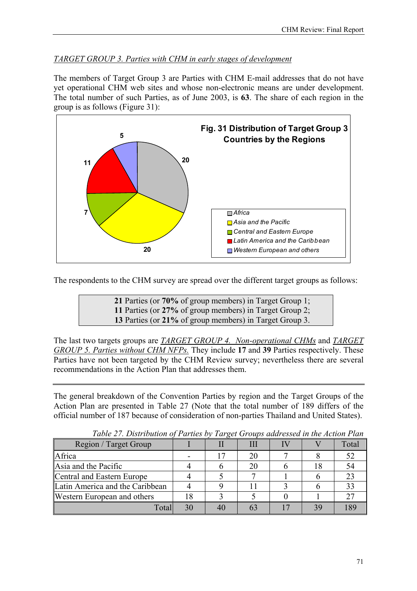#### *TARGET GROUP 3. Parties with CHM in early stages of development*

The members of Target Group 3 are Parties with CHM E-mail addresses that do not have yet operational CHM web sites and whose non-electronic means are under development. The total number of such Parties, as of June 2003, is **63**. The share of each region in the group is as follows (Figure 31):



The respondents to the CHM survey are spread over the different target groups as follows:

 **21** Parties (or **70%** of group members) in Target Group 1;  **11** Parties (or **27%** of group members) in Target Group 2;  **13** Parties (or **21%** of group members) in Target Group 3.

The last two targets groups are *TARGET GROUP 4. Non-operational CHMs* and *TARGET GROUP 5. Parties without CHM NFPs.* They include **17** and **39** Parties respectively. These Parties have not been targeted by the CHM Review survey; nevertheless there are several recommendations in the Action Plan that addresses them.

The general breakdown of the Convention Parties by region and the Target Groups of the Action Plan are presented in Table 27 (Note that the total number of 189 differs of the official number of 187 because of consideration of non-parties Thailand and United States).

|                                 | Tuble 27. Distribution of I artics by Turget Groups addressed in the Henon I tan |    |    |  |    |       |  |  |  |
|---------------------------------|----------------------------------------------------------------------------------|----|----|--|----|-------|--|--|--|
| Region / Target Group           |                                                                                  |    |    |  |    | Total |  |  |  |
| Africa                          |                                                                                  |    | 20 |  |    |       |  |  |  |
| Asia and the Pacific            |                                                                                  |    | 20 |  |    |       |  |  |  |
| Central and Eastern Europe      |                                                                                  |    |    |  |    |       |  |  |  |
| Latin America and the Caribbean |                                                                                  |    |    |  |    |       |  |  |  |
| Western European and others     |                                                                                  |    |    |  |    |       |  |  |  |
| Total                           | 30                                                                               | 40 |    |  | 39 |       |  |  |  |

*Table 27. Distribution of Parties by Target Groups addressed in the Action Plan*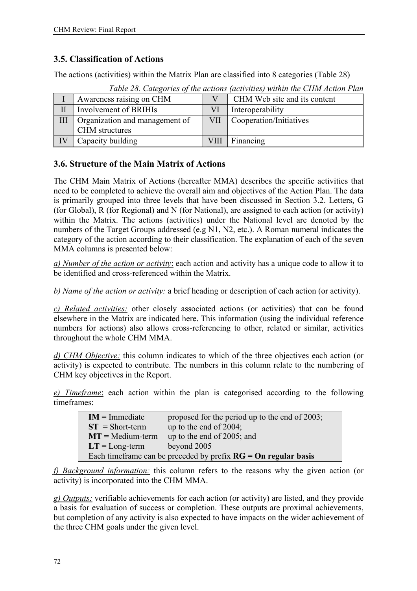## **3.5. Classification of Actions**

The actions (activities) within the Matrix Plan are classified into 8 categories (Table 28)

|                | Twee 20. Caregories of the actions (activities) muttin the CHIM Henon I tan |            |                                |  |  |  |
|----------------|-----------------------------------------------------------------------------|------------|--------------------------------|--|--|--|
|                | Awareness raising on CHM                                                    |            | CHM Web site and its content   |  |  |  |
|                | Involvement of BRIHIs                                                       |            | Interoperability               |  |  |  |
| $\mathbf{III}$ | Organization and management of<br><b>CHM</b> structures                     | <b>VII</b> | <b>Cooperation/Initiatives</b> |  |  |  |
|                | Capacity building                                                           | VIII       | Financing                      |  |  |  |

*Table 28. Categories of the actions (activities) within the CHM Action Plan* 

## **3.6. Structure of the Main Matrix of Actions**

The CHM Main Matrix of Actions (hereafter MMA) describes the specific activities that need to be completed to achieve the overall aim and objectives of the Action Plan. The data is primarily grouped into three levels that have been discussed in Section 3.2. Letters, G (for Global), R (for Regional) and N (for National), are assigned to each action (or activity) within the Matrix. The actions (activities) under the National level are denoted by the numbers of the Target Groups addressed (e.g N1, N2, etc.). A Roman numeral indicates the category of the action according to their classification. The explanation of each of the seven MMA columns is presented below:

*a) Number of the action or activity*: each action and activity has a unique code to allow it to be identified and cross-referenced within the Matrix.

*b) Name of the action or activity:* a brief heading or description of each action (or activity).

*c) Related activities:* other closely associated actions (or activities) that can be found elsewhere in the Matrix are indicated here. This information (using the individual reference numbers for actions) also allows cross-referencing to other, related or similar, activities throughout the whole CHM MMA.

*d) CHM Objective:* this column indicates to which of the three objectives each action (or activity) is expected to contribute. The numbers in this column relate to the numbering of CHM key objectives in the Report.

*e) Timeframe*: each action within the plan is categorised according to the following timeframes:

| $IM = Immediate$                                                  | proposed for the period up to the end of 2003; |  |  |  |  |
|-------------------------------------------------------------------|------------------------------------------------|--|--|--|--|
| $ST = Short-term$                                                 | up to the end of $2004$ ;                      |  |  |  |  |
| $MT = Medium-term$                                                | up to the end of 2005; and                     |  |  |  |  |
| $LT = Long-term$                                                  | beyond 2005                                    |  |  |  |  |
| Each time frame can be preceded by prefix $RG = On regular basis$ |                                                |  |  |  |  |

*f) Background information:* this column refers to the reasons why the given action (or activity) is incorporated into the CHM MMA.

*g) Outputs:* verifiable achievements for each action (or activity) are listed, and they provide a basis for evaluation of success or completion. These outputs are proximal achievements, but completion of any activity is also expected to have impacts on the wider achievement of the three CHM goals under the given level.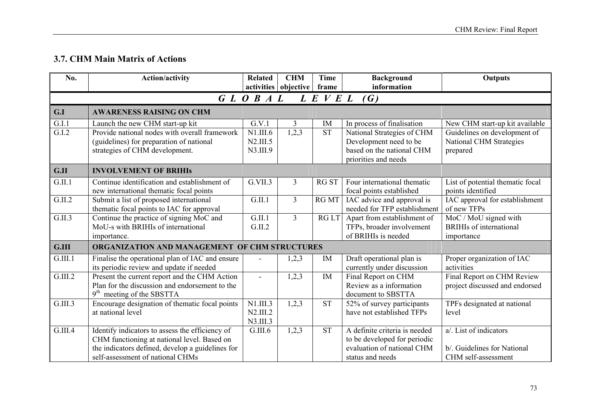#### **3.7. CHM Main Matrix of Actions**

| No.                  | <b>Action/activity</b>                                                               | <b>Related</b> | <b>CHM</b><br>activities objective | Time<br>frame | <b>Background</b><br>information                           | <b>Outputs</b>                   |
|----------------------|--------------------------------------------------------------------------------------|----------------|------------------------------------|---------------|------------------------------------------------------------|----------------------------------|
|                      |                                                                                      | G L O B A L    |                                    | L E V E L     | (G)                                                        |                                  |
| G.I                  | <b>AWARENESS RAISING ON CHM</b>                                                      |                |                                    |               |                                                            |                                  |
| G.I.1                | Launch the new CHM start-up kit                                                      | G.V.1          | 3                                  | IM            | In process of finalisation                                 | New CHM start-up kit available   |
| $\overline{G.I.2}$   | Provide national nodes with overall framework                                        | N1.III.6       | 1,2,3                              | <b>ST</b>     | National Strategies of CHM                                 | Guidelines on development of     |
|                      | (guidelines) for preparation of national                                             | N2.III.5       |                                    |               | Development need to be                                     | National CHM Strategies          |
|                      | strategies of CHM development.                                                       | N3.III.9       |                                    |               | based on the national CHM                                  | prepared                         |
|                      |                                                                                      |                |                                    |               | priorities and needs                                       |                                  |
| G.II                 | <b>INVOLVEMENT OF BRIHIS</b>                                                         |                |                                    |               |                                                            |                                  |
| $\overline{G.H.1}$   | Continue identification and establishment of                                         | G.VII.3        | $\overline{3}$                     | <b>RG ST</b>  | Four international thematic                                | List of potential thematic focal |
|                      | new international thematic focal points                                              |                |                                    |               | focal points established                                   | points identified                |
| G.II.2               | Submit a list of proposed international                                              | G.II.1         | $\overline{3}$                     | <b>RG MT</b>  | IAC advice and approval is                                 | IAC approval for establishment   |
|                      | thematic focal points to IAC for approval                                            |                |                                    |               | needed for TFP establishment                               | of new TFPs                      |
| G.II.3               | Continue the practice of signing MoC and                                             | G.II.1         | $\overline{3}$                     | <b>RGLT</b>   | Apart from establishment of                                | MoC / MoU signed with            |
|                      | MoU-s with BRIHIs of international                                                   | G.II.2         |                                    |               | TFPs, broader involvement                                  | <b>BRIHIs of international</b>   |
|                      | importance.                                                                          |                |                                    |               | of BRIHIs is needed                                        | importance                       |
| G.III                | ORGANIZATION AND MANAGEMENT OF CHM STRUCTURES                                        |                |                                    |               |                                                            |                                  |
| $\overline{G.III.1}$ | Finalise the operational plan of IAC and ensure                                      |                | 1,2,3                              | IM            | Draft operational plan is                                  | Proper organization of IAC       |
|                      | its periodic review and update if needed                                             |                |                                    |               | currently under discussion                                 | activities                       |
| $\overline{G.III.2}$ | Present the current report and the CHM Action                                        | $\overline{a}$ | 1,2,3                              | IM            | Final Report on CHM                                        | Final Report on CHM Review       |
|                      | Plan for the discussion and endorsement to the                                       |                |                                    |               | Review as a information                                    | project discussed and endorsed   |
|                      | $9th$ meeting of the SBSTTA                                                          |                |                                    |               | document to SBSTTA                                         |                                  |
| G.III.3              | Encourage designation of thematic focal points                                       | N1.III.3       | 1,2,3                              | <b>ST</b>     | 52% of survey participants                                 | TPFs designated at national      |
|                      | at national level                                                                    | N2.III.2       |                                    |               | have not established TFPs                                  | level                            |
|                      |                                                                                      | N3.III.3       |                                    |               |                                                            |                                  |
| $\overline{G.III.4}$ | Identify indicators to assess the efficiency of                                      | G.III.6        | 1,2,3                              | <b>ST</b>     | A definite criteria is needed                              | a/. List of indicators           |
|                      | CHM functioning at national level. Based on                                          |                |                                    |               | to be developed for periodic<br>evaluation of national CHM | b/. Guidelines for National      |
|                      | the indicators defined, develop a guidelines for<br>self-assessment of national CHMs |                |                                    |               | status and needs                                           | CHM self-assessment              |
|                      |                                                                                      |                |                                    |               |                                                            |                                  |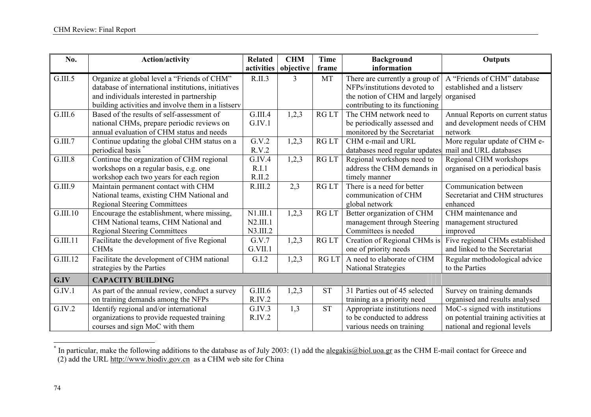| No.                  | <b>Action/activity</b>                              | <b>Related</b> | <b>CHM</b> | <b>Time</b> | <b>Background</b>               | <b>Outputs</b>                      |
|----------------------|-----------------------------------------------------|----------------|------------|-------------|---------------------------------|-------------------------------------|
|                      |                                                     | activities     | objective  | frame       | information                     |                                     |
| G.III.5              | Organize at global level a "Friends of CHM"         | R.II.3         | 3          | <b>MT</b>   | There are currently a group of  | A "Friends of CHM" database         |
|                      | database of international institutions, initiatives |                |            |             | NFPs/institutions devoted to    | established and a listserv          |
|                      | and individuals interested in partnership           |                |            |             | the notion of CHM and largely   | organised                           |
|                      | building activities and involve them in a listserv  |                |            |             | contributing to its functioning |                                     |
| G.III.6              | Based of the results of self-assessment of          | G.III.4        | 1,2,3      | <b>RGLT</b> | The CHM network need to         | Annual Reports on current status    |
|                      | national CHMs, prepare periodic reviews on          | G.IV.1         |            |             | be periodically assessed and    | and development needs of CHM        |
|                      | annual evaluation of CHM status and needs           |                |            |             | monitored by the Secretariat    | network                             |
| $\overline{G.III.7}$ | Continue updating the global CHM status on a        | G.V.2          | 1,2,3      | <b>RGLT</b> | CHM e-mail and URL              | More regular update of CHM e-       |
|                      | periodical basis                                    | R.V.2          |            |             | databases need regular updates  | mail and URL databases              |
| $\overline{G.III.8}$ | Continue the organization of CHM regional           | G.IV.4         | 1,2,3      | <b>RGLT</b> | Regional workshops need to      | Regional CHM workshops              |
|                      | workshops on a regular basis, e.g. one              | R.I.1          |            |             | address the CHM demands in      | organised on a periodical basis     |
|                      | workshop each two years for each region             | R.II.2         |            |             | timely manner                   |                                     |
| G.III.9              | Maintain permanent contact with CHM                 | R.III.2        | 2,3        | <b>RGLT</b> | There is a need for better      | Communication between               |
|                      | National teams, existing CHM National and           |                |            |             | communication of CHM            | Secretariat and CHM structures      |
|                      | <b>Regional Steering Committees</b>                 |                |            |             | global network                  | enhanced                            |
| G.III.10             | Encourage the establishment, where missing,         | N1.III.1       | 1,2,3      | RG LT       | Better organization of CHM      | CHM maintenance and                 |
|                      | CHM National teams, CHM National and                | N2.III.1       |            |             | management through Steering     | management structured               |
|                      | <b>Regional Steering Committees</b>                 | N3.III.2       |            |             | Committees is needed            | improved                            |
| G.III.11             | Facilitate the development of five Regional         | G.V.7          | 1,2,3      | <b>RGLT</b> | Creation of Regional CHMs is    | Five regional CHMs established      |
|                      | <b>CHMs</b>                                         | G.VII.1        |            |             | one of priority needs           | and linked to the Secretariat       |
| G.III.12             | Facilitate the development of CHM national          | G.I.2          | 1,2,3      | <b>RGLT</b> | A need to elaborate of CHM      | Regular methodological advice       |
|                      | strategies by the Parties                           |                |            |             | <b>National Strategies</b>      | to the Parties                      |
| G.IV                 | <b>CAPACITY BUILDING</b>                            |                |            |             |                                 |                                     |
| G.IV.1               | As part of the annual review, conduct a survey      | G.III.6        | 1,2,3      | <b>ST</b>   | 31 Parties out of 45 selected   | Survey on training demands          |
|                      | on training demands among the NFPs                  | R.IV.2         |            |             | training as a priority need     | organised and results analysed      |
| G.IV.2               | Identify regional and/or international              | G.IV.3         | 1,3        | <b>ST</b>   | Appropriate institutions need   | MoC-s signed with institutions      |
|                      | organizations to provide requested training         | R.IV.2         |            |             | to be conducted to address      | on potential training activities at |
|                      | courses and sign MoC with them                      |                |            |             | various needs on training       | national and regional levels        |

<sup>&</sup>lt;sup>\*</sup> In particular, make the following additions to the database as of July 2003: (1) add the **alegakis@biol.uoa.gr** as the CHM E-mail contact for Greece and (2) add the URL http://www.biodiv.gov.cn as a CHM web site for China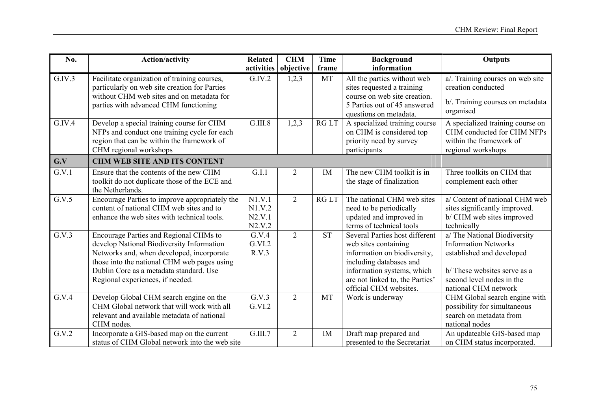| No.    | <b>Action/activity</b>                                                                                                                                                                                                                                         | <b>Related</b>                       | <b>CHM</b>     | <b>Time</b> | <b>Background</b>                                                                                                                                                                                            | <b>Outputs</b>                                                                                                                                                                |
|--------|----------------------------------------------------------------------------------------------------------------------------------------------------------------------------------------------------------------------------------------------------------------|--------------------------------------|----------------|-------------|--------------------------------------------------------------------------------------------------------------------------------------------------------------------------------------------------------------|-------------------------------------------------------------------------------------------------------------------------------------------------------------------------------|
|        |                                                                                                                                                                                                                                                                | activities                           | objective      | frame       | information                                                                                                                                                                                                  |                                                                                                                                                                               |
| G.IV.3 | Facilitate organization of training courses,<br>particularly on web site creation for Parties<br>without CHM web sites and on metadata for                                                                                                                     | G.IV.2                               | 1,2,3          | <b>MT</b>   | All the parties without web<br>sites requested a training<br>course on web site creation.                                                                                                                    | a/. Training courses on web site<br>creation conducted                                                                                                                        |
|        | parties with advanced CHM functioning                                                                                                                                                                                                                          |                                      |                |             | 5 Parties out of 45 answered<br>questions on metadata.                                                                                                                                                       | b/. Training courses on metadata<br>organised                                                                                                                                 |
| G.IV.4 | Develop a special training course for CHM<br>NFPs and conduct one training cycle for each<br>region that can be within the framework of<br>CHM regional workshops                                                                                              | G.III.8                              | 1,2,3          | <b>RGLT</b> | A specialized training course<br>on CHM is considered top<br>priority need by survey<br>participants                                                                                                         | A specialized training course on<br>CHM conducted for CHM NFPs<br>within the framework of<br>regional workshops                                                               |
| G.V    | <b>CHM WEB SITE AND ITS CONTENT</b>                                                                                                                                                                                                                            |                                      |                |             |                                                                                                                                                                                                              |                                                                                                                                                                               |
| G.V.1  | Ensure that the contents of the new CHM<br>toolkit do not duplicate those of the ECE and<br>the Netherlands.                                                                                                                                                   | G.I.1                                | $\overline{2}$ | IM          | The new CHM toolkit is in<br>the stage of finalization                                                                                                                                                       | Three toolkits on CHM that<br>complement each other                                                                                                                           |
| G.V.5  | Encourage Parties to improve appropriately the<br>content of national CHM web sites and to<br>enhance the web sites with technical tools.                                                                                                                      | N1.V.1<br>N1.V.2<br>N2.V.1<br>N2.V.2 | 2              | <b>RGLT</b> | The national CHM web sites<br>need to be periodically<br>updated and improved in<br>terms of technical tools                                                                                                 | a/ Content of national CHM web<br>sites significantly improved.<br>b/ CHM web sites improved<br>technically                                                                   |
| G.V.3  | Encourage Parties and Regional CHMs to<br>develop National Biodiversity Information<br>Networks and, when developed, incorporate<br>those into the national CHM web pages using<br>Dublin Core as a metadata standard. Use<br>Regional experiences, if needed. | G.V.4<br>G.VI.2<br>R.V.3             | $\overline{2}$ | <b>ST</b>   | Several Parties host different<br>web sites containing<br>information on biodiversity,<br>including databases and<br>information systems, which<br>are not linked to, the Parties'<br>official CHM websites. | a/ The National Biodiversity<br><b>Information Networks</b><br>established and developed<br>b/ These websites serve as a<br>second level nodes in the<br>national CHM network |
| G.V.4  | Develop Global CHM search engine on the<br>CHM Global network that will work with all<br>relevant and available metadata of national<br>CHM nodes.                                                                                                             | G.V.3<br>G.VI.2                      | $\overline{2}$ | MT          | Work is underway                                                                                                                                                                                             | CHM Global search engine with<br>possibility for simultaneous<br>search on metadata from<br>national nodes                                                                    |
| G.V.2  | Incorporate a GIS-based map on the current<br>status of CHM Global network into the web site                                                                                                                                                                   | G.III.7                              | $\overline{2}$ | IM          | Draft map prepared and<br>presented to the Secretariat                                                                                                                                                       | An updateable GIS-based map<br>on CHM status incorporated.                                                                                                                    |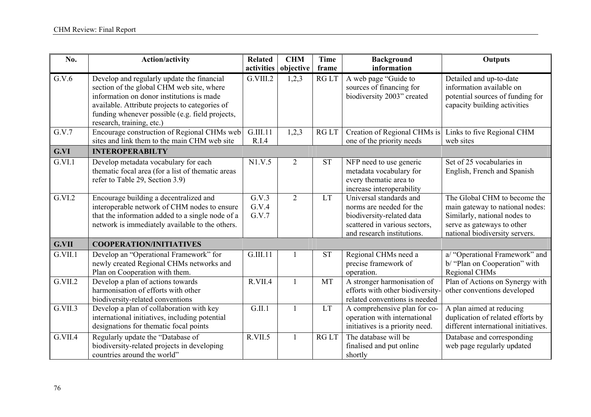| No.                  | <b>Action/activity</b>                                                                                                                                                                                                                    | <b>Related</b>                       | <b>CHM</b>           | <b>Time</b> | <b>Background</b>                                                                                                                               | <b>Outputs</b>                                                                                                                                                  |
|----------------------|-------------------------------------------------------------------------------------------------------------------------------------------------------------------------------------------------------------------------------------------|--------------------------------------|----------------------|-------------|-------------------------------------------------------------------------------------------------------------------------------------------------|-----------------------------------------------------------------------------------------------------------------------------------------------------------------|
|                      |                                                                                                                                                                                                                                           |                                      | activities objective | frame       | information                                                                                                                                     |                                                                                                                                                                 |
| G.V.6                | Develop and regularly update the financial<br>section of the global CHM web site, where<br>information on donor institutions is made<br>available. Attribute projects to categories of<br>funding whenever possible (e.g. field projects, | G.VIII.2                             | 1,2,3                | <b>RGLT</b> | A web page "Guide to<br>sources of financing for<br>biodiversity 2003" created                                                                  | Detailed and up-to-date<br>information available on<br>potential sources of funding for<br>capacity building activities                                         |
|                      | research, training, etc.)                                                                                                                                                                                                                 |                                      |                      |             |                                                                                                                                                 |                                                                                                                                                                 |
| G.V.7                | Encourage construction of Regional CHMs web<br>sites and link them to the main CHM web site                                                                                                                                               | G.III.11<br>R.I.4                    | 1,2,3                | <b>RGLT</b> | Creation of Regional CHMs is<br>one of the priority needs                                                                                       | Links to five Regional CHM<br>web sites                                                                                                                         |
| G.VI                 | <b>INTEROPERABILTY</b>                                                                                                                                                                                                                    |                                      |                      |             |                                                                                                                                                 |                                                                                                                                                                 |
| G.VI.1               | Develop metadata vocabulary for each<br>thematic focal area (for a list of thematic areas<br>refer to Table 29, Section 3.9)                                                                                                              | N1.V.5                               | $\overline{2}$       | <b>ST</b>   | NFP need to use generic<br>metadata vocabulary for<br>every thematic area to<br>increase interoperability                                       | Set of 25 vocabularies in<br>English, French and Spanish                                                                                                        |
| $\overline{G.VI.2}$  | Encourage building a decentralized and<br>interoperable network of CHM nodes to ensure<br>that the information added to a single node of a<br>network is immediately available to the others.                                             | $\overline{G.V.3}$<br>G.V.4<br>G.V.7 | $\overline{2}$       | <b>LT</b>   | Universal standards and<br>norms are needed for the<br>biodiversity-related data<br>scattered in various sectors,<br>and research institutions. | The Global CHM to become the<br>main gateway to national nodes:<br>Similarly, national nodes to<br>serve as gateways to other<br>national biodiversity servers. |
| <b>G.VII</b>         | <b>COOPERATION/INITIATIVES</b>                                                                                                                                                                                                            |                                      |                      |             |                                                                                                                                                 |                                                                                                                                                                 |
| G.VII.1              | Develop an "Operational Framework" for<br>newly created Regional CHMs networks and<br>Plan on Cooperation with them.                                                                                                                      | G.III.11                             |                      | <b>ST</b>   | Regional CHMs need a<br>precise framework of<br>operation.                                                                                      | a/ "Operational Framework" and<br>b/ "Plan on Cooperation" with<br>Regional CHMs                                                                                |
| $\overline{G.VII.2}$ | Develop a plan of actions towards<br>harmonisation of efforts with other<br>biodiversity-related conventions                                                                                                                              | R.VII.4                              | $\mathbf{1}$         | <b>MT</b>   | A stronger harmonisation of<br>efforts with other biodiversity<br>related conventions is needed                                                 | Plan of Actions on Synergy with<br>other conventions developed                                                                                                  |
| G.VII.3              | Develop a plan of collaboration with key<br>international initiatives, including potential<br>designations for thematic focal points                                                                                                      | G.II.1                               |                      | <b>LT</b>   | A comprehensive plan for co-<br>operation with international<br>initiatives is a priority need.                                                 | A plan aimed at reducing<br>duplication of related efforts by<br>different international initiatives.                                                           |
| G.VII.4              | Regularly update the "Database of<br>biodiversity-related projects in developing<br>countries around the world"                                                                                                                           | R.VII.5                              | $\mathbf{1}$         | <b>RGLT</b> | The database will be<br>finalised and put online<br>shortly                                                                                     | Database and corresponding<br>web page regularly updated                                                                                                        |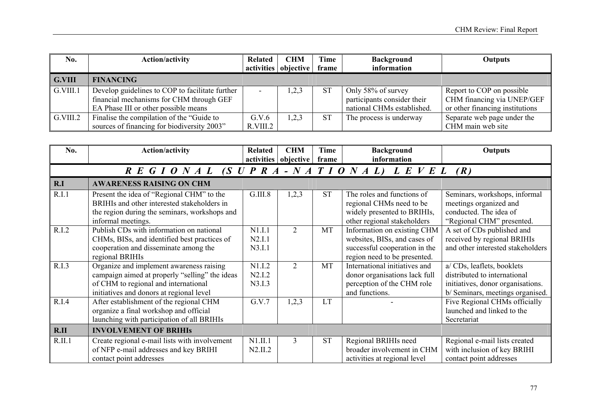| No.           | <b>Action/activity</b>                          | Related  | <b>CHM</b><br>activities   objective | <b>Time</b><br>frame | <b>Background</b><br>information | <b>Outputs</b>                  |
|---------------|-------------------------------------------------|----------|--------------------------------------|----------------------|----------------------------------|---------------------------------|
| <b>G.VIII</b> | <b>FINANCING</b>                                |          |                                      |                      |                                  |                                 |
|               |                                                 |          |                                      |                      |                                  |                                 |
| G.VIII.1      | Develop guidelines to COP to facilitate further |          | 1,2,3                                | <b>ST</b>            | Only 58% of survey               | Report to COP on possible       |
|               | financial mechanisms for CHM through GEF        |          |                                      |                      | participants consider their      | CHM financing via UNEP/GEF      |
|               | EA Phase III or other possible means            |          |                                      |                      | national CHMs established.       | or other financing institutions |
| G.VIII.2      | Finalise the compilation of the "Guide to"      | G.V.6    | 1,2,3                                | <b>ST</b>            | The process is underway          | Separate web page under the     |
|               | sources of financing for biodiversity 2003"     | R.VIII.2 |                                      |                      |                                  | CHM main web site               |

| No.     | <b>Action/activity</b>                                                                                                                                                         | <b>Related</b>             | <b>CHM</b><br>activities   objective | Time<br>frame | <b>Background</b><br>information                                                                                             | <b>Outputs</b>                                                                                                                      |
|---------|--------------------------------------------------------------------------------------------------------------------------------------------------------------------------------|----------------------------|--------------------------------------|---------------|------------------------------------------------------------------------------------------------------------------------------|-------------------------------------------------------------------------------------------------------------------------------------|
|         | REGIONAL (SUPRA-NATIONAL) LEVEL (R)                                                                                                                                            |                            |                                      |               |                                                                                                                              |                                                                                                                                     |
| R.I     | <b>AWARENESS RAISING ON CHM</b>                                                                                                                                                |                            |                                      |               |                                                                                                                              |                                                                                                                                     |
| R.I.1   | Present the idea of "Regional CHM" to the<br>BRIHIs and other interested stakeholders in<br>the region during the seminars, workshops and<br>informal meetings.                | G.III.8                    | 1,2,3                                | <b>ST</b>     | The roles and functions of<br>regional CHMs need to be<br>widely presented to BRIHIs,<br>other regional stakeholders         | Seminars, workshops, informal<br>meetings organized and<br>conducted. The idea of<br>"Regional CHM" presented.                      |
| R.I.2   | Publish CDs with information on national<br>CHMs, BISs, and identified best practices of<br>cooperation and disseminate among the<br>regional BRIHIs                           | N1.I.1<br>N2.I.1<br>N3.I.1 | 2                                    | MT            | Information on existing CHM<br>websites, BISs, and cases of<br>successful cooperation in the<br>region need to be presented. | A set of CDs published and<br>received by regional BRIHIs<br>and other interested stakeholders                                      |
| R.I.3   | Organize and implement awareness raising<br>campaign aimed at properly "selling" the ideas<br>of CHM to regional and international<br>initiatives and donors at regional level | N1.I.2<br>N2.I.2<br>N3.I.3 | $\overline{2}$                       | <b>MT</b>     | International initiatives and<br>donor organisations lack full<br>perception of the CHM role<br>and functions.               | a/ CDs, leaflets, booklets<br>distributed to international<br>initiatives, donor organisations.<br>b/ Seminars, meetings organised. |
| R.I.4   | After establishment of the regional CHM<br>organize a final workshop and official<br>launching with participation of all BRIHIs                                                | G.V.7                      | 1,2,3                                | <b>LT</b>     |                                                                                                                              | Five Regional CHMs officially<br>launched and linked to the<br>Secretariat                                                          |
| $R$ .II | <b>INVOLVEMENT OF BRIHIS</b>                                                                                                                                                   |                            |                                      |               |                                                                                                                              |                                                                                                                                     |
| R.II.1  | Create regional e-mail lists with involvement<br>of NFP e-mail addresses and key BRIHI<br>contact point addresses                                                              | N1.II.1<br>N2.II.2         | $\overline{3}$                       | <b>ST</b>     | Regional BRIHIs need<br>broader involvement in CHM<br>activities at regional level                                           | Regional e-mail lists created<br>with inclusion of key BRIHI<br>contact point addresses                                             |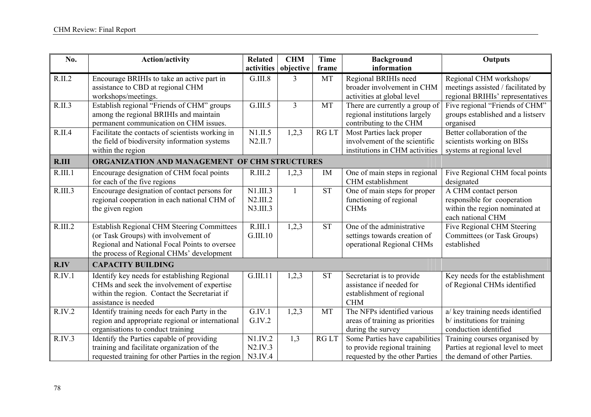| No.     | <b>Action/activity</b>                                                                                                                                                                  | <b>Related</b>                   | <b>CHM</b>     | <b>Time</b> | <b>Background</b>                                                                                | <b>Outputs</b>                                                                                             |
|---------|-----------------------------------------------------------------------------------------------------------------------------------------------------------------------------------------|----------------------------------|----------------|-------------|--------------------------------------------------------------------------------------------------|------------------------------------------------------------------------------------------------------------|
|         |                                                                                                                                                                                         | activities                       | objective      | frame       | information                                                                                      |                                                                                                            |
| R.II.2  | Encourage BRIHIs to take an active part in<br>assistance to CBD at regional CHM<br>workshops/meetings.                                                                                  | G.III.8                          | 3              | MT          | Regional BRIHIs need<br>broader involvement in CHM<br>activities at global level                 | Regional CHM workshops/<br>meetings assisted / facilitated by<br>regional BRIHIs' representatives          |
| R.II.3  | Establish regional "Friends of CHM" groups<br>among the regional BRIHIs and maintain<br>permanent communication on CHM issues.                                                          | G.III.5                          | $\overline{3}$ | MT          | There are currently a group of<br>regional institutions largely<br>contributing to the CHM       | Five regional "Friends of CHM"<br>groups established and a listserv<br>organised                           |
| R.II.4  | Facilitate the contacts of scientists working in<br>the field of biodiversity information systems<br>within the region                                                                  | N1.II.5<br>N2.II.7               | 1,2,3          | <b>RGLT</b> | Most Parties lack proper<br>involvement of the scientific<br>institutions in CHM activities      | Better collaboration of the<br>scientists working on BISs<br>systems at regional level                     |
| R.III   | ORGANIZATION AND MANAGEMENT OF CHM STRUCTURES                                                                                                                                           |                                  |                |             |                                                                                                  |                                                                                                            |
| R.III.1 | Encourage designation of CHM focal points<br>for each of the five regions                                                                                                               | R.III.2                          | 1,2,3          | IM          | One of main steps in regional<br>CHM establishment                                               | Five Regional CHM focal points<br>designated                                                               |
| R.III.3 | Encourage designation of contact persons for<br>regional cooperation in each national CHM of<br>the given region                                                                        | N1.III.3<br>N2.III.2<br>N3.III.3 | $\mathbf{1}$   | <b>ST</b>   | One of main steps for proper<br>functioning of regional<br><b>CHMs</b>                           | A CHM contact person<br>responsible for cooperation<br>within the region nominated at<br>each national CHM |
| R.III.2 | <b>Establish Regional CHM Steering Committees</b><br>(or Task Groups) with involvement of<br>Regional and National Focal Points to oversee<br>the process of Regional CHMs' development | R.III.1<br>G.III.10              | 1,2,3          | <b>ST</b>   | One of the administrative<br>settings towards creation of<br>operational Regional CHMs           | Five Regional CHM Steering<br>Committees (or Task Groups)<br>established                                   |
| R.IV    | <b>CAPACITY BUILDING</b>                                                                                                                                                                |                                  |                |             |                                                                                                  |                                                                                                            |
| R.IV.1  | Identify key needs for establishing Regional<br>CHMs and seek the involvement of expertise<br>within the region. Contact the Secretariat if<br>assistance is needed                     | G.III.11                         | 1,2,3          | <b>ST</b>   | Secretariat is to provide<br>assistance if needed for<br>establishment of regional<br><b>CHM</b> | Key needs for the establishment<br>of Regional CHMs identified                                             |
| R.IV.2  | Identify training needs for each Party in the<br>region and appropriate regional or international<br>organisations to conduct training                                                  | G.IV.1<br>G.IV.2                 | 1,2,3          | MT          | The NFPs identified various<br>areas of training as priorities<br>during the survey              | a/ key training needs identified<br>b/ institutions for training<br>conduction identified                  |
| R.IV.3  | Identify the Parties capable of providing<br>training and facilitate organization of the<br>requested training for other Parties in the region                                          | N1.IV.2<br>N2.IV.3<br>N3.IV.4    | 1,3            | <b>RGLT</b> | Some Parties have capabilities<br>to provide regional training<br>requested by the other Parties | Training courses organised by<br>Parties at regional level to meet<br>the demand of other Parties.         |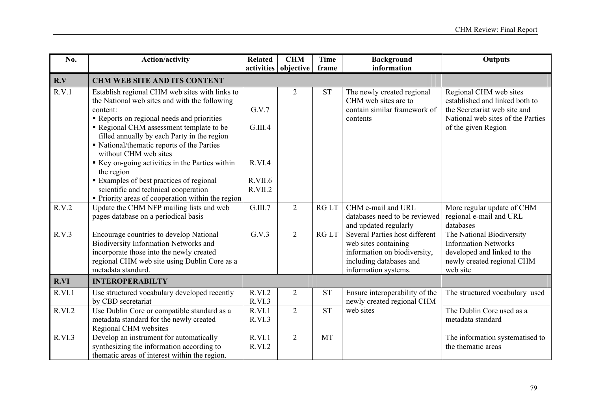| No.    | <b>Action/activity</b>                                                                                                                                                                                                                                                                                                                                                                                                                                                          | <b>Related</b>                                   | <b>CHM</b><br>activities objective | <b>Time</b><br>frame | <b>Background</b><br>information                                                                                                          | <b>Outputs</b>                                                                                                                                       |
|--------|---------------------------------------------------------------------------------------------------------------------------------------------------------------------------------------------------------------------------------------------------------------------------------------------------------------------------------------------------------------------------------------------------------------------------------------------------------------------------------|--------------------------------------------------|------------------------------------|----------------------|-------------------------------------------------------------------------------------------------------------------------------------------|------------------------------------------------------------------------------------------------------------------------------------------------------|
| R.V    | <b>CHM WEB SITE AND ITS CONTENT</b>                                                                                                                                                                                                                                                                                                                                                                                                                                             |                                                  |                                    |                      |                                                                                                                                           |                                                                                                                                                      |
| R.V.1  | Establish regional CHM web sites with links to<br>the National web sites and with the following<br>content:<br>Reports on regional needs and priorities<br>Regional CHM assessment template to be<br>filled annually by each Party in the region<br>• National/thematic reports of the Parties<br>without CHM web sites<br>Key on-going activities in the Parties within<br>the region<br><b>Examples of best practices of regional</b><br>scientific and technical cooperation | G.V.7<br>G.III.4<br>R.VI.4<br>R.VII.6<br>R.VII.2 | $\overline{2}$                     | <b>ST</b>            | The newly created regional<br>CHM web sites are to<br>contain similar framework of<br>contents                                            | Regional CHM web sites<br>established and linked both to<br>the Secretariat web site and<br>National web sites of the Parties<br>of the given Region |
| R.V.2  | • Priority areas of cooperation within the region<br>Update the CHM NFP mailing lists and web<br>pages database on a periodical basis                                                                                                                                                                                                                                                                                                                                           | G.III.7                                          | $\overline{2}$                     | <b>RGLT</b>          | CHM e-mail and URL<br>databases need to be reviewed<br>and updated regularly                                                              | More regular update of CHM<br>regional e-mail and URL<br>databases                                                                                   |
| R.V.3  | Encourage countries to develop National<br>Biodiversity Information Networks and<br>incorporate those into the newly created<br>regional CHM web site using Dublin Core as a<br>metadata standard.                                                                                                                                                                                                                                                                              | G.V.3                                            | $\overline{2}$                     | <b>RGLT</b>          | Several Parties host different<br>web sites containing<br>information on biodiversity,<br>including databases and<br>information systems. | The National Biodiversity<br><b>Information Networks</b><br>developed and linked to the<br>newly created regional CHM<br>web site                    |
| R.VI   | <b>INTEROPERABILTY</b>                                                                                                                                                                                                                                                                                                                                                                                                                                                          |                                                  |                                    |                      |                                                                                                                                           |                                                                                                                                                      |
| R.VI.1 | Use structured vocabulary developed recently<br>by CBD secretariat                                                                                                                                                                                                                                                                                                                                                                                                              | R.VI.2<br>R.VI.3                                 | 2                                  | <b>ST</b>            | Ensure interoperability of the<br>newly created regional CHM                                                                              | The structured vocabulary used                                                                                                                       |
| R.VI.2 | Use Dublin Core or compatible standard as a<br>metadata standard for the newly created<br>Regional CHM websites                                                                                                                                                                                                                                                                                                                                                                 | R.VI.1<br>R.VI.3                                 | $\overline{2}$                     | <b>ST</b>            | web sites                                                                                                                                 | The Dublin Core used as a<br>metadata standard                                                                                                       |
| R.VI.3 | Develop an instrument for automatically<br>synthesizing the information according to<br>thematic areas of interest within the region.                                                                                                                                                                                                                                                                                                                                           | R.VI.1<br>R.VI.2                                 | 2                                  | MT                   |                                                                                                                                           | The information systematised to<br>the thematic areas                                                                                                |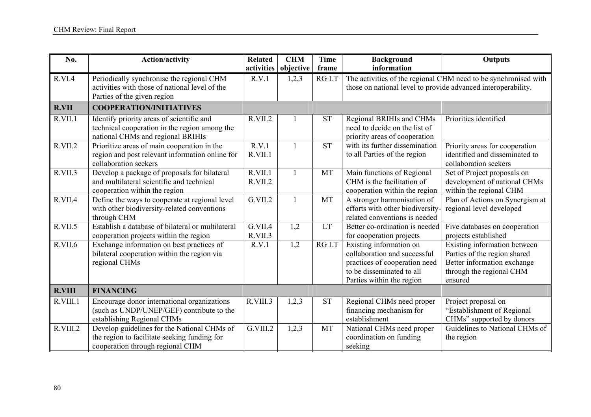| No.           | <b>Action/activity</b>                                                                                                          | <b>Related</b>     | <b>CHM</b><br>activities objective | <b>Time</b><br>frame | <b>Background</b><br>information                                                                                                                   | <b>Outputs</b>                                                                                                                     |
|---------------|---------------------------------------------------------------------------------------------------------------------------------|--------------------|------------------------------------|----------------------|----------------------------------------------------------------------------------------------------------------------------------------------------|------------------------------------------------------------------------------------------------------------------------------------|
| R.VI.4        | Periodically synchronise the regional CHM<br>activities with those of national level of the<br>Parties of the given region      | R.V.1              | 1,2,3                              | <b>RGLT</b>          | those on national level to provide advanced interoperability.                                                                                      | The activities of the regional CHM need to be synchronised with                                                                    |
| <b>R.VII</b>  | <b>COOPERATION/INITIATIVES</b>                                                                                                  |                    |                                    |                      |                                                                                                                                                    |                                                                                                                                    |
| R.VII.1       | Identify priority areas of scientific and<br>technical cooperation in the region among the<br>national CHMs and regional BRIHIs | R.VII.2            | -1                                 | <b>ST</b>            | Regional BRIHIs and CHMs<br>need to decide on the list of<br>priority areas of cooperation                                                         | Priorities identified                                                                                                              |
| R.VII.2       | Prioritize areas of main cooperation in the<br>region and post relevant information online for<br>collaboration seekers         | R.V.1<br>R.VII.1   | $\mathbf{1}$                       | <b>ST</b>            | with its further dissemination<br>to all Parties of the region                                                                                     | Priority areas for cooperation<br>identified and disseminated to<br>collaboration seekers                                          |
| R.VII.3       | Develop a package of proposals for bilateral<br>and multilateral scientific and technical<br>cooperation within the region      | R.VII.1<br>R.VII.2 | $\mathbf{1}$                       | MT                   | Main functions of Regional<br>CHM is the facilitation of<br>cooperation within the region                                                          | Set of Project proposals on<br>development of national CHMs<br>within the regional CHM                                             |
| R.VII.4       | Define the ways to cooperate at regional level<br>with other biodiversity-related conventions<br>through CHM                    | G.VII.2            | $\mathbf{1}$                       | MT                   | A stronger harmonisation of<br>efforts with other biodiversity<br>related conventions is needed                                                    | Plan of Actions on Synergism at<br>regional level developed                                                                        |
| R.VII.5       | Establish a database of bilateral or multilateral<br>cooperation projects within the region                                     | G.VII.4<br>R.VII.3 | 1,2                                | <b>LT</b>            | Better co-ordination is needed<br>for cooperation projects                                                                                         | Five databases on cooperation<br>projects established                                                                              |
| R.VII.6       | Exchange information on best practices of<br>bilateral cooperation within the region via<br>regional CHMs                       | R.V.1              | 1,2                                | RGLT                 | Existing information on<br>collaboration and successful<br>practices of cooperation need<br>to be disseminated to all<br>Parties within the region | Existing information between<br>Parties of the region shared<br>Better information exchange<br>through the regional CHM<br>ensured |
| <b>R.VIII</b> | <b>FINANCING</b>                                                                                                                |                    |                                    |                      |                                                                                                                                                    |                                                                                                                                    |
| R.VIII.1      | Encourage donor international organizations<br>(such as UNDP/UNEP/GEF) contribute to the<br>establishing Regional CHMs          | R.VIII.3           | 1,2,3                              | <b>ST</b>            | Regional CHMs need proper<br>financing mechanism for<br>establishment                                                                              | Project proposal on<br>"Establishment of Regional<br>CHMs" supported by donors                                                     |
| R.VIII.2      | Develop guidelines for the National CHMs of<br>the region to facilitate seeking funding for<br>cooperation through regional CHM | G.VIII.2           | 1,2,3                              | MT                   | National CHMs need proper<br>coordination on funding<br>seeking                                                                                    | Guidelines to National CHMs of<br>the region                                                                                       |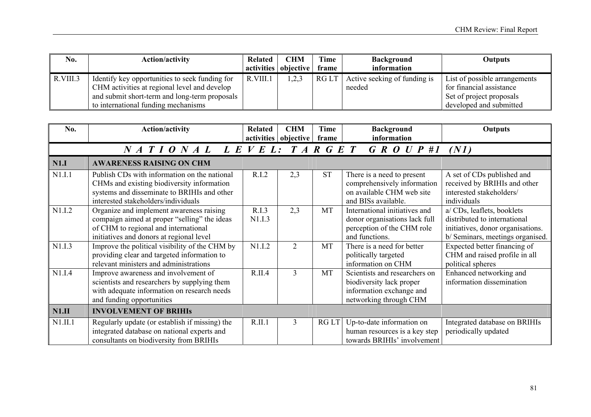| No.      | <b>Action/activity</b>                         | Related  | <b>CHM</b>           | Time  | <b>Background</b>            | <b>Outputs</b>                |
|----------|------------------------------------------------|----------|----------------------|-------|------------------------------|-------------------------------|
|          |                                                |          | activities objective | frame | information                  |                               |
| R.VIII.3 | Identify key opportunities to seek funding for | R.VIII.1 | 1,2,3                | RGLT  | Active seeking of funding is | List of possible arrangements |
|          | CHM activities at regional level and develop   |          |                      |       | needed                       | for financial assistance      |
|          | and submit short-term and long-term proposals  |          |                      |       |                              | Set of project proposals      |
|          | to international funding mechanisms            |          |                      |       |                              | developed and submitted       |

| No.     | <b>Action/activity</b>                                                                                                                                                           | Related         | <b>CHM</b><br>activities objective | Time<br>frame | <b>Background</b><br>information                                                                                | <b>Outputs</b>                                                                                                                      |
|---------|----------------------------------------------------------------------------------------------------------------------------------------------------------------------------------|-----------------|------------------------------------|---------------|-----------------------------------------------------------------------------------------------------------------|-------------------------------------------------------------------------------------------------------------------------------------|
|         | NATIONAL LEVEL: TARGET                                                                                                                                                           |                 |                                    |               | $G \rvert R \rvert O \rvert U \rvert P \rvert \rvert P \rvert$                                                  | (N1)                                                                                                                                |
| N1.I    | <b>AWARENESS RAISING ON CHM</b>                                                                                                                                                  |                 |                                    |               |                                                                                                                 |                                                                                                                                     |
| N1.I.1  | Publish CDs with information on the national<br>CHMs and existing biodiversity information<br>systems and disseminate to BRIHIs and other<br>interested stakeholders/individuals | R.I.2           | 2,3                                | <b>ST</b>     | There is a need to present<br>comprehensively information<br>on available CHM web site<br>and BISs available.   | A set of CDs published and<br>received by BRIHIs and other<br>interested stakeholders/<br>individuals                               |
| N1.I.2  | Organize and implement awareness raising<br>compaign aimed at proper "selling" the ideas<br>of CHM to regional and international<br>initiatives and donors at regional level     | R.I.3<br>N1.I.3 | 2,3                                | MT            | International initiatives and<br>donor organisations lack full<br>perception of the CHM role<br>and functions.  | a/ CDs, leaflets, booklets<br>distributed to international<br>initiatives, donor organisations.<br>b/ Seminars, meetings organised. |
| N1.I.3  | Improve the political visibility of the CHM by<br>providing clear and targeted information to<br>relevant ministers and administrations                                          | N1.I.2          | $\overline{2}$                     | MT            | There is a need for better<br>politically targeted<br>information on CHM                                        | Expected better financing of<br>CHM and raised profile in all<br>political spheres                                                  |
| N1.I.4  | Improve awareness and involvement of<br>scientists and researchers by supplying them<br>with adequate information on research needs<br>and funding opportunities                 | R.II.4          | $\overline{3}$                     | MT            | Scientists and researchers on<br>biodiversity lack proper<br>information exchange and<br>networking through CHM | Enhanced networking and<br>information dissemination                                                                                |
| N1.II   | <b>INVOLVEMENT OF BRIHIS</b>                                                                                                                                                     |                 |                                    |               |                                                                                                                 |                                                                                                                                     |
| N1.II.1 | Regularly update (or establish if missing) the<br>integrated database on national experts and<br>consultants on biodiversity from BRIHIs                                         | R.II.1          | 3                                  | <b>RGLT</b>   | Up-to-date information on<br>human resources is a key step<br>towards BRIHIs' involvement                       | Integrated database on BRIHIs<br>periodically updated                                                                               |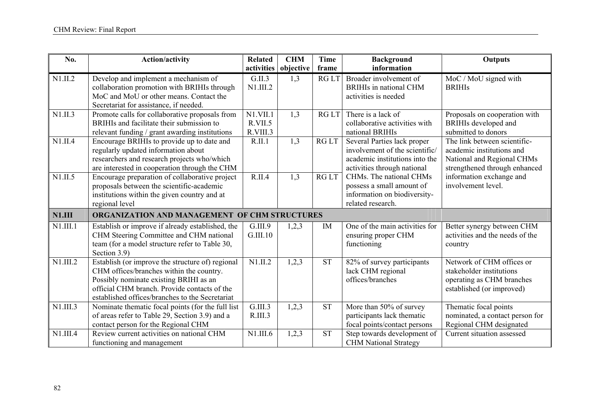| No.      | <b>Action/activity</b>                                                                                                                                                                                                                    | <b>Related</b>                  | <b>CHM</b><br>activities objective | <b>Time</b><br>frame | <b>Background</b><br>information                                                                                               | <b>Outputs</b>                                                                                                           |
|----------|-------------------------------------------------------------------------------------------------------------------------------------------------------------------------------------------------------------------------------------------|---------------------------------|------------------------------------|----------------------|--------------------------------------------------------------------------------------------------------------------------------|--------------------------------------------------------------------------------------------------------------------------|
| N1.II.2  | Develop and implement a mechanism of<br>collaboration promotion with BRIHIs through<br>MoC and MoU or other means. Contact the<br>Secretariat for assistance, if needed.                                                                  | G.II.3<br>N1.III.2              | 1,3                                | <b>RGLT</b>          | Broader involvement of<br><b>BRIHIs in national CHM</b><br>activities is needed                                                | MoC / MoU signed with<br><b>BRIHIS</b>                                                                                   |
| N1.II.3  | Promote calls for collaborative proposals from<br>BRIHIs and facilitate their submission to<br>relevant funding / grant awarding institutions                                                                                             | N1.VII.1<br>R.VII.5<br>R.VIII.3 | 1,3                                | <b>RGLT</b>          | There is a lack of<br>collaborative activities with<br>national BRIHIs                                                         | Proposals on cooperation with<br><b>BRIHIs developed and</b><br>submitted to donors                                      |
| N1.II.4  | Encourage BRIHIs to provide up to date and<br>regularly updated information about<br>researchers and research projects who/which<br>are interested in cooperation through the CHM                                                         | R.II.1                          | 1,3                                | <b>RGLT</b>          | Several Parties lack proper<br>involvement of the scientific/<br>academic institutions into the<br>activities through national | The link between scientific-<br>academic institutions and<br>National and Regional CHMs<br>strengthened through enhanced |
| N1.II.5  | Encourage preparation of collaborative project<br>proposals between the scientific-academic<br>institutions within the given country and at<br>regional level                                                                             | R.II.4                          | 1,3                                | <b>RGLT</b>          | CHMs. The national CHMs<br>possess a small amount of<br>information on biodiversity-<br>related research.                      | information exchange and<br>involvement level.                                                                           |
| N1.III   | ORGANIZATION AND MANAGEMENT OF CHM STRUCTURES                                                                                                                                                                                             |                                 |                                    |                      |                                                                                                                                |                                                                                                                          |
| N1.III.1 | Establish or improve if already established, the<br>CHM Steering Committee and CHM national<br>team (for a model structure refer to Table 30,<br>Section 3.9)                                                                             | G.III.9<br>G.III.10             | 1,2,3                              | <b>IM</b>            | One of the main activities for<br>ensuring proper CHM<br>functioning                                                           | Better synergy between CHM<br>activities and the needs of the<br>country                                                 |
| N1.III.2 | Establish (or improve the structure of) regional<br>CHM offices/branches within the country.<br>Possibly nominate existing BRIHI as an<br>official CHM branch. Provide contacts of the<br>established offices/branches to the Secretariat | N1.II.2                         | 1,2,3                              | <b>ST</b>            | 82% of survey participants<br>lack CHM regional<br>offices/branches                                                            | Network of CHM offices or<br>stakeholder institutions<br>operating as CHM branches<br>established (or improved)          |
| N1.III.3 | Nominate thematic focal points (for the full list<br>of areas refer to Table 29, Section 3.9) and a<br>contact person for the Regional CHM                                                                                                | G.III.3<br>R.III.3              | 1,2,3                              | <b>ST</b>            | More than 50% of survey<br>participants lack thematic<br>focal points/contact persons                                          | Thematic focal points<br>nominated, a contact person for<br>Regional CHM designated                                      |
| N1.III.4 | Review current activities on national CHM<br>functioning and management                                                                                                                                                                   | N1.III.6                        | 1,2,3                              | <b>ST</b>            | Step towards development of<br><b>CHM National Strategy</b>                                                                    | Current situation assessed                                                                                               |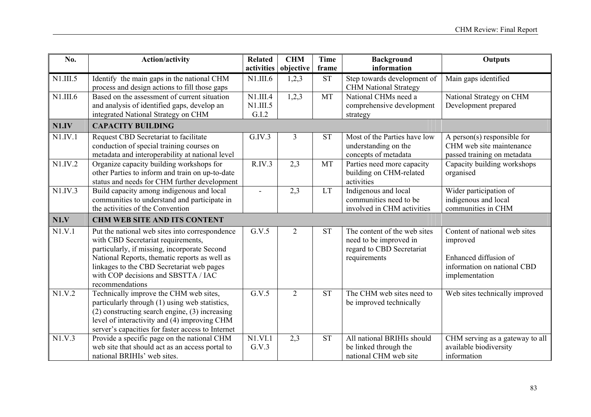| information<br>activities<br>objective<br>frame<br>N1.III.5<br>Identify the main gaps in the national CHM<br><b>ST</b><br>Main gaps identified<br>N1.III.6<br>1,2,3<br>Step towards development of<br>process and design actions to fill those gaps<br><b>CHM</b> National Strategy<br>N1.III.6<br>Based on the assessment of current situation<br>N1.III.4<br>National CHMs need a<br>National Strategy on CHM<br>1,2,3<br>MT<br>N1.III.5<br>and analysis of identified gaps, develop an<br>Development prepared<br>comprehensive development<br>integrated National Strategy on CHM<br>G.I.2<br>strategy<br><b>CAPACITY BUILDING</b><br>N1.IV<br>N1.IV.1<br>Request CBD Secretariat to facilitate<br>G.IV.3<br>$\mathfrak{Z}$<br>Most of the Parties have low<br><b>ST</b><br>A person(s) responsible for<br>conduction of special training courses on<br>CHM web site maintenance<br>understanding on the<br>metadata and interoperability at national level<br>concepts of metadata<br>passed training on metadata<br>N1.IV.2<br>R.IV.3<br>Organize capacity building workshops for<br>2,3<br>MT<br>Parties need more capacity<br>Capacity building workshops<br>other Parties to inform and train on up-to-date<br>building on CHM-related<br>organised | <b>Outputs</b> |
|--------------------------------------------------------------------------------------------------------------------------------------------------------------------------------------------------------------------------------------------------------------------------------------------------------------------------------------------------------------------------------------------------------------------------------------------------------------------------------------------------------------------------------------------------------------------------------------------------------------------------------------------------------------------------------------------------------------------------------------------------------------------------------------------------------------------------------------------------------------------------------------------------------------------------------------------------------------------------------------------------------------------------------------------------------------------------------------------------------------------------------------------------------------------------------------------------------------------------------------------------------------|----------------|
|                                                                                                                                                                                                                                                                                                                                                                                                                                                                                                                                                                                                                                                                                                                                                                                                                                                                                                                                                                                                                                                                                                                                                                                                                                                              |                |
|                                                                                                                                                                                                                                                                                                                                                                                                                                                                                                                                                                                                                                                                                                                                                                                                                                                                                                                                                                                                                                                                                                                                                                                                                                                              |                |
|                                                                                                                                                                                                                                                                                                                                                                                                                                                                                                                                                                                                                                                                                                                                                                                                                                                                                                                                                                                                                                                                                                                                                                                                                                                              |                |
|                                                                                                                                                                                                                                                                                                                                                                                                                                                                                                                                                                                                                                                                                                                                                                                                                                                                                                                                                                                                                                                                                                                                                                                                                                                              |                |
|                                                                                                                                                                                                                                                                                                                                                                                                                                                                                                                                                                                                                                                                                                                                                                                                                                                                                                                                                                                                                                                                                                                                                                                                                                                              |                |
|                                                                                                                                                                                                                                                                                                                                                                                                                                                                                                                                                                                                                                                                                                                                                                                                                                                                                                                                                                                                                                                                                                                                                                                                                                                              |                |
|                                                                                                                                                                                                                                                                                                                                                                                                                                                                                                                                                                                                                                                                                                                                                                                                                                                                                                                                                                                                                                                                                                                                                                                                                                                              |                |
|                                                                                                                                                                                                                                                                                                                                                                                                                                                                                                                                                                                                                                                                                                                                                                                                                                                                                                                                                                                                                                                                                                                                                                                                                                                              |                |
|                                                                                                                                                                                                                                                                                                                                                                                                                                                                                                                                                                                                                                                                                                                                                                                                                                                                                                                                                                                                                                                                                                                                                                                                                                                              |                |
|                                                                                                                                                                                                                                                                                                                                                                                                                                                                                                                                                                                                                                                                                                                                                                                                                                                                                                                                                                                                                                                                                                                                                                                                                                                              |                |
|                                                                                                                                                                                                                                                                                                                                                                                                                                                                                                                                                                                                                                                                                                                                                                                                                                                                                                                                                                                                                                                                                                                                                                                                                                                              |                |
|                                                                                                                                                                                                                                                                                                                                                                                                                                                                                                                                                                                                                                                                                                                                                                                                                                                                                                                                                                                                                                                                                                                                                                                                                                                              |                |
| status and needs for CHM further development<br>activities                                                                                                                                                                                                                                                                                                                                                                                                                                                                                                                                                                                                                                                                                                                                                                                                                                                                                                                                                                                                                                                                                                                                                                                                   |                |
| N1.IV.3<br>Build capacity among indigenous and local<br>Indigenous and local<br>Wider participation of<br>2,3<br>LT<br>ä,                                                                                                                                                                                                                                                                                                                                                                                                                                                                                                                                                                                                                                                                                                                                                                                                                                                                                                                                                                                                                                                                                                                                    |                |
| communities to understand and participate in<br>communities need to be<br>indigenous and local                                                                                                                                                                                                                                                                                                                                                                                                                                                                                                                                                                                                                                                                                                                                                                                                                                                                                                                                                                                                                                                                                                                                                               |                |
| the activities of the Convention<br>involved in CHM activities<br>communities in CHM                                                                                                                                                                                                                                                                                                                                                                                                                                                                                                                                                                                                                                                                                                                                                                                                                                                                                                                                                                                                                                                                                                                                                                         |                |
| N1.V<br><b>CHM WEB SITE AND ITS CONTENT</b>                                                                                                                                                                                                                                                                                                                                                                                                                                                                                                                                                                                                                                                                                                                                                                                                                                                                                                                                                                                                                                                                                                                                                                                                                  |                |
| N1.V.1<br>G.V.5<br>The content of the web sites<br>Content of national web sites<br>Put the national web sites into correspondence<br>$\overline{2}$<br><b>ST</b>                                                                                                                                                                                                                                                                                                                                                                                                                                                                                                                                                                                                                                                                                                                                                                                                                                                                                                                                                                                                                                                                                            |                |
| with CBD Secretariat requirements,<br>need to be improved in<br>improved                                                                                                                                                                                                                                                                                                                                                                                                                                                                                                                                                                                                                                                                                                                                                                                                                                                                                                                                                                                                                                                                                                                                                                                     |                |
| particularly, if missing, incorporate Second<br>regard to CBD Secretariat                                                                                                                                                                                                                                                                                                                                                                                                                                                                                                                                                                                                                                                                                                                                                                                                                                                                                                                                                                                                                                                                                                                                                                                    |                |
| National Reports, thematic reports as well as<br>Enhanced diffusion of<br>requirements                                                                                                                                                                                                                                                                                                                                                                                                                                                                                                                                                                                                                                                                                                                                                                                                                                                                                                                                                                                                                                                                                                                                                                       |                |
| linkages to the CBD Secretariat web pages<br>information on national CBD                                                                                                                                                                                                                                                                                                                                                                                                                                                                                                                                                                                                                                                                                                                                                                                                                                                                                                                                                                                                                                                                                                                                                                                     |                |
| with COP decisions and SBSTTA / IAC<br>implementation                                                                                                                                                                                                                                                                                                                                                                                                                                                                                                                                                                                                                                                                                                                                                                                                                                                                                                                                                                                                                                                                                                                                                                                                        |                |
| recommendations                                                                                                                                                                                                                                                                                                                                                                                                                                                                                                                                                                                                                                                                                                                                                                                                                                                                                                                                                                                                                                                                                                                                                                                                                                              |                |
| N1.V.2<br>Technically improve the CHM web sites,<br>G.V.5<br>The CHM web sites need to<br>$\overline{2}$<br><b>ST</b><br>Web sites technically improved                                                                                                                                                                                                                                                                                                                                                                                                                                                                                                                                                                                                                                                                                                                                                                                                                                                                                                                                                                                                                                                                                                      |                |
| particularly through (1) using web statistics,<br>be improved technically                                                                                                                                                                                                                                                                                                                                                                                                                                                                                                                                                                                                                                                                                                                                                                                                                                                                                                                                                                                                                                                                                                                                                                                    |                |
| (2) constructing search engine, (3) increasing                                                                                                                                                                                                                                                                                                                                                                                                                                                                                                                                                                                                                                                                                                                                                                                                                                                                                                                                                                                                                                                                                                                                                                                                               |                |
| level of interactivity and (4) improving CHM                                                                                                                                                                                                                                                                                                                                                                                                                                                                                                                                                                                                                                                                                                                                                                                                                                                                                                                                                                                                                                                                                                                                                                                                                 |                |
| server's capacities for faster access to Internet                                                                                                                                                                                                                                                                                                                                                                                                                                                                                                                                                                                                                                                                                                                                                                                                                                                                                                                                                                                                                                                                                                                                                                                                            |                |
| Provide a specific page on the national CHM<br>N1.V.3<br>N1.VI.1<br>2,3<br><b>ST</b><br>All national BRIHIs should<br>CHM serving as a gateway to all                                                                                                                                                                                                                                                                                                                                                                                                                                                                                                                                                                                                                                                                                                                                                                                                                                                                                                                                                                                                                                                                                                        |                |
| web site that should act as an access portal to<br>G.V.3<br>be linked through the<br>available biodiversity                                                                                                                                                                                                                                                                                                                                                                                                                                                                                                                                                                                                                                                                                                                                                                                                                                                                                                                                                                                                                                                                                                                                                  |                |
| national BRIHIs' web sites.<br>national CHM web site<br>information                                                                                                                                                                                                                                                                                                                                                                                                                                                                                                                                                                                                                                                                                                                                                                                                                                                                                                                                                                                                                                                                                                                                                                                          |                |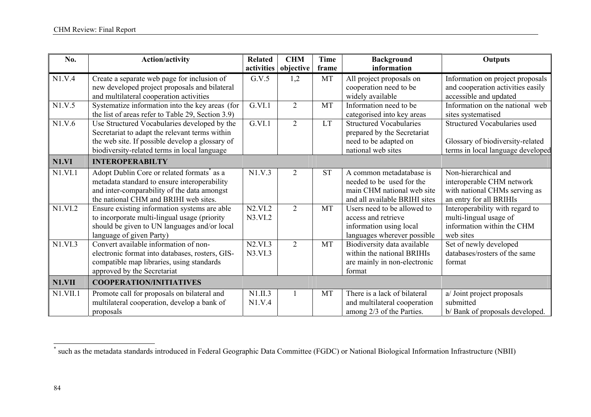| No.      | <b>Action/activity</b>                                 | <b>Related</b> | <b>CHM</b>     | <b>Time</b> | <b>Background</b>              | <b>Outputs</b>                      |
|----------|--------------------------------------------------------|----------------|----------------|-------------|--------------------------------|-------------------------------------|
|          |                                                        | activities     | objective      | frame       | information                    |                                     |
| N1.V.4   | Create a separate web page for inclusion of            | G.V.5          | 1,2            | MT          | All project proposals on       | Information on project proposals    |
|          | new developed project proposals and bilateral          |                |                |             | cooperation need to be         | and cooperation activities easily   |
|          | and multilateral cooperation activities                |                |                |             | widely available               | accessible and updated              |
| N1.V.5   | Systematize information into the key areas (for        | G.VI.1         | $\overline{2}$ | MT          | Information need to be         | Information on the national web     |
|          | the list of areas refer to Table 29, Section 3.9)      |                |                |             | categorised into key areas     | sites systematised                  |
| N1.V.6   | Use Structured Vocabularies developed by the           | G.VI.1         | $\overline{2}$ | LT          | <b>Structured Vocabularies</b> | <b>Structured Vocabularies used</b> |
|          | Secretariat to adapt the relevant terms within         |                |                |             | prepared by the Secretariat    |                                     |
|          | the web site. If possible develop a glossary of        |                |                |             | need to be adapted on          | Glossary of biodiversity-related    |
|          | biodiversity-related terms in local language           |                |                |             | national web sites             | terms in local language developed   |
| N1.VI    | <b>INTEROPERABILTY</b>                                 |                |                |             |                                |                                     |
| N1.VI.1  | Adopt Dublin Core or related formats <sup>*</sup> as a | N1.V.3         | $\overline{2}$ | <b>ST</b>   | A common metadatabase is       | Non-hierarchical and                |
|          | metadata standard to ensure interoperability           |                |                |             | needed to be used for the      | interoperable CHM network           |
|          | and inter-comparability of the data amongst            |                |                |             | main CHM national web site     | with national CHMs serving as       |
|          | the national CHM and BRIHI web sites.                  |                |                |             | and all available BRIHI sites  | an entry for all BRIHIs             |
| N1.VI.2  | Ensure existing information systems are able           | N2.VI.2        | $\overline{2}$ | MT          | Users need to be allowed to    | Interoperability with regard to     |
|          | to incorporate multi-lingual usage (priority           | N3.VI.2        |                |             | access and retrieve            | multi-lingual usage of              |
|          | should be given to UN languages and/or local           |                |                |             | information using local        | information within the CHM          |
|          | language of given Party)                               |                |                |             | languages wherever possible    | web sites                           |
| N1.VI.3  | Convert available information of non-                  | N2.VI.3        | 2              | MT          | Biodiversity data available    | Set of newly developed              |
|          | electronic format into databases, rosters, GIS-        | N3.VI.3        |                |             | within the national BRIHIs     | databases/rosters of the same       |
|          | compatible map libraries, using standards              |                |                |             | are mainly in non-electronic   | format                              |
|          | approved by the Secretariat                            |                |                |             | format                         |                                     |
| N1.VII   | <b>COOPERATION/INITIATIVES</b>                         |                |                |             |                                |                                     |
| N1.VII.1 | Promote call for proposals on bilateral and            | N1.II.3        |                | MT          | There is a lack of bilateral   | a/ Joint project proposals          |
|          | multilateral cooperation, develop a bank of            | N1.V.4         |                |             | and multilateral cooperation   | submitted                           |
|          | proposals                                              |                |                |             | among 2/3 of the Parties.      | b/Bank of proposals developed.      |

<sup>\*</sup> such as the metadata standards introduced in Federal Geographic Data Committee (FGDC) or National Biological Information Infrastructure (NBII)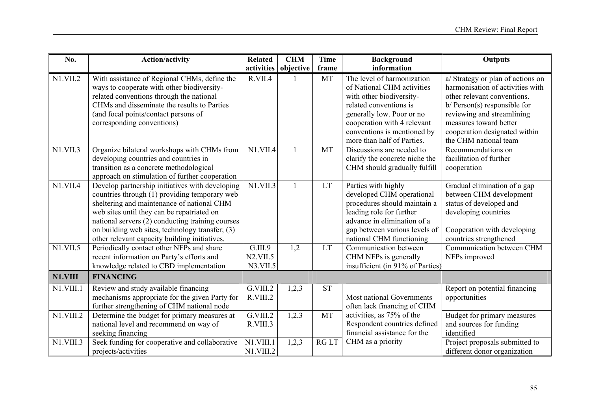| No.                    | <b>Action/activity</b>                                                                                                                                                                                                                                                                                                                               | <b>Related</b>                  | <b>CHM</b>   | <b>Time</b> | <b>Background</b>                                                                                                                                                                                                                       | <b>Outputs</b>                                                                                                                                                                                                                                           |
|------------------------|------------------------------------------------------------------------------------------------------------------------------------------------------------------------------------------------------------------------------------------------------------------------------------------------------------------------------------------------------|---------------------------------|--------------|-------------|-----------------------------------------------------------------------------------------------------------------------------------------------------------------------------------------------------------------------------------------|----------------------------------------------------------------------------------------------------------------------------------------------------------------------------------------------------------------------------------------------------------|
|                        |                                                                                                                                                                                                                                                                                                                                                      | activities                      | objective    | frame       | information                                                                                                                                                                                                                             |                                                                                                                                                                                                                                                          |
| N1.VII.2               | With assistance of Regional CHMs, define the<br>ways to cooperate with other biodiversity-<br>related conventions through the national<br>CHMs and disseminate the results to Parties<br>(and focal points/contact persons of<br>corresponding conventions)                                                                                          | R.VII.4                         |              | MT          | The level of harmonization<br>of National CHM activities<br>with other biodiversity-<br>related conventions is<br>generally low. Poor or no<br>cooperation with 4 relevant<br>conventions is mentioned by<br>more than half of Parties. | a/ Strategy or plan of actions on<br>harmonisation of activities with<br>other relevant conventions.<br>$b/$ Person(s) responsible for<br>reviewing and streamlining<br>measures toward better<br>cooperation designated within<br>the CHM national team |
| N1.VII.3               | Organize bilateral workshops with CHMs from<br>developing countries and countries in<br>transition as a concrete methodological<br>approach on stimulation of further cooperation                                                                                                                                                                    | N1.VII.4                        | $\mathbf{1}$ | MT          | Discussions are needed to<br>clarify the concrete niche the<br>CHM should gradually fulfill                                                                                                                                             | Recommendations on<br>facilitation of further<br>cooperation                                                                                                                                                                                             |
| N1.VII.4               | Develop partnership initiatives with developing<br>countries through (1) providing temporary web<br>sheltering and maintenance of national CHM<br>web sites until they can be repatriated on<br>national servers (2) conducting training courses<br>on building web sites, technology transfer; (3)<br>other relevant capacity building initiatives. | N1.VII.3                        | $\mathbf{1}$ | <b>LT</b>   | Parties with highly<br>developed CHM operational<br>procedures should maintain a<br>leading role for further<br>advance in elimination of a<br>gap between various levels of<br>national CHM functioning                                | Gradual elimination of a gap<br>between CHM development<br>status of developed and<br>developing countries<br>Cooperation with developing<br>countries strengthened                                                                                      |
| N1.VII.5               | Periodically contact other NFPs and share<br>recent information on Party's efforts and<br>knowledge related to CBD implementation                                                                                                                                                                                                                    | G.III.9<br>N2.VII.5<br>N3.VII.5 | 1,2          | <b>LT</b>   | Communication between<br>CHM NFPs is generally<br>insufficient (in 91% of Parties)                                                                                                                                                      | Communication between CHM<br>NFPs improved                                                                                                                                                                                                               |
| N1.VIII                | <b>FINANCING</b>                                                                                                                                                                                                                                                                                                                                     |                                 |              |             |                                                                                                                                                                                                                                         |                                                                                                                                                                                                                                                          |
| N1.VIII.1              | Review and study available financing<br>mechanisms appropriate for the given Party for<br>further strengthening of CHM national node                                                                                                                                                                                                                 | G.VIII.2<br>R.VIII.2            | 1,2,3        | <b>ST</b>   | <b>Most national Governments</b><br>often lack financing of CHM                                                                                                                                                                         | Report on potential financing<br>opportunities                                                                                                                                                                                                           |
| N1.VIII.2              | Determine the budget for primary measures at<br>national level and recommend on way of<br>seeking financing                                                                                                                                                                                                                                          | G.VIII.2<br>R.VIII.3            | 1,2,3        | MT          | activities, as 75% of the<br>Respondent countries defined<br>financial assistance for the                                                                                                                                               | Budget for primary measures<br>and sources for funding<br>identified                                                                                                                                                                                     |
| $\overline{N1.VIII.3}$ | Seek funding for cooperative and collaborative<br>projects/activities                                                                                                                                                                                                                                                                                | N1.VIII.1<br>N1.VIII.2          | 1,2,3        | <b>RGLT</b> | CHM as a priority                                                                                                                                                                                                                       | Project proposals submitted to<br>different donor organization                                                                                                                                                                                           |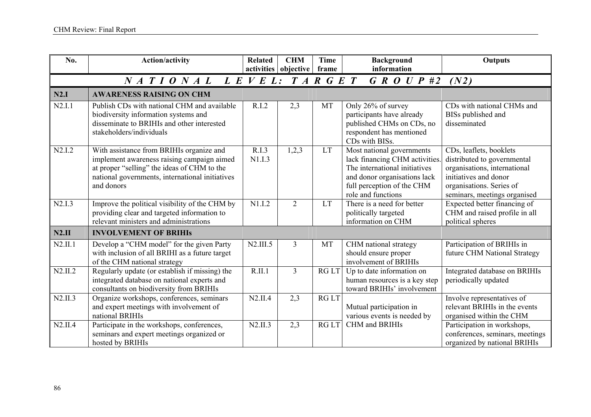| No.     | <b>Action/activity</b>                                                                                                                                                                                 | <b>Related</b>               | <b>CHM</b><br>activities objective | Time<br>frame | <b>Background</b><br>information                                                                                                                                                | <b>Outputs</b>                                                                                                                                                              |
|---------|--------------------------------------------------------------------------------------------------------------------------------------------------------------------------------------------------------|------------------------------|------------------------------------|---------------|---------------------------------------------------------------------------------------------------------------------------------------------------------------------------------|-----------------------------------------------------------------------------------------------------------------------------------------------------------------------------|
|         | $N$ A T I O N A L                                                                                                                                                                                      | L E V E L: T A R G E T       |                                    |               | $G \; R \; O \; U \; P \; \# 2$                                                                                                                                                 | (N2)                                                                                                                                                                        |
| N2.I    | <b>AWARENESS RAISING ON CHM</b>                                                                                                                                                                        |                              |                                    |               |                                                                                                                                                                                 |                                                                                                                                                                             |
| N2.I.1  | Publish CDs with national CHM and available<br>biodiversity information systems and<br>disseminate to BRIHIs and other interested<br>stakeholders/individuals                                          | R.I.2                        | 2,3                                | MT            | Only 26% of survey<br>participants have already<br>published CHMs on CDs, no<br>respondent has mentioned<br>CDs with BISs.                                                      | CDs with national CHMs and<br>BISs published and<br>disseminated                                                                                                            |
| N2.I.2  | With assistance from BRIHIs organize and<br>implement awareness raising campaign aimed<br>at proper "selling" the ideas of CHM to the<br>national governments, international initiatives<br>and donors | R.I.3<br>N1.I.3              | 1,2,3                              | LT            | Most national governments<br>lack financing CHM activities<br>The international initiatives<br>and donor organisations lack<br>full perception of the CHM<br>role and functions | CDs, leaflets, booklets<br>distributed to governmental<br>organisations, international<br>initiatives and donor<br>organisations. Series of<br>seminars, meetings organised |
| N2.I.3  | Improve the political visibility of the CHM by<br>providing clear and targeted information to<br>relevant ministers and administrations                                                                | N1.I.2                       | $\overline{2}$                     | <b>LT</b>     | There is a need for better<br>politically targeted<br>information on CHM                                                                                                        | Expected better financing of<br>CHM and raised profile in all<br>political spheres                                                                                          |
| N2.II   | <b>INVOLVEMENT OF BRIHIS</b>                                                                                                                                                                           |                              |                                    |               |                                                                                                                                                                                 |                                                                                                                                                                             |
| N2.II.1 | Develop a "CHM model" for the given Party<br>with inclusion of all BRIHI as a future target<br>of the CHM national strategy                                                                            | N2.III.5                     | $\overline{3}$                     | MT            | CHM national strategy<br>should ensure proper<br>involvement of BRIHIs                                                                                                          | Participation of BRIHIs in<br>future CHM National Strategy                                                                                                                  |
| N2.II.2 | Regularly update (or establish if missing) the<br>integrated database on national experts and<br>consultants on biodiversity from BRIHIs                                                               | R.II.1                       | $\overline{3}$                     | <b>RGLT</b>   | Up to date information on<br>human resources is a key step<br>toward BRIHIs' involvement                                                                                        | Integrated database on BRIHIs<br>periodically updated                                                                                                                       |
| N2.II.3 | Organize workshops, conferences, seminars<br>and expert meetings with involvement of<br>national BRIHIs                                                                                                | N2.II.4                      | 2,3                                | RGLT          | Mutual participation in<br>various events is needed by                                                                                                                          | Involve representatives of<br>relevant BRIHIs in the events<br>organised within the CHM                                                                                     |
| N2.II.4 | Participate in the workshops, conferences,<br>seminars and expert meetings organized or<br>hosted by BRIHIs                                                                                            | $\overline{\text{N2}}$ .II.3 | 2,3                                | <b>RGLT</b>   | CHM and BRIHIs                                                                                                                                                                  | Participation in workshops,<br>conferences, seminars, meetings<br>organized by national BRIHIs                                                                              |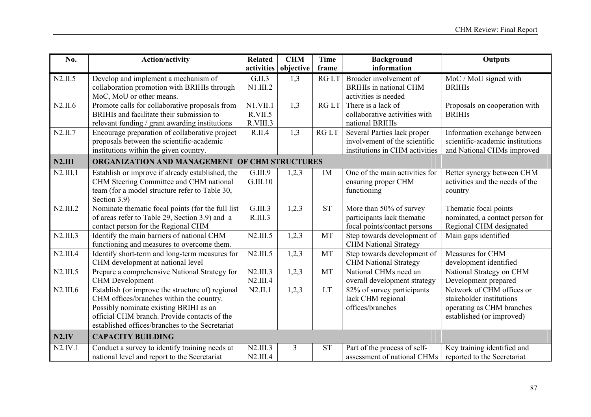| No.      | <b>Action/activity</b>                            | <b>Related</b> | <b>CHM</b> | <b>Time</b> | <b>Background</b>              | <b>Outputs</b>                   |
|----------|---------------------------------------------------|----------------|------------|-------------|--------------------------------|----------------------------------|
|          |                                                   | activities     | objective  | frame       | information                    |                                  |
| N2.II.5  | Develop and implement a mechanism of              | G.II.3         | 1,3        | <b>RGLT</b> | Broader involvement of         | MoC / MoU signed with            |
|          | collaboration promotion with BRIHIs through       | N1.III.2       |            |             | <b>BRIHIs in national CHM</b>  | <b>BRIHIS</b>                    |
|          | MoC, MoU or other means.                          |                |            |             | activities is needed           |                                  |
| N2.II.6  | Promote calls for collaborative proposals from    | N1.VII.1       | 1,3        | <b>RGLT</b> | There is a lack of             | Proposals on cooperation with    |
|          | BRIHIs and facilitate their submission to         | R.VII.5        |            |             | collaborative activities with  | <b>BRIHIS</b>                    |
|          | relevant funding / grant awarding institutions    | R.VIII.3       |            |             | national BRIHIs                |                                  |
| N2.II.7  | Encourage preparation of collaborative project    | R.II.4         | 1,3        | <b>RGLT</b> | Several Parties lack proper    | Information exchange between     |
|          | proposals between the scientific-academic         |                |            |             | involvement of the scientific  | scientific-academic institutions |
|          | institutions within the given country.            |                |            |             | institutions in CHM activities | and National CHMs improved       |
| N2.III   | ORGANIZATION AND MANAGEMENT OF CHM STRUCTURES     |                |            |             |                                |                                  |
| N2.III.1 | Establish or improve if already established, the  | G.III.9        | 1,2,3      | <b>IM</b>   | One of the main activities for | Better synergy between CHM       |
|          | CHM Steering Committee and CHM national           | G.III.10       |            |             | ensuring proper CHM            | activities and the needs of the  |
|          | team (for a model structure refer to Table 30,    |                |            |             | functioning                    | country                          |
|          | Section 3.9)                                      |                |            |             |                                |                                  |
| N2.III.2 | Nominate thematic focal points (for the full list | G.III.3        | 1,2,3      | <b>ST</b>   | More than 50% of survey        | Thematic focal points            |
|          | of areas refer to Table 29, Section 3.9) and a    | R.III.3        |            |             | participants lack thematic     | nominated, a contact person for  |
|          | contact person for the Regional CHM               |                |            |             | focal points/contact persons   | Regional CHM designated          |
| N2.III.3 | Identify the main barriers of national CHM        | N2.III.5       | 1,2,3      | MT          | Step towards development of    | Main gaps identified             |
|          | functioning and measures to overcome them.        |                |            |             | <b>CHM</b> National Strategy   |                                  |
| N2.III.4 | Identify short-term and long-term measures for    | N2.III.5       | 1,2,3      | MT          | Step towards development of    | Measures for CHM                 |
|          | CHM development at national level                 |                |            |             | <b>CHM National Strategy</b>   | development identified           |
| N2.III.5 | Prepare a comprehensive National Strategy for     | N2.III.3       | 1,2,3      | <b>MT</b>   | National CHMs need an          | National Strategy on CHM         |
|          | <b>CHM</b> Development                            | N2.III.4       |            |             | overall development strategy   | Development prepared             |
| N2.III.6 | Establish (or improve the structure of) regional  | N2.II.1        | 1,2,3      | <b>LT</b>   | 82% of survey participants     | Network of CHM offices or        |
|          | CHM offices/branches within the country.          |                |            |             | lack CHM regional              | stakeholder institutions         |
|          | Possibly nominate existing BRIHI as an            |                |            |             | offices/branches               | operating as CHM branches        |
|          | official CHM branch. Provide contacts of the      |                |            |             |                                | established (or improved)        |
|          | established offices/branches to the Secretariat   |                |            |             |                                |                                  |
| N2.IV    | <b>CAPACITY BUILDING</b>                          |                |            |             |                                |                                  |
| N2.IV.1  | Conduct a survey to identify training needs at    | N2.III.3       | 3          | <b>ST</b>   | Part of the process of self-   | Key training identified and      |
|          | national level and report to the Secretariat      | N2.III.4       |            |             | assessment of national CHMs    | reported to the Secretariat      |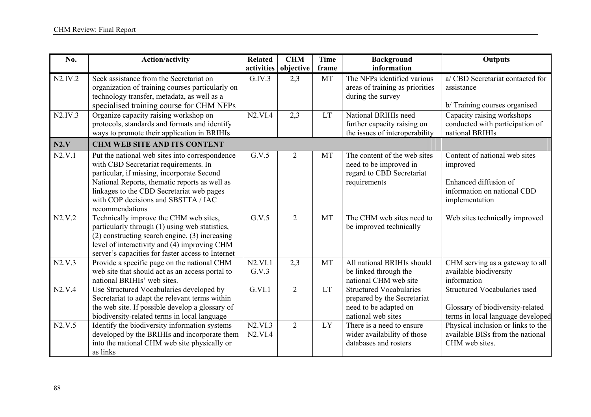| No.     | <b>Action/activity</b>                             | <b>Related</b> | <b>CHM</b>           | <b>Time</b> | <b>Background</b>               | <b>Outputs</b>                      |
|---------|----------------------------------------------------|----------------|----------------------|-------------|---------------------------------|-------------------------------------|
|         |                                                    |                | activities objective | frame       | information                     |                                     |
| N2.IV.2 | Seek assistance from the Secretariat on            | G.IV.3         | 2,3                  | <b>MT</b>   | The NFPs identified various     | a/ CBD Secretariat contacted for    |
|         | organization of training courses particularly on   |                |                      |             | areas of training as priorities | assistance                          |
|         | technology transfer, metadata, as well as a        |                |                      |             | during the survey               |                                     |
|         | specialised training course for CHM NFPs           |                |                      |             |                                 | b/Training courses organised        |
| N2.IV.3 | Organize capacity raising workshop on              | N2.VI.4        | 2,3                  | <b>LT</b>   | National BRIHIs need            | Capacity raising workshops          |
|         | protocols, standards and formats and identify      |                |                      |             | further capacity raising on     | conducted with participation of     |
|         | ways to promote their application in BRIHIs        |                |                      |             | the issues of interoperability  | national BRIHIs                     |
| N2.V    | <b>CHM WEB SITE AND ITS CONTENT</b>                |                |                      |             |                                 |                                     |
| N2.V.1  | Put the national web sites into correspondence     | G.V.5          | 2                    | MT          | The content of the web sites    | Content of national web sites       |
|         | with CBD Secretariat requirements. In              |                |                      |             | need to be improved in          | improved                            |
|         | particular, if missing, incorporate Second         |                |                      |             | regard to CBD Secretariat       |                                     |
|         | National Reports, thematic reports as well as      |                |                      |             | requirements                    | Enhanced diffusion of               |
|         | linkages to the CBD Secretariat web pages          |                |                      |             |                                 | information on national CBD         |
|         | with COP decisions and SBSTTA / IAC                |                |                      |             |                                 | implementation                      |
|         | recommendations                                    |                |                      |             |                                 |                                     |
| N2.V.2  | Technically improve the CHM web sites,             | G.V.5          | 2                    | <b>MT</b>   | The CHM web sites need to       | Web sites technically improved      |
|         | particularly through (1) using web statistics,     |                |                      |             | be improved technically         |                                     |
|         | $(2)$ constructing search engine, $(3)$ increasing |                |                      |             |                                 |                                     |
|         | level of interactivity and (4) improving CHM       |                |                      |             |                                 |                                     |
|         | server's capacities for faster access to Internet  |                |                      |             |                                 |                                     |
| N2.V.3  | Provide a specific page on the national CHM        | N2.VI.1        | 2,3                  | <b>MT</b>   | All national BRIHIs should      | CHM serving as a gateway to all     |
|         | web site that should act as an access portal to    | G.V.3          |                      |             | be linked through the           | available biodiversity              |
|         | national BRIHIs' web sites.                        |                |                      |             | national CHM web site           | information                         |
| N2.V.4  | Use Structured Vocabularies developed by           | G.VI.1         | 2                    | <b>LT</b>   | <b>Structured Vocabularies</b>  | <b>Structured Vocabularies used</b> |
|         | Secretariat to adapt the relevant terms within     |                |                      |             | prepared by the Secretariat     |                                     |
|         | the web site. If possible develop a glossary of    |                |                      |             | need to be adapted on           | Glossary of biodiversity-related    |
|         | biodiversity-related terms in local language       |                |                      |             | national web sites              | terms in local language developed   |
| N2.V.5  | Identify the biodiversity information systems      | N2.VI.3        | 2                    | LY          | There is a need to ensure.      | Physical inclusion or links to the  |
|         | developed by the BRIHIs and incorporate them       | N2.VI.4        |                      |             | wider availability of those     | available BISs from the national    |
|         | into the national CHM web site physically or       |                |                      |             | databases and rosters           | CHM web sites.                      |
|         | as links                                           |                |                      |             |                                 |                                     |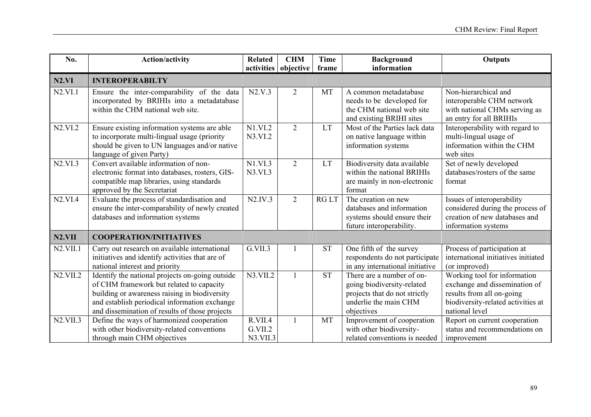| No.             | <b>Action/activity</b>                                                                                                                                                                                                                          | <b>Related</b>                 | <b>CHM</b><br>activities objective | <b>Time</b><br>frame | <b>Background</b><br>information                                                                                                | <b>Outputs</b>                                                                                                                                     |
|-----------------|-------------------------------------------------------------------------------------------------------------------------------------------------------------------------------------------------------------------------------------------------|--------------------------------|------------------------------------|----------------------|---------------------------------------------------------------------------------------------------------------------------------|----------------------------------------------------------------------------------------------------------------------------------------------------|
| N2.VI           | <b>INTEROPERABILTY</b>                                                                                                                                                                                                                          |                                |                                    |                      |                                                                                                                                 |                                                                                                                                                    |
| N2.VI.1         | Ensure the inter-comparability of the data<br>incorporated by BRIHIs into a metadatabase<br>within the CHM national web site.                                                                                                                   | N2.V.3                         | $\overline{2}$                     | <b>MT</b>            | A common metadatabase<br>needs to be developed for<br>the CHM national web site<br>and existing BRIHI sites                     | Non-hierarchical and<br>interoperable CHM network<br>with national CHMs serving as<br>an entry for all BRIHIs                                      |
| N2.VI.2         | Ensure existing information systems are able<br>to incorporate multi-lingual usage (priority<br>should be given to UN languages and/or native<br>language of given Party)                                                                       | N1.VI.2<br>N3.VI.2             | $\overline{2}$                     | <b>LT</b>            | Most of the Parties lack data<br>on native language within<br>information systems                                               | Interoperability with regard to<br>multi-lingual usage of<br>information within the CHM<br>web sites                                               |
| N2.VI.3         | Convert available information of non-<br>electronic format into databases, rosters, GIS-<br>compatible map libraries, using standards<br>approved by the Secretariat                                                                            | N1.VI.3<br>N3.VI.3             | 2                                  | <b>LT</b>            | Biodiversity data available<br>within the national BRIHIs<br>are mainly in non-electronic<br>format                             | Set of newly developed<br>databases/rosters of the same<br>format                                                                                  |
| N2.VI.4         | Evaluate the process of standardisation and<br>ensure the inter-comparability of newly created<br>databases and information systems                                                                                                             | N2.IV.3                        | $\overline{2}$                     | <b>RGLT</b>          | The creation on new<br>databases and information<br>systems should ensure their<br>future interoperability.                     | Issues of interoperability<br>considered during the process of<br>creation of new databases and<br>information systems                             |
| N2.VII          | <b>COOPERATION/INITIATIVES</b>                                                                                                                                                                                                                  |                                |                                    |                      |                                                                                                                                 |                                                                                                                                                    |
| N2.VII.1        | Carry out research on available international<br>initiatives and identify activities that are of<br>national interest and priority                                                                                                              | G.VII.3                        | $\mathbf{1}$                       | <b>ST</b>            | One fifth of the survey<br>respondents do not participate<br>in any international initiative                                    | Process of participation at<br>international initiatives initiated<br>(or improved)                                                                |
| N2.VII.2        | Identify the national projects on-going outside<br>of CHM framework but related to capacity<br>building or awareness raising in biodiversity<br>and establish periodical information exchange<br>and dissemination of results of those projects | N3.VII.2                       | $\mathbf{1}$                       | <b>ST</b>            | There are a number of on-<br>going biodiversity-related<br>projects that do not strictly<br>underlie the main CHM<br>objectives | Working tool for information<br>exchange and dissemination of<br>results from all on-going<br>biodiversity-related activities at<br>national level |
| <b>N2.VII.3</b> | Define the ways of harmonized cooperation<br>with other biodiversity-related conventions<br>through main CHM objectives                                                                                                                         | R.VII.4<br>G.VII.2<br>N3.VII.3 | 1                                  | MT                   | Improvement of cooperation<br>with other biodiversity-<br>related conventions is needed                                         | Report on current cooperation<br>status and recommendations on<br>improvement                                                                      |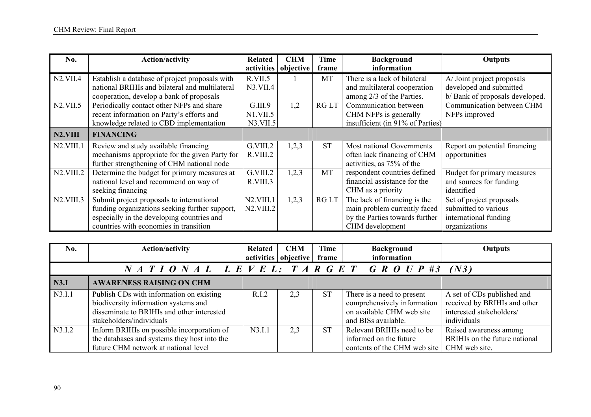| No.       | <b>Action/activity</b>                         | <b>Related</b> | <b>CHM</b>           | Time        | <b>Background</b>                | Outputs                        |
|-----------|------------------------------------------------|----------------|----------------------|-------------|----------------------------------|--------------------------------|
|           |                                                |                | activities objective | frame       | information                      |                                |
| N2.VII.4  | Establish a database of project proposals with | R.VII.5        |                      | MT          | There is a lack of bilateral     | A/Joint project proposals      |
|           | national BRIHIs and bilateral and multilateral | N3.VII.4       |                      |             | and multilateral cooperation     | developed and submitted        |
|           | cooperation, develop a bank of proposals       |                |                      |             | among 2/3 of the Parties.        | b/Bank of proposals developed. |
| N2.VII.5  | Periodically contact other NFPs and share      | G.III.9        | 1,2                  | <b>RGLT</b> | Communication between            | Communication between CHM      |
|           | recent information on Party's efforts and      | N1.VII.5       |                      |             | CHM NFPs is generally            | NFPs improved                  |
|           | knowledge related to CBD implementation        | N3.VII.5       |                      |             | insufficient (in 91% of Parties) |                                |
| N2.VIII   | <b>FINANCING</b>                               |                |                      |             |                                  |                                |
| N2.VIII.1 | Review and study available financing           | G.VIII.2       | 1,2,3                | <b>ST</b>   | <b>Most national Governments</b> | Report on potential financing  |
|           | mechanisms appropriate for the given Party for | R.VIII.2       |                      |             | often lack financing of CHM      | opportunities                  |
|           | further strengthening of CHM national node     |                |                      |             | activities, as 75% of the        |                                |
| N2.VIII.2 | Determine the budget for primary measures at   | G.VIII.2       | 1,2,3                | MT          | respondent countries defined     | Budget for primary measures    |
|           | national level and recommend on way of         | R.VIII.3       |                      |             | financial assistance for the     | and sources for funding        |
|           | seeking financing                              |                |                      |             | CHM as a priority                | identified                     |
| N2.VIII.3 | Submit project proposals to international      | N2.VIII.1      | 1,2,3                | <b>RGLT</b> | The lack of financing is the     | Set of project proposals       |
|           | funding organizations seeking further support, | N2.VIII.2      |                      |             | main problem currently faced     | submitted to various           |
|           | especially in the developing countries and     |                |                      |             | by the Parties towards further   | international funding          |
|           | countries with economies in transition         |                |                      |             | CHM development                  | organizations                  |

| No.    | <b>Action/activity</b>                                                                                                                                     | Related | <b>CHM</b>             | Time      | <b>Background</b>                                                                                             | <b>Outputs</b>                                                                                        |
|--------|------------------------------------------------------------------------------------------------------------------------------------------------------------|---------|------------------------|-----------|---------------------------------------------------------------------------------------------------------------|-------------------------------------------------------------------------------------------------------|
|        |                                                                                                                                                            |         | activities   objective | frame     | information                                                                                                   |                                                                                                       |
|        | $N A T I O N A L L E V E L: T A R G E T G R O U P #3$                                                                                                      |         |                        |           |                                                                                                               | (N3)                                                                                                  |
| N3.I   | <b>AWARENESS RAISING ON CHM</b>                                                                                                                            |         |                        |           |                                                                                                               |                                                                                                       |
| N3.I.1 | Publish CDs with information on existing<br>biodiversity information systems and<br>disseminate to BRIHIs and other interested<br>stakeholders/individuals | R.I.2   | 2,3                    | <b>ST</b> | There is a need to present<br>comprehensively information<br>on available CHM web site<br>and BISs available. | A set of CDs published and<br>received by BRIHIs and other<br>interested stakeholders/<br>individuals |
| N3.I.2 | Inform BRIHIs on possible incorporation of<br>the databases and systems they host into the<br>future CHM network at national level                         | N3.I.1  | 2,3                    | <b>ST</b> | Relevant BRIHIs need to be<br>informed on the future<br>contents of the CHM web site   CHM web site.          | Raised awareness among<br>BRIHIs on the future national                                               |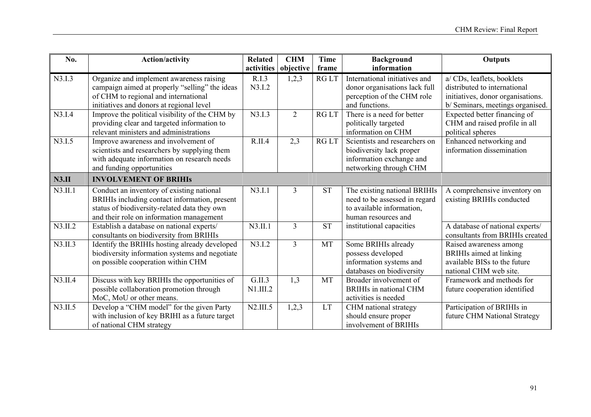| No.     | <b>Action/activity</b>                         | <b>Related</b> | <b>CHM</b>           | <b>Time</b> | <b>Background</b>             | <b>Outputs</b>                    |
|---------|------------------------------------------------|----------------|----------------------|-------------|-------------------------------|-----------------------------------|
|         |                                                |                | activities objective | frame       | information                   |                                   |
| N3.I.3  | Organize and implement awareness raising       | R.I.3          | 1,2,3                | <b>RGLT</b> | International initiatives and | a/ CDs, leaflets, booklets        |
|         | campaign aimed at properly "selling" the ideas | N3.I.2         |                      |             | donor organisations lack full | distributed to international      |
|         | of CHM to regional and international           |                |                      |             | perception of the CHM role    | initiatives, donor organisations. |
|         | initiatives and donors at regional level       |                |                      |             | and functions.                | b/ Seminars, meetings organised.  |
| N3.I.4  | Improve the political visibility of the CHM by | N3.I.3         | $\overline{2}$       | <b>RGLT</b> | There is a need for better    | Expected better financing of      |
|         | providing clear and targeted information to    |                |                      |             | politically targeted          | CHM and raised profile in all     |
|         | relevant ministers and administrations         |                |                      |             | information on CHM            | political spheres                 |
| N3.I.5  | Improve awareness and involvement of           | R.II.4         | 2,3                  | RGLT        | Scientists and researchers on | Enhanced networking and           |
|         | scientists and researchers by supplying them   |                |                      |             | biodiversity lack proper      | information dissemination         |
|         | with adequate information on research needs    |                |                      |             | information exchange and      |                                   |
|         | and funding opportunities                      |                |                      |             | networking through CHM        |                                   |
| N3.II   | <b>INVOLVEMENT OF BRIHIS</b>                   |                |                      |             |                               |                                   |
| N3.II.1 | Conduct an inventory of existing national      | N3.I.1         | $\overline{3}$       | <b>ST</b>   | The existing national BRIHIs  | A comprehensive inventory on      |
|         | BRIHIs including contact information, present  |                |                      |             | need to be assessed in regard | existing BRIHIs conducted         |
|         | status of biodiversity-related data they own   |                |                      |             | to available information,     |                                   |
|         | and their role on information management       |                |                      |             | human resources and           |                                   |
| N3.II.2 | Establish a database on national experts/      | N3.II.1        | $\overline{3}$       | <b>ST</b>   | institutional capacities      | A database of national experts/   |
|         | consultants on biodiversity from BRIHIs        |                |                      |             |                               | consultants from BRIHIs created   |
| N3.II.3 | Identify the BRIHIs hosting already developed  | N3.I.2         | $\overline{3}$       | MT          | Some BRIHIs already           | Raised awareness among            |
|         | biodiversity information systems and negotiate |                |                      |             | possess developed             | <b>BRIHIs aimed at linking</b>    |
|         | on possible cooperation within CHM             |                |                      |             | information systems and       | available BISs to the future      |
|         |                                                |                |                      |             | databases on biodiversity     | national CHM web site.            |
| N3.II.4 | Discuss with key BRIHIs the opportunities of   | G.II.3         | 1,3                  | <b>MT</b>   | Broader involvement of        | Framework and methods for         |
|         | possible collaboration promotion through       | N1.III.2       |                      |             | <b>BRIHIs in national CHM</b> | future cooperation identified     |
|         | MoC, MoU or other means.                       |                |                      |             | activities is needed          |                                   |
| N3.II.5 | Develop a "CHM model" for the given Party      | N2.III.5       | 1,2,3                | LT          | CHM national strategy         | Participation of BRIHIs in        |
|         | with inclusion of key BRIHI as a future target |                |                      |             | should ensure proper          | future CHM National Strategy      |
|         | of national CHM strategy                       |                |                      |             | involvement of BRIHIs         |                                   |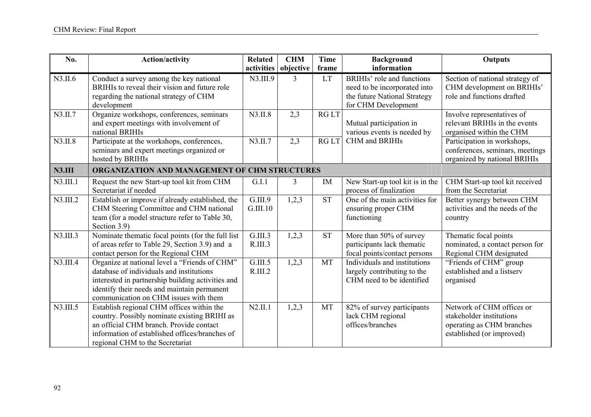| No.      | <b>Action/activity</b>                                                                                                                                                                                                                 | <b>Related</b>      | <b>CHM</b>           | <b>Time</b> | <b>Background</b>                                                                                                 | <b>Outputs</b>                                                                                                  |
|----------|----------------------------------------------------------------------------------------------------------------------------------------------------------------------------------------------------------------------------------------|---------------------|----------------------|-------------|-------------------------------------------------------------------------------------------------------------------|-----------------------------------------------------------------------------------------------------------------|
|          |                                                                                                                                                                                                                                        |                     | activities objective | frame       | information                                                                                                       |                                                                                                                 |
| N3.II.6  | Conduct a survey among the key national<br>BRIHIs to reveal their vision and future role<br>regarding the national strategy of CHM<br>development                                                                                      | N3.III.9            | $\overline{3}$       | <b>LT</b>   | BRIHIs' role and functions<br>need to be incorporated into<br>the future National Strategy<br>for CHM Development | Section of national strategy of<br>CHM development on BRIHIs'<br>role and functions drafted                     |
| N3.II.7  | Organize workshops, conferences, seminars<br>and expert meetings with involvement of<br>national BRIHIs                                                                                                                                | N3.II.8             | 2,3                  | RGLT        | Mutual participation in<br>various events is needed by                                                            | Involve representatives of<br>relevant BRIHIs in the events<br>organised within the CHM                         |
| N3.II.8  | Participate at the workshops, conferences,<br>seminars and expert meetings organized or<br>hosted by BRIHIs                                                                                                                            | N3.II.7             | 2,3                  | <b>RGLT</b> | CHM and BRIHIs                                                                                                    | Participation in workshops,<br>conferences, seminars, meetings<br>organized by national BRIHIs                  |
| N3.III   | ORGANIZATION AND MANAGEMENT OF CHM STRUCTURES                                                                                                                                                                                          |                     |                      |             |                                                                                                                   |                                                                                                                 |
| N3.III.1 | Request the new Start-up tool kit from CHM<br>Secretariat if needed                                                                                                                                                                    | G.I.1               | $\overline{3}$       | IM          | New Start-up tool kit is in the<br>process of finalization                                                        | CHM Start-up tool kit received<br>from the Secretariat                                                          |
| N3.III.2 | Establish or improve if already established, the<br>CHM Steering Committee and CHM national<br>team (for a model structure refer to Table 30,<br>Section 3.9)                                                                          | G.III.9<br>G.III.10 | 1,2,3                | <b>ST</b>   | One of the main activities for<br>ensuring proper CHM<br>functioning                                              | Better synergy between CHM<br>activities and the needs of the<br>country                                        |
| N3.III.3 | Nominate thematic focal points (for the full list<br>of areas refer to Table 29, Section 3.9) and a<br>contact person for the Regional CHM                                                                                             | G.III.3<br>R.III.3  | 1,2,3                | <b>ST</b>   | More than 50% of survey<br>participants lack thematic<br>focal points/contact persons                             | Thematic focal points<br>nominated, a contact person for<br>Regional CHM designated                             |
| N3.III.4 | Organize at national level a "Friends of CHM"<br>database of individuals and institutions<br>interested in partnership building activities and<br>identify their needs and maintain permanent<br>communication on CHM issues with them | G.III.5<br>R.III.2  | 1,2,3                | MT          | Individuals and institutions<br>largely contributing to the<br>CHM need to be identified                          | "Friends of CHM" group<br>established and a listserv<br>organised                                               |
| N3.III.5 | Establish regional CHM offices within the<br>country. Possibly nominate existing BRIHI as<br>an official CHM branch. Provide contact<br>information of established offices/branches of<br>regional CHM to the Secretariat              | N2.II.1             | 1,2,3                | MT          | 82% of survey participants<br>lack CHM regional<br>offices/branches                                               | Network of CHM offices or<br>stakeholder institutions<br>operating as CHM branches<br>established (or improved) |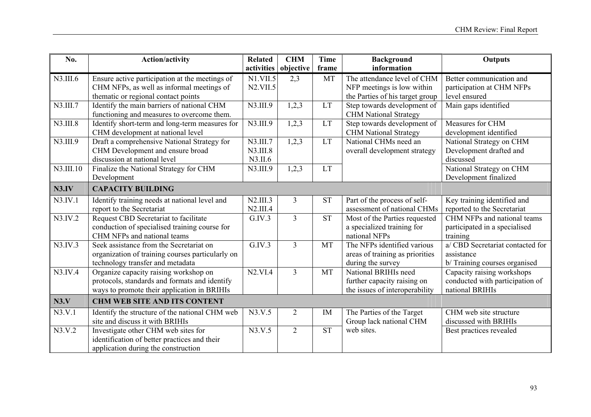| No.       | <b>Action/activity</b>                           | <b>Related</b> | <b>CHM</b>           | <b>Time</b> | <b>Background</b>               | <b>Outputs</b>                   |
|-----------|--------------------------------------------------|----------------|----------------------|-------------|---------------------------------|----------------------------------|
|           |                                                  |                | activities objective | frame       | information                     |                                  |
| N3.III.6  | Ensure active participation at the meetings of   | N1.VII.5       | 2,3                  | MT          | The attendance level of CHM     | Better communication and         |
|           | CHM NFPs, as well as informal meetings of        | N2.VII.5       |                      |             | NFP meetings is low within      | participation at CHM NFPs        |
|           | thematic or regional contact points              |                |                      |             | the Parties of his target group | level ensured                    |
| N3.III.7  | Identify the main barriers of national CHM       | N3.III.9       | 1,2,3                | <b>LT</b>   | Step towards development of     | Main gaps identified             |
|           | functioning and measures to overcome them.       |                |                      |             | <b>CHM National Strategy</b>    |                                  |
| N3.III.8  | Identify short-term and long-term measures for   | N3.III.9       | 1,2,3                | LT          | Step towards development of     | Measures for CHM                 |
|           | CHM development at national level                |                |                      |             | <b>CHM National Strategy</b>    | development identified           |
| N3.III.9  | Draft a comprehensive National Strategy for      | N3.III.7       | 1,2,3                | LT          | National CHMs need an           | National Strategy on CHM         |
|           | CHM Development and ensure broad                 | N3.III.8       |                      |             | overall development strategy    | Development drafted and          |
|           | discussion at national level                     | N3.II.6        |                      |             |                                 | discussed                        |
| N3.III.10 | Finalize the National Strategy for CHM           | N3.III.9       | 1,2,3                | LT          |                                 | National Strategy on CHM         |
|           | Development                                      |                |                      |             |                                 | Development finalized            |
| N3.IV     | <b>CAPACITY BUILDING</b>                         |                |                      |             |                                 |                                  |
| N3.IV.1   | Identify training needs at national level and    | N2.III.3       | $\overline{3}$       | <b>ST</b>   | Part of the process of self-    | Key training identified and      |
|           | report to the Secretariat                        | N2.III.4       |                      |             | assessment of national CHMs     | reported to the Secretariat      |
| N3.IV.2   | Request CBD Secretariat to facilitate            | G.IV.3         | $\overline{3}$       | <b>ST</b>   | Most of the Parties requested   | CHM NFPs and national teams      |
|           | conduction of specialised training course for    |                |                      |             | a specialized training for      | participated in a specialised    |
|           | CHM NFPs and national teams                      |                |                      |             | national NFPs                   | training                         |
| N3.IV.3   | Seek assistance from the Secretariat on          | G.IV.3         | $\overline{3}$       | MT          | The NFPs identified various     | a/ CBD Secretariat contacted for |
|           | organization of training courses particularly on |                |                      |             | areas of training as priorities | assistance                       |
|           | technology transfer and metadata                 |                |                      |             | during the survey               | b/Training courses organised     |
| N3.IV.4   | Organize capacity raising workshop on            | N2.VI.4        | $\overline{3}$       | MT          | National BRIHIs need            | Capacity raising workshops       |
|           | protocols, standards and formats and identify    |                |                      |             | further capacity raising on     | conducted with participation of  |
|           | ways to promote their application in BRIHIs      |                |                      |             | the issues of interoperability  | national BRIHIs                  |
| N3.V      | <b>CHM WEB SITE AND ITS CONTENT</b>              |                |                      |             |                                 |                                  |
| N3.V.1    | Identify the structure of the national CHM web   | N3.V.5         | $\overline{2}$       | IM          | The Parties of the Target       | CHM web site structure           |
|           | site and discuss it with BRIHIs                  |                |                      |             | Group lack national CHM         | discussed with BRIHIs            |
| N3.V.2    | Investigate other CHM web sites for              | N3.V.5         | 2                    | <b>ST</b>   | web sites.                      | Best practices revealed          |
|           | identification of better practices and their     |                |                      |             |                                 |                                  |
|           | application during the construction              |                |                      |             |                                 |                                  |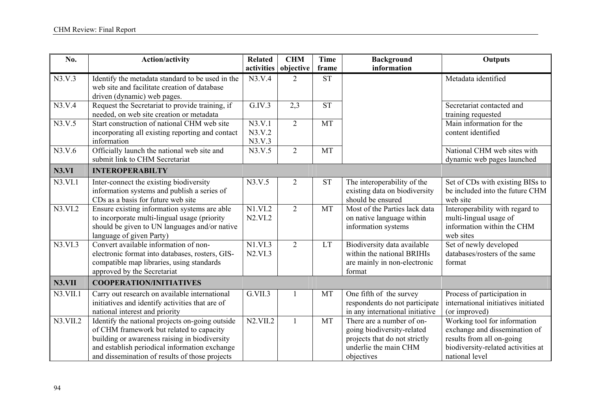| No.      | <b>Action/activity</b>                                                                                                                                                                                                                          | <b>Related</b><br>activities | <b>CHM</b><br>objective | <b>Time</b><br>frame | <b>Background</b><br>information                                                                                                | <b>Outputs</b>                                                                                                                                     |
|----------|-------------------------------------------------------------------------------------------------------------------------------------------------------------------------------------------------------------------------------------------------|------------------------------|-------------------------|----------------------|---------------------------------------------------------------------------------------------------------------------------------|----------------------------------------------------------------------------------------------------------------------------------------------------|
| N3.V.3   | Identify the metadata standard to be used in the<br>web site and facilitate creation of database<br>driven (dynamic) web pages.                                                                                                                 | N3.V.4                       | 2                       | <b>ST</b>            |                                                                                                                                 | Metadata identified                                                                                                                                |
| N3.V.4   | Request the Secretariat to provide training, if<br>needed, on web site creation or metadata                                                                                                                                                     | G.IV.3                       | 2,3                     | <b>ST</b>            |                                                                                                                                 | Secretariat contacted and<br>training requested                                                                                                    |
| N3.V.5   | Start construction of national CHM web site<br>incorporating all existing reporting and contact<br>information                                                                                                                                  | N3.V.1<br>N3.V.2<br>N3.V.3   | $\overline{2}$          | MT                   |                                                                                                                                 | Main information for the<br>content identified                                                                                                     |
| N3.V.6   | Officially launch the national web site and<br>submit link to CHM Secretariat                                                                                                                                                                   | N3.V.5                       | $\overline{2}$          | MT                   |                                                                                                                                 | National CHM web sites with<br>dynamic web pages launched                                                                                          |
| N3.VI    | <b>INTEROPERABILTY</b>                                                                                                                                                                                                                          |                              |                         |                      |                                                                                                                                 |                                                                                                                                                    |
| N3.VI.1  | Inter-connect the existing biodiversity<br>information systems and publish a series of<br>CDs as a basis for future web site                                                                                                                    | N3.V.5                       | $\overline{2}$          | <b>ST</b>            | The interoperability of the<br>existing data on biodiversity<br>should be ensured                                               | Set of CDs with existing BISs to<br>be included into the future CHM<br>web site                                                                    |
| N3.VI.2  | Ensure existing information systems are able<br>to incorporate multi-lingual usage (priority<br>should be given to UN languages and/or native<br>language of given Party)                                                                       | N1.VI.2<br>N2.VI.2           | $\overline{2}$          | MT                   | Most of the Parties lack data<br>on native language within<br>information systems                                               | Interoperability with regard to<br>multi-lingual usage of<br>information within the CHM<br>web sites                                               |
| N3.VI.3  | Convert available information of non-<br>electronic format into databases, rosters, GIS-<br>compatible map libraries, using standards<br>approved by the Secretariat                                                                            | N1.VI.3<br>N2.VI.3           | $\overline{2}$          | LT                   | Biodiversity data available<br>within the national BRIHIs<br>are mainly in non-electronic<br>format                             | Set of newly developed<br>databases/rosters of the same<br>format                                                                                  |
| N3.VII   | <b>COOPERATION/INITIATIVES</b>                                                                                                                                                                                                                  |                              |                         |                      |                                                                                                                                 |                                                                                                                                                    |
| N3.VII.1 | Carry out research on available international<br>initiatives and identify activities that are of<br>national interest and priority                                                                                                              | G.VII.3                      | 1                       | MT                   | One fifth of the survey<br>respondents do not participate<br>in any international initiative                                    | Process of participation in<br>international initiatives initiated<br>(or improved)                                                                |
| N3.VII.2 | Identify the national projects on-going outside<br>of CHM framework but related to capacity<br>building or awareness raising in biodiversity<br>and establish periodical information exchange<br>and dissemination of results of those projects | N2.VII.2                     | $\mathbf{1}$            | MT                   | There are a number of on-<br>going biodiversity-related<br>projects that do not strictly<br>underlie the main CHM<br>objectives | Working tool for information<br>exchange and dissemination of<br>results from all on-going<br>biodiversity-related activities at<br>national level |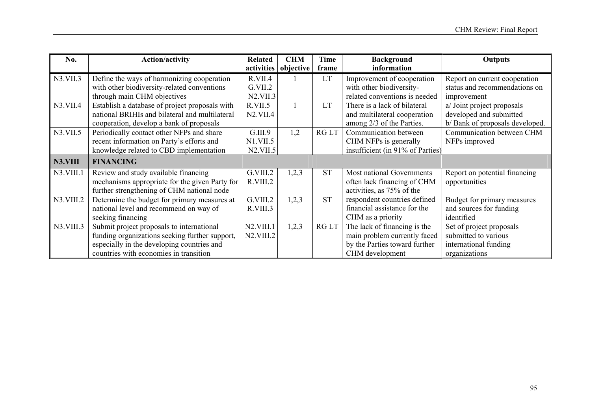| No.       | <b>Action/activity</b>                         | <b>Related</b> | <b>CHM</b>           | Time        | <b>Background</b>                | <b>Outputs</b>                  |
|-----------|------------------------------------------------|----------------|----------------------|-------------|----------------------------------|---------------------------------|
|           |                                                |                | activities objective | frame       | information                      |                                 |
| N3.VII.3  | Define the ways of harmonizing cooperation     | R.VII.4        |                      | LT          | Improvement of cooperation       | Report on current cooperation   |
|           | with other biodiversity-related conventions    | G.VII.2        |                      |             | with other biodiversity-         | status and recommendations on   |
|           | through main CHM objectives                    | N2.VII.3       |                      |             | related conventions is needed    | improvement                     |
| N3.VII.4  | Establish a database of project proposals with | R.VII.5        |                      | <b>LT</b>   | There is a lack of bilateral     | a/Joint project proposals       |
|           | national BRIHIs and bilateral and multilateral | N2.VII.4       |                      |             | and multilateral cooperation     | developed and submitted         |
|           | cooperation, develop a bank of proposals       |                |                      |             | among 2/3 of the Parties.        | b/ Bank of proposals developed. |
| N3.VII.5  | Periodically contact other NFPs and share      | G.III.9        | 1,2                  | <b>RGLT</b> | Communication between            | Communication between CHM       |
|           | recent information on Party's efforts and      | N1.VII.5       |                      |             | CHM NFPs is generally            | NFPs improved                   |
|           | knowledge related to CBD implementation        | N2.VII.5       |                      |             | insufficient (in 91% of Parties) |                                 |
| N3.VIII   | <b>FINANCING</b>                               |                |                      |             |                                  |                                 |
| N3.VIII.1 | Review and study available financing           | G.VIII.2       | 1,2,3                | <b>ST</b>   | <b>Most national Governments</b> | Report on potential financing   |
|           | mechanisms appropriate for the given Party for | R.VIII.2       |                      |             | often lack financing of CHM      | opportunities                   |
|           | further strengthening of CHM national node     |                |                      |             | activities, as 75% of the        |                                 |
| N3.VIII.2 | Determine the budget for primary measures at   | G.VIII.2       | 1,2,3                | <b>ST</b>   | respondent countries defined     | Budget for primary measures     |
|           | national level and recommend on way of         | R.VIII.3       |                      |             | financial assistance for the     | and sources for funding         |
|           | seeking financing                              |                |                      |             | CHM as a priority                | identified                      |
| N3.VIII.3 | Submit project proposals to international      | N2.VIII.1      | 1,2,3                | <b>RGLT</b> | The lack of financing is the     | Set of project proposals        |
|           | funding organizations seeking further support, | N2.VIII.2      |                      |             | main problem currently faced     | submitted to various            |
|           | especially in the developing countries and     |                |                      |             | by the Parties toward further    | international funding           |
|           | countries with economies in transition         |                |                      |             | CHM development                  | organizations                   |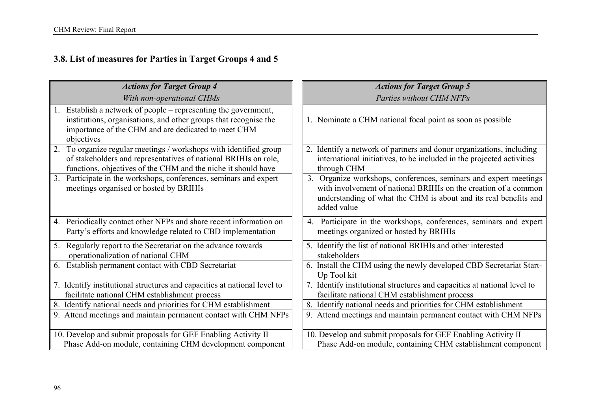# **3.8. List of measures for Parties in Target Groups 4 and 5**

| <b>Actions for Target Group 4</b>                                                                                                                                                                           | <b>Actions for Target Group 5</b>                                                                                                                                                                                      |
|-------------------------------------------------------------------------------------------------------------------------------------------------------------------------------------------------------------|------------------------------------------------------------------------------------------------------------------------------------------------------------------------------------------------------------------------|
| With non-operational CHMs                                                                                                                                                                                   | Parties without CHM NFPs                                                                                                                                                                                               |
| Establish a network of people – representing the government,<br>1.<br>institutions, organisations, and other groups that recognise the<br>importance of the CHM and are dedicated to meet CHM<br>objectives | 1. Nominate a CHM national focal point as soon as possible                                                                                                                                                             |
| 2. To organize regular meetings / workshops with identified group<br>of stakeholders and representatives of national BRIHIs on role,<br>functions, objectives of the CHM and the niche it should have       | 2. Identify a network of partners and donor organizations, including<br>international initiatives, to be included in the projected activities<br>through CHM                                                           |
| Participate in the workshops, conferences, seminars and expert<br>3.<br>meetings organised or hosted by BRIHIs                                                                                              | 3. Organize workshops, conferences, seminars and expert meetings<br>with involvement of national BRIHIs on the creation of a common<br>understanding of what the CHM is about and its real benefits and<br>added value |
| 4. Periodically contact other NFPs and share recent information on<br>Party's efforts and knowledge related to CBD implementation                                                                           | 4. Participate in the workshops, conferences, seminars and expert<br>meetings organized or hosted by BRIHIs                                                                                                            |
| 5. Regularly report to the Secretariat on the advance towards<br>operationalization of national CHM                                                                                                         | 5. Identify the list of national BRIHIs and other interested<br>stakeholders                                                                                                                                           |
| 6. Establish permanent contact with CBD Secretariat                                                                                                                                                         | 6. Install the CHM using the newly developed CBD Secretariat Start-<br>Up Tool kit                                                                                                                                     |
| 7. Identify institutional structures and capacities at national level to<br>facilitate national CHM establishment process                                                                                   | 7. Identify institutional structures and capacities at national level to<br>facilitate national CHM establishment process                                                                                              |
| 8. Identify national needs and priorities for CHM establishment                                                                                                                                             | 8. Identify national needs and priorities for CHM establishment                                                                                                                                                        |
| 9. Attend meetings and maintain permanent contact with CHM NFPs                                                                                                                                             | 9. Attend meetings and maintain permanent contact with CHM NFPs                                                                                                                                                        |
| 10. Develop and submit proposals for GEF Enabling Activity II                                                                                                                                               | 10. Develop and submit proposals for GEF Enabling Activity II                                                                                                                                                          |
| Phase Add-on module, containing CHM development component                                                                                                                                                   | Phase Add-on module, containing CHM establishment component                                                                                                                                                            |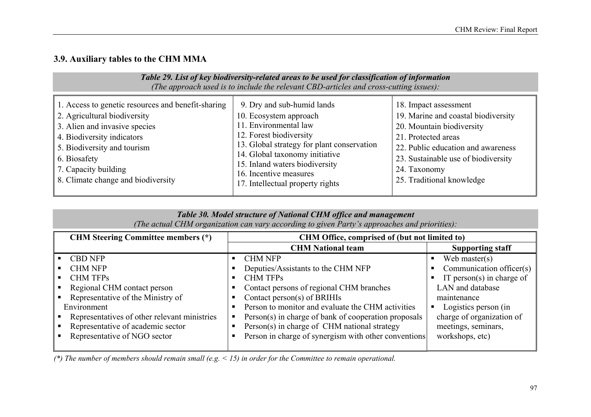## **3.9. Auxiliary tables to the CHM MMA**

| Table 29. List of key biodiversity-related areas to be used for classification of information<br>(The approach used is to include the relevant CBD-articles and cross-cutting issues):                                                                         |                                                                                                                                                                                                                                                                                          |                                                                                                                                                                                                                                            |  |  |
|----------------------------------------------------------------------------------------------------------------------------------------------------------------------------------------------------------------------------------------------------------------|------------------------------------------------------------------------------------------------------------------------------------------------------------------------------------------------------------------------------------------------------------------------------------------|--------------------------------------------------------------------------------------------------------------------------------------------------------------------------------------------------------------------------------------------|--|--|
| 1. Access to genetic resources and benefit-sharing<br>2. Agricultural biodiversity<br>3. Alien and invasive species<br>4. Biodiversity indicators<br>5. Biodiversity and tourism<br>6. Biosafety<br>7. Capacity building<br>8. Climate change and biodiversity | 9. Dry and sub-humid lands<br>10. Ecosystem approach<br>11. Environmental law<br>12. Forest biodiversity<br>13. Global strategy for plant conservation<br>14. Global taxonomy initiative<br>15. Inland waters biodiversity<br>16. Incentive measures<br>17. Intellectual property rights | 18. Impact assessment<br>19. Marine and coastal biodiversity<br>20. Mountain biodiversity<br>21. Protected areas<br>22. Public education and awareness<br>23. Sustainable use of biodiversity<br>24. Taxonomy<br>25. Traditional knowledge |  |  |

| <b>Table 30. Model structure of National CHM office and management</b> |  |
|------------------------------------------------------------------------|--|
|------------------------------------------------------------------------|--|

*(The actual CHM organization can vary according to given Party's approaches and priorities):* 

| <b>CHM Steering Committee members (*)</b>    | CHM Office, comprised of (but not limited to)        |                           |  |
|----------------------------------------------|------------------------------------------------------|---------------------------|--|
|                                              | <b>CHM National team</b>                             | <b>Supporting staff</b>   |  |
| <b>CBD NFP</b>                               | <b>CHM NFP</b>                                       | Web master(s)             |  |
| <b>CHM NFP</b>                               | Deputies/Assistants to the CHM NFP                   | Communication officer(s)  |  |
| <b>CHM TFPs</b>                              | <b>CHM TFPs</b>                                      | IT person(s) in charge of |  |
| Regional CHM contact person                  | Contact persons of regional CHM branches             | LAN and database          |  |
| Representative of the Ministry of            | Contact person(s) of BRIHIs                          | maintenance               |  |
| Environment                                  | Person to monitor and evaluate the CHM activities    | Logistics person (in      |  |
| Representatives of other relevant ministries | Person(s) in charge of bank of cooperation proposals | charge of organization of |  |
| Representative of academic sector            | Person(s) in charge of CHM national strategy         | meetings, seminars,       |  |
| Representative of NGO sector                 | Person in charge of synergism with other conventions | workshops, etc)           |  |

*(\*) The number of members should remain small (e.g. < 15) in order for the Committee to remain operational.*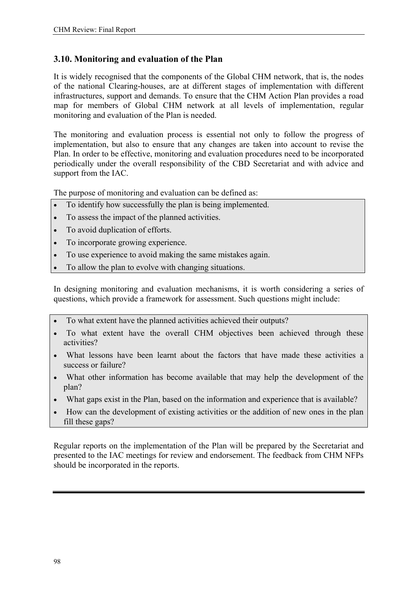#### **3.10. Monitoring and evaluation of the Plan**

It is widely recognised that the components of the Global CHM network, that is, the nodes of the national Clearing-houses, are at different stages of implementation with different infrastructures, support and demands. To ensure that the CHM Action Plan provides a road map for members of Global CHM network at all levels of implementation, regular monitoring and evaluation of the Plan is needed.

The monitoring and evaluation process is essential not only to follow the progress of implementation, but also to ensure that any changes are taken into account to revise the Plan. In order to be effective, monitoring and evaluation procedures need to be incorporated periodically under the overall responsibility of the CBD Secretariat and with advice and support from the IAC.

The purpose of monitoring and evaluation can be defined as:

- To identify how successfully the plan is being implemented.
- To assess the impact of the planned activities.
- To avoid duplication of efforts.
- To incorporate growing experience.
- To use experience to avoid making the same mistakes again.
- To allow the plan to evolve with changing situations.

In designing monitoring and evaluation mechanisms, it is worth considering a series of questions, which provide a framework for assessment. Such questions might include:

- To what extent have the planned activities achieved their outputs?
- To what extent have the overall CHM objectives been achieved through these activities?
- What lessons have been learnt about the factors that have made these activities a success or failure?
- What other information has become available that may help the development of the plan?
- What gaps exist in the Plan, based on the information and experience that is available?
- How can the development of existing activities or the addition of new ones in the plan fill these gaps?

Regular reports on the implementation of the Plan will be prepared by the Secretariat and presented to the IAC meetings for review and endorsement. The feedback from CHM NFPs should be incorporated in the reports.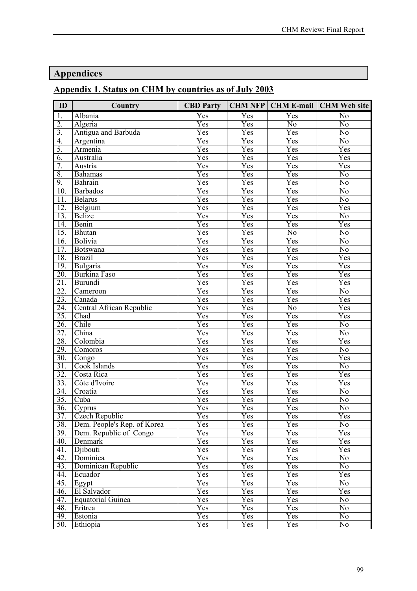# **Appendices**

## **Appendix 1. Status on CHM by countries as of July 2003**

| ID                | Country                     | <b>CBD</b> Party           |                           |                           | <b>CHM NFP   CHM E-mail   CHM Web site</b> |
|-------------------|-----------------------------|----------------------------|---------------------------|---------------------------|--------------------------------------------|
| $\overline{1}$ .  | Albania                     | Yes                        | Yes                       | Yes                       | No                                         |
| $\overline{2}$ .  | Algeria                     | Yes                        | Yes                       | $\overline{No}$           | $\overline{No}$                            |
| $\overline{3}$ .  | Antigua and Barbuda         | Yes                        | Yes                       | Yes                       | N <sub>0</sub>                             |
| $\overline{4}$ .  | Argentina                   | Yes                        | Yes                       | Yes                       | $\overline{No}$                            |
| 5.                | Armenia                     | Yes                        | Yes                       | Yes                       | Yes                                        |
| 6.                | Australia                   | Yes                        | Yes                       | Yes                       | Yes                                        |
| $\overline{7}$ .  | Austria                     | Yes                        | Yes                       | Yes                       | Yes                                        |
| 8.                | <b>Bahamas</b>              | Yes                        | Yes                       | $\overline{\mathrm{Yes}}$ | $\overline{No}$                            |
| 9.                | Bahrain                     | Yes                        | Yes                       | Yes                       | $\overline{No}$                            |
| 10.               | Barbados                    | Yes                        | Yes                       | Yes                       | $\overline{No}$                            |
| $\overline{11}$ . | <b>Belarus</b>              | $\overline{\mathrm{Yes}}$  | Yes                       | Yes                       | $\overline{No}$                            |
| 12.               | Belgium                     | Yes                        | Yes                       | <b>Yes</b>                | Yes                                        |
| 13.               | <b>Belize</b>               | Yes                        | Yes                       | Yes                       | $\overline{No}$                            |
| $\overline{14}$ . | <b>Benin</b>                | Yes                        | Yes                       | Yes                       | Yes                                        |
| $\overline{15}$ . | Bhutan                      | Yes                        | Yes                       | $\overline{No}$           | $\overline{No}$                            |
| 16.               | Bolivia                     | Yes                        | Yes                       | Yes                       | $\overline{No}$                            |
| 17.               | <b>Botswana</b>             | Yes                        | Yes                       | Yes                       | $\overline{No}$                            |
| 18.               | <b>Brazil</b>               | Yes                        | Yes                       | Yes                       | Yes                                        |
| 19.               | Bulgaria                    | Yes                        | Yes                       | Yes                       | Yes                                        |
| $\overline{20}$ . | <b>Burkina Faso</b>         | Yes                        | Yes                       | Yes                       | Yes                                        |
| $\overline{21}$   | Burundi                     | Yes                        | $\overline{\mathrm{Yes}}$ | Yes                       | Yes                                        |
| $\overline{22}$ . | Cameroon                    | Yes                        | $\overline{\mathrm{Yes}}$ | Yes                       | $\overline{No}$                            |
| 23.               | Canada                      | Yes                        | Yes                       | Yes                       | Yes                                        |
| 24.               | Central African Republic    | Yes                        | Yes                       | $\overline{No}$           | Yes                                        |
| $\overline{25}$ . | Chad                        | Yes                        | Yes                       | Yes                       | Yes                                        |
| 26.               | Chile                       | Yes                        | Yes                       | Yes                       | $\overline{No}$                            |
| 27.               | China                       | Yes                        | Yes                       | Yes                       | No                                         |
| 28.               | Colombia                    | Yes                        | Yes                       | $\overline{\mathrm{Yes}}$ | $\overline{\mathrm{Yes}}$                  |
| 29.               | Comoros                     | Yes                        | Yes                       | Yes                       | N <sub>0</sub>                             |
| 30.               | $\overline{C}$ ongo         | Yes                        | Yes                       | Yes                       | $\overline{\mathrm{Yes}}$                  |
| $\overline{31}$   | Cook Islands                | Yes                        | Yes                       | Yes                       | $\overline{No}$                            |
| 32                | Costa Rica                  | Yes                        | Yes                       | Yes                       | Yes                                        |
| 33.               | Côte d'Ivoire               | Yes                        | Yes                       | Yes                       | Yes                                        |
| $\overline{34}$ . | Croatia                     | Yes                        | Yes                       | Yes                       | $\overline{No}$                            |
| $\overline{35}$ . | Cuba                        | Yes                        | Yes                       | Yes                       | No                                         |
| 36.               | Cyprus<br>Czech Republic    | <b>Yes</b>                 | Yes                       | Yes                       | $\overline{No}$                            |
| 37.               |                             | Yes                        | Yes                       | Yes                       | Yes                                        |
| 38.               | Dem. People's Rep. of Korea | $\overline{\mathrm{Y}}$ es | Yes                       | $\overline{\mathrm{Yes}}$ | N <sub>0</sub>                             |
| 39.               | Dem. Republic of Congo      | $\overline{\mathrm{Yes}}$  | $\overline{\mathrm{Yes}}$ | Yes                       | Yes                                        |
| 40.               | Denmark                     | Yes                        | Yes                       | Yes                       | Yes                                        |
| 41.               | Djibouti                    | Yes                        | $\overline{Y}$ es         | Yes                       | Yes                                        |
| 42.               | Dominica                    | Yes                        | $\overline{Y}$ es         | Yes                       | N <sub>o</sub>                             |
| 43.               | Dominican Republic          | Yes                        | Yes                       | Yes                       | $\overline{No}$                            |
| 44.               | Ecuador                     | Yes                        | Yes                       | Yes                       | Yes                                        |
| 45.               | Egypt                       | Yes                        | Yes                       | Yes                       | No                                         |
| 46.               | El Salvador                 | Yes                        | Yes                       | Yes                       | $\overline{Y}$ es                          |
| 47.               | <b>Equatorial Guinea</b>    | Yes                        | Yes                       | Yes                       | N <sub>o</sub>                             |
| 48.               | Eritrea                     | Yes                        | Yes                       | Yes                       | N <sub>0</sub>                             |
| 49.               | Estonia                     | Yes                        | <b>Yes</b>                | $\overline{Y}$ es         | No                                         |
| 50.               | Ethiopia                    | Yes                        | Yes                       | Yes                       | No                                         |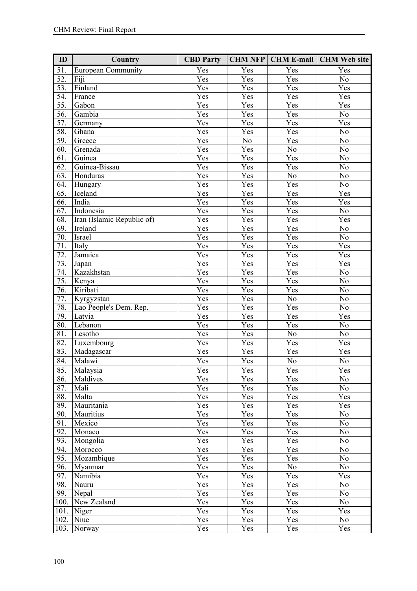| $\overline{D}$    | Country                    | <b>CBD</b> Party           |                   |                   | <b>CHM NFP   CHM E-mail   CHM Web site</b> |
|-------------------|----------------------------|----------------------------|-------------------|-------------------|--------------------------------------------|
| 51.               | <b>European Community</b>  | Yes                        | Yes               | Yes               | Yes                                        |
| 52                | Fiji                       | Yes                        | Yes               | Yes               | N <sub>o</sub>                             |
| 53.               | Finland                    | Yes                        | Yes               | Yes               | Yes                                        |
| 54.               | France                     | Yes                        | Yes               | Yes               | Yes                                        |
| 55.               | Gabon                      | $\overline{Yes}$           | Yes               | Yes               | Yes                                        |
| 56.               | Gambia                     | Yes                        | Yes               | Yes               | N <sub>o</sub>                             |
| 57.               | Germany                    | Yes                        | Yes               | $\overline{Y}$ es | Yes                                        |
| 58.               | Ghana                      | Yes                        | Yes               | $\overline{Yes}$  | N <sub>o</sub>                             |
| 59.               | Greece                     | Yes                        | No                | Yes               | N <sub>0</sub>                             |
| $\overline{60}$ . | Grenada                    | Yes                        | Yes               | $\overline{No}$   | $\overline{No}$                            |
| 61.               | Guinea                     | Yes                        | Yes               | Yes               | N <sub>0</sub>                             |
| $\overline{62}$   | Guinea-Bissau              | $\overline{Yes}$           | Yes               | Yes               | $\overline{No}$                            |
| 63.               | Honduras                   | Yes                        | Yes               | $\overline{No}$   | No                                         |
| 64.               | Hungary                    | Yes                        | Yes               | Yes               | N <sub>o</sub>                             |
| 65.               | Iceland                    | Yes                        | Yes               | Yes               | Yes                                        |
| 66.               | India                      | Yes                        | Yes               | Yes               | Yes                                        |
| 67.               | Indonesia                  | Yes                        | Yes               | $\overline{Yes}$  | $\overline{No}$                            |
| 68.               | Iran (Islamic Republic of) | <b>Yes</b>                 | Yes               | Yes               | Yes                                        |
| $\overline{69}$   | Ireland                    | Yes                        | Yes               | Yes               | No                                         |
| 70.               | Israel                     | Yes                        | Yes               | Yes               | $\overline{No}$                            |
| 71.               | Italy                      | $\overline{Y}$ es          | $\overline{Y}$ es | Yes               | Yes                                        |
| $\overline{72}$   | Jamaica                    | Yes                        | Yes               | Yes               | Yes                                        |
| 73.               | Japan                      | Yes                        | Yes               | Yes               | Yes                                        |
| 74.               | Kazakhstan                 | $\overline{\mathrm{Y}}$ es | Yes               | Yes               | No                                         |
| 75.               | Kenya                      | Yes                        | Yes               | Yes               | N <sub>o</sub>                             |
| 76.               | Kiribati                   | Yes                        | Yes               | Yes               | No                                         |
| 77.               | Kyrgyzstan                 | Yes                        | Yes               | N <sub>o</sub>    | N <sub>o</sub>                             |
| 78.               | Lao People's Dem. Rep.     | Yes                        | Yes               | Yes               | $\overline{No}$                            |
| 79.               | Latvia                     | Yes                        | Yes               | Yes               | Yes                                        |
| $\overline{80}$ . | Lebanon                    | Yes                        | Yes               | Yes               | No                                         |
| 81                | Lesotho                    | Yes                        | Yes               | N <sub>o</sub>    | $\overline{No}$                            |
| 82.               | Luxembourg                 | Yes                        | Yes               | Yes               | Yes                                        |
| 83.               | Madagascar                 | Yes                        | Yes               | Yes               | Yes                                        |
| 84.               | Malawi                     | Yes                        | Yes               | $\overline{No}$   | $\overline{No}$                            |
| 85.               | Malaysia                   | Yes                        | Yes               | Yes               | Yes                                        |
| 86.               | Maldives                   | Yes                        | Yes               | Yes               | No                                         |
| 87.               | Mali                       | Yes                        | Yes               | Yes               | N <sub>0</sub>                             |
| 88.               | Malta                      | Yes                        | Yes               | Yes               | Yes                                        |
| 89.               | Mauritania                 | Yes                        | Yes               | Yes               | Yes                                        |
| 90.               | Mauritius                  | Yes                        | Yes               | Yes               | No                                         |
| 91.               | Mexico                     | Yes                        | Yes               | Yes               | No                                         |
| 92.               | Monaco                     | Yes                        | Yes               | Yes               | N <sub>o</sub>                             |
| 93.               | Mongolia                   | Yes                        | Yes               | Yes               | No                                         |
| 94.               | Morocco                    | Yes                        | Yes               | Yes               | N <sub>0</sub>                             |
| 95.               | Mozambique                 | Yes                        | Yes               | Yes               | No                                         |
| 96.               | Myanmar                    | Yes                        | Yes               | No                | N <sub>0</sub>                             |
| 97.               | Namibia                    | Yes                        | Yes               | Yes               | Yes                                        |
| 98.               | Nauru                      | Yes                        | Yes               | Yes               | N <sub>0</sub>                             |
| 99.               | Nepal                      | Yes                        | Yes               | Yes               | No.                                        |
| 100.              | New Zealand                | Yes                        | Yes               | Yes               | N <sub>0</sub>                             |
| 101.              | Niger                      | Yes                        | Yes               | Yes               | $\overline{Y}$ es                          |
| 102.              | Niue                       | Yes                        | Yes               | Yes               | N <sub>0</sub>                             |
| 103.              | Norway                     | Yes                        | $\overline{Yes}$  | $\overline{Y}$ es | Yes                                        |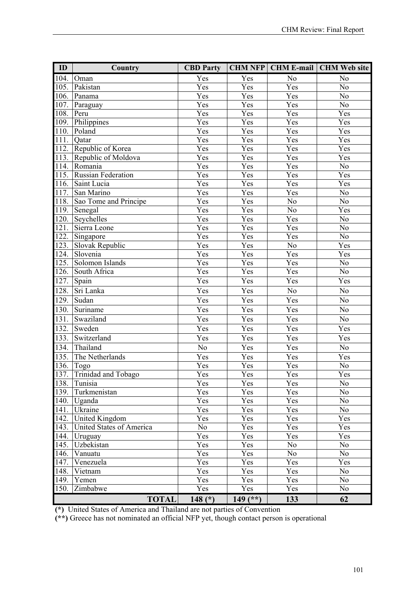| ID                | Country                   | <b>CBD</b> Party           |                   |                           | <b>CHM NFP   CHM E-mail   CHM Web site</b> |
|-------------------|---------------------------|----------------------------|-------------------|---------------------------|--------------------------------------------|
| 104.              | Oman                      | Yes                        | Yes               | N <sub>0</sub>            | N <sub>0</sub>                             |
| 105.              | Pakistan                  | Yes                        | Yes               | Yes                       | N <sub>o</sub>                             |
| 106.              | Panama                    | $\overline{Y}$ es          | Yes               | Yes                       | $\overline{No}$                            |
| 107.              | Paraguay                  | Yes                        | Yes               | Yes                       | No                                         |
| 108.              | Peru                      | Yes                        | $\overline{Y}$ es | $\overline{Y}$ es         | Yes                                        |
| 109.              | Philippines               | Yes                        | Yes               | Yes                       | Yes                                        |
| 110.              | Poland                    | Yes                        | Yes               | Yes                       | Yes                                        |
| 111.              | Qatar                     | Yes                        | Yes               | Yes                       | Yes                                        |
| 112.              | Republic of Korea         | Yes                        | Yes               | Yes                       | Yes                                        |
| 113.              | Republic of Moldova       | Yes                        | Yes               | Yes                       | Yes                                        |
| 114.              | Romania                   | Yes                        | Yes               | Yes                       | N <sub>o</sub>                             |
| $\overline{1}15.$ | <b>Russian Federation</b> | Yes                        | Yes               | Yes                       | Yes                                        |
| 116.              | Saint Lucia               | Yes                        | $\overline{Yes}$  | $\overline{Y}$ es         | Yes                                        |
| 117.              | San Marino                | Yes                        | Yes               | Yes                       | No                                         |
| 118.              | Sao Tome and Principe     | Yes                        | Yes               | No                        | $\overline{No}$                            |
| 119.              | Senegal                   | Yes                        | Yes               | No                        | Yes                                        |
| 120.              | Seychelles                | $\overline{\mathrm{Y}}$ es | $\overline{Y}$ es | Yes                       | No                                         |
| 121.              | Sierra Leone              | Yes                        | Yes               | Yes                       | No                                         |
| 122.              | Singapore                 | Yes                        | Yes               | Yes                       | N <sub>o</sub>                             |
| 123.              | Slovak Republic           | Yes                        | Yes               | No                        | Yes                                        |
| 124.              | Slovenia                  | Yes                        | Yes               | Yes                       | Yes                                        |
| 125.              | Solomon Islands           | Yes                        | Yes               | Yes                       | No                                         |
| 126.              | South Africa              | Yes                        | Yes               | Yes                       | N <sub>o</sub>                             |
| 127.              | Spain                     | Yes                        | Yes               | Yes                       | Yes                                        |
| 128.              | Sri Lanka                 | Yes                        | Yes               | N <sub>o</sub>            | N <sub>o</sub>                             |
| 129.              | Sudan                     | Yes                        | $\overline{Yes}$  | $\overline{Y}$ es         | N <sub>o</sub>                             |
| 130.              | Suriname                  | Yes                        | Yes               | $\overline{Yes}$          | N <sub>o</sub>                             |
| 131.              | Swaziland                 | Yes                        | Yes               | Yes                       | N <sub>o</sub>                             |
| 132.              | Sweden                    | Yes                        | Yes               | Yes                       | Yes                                        |
| 133.              | Switzerland               | Yes                        | $\overline{Yes}$  | Yes                       | Yes                                        |
| 134.              | Thailand                  | No                         | Yes               | Yes                       | $\overline{No}$                            |
| 135.              | The Netherlands           | $\overline{Y}$ es          | Yes               | $\overline{Y}$ es         | Yes                                        |
| 136.              | Togo                      | Yes                        | Yes               | Yes                       | No                                         |
| 137.              | Trinidad and Tobago       | Yes                        | Yes               | Yes                       | Yes                                        |
| 138.              | Tunisia                   | Yes                        | Yes               | Yes                       | N <sub>0</sub>                             |
| 139.              | Turkmenistan              | Yes                        | Yes               | Yes                       | N <sub>o</sub>                             |
| 140.              | Uganda                    | Yes                        | Yes               | Yes                       | No                                         |
| 141.              | Ukraine                   | Yes                        | Yes               | Yes                       | No                                         |
| 142.              | <b>United Kingdom</b>     | Yes                        | Yes               | Yes                       | Yes                                        |
| 143.              | United States of America  | No                         | Yes               | Yes                       | Yes                                        |
| 144.              | Uruguay                   | Yes                        | Yes               | Yes                       | Yes                                        |
| 145.              | Uzbekistan                | $\overline{\mathrm{Y}}$ es | $\overline{Y}$ es | N <sub>o</sub>            | N <sub>o</sub>                             |
| 146.              | Vanuatu                   | Yes                        | Yes               | No                        | No                                         |
| 147.              | Venezuela                 | Yes                        | Yes               | Yes                       | Yes                                        |
| 148.              | Vietnam                   | Yes                        | Yes               | $\overline{\mathrm{Yes}}$ | N <sub>o</sub>                             |
| 149.              | Yemen                     | Yes                        | Yes               | Yes                       | N <sub>o</sub>                             |
| 150.              | Zimbabwe                  | Yes                        | Yes               | Yes                       | No                                         |
|                   | <b>TOTAL</b>              | 148 $(*)$                  | $149$ (**)        | 133                       | 62                                         |

**(\*)** United States of America and Thailand are not parties of Convention

**(\*\*)** Greece has not nominated an official NFP yet, though contact person is operational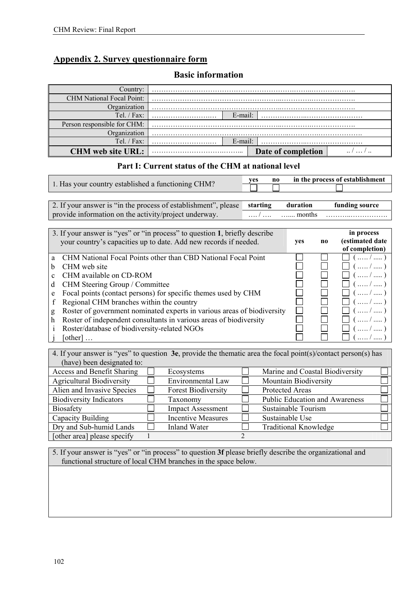# **Appendix 2. Survey questionnaire form**

#### **Basic information**

| <b>CHM National Focal Point:</b> |   |            |                    |  |
|----------------------------------|---|------------|--------------------|--|
|                                  | . |            |                    |  |
| $\cdot$ / Fax<br>Tel             |   | E-mail:    |                    |  |
| Person responsible for CHM:      | . |            |                    |  |
|                                  |   |            |                    |  |
| Tel. / Fax:                      |   | $E$ -mail: |                    |  |
| <b>CHM</b> web site URL:         |   | .          | Date of completion |  |

#### **Part I: Current status of the CHM at national level**

|                                                    | $\mathbf{n}\mathbf{o}$ | in the process of establishment |
|----------------------------------------------------|------------------------|---------------------------------|
| 1. Has your country established a functioning CHM? |                        |                                 |
|                                                    |                        |                                 |

2. If your answer is "in the process of establishment", please **starting duration funding source**  provide information on the activity/project underway. …. / …. ….... months ………..…………….

|              | 3. If your answer is "yes" or "in process" to question 1, briefly describe |     |    | in process                                                                             |
|--------------|----------------------------------------------------------------------------|-----|----|----------------------------------------------------------------------------------------|
|              | your country's capacities up to date. Add new records if needed.           | yes | no | (estimated date                                                                        |
|              |                                                                            |     |    | of completion)                                                                         |
| <sub>a</sub> | CHM National Focal Points other than CBD National Focal Point              |     |    | (/')                                                                                   |
| h            | CHM web site                                                               |     |    | $\Box$ (  /  )                                                                         |
| $\mathbf{c}$ | CHM available on CD-ROM                                                    |     |    | $\Box$ (/)                                                                             |
| d            | CHM Steering Group / Committee                                             |     |    | $\Box$ (/)                                                                             |
| e            | Focal points (contact persons) for specific themes used by CHM             |     |    | $\Box$ (/)                                                                             |
|              | Regional CHM branches within the country                                   |     |    | $\Box$ (/)                                                                             |
| g            | Roster of government nominated experts in various areas of biodiversity    |     |    | $\Box$ (/)                                                                             |
| $\hbar$      | Roster of independent consultants in various areas of biodiversity         |     |    | $\begin{array}{c} \square \, (\, \ldots \, \ldots \, \wedge \, \ldots \,) \end{array}$ |
|              | Roster/database of biodiversity-related NGOs                               |     |    | $\Box$ (/)                                                                             |
|              | [other] $\dots$                                                            |     |    | $\vert \vert$ (/)                                                                      |

4. If your answer is "yes" to question **3e**, provide the thematic area the focal point(s)/contact person(s) has (have) been designated to: Access and Benefit Sharing  $\Box$  Ecosystems  $\Box$  Marine and Coastal Biodiversity Agricultural Biodiversity  $\Box$  Environmental Law  $\Box$  Mountain Biodiversity ┑ Alien and Invasive Species  $\Box$  Forest Biodiversity  $\Box$  Protected Areas  $\Box$  Taxonomy  $\Box$  Public Education and Awareness Biosafety **Impact Assessment** Sustainable Tourism Capacity Building  $\Box$  Incentive Measures  $\Box$  Sustainable Use T ┑  $\Box$  Inland Water  $\Box$  Inland Water  $\Box$  Traditional Knowledge [other area] please specify 1 2

5. If your answer is "yes" or "in process" to question **3f** please briefly describe the organizational and functional structure of local CHM branches in the space below.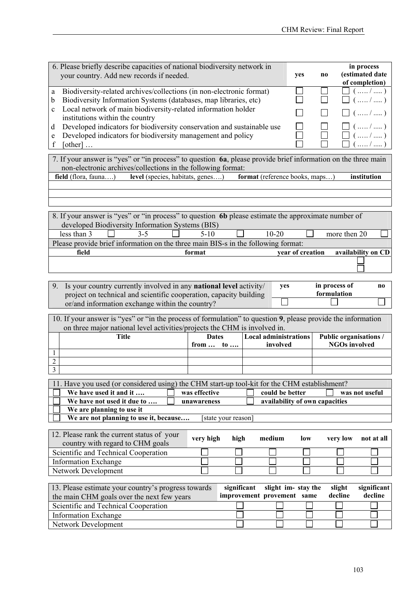| 6. Please briefly describe capacities of national biodiversity network in<br>your country. Add new records if needed.                              |                         |             |  |                                | yes                | no |                      | in process<br>(estimated date<br>of completion) |
|----------------------------------------------------------------------------------------------------------------------------------------------------|-------------------------|-------------|--|--------------------------------|--------------------|----|----------------------|-------------------------------------------------|
| Biodiversity-related archives/collections (in non-electronic format)<br>a<br>Biodiversity Information Systems (databases, map libraries, etc)<br>b |                         |             |  |                                | (/')<br>$\Box$ (/) |    |                      |                                                 |
| Local network of main biodiversity-related information holder<br>$\mathbf c$                                                                       |                         |             |  |                                |                    |    |                      | $\Box$ (/)                                      |
| institutions within the country<br>Developed indicators for biodiversity conservation and sustainable use<br>d                                     |                         |             |  |                                |                    |    |                      | $\rfloor$ (  /  )                               |
| Developed indicators for biodiversity management and policy<br>e<br>$\mathbf f$<br>[other] $\dots$                                                 |                         |             |  |                                |                    |    |                      | $\Box$ (  /  )<br>(,/')                         |
| 7. If your answer is "yes" or "in process" to question 6a, please provide brief information on the three main                                      |                         |             |  |                                |                    |    |                      |                                                 |
| non-electronic archives/collections in the following format:                                                                                       |                         |             |  |                                |                    |    |                      |                                                 |
| level (species, habitats, genes)<br>field (flora, fauna)                                                                                           |                         |             |  | format (reference books, maps) |                    |    |                      | institution                                     |
|                                                                                                                                                    |                         |             |  |                                |                    |    |                      |                                                 |
|                                                                                                                                                    |                         |             |  |                                |                    |    |                      |                                                 |
| 8. If your answer is "yes" or "in process" to question 6b please estimate the approximate number of                                                |                         |             |  |                                |                    |    |                      |                                                 |
| developed Biodiversity Information Systems (BIS)                                                                                                   |                         |             |  |                                |                    |    |                      |                                                 |
| less than 3<br>$3 - 5$                                                                                                                             | $5 - 10$                |             |  | $10 - 20$                      |                    |    | more then $20$       |                                                 |
| Please provide brief information on the three main BIS-s in the following format:                                                                  |                         |             |  |                                |                    |    |                      |                                                 |
| field                                                                                                                                              | format                  |             |  |                                | year of creation   |    |                      | availability on CD                              |
|                                                                                                                                                    |                         |             |  |                                |                    |    |                      |                                                 |
|                                                                                                                                                    |                         |             |  |                                |                    |    |                      |                                                 |
| Is your country currently involved in any <b>national level</b> activity/<br>9.                                                                    |                         |             |  | yes                            |                    |    | in process of        | n <sub>0</sub>                                  |
| project on technical and scientific cooperation, capacity building                                                                                 |                         |             |  |                                |                    |    | formulation          |                                                 |
| or/and information exchange within the country?                                                                                                    |                         |             |  |                                |                    |    |                      |                                                 |
| 10. If your answer is "yes" or "in the process of formulation" to question 9, please provide the information                                       |                         |             |  |                                |                    |    |                      |                                                 |
| on three major national level activities/projects the CHM is involved in.                                                                          |                         |             |  |                                |                    |    |                      |                                                 |
| <b>Title</b>                                                                                                                                       | <b>Dates</b>            |             |  | <b>Local administrations</b>   |                    |    |                      | <b>Public organisations/</b>                    |
| 1                                                                                                                                                  | from $\dots$ to $\dots$ |             |  | involved                       |                    |    | <b>NGOs involved</b> |                                                 |
| $\boldsymbol{2}$                                                                                                                                   |                         |             |  |                                |                    |    |                      |                                                 |
| $\overline{3}$                                                                                                                                     |                         |             |  |                                |                    |    |                      |                                                 |
| 11. Have you used (or considered using) the CHM start-up tool-kit for the CHM establishment?                                                       |                         |             |  |                                |                    |    |                      |                                                 |
| We have used it and it                                                                                                                             | was effective           |             |  | could be better                |                    |    |                      | was not useful                                  |
| We have not used it due to                                                                                                                         | unawareness             |             |  | availability of own capacities |                    |    |                      |                                                 |
| We are planning to use it                                                                                                                          |                         |             |  |                                |                    |    |                      |                                                 |
| We are not planning to use it, because                                                                                                             | state your reason       |             |  |                                |                    |    |                      |                                                 |
| 12. Please rank the current status of your<br>country with regard to CHM goals                                                                     | very high               | high        |  | medium                         | low                |    | very low             | not at all                                      |
| Scientific and Technical Cooperation                                                                                                               |                         |             |  |                                |                    |    |                      |                                                 |
| <b>Information Exchange</b>                                                                                                                        |                         |             |  |                                |                    |    |                      |                                                 |
| Network Development                                                                                                                                |                         |             |  |                                |                    |    |                      |                                                 |
|                                                                                                                                                    |                         |             |  |                                |                    |    |                      |                                                 |
| 13. Please estimate your country's progress towards                                                                                                |                         | significant |  | slight im-stay the             |                    |    | slight<br>decline    | significant<br>decline                          |
| the main CHM goals over the next few years                                                                                                         |                         |             |  | improvement provement same     |                    |    |                      |                                                 |
| Scientific and Technical Cooperation<br><b>Information Exchange</b>                                                                                |                         |             |  |                                |                    |    |                      |                                                 |
| Network Development                                                                                                                                |                         |             |  |                                |                    |    |                      |                                                 |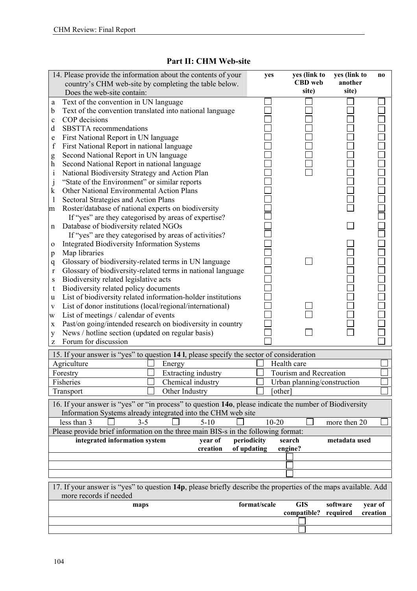## **Part II: CHM Web-site**

|                                           | 14. Please provide the information about the contents of your<br>country's CHM web-site by completing the table below.<br>Does the web-site contain: | yes          | yes (link to<br><b>CBD</b> web<br>site) | yes (link to<br>another<br>site) | n <sub>0</sub> |
|-------------------------------------------|------------------------------------------------------------------------------------------------------------------------------------------------------|--------------|-----------------------------------------|----------------------------------|----------------|
|                                           | Text of the convention in UN language                                                                                                                |              |                                         |                                  |                |
| a<br>b                                    | Text of the convention translated into national language                                                                                             |              |                                         |                                  |                |
|                                           | COP decisions                                                                                                                                        |              |                                         |                                  |                |
| c<br>d                                    | <b>SBSTTA</b> recommendations                                                                                                                        |              |                                         |                                  |                |
|                                           |                                                                                                                                                      |              |                                         |                                  |                |
| e<br>$\mathbf f$                          | First National Report in UN language                                                                                                                 |              |                                         |                                  |                |
|                                           | First National Report in national language                                                                                                           |              |                                         |                                  |                |
| g                                         | Second National Report in UN language                                                                                                                |              |                                         |                                  |                |
| $\boldsymbol{\mathrm{h}}$<br>$\mathbf{i}$ | Second National Report in national language                                                                                                          |              |                                         |                                  |                |
|                                           | National Biodiversity Strategy and Action Plan                                                                                                       |              |                                         |                                  |                |
| $\bf J$                                   | "State of the Environment" or similar reports                                                                                                        |              |                                         |                                  |                |
| $\bf k$                                   | Other National Environmental Action Plans                                                                                                            |              |                                         |                                  |                |
| $\mathbf{l}$                              | Sectoral Strategies and Action Plans                                                                                                                 |              |                                         |                                  |                |
| m                                         | Roster/database of national experts on biodiversity                                                                                                  |              |                                         |                                  |                |
|                                           | If "yes" are they categorised by areas of expertise?                                                                                                 |              |                                         |                                  |                |
| n                                         | Database of biodiversity related NGOs                                                                                                                |              |                                         |                                  |                |
|                                           | If "yes" are they categorised by areas of activities?                                                                                                |              |                                         |                                  |                |
| $\mathbf{o}$                              | <b>Integrated Biodiversity Information Systems</b>                                                                                                   |              |                                         |                                  |                |
| p                                         | Map libraries                                                                                                                                        |              |                                         |                                  |                |
| q                                         | Glossary of biodiversity-related terms in UN language                                                                                                |              |                                         |                                  |                |
| r                                         | Glossary of biodiversity-related terms in national language                                                                                          |              |                                         |                                  |                |
| $\bf S$                                   | Biodiversity related legislative acts                                                                                                                |              |                                         |                                  |                |
| t                                         | Biodiversity related policy documents                                                                                                                |              |                                         |                                  |                |
| u                                         | List of biodiversity related information-holder institutions                                                                                         |              |                                         |                                  |                |
| $\mathbf{V}$                              | List of donor institutions (local/regional/international)                                                                                            |              |                                         |                                  |                |
| W                                         | List of meetings / calendar of events                                                                                                                |              |                                         |                                  |                |
| X                                         | Past/on going/intended research on biodiversity in country                                                                                           |              |                                         |                                  |                |
| y                                         | News / hotline section (updated on regular basis)                                                                                                    |              |                                         |                                  |                |
| Z                                         | Forum for discussion                                                                                                                                 |              |                                         |                                  |                |
|                                           | 15. If your answer is "yes" to question 14 l, please specify the sector of consideration                                                             |              |                                         |                                  |                |
|                                           | Agriculture<br>Energy                                                                                                                                |              | Health care                             |                                  |                |
|                                           | Extracting industry<br>Forestry                                                                                                                      |              | Tourism and Recreation                  |                                  |                |
|                                           | Fisheries<br>Chemical industry                                                                                                                       |              | Urban planning/construction             |                                  |                |
|                                           | Other Industry<br>Transport                                                                                                                          | [other]      |                                         |                                  |                |
|                                           | 16. If your answer is "yes" or "in process" to question 140, please indicate the number of Biodiversity                                              |              |                                         |                                  |                |
|                                           | Information Systems already integrated into the CHM web site                                                                                         |              |                                         |                                  |                |
|                                           | less than 3<br>$5 - 10$<br>3-5                                                                                                                       | $10 - 20$    |                                         | more then 20                     |                |
|                                           | Please provide brief information on the three main BIS-s in the following format:                                                                    |              |                                         |                                  |                |
|                                           | integrated information system<br>year of                                                                                                             | periodicity  | search                                  | metadata used                    |                |
|                                           | creation                                                                                                                                             | of updating  | engine?                                 |                                  |                |
|                                           |                                                                                                                                                      |              |                                         |                                  |                |
|                                           |                                                                                                                                                      |              |                                         |                                  |                |
|                                           | 17. If your answer is "yes" to question 14p, please briefly describe the properties of the maps available. Add                                       |              |                                         |                                  |                |
|                                           | more records if needed                                                                                                                               |              |                                         |                                  |                |
|                                           | maps                                                                                                                                                 | format/scale | <b>GIS</b>                              | software                         | year of        |
|                                           |                                                                                                                                                      |              | compatible?                             | required                         | creation       |
|                                           |                                                                                                                                                      |              |                                         |                                  |                |
|                                           |                                                                                                                                                      |              |                                         |                                  |                |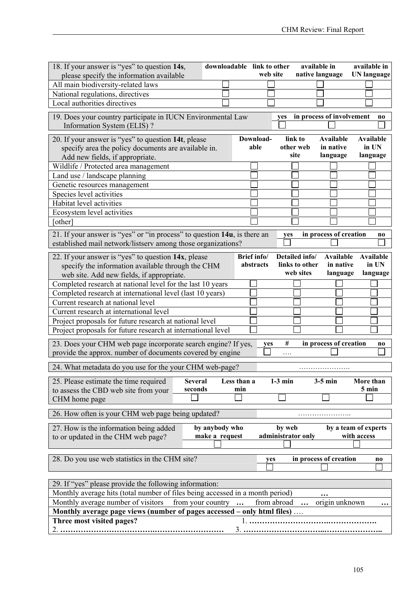| 18. If your answer is "yes" to question 14s,                                  |                   | downloadable link to other |                    | available in               | available in         |
|-------------------------------------------------------------------------------|-------------------|----------------------------|--------------------|----------------------------|----------------------|
| please specify the information available                                      |                   |                            | web site           | native language            | <b>UN</b> language   |
| All main biodiversity-related laws                                            |                   |                            |                    |                            |                      |
| National regulations, directives                                              |                   |                            |                    |                            |                      |
| Local authorities directives                                                  |                   |                            |                    |                            |                      |
|                                                                               |                   |                            |                    |                            |                      |
| 19. Does your country participate in IUCN Environmental Law                   |                   |                            | <b>ves</b>         | in process of involvement  | n0                   |
| Information System (ELIS)?                                                    |                   |                            |                    |                            |                      |
| 20. If your answer is "yes" to question 14t, please                           |                   | Download-                  | link to            | Available                  | Available            |
| specify area the policy documents are available in.                           |                   | able                       | other web          | in native                  | in UN                |
| Add new fields, if appropriate.                                               |                   |                            | site               | language                   | language             |
| Wildlife / Protected area management                                          |                   |                            |                    |                            |                      |
| Land use / landscape planning                                                 |                   |                            |                    |                            |                      |
| Genetic resources management                                                  |                   |                            |                    |                            |                      |
| Species level activities                                                      |                   |                            |                    |                            |                      |
| Habitat level activities                                                      |                   |                            |                    |                            |                      |
| Ecosystem level activities                                                    |                   |                            |                    |                            |                      |
| other]                                                                        |                   |                            |                    |                            |                      |
|                                                                               |                   |                            |                    |                            |                      |
| 21. If your answer is "yes" or "in process" to question 14u, is there an      |                   |                            | yes                | in process of creation     | n0                   |
| established mail network/listserv among those organizations?                  |                   |                            |                    |                            |                      |
| 22. If your answer is "yes" to question 14x, please                           |                   | <b>Brief</b> info/         | Detailed info/     | <b>Available</b>           | <b>Available</b>     |
| specify the information available through the CHM                             |                   | abstracts                  | links to other     | in native                  | in UN                |
| web site. Add new fields, if appropriate.                                     |                   |                            | web sites          | language                   | language             |
| Completed research at national level for the last 10 years                    |                   |                            |                    |                            |                      |
| Completed research at international level (last 10 years)                     |                   |                            |                    |                            |                      |
| Current research at national level                                            |                   |                            |                    |                            |                      |
| Current research at international level                                       |                   |                            |                    |                            |                      |
| Project proposals for future research at national level                       |                   |                            |                    |                            |                      |
|                                                                               |                   |                            |                    |                            |                      |
| Project proposals for future research at international level                  |                   |                            |                    |                            |                      |
| 23. Does your CHM web page incorporate search engine? If yes,                 |                   |                            | $\#$<br>yes        | in process of creation     | n0                   |
| provide the approx. number of documents covered by engine                     |                   |                            |                    |                            |                      |
|                                                                               |                   |                            |                    |                            |                      |
| 24. What metadata do you use for the your CHM web-page?                       |                   |                            |                    |                            |                      |
| 25. Please estimate the time required                                         | <b>Several</b>    | Less than a                | $1-3$ min          | $3-5$ min                  | More than            |
| to assess the CBD web site from your                                          | seconds           | min                        |                    |                            | 5 min                |
| CHM home page                                                                 |                   |                            |                    |                            |                      |
|                                                                               |                   |                            |                    |                            |                      |
| 26. How often is your CHM web page being updated?                             |                   |                            |                    |                            |                      |
| 27. How is the information being added                                        | by anybody who    |                            | by web             |                            | by a team of experts |
| to or updated in the CHM web page?                                            | make a request    |                            | administrator only |                            | with access          |
|                                                                               |                   |                            |                    |                            |                      |
|                                                                               |                   |                            |                    |                            |                      |
| 28. Do you use web statistics in the CHM site?                                |                   |                            | yes                | in process of creation     | n0                   |
|                                                                               |                   |                            |                    |                            |                      |
|                                                                               |                   |                            |                    |                            |                      |
| 29. If "yes" please provide the following information:                        |                   |                            |                    |                            |                      |
| Monthly average hits (total number of files being accessed in a month period) |                   |                            |                    |                            |                      |
| Monthly average number of visitors                                            | from your country |                            | from abroad        | origin unknown<br>$\cdots$ | $\ddotsc$            |
| Monthly average page views (number of pages accessed – only html files)       |                   |                            |                    |                            |                      |
| Three most visited pages?                                                     |                   |                            |                    |                            |                      |
|                                                                               |                   |                            | 3.                 |                            |                      |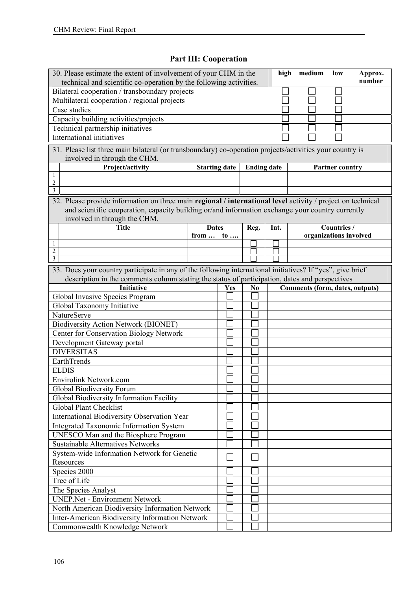# **Part III: Cooperation**

| 30. Please estimate the extent of involvement of your CHM in the<br>technical and scientific co-operation by the following activities.   |                      |     |  |                    |  |      | high medium<br>low<br>Approx.<br>number |  |
|------------------------------------------------------------------------------------------------------------------------------------------|----------------------|-----|--|--------------------|--|------|-----------------------------------------|--|
| Bilateral cooperation / transboundary projects                                                                                           |                      |     |  |                    |  |      |                                         |  |
| Multilateral cooperation / regional projects                                                                                             |                      |     |  |                    |  |      |                                         |  |
| Case studies                                                                                                                             |                      |     |  |                    |  |      |                                         |  |
| Capacity building activities/projects                                                                                                    |                      |     |  |                    |  |      |                                         |  |
| Technical partnership initiatives                                                                                                        |                      |     |  |                    |  |      |                                         |  |
| International initiatives                                                                                                                |                      |     |  |                    |  |      |                                         |  |
|                                                                                                                                          |                      |     |  |                    |  |      |                                         |  |
| 31. Please list three main bilateral (or transboundary) co-operation projects/activities your country is<br>involved in through the CHM. |                      |     |  |                    |  |      |                                         |  |
| Project/activity                                                                                                                         | <b>Starting date</b> |     |  | <b>Ending date</b> |  |      | <b>Partner country</b>                  |  |
| 1<br>$\sqrt{2}$                                                                                                                          |                      |     |  |                    |  |      |                                         |  |
| $\mathfrak{Z}$                                                                                                                           |                      |     |  |                    |  |      |                                         |  |
| 32. Please provide information on three main regional / international level activity / project on technical                              |                      |     |  |                    |  |      |                                         |  |
| and scientific cooperation, capacity building or/and information exchange your country currently                                         |                      |     |  |                    |  |      |                                         |  |
| involved in through the CHM.                                                                                                             |                      |     |  |                    |  |      |                                         |  |
| <b>Title</b>                                                                                                                             | <b>Dates</b>         |     |  | Reg.               |  | Int. | Countries /                             |  |
|                                                                                                                                          | from  to             |     |  |                    |  |      | organizations involved                  |  |
| 1<br>$\overline{c}$                                                                                                                      |                      |     |  |                    |  |      |                                         |  |
| 3                                                                                                                                        |                      |     |  |                    |  |      |                                         |  |
| 33. Does your country participate in any of the following international initiatives? If "yes", give brief                                |                      |     |  |                    |  |      |                                         |  |
|                                                                                                                                          |                      |     |  |                    |  |      |                                         |  |
| description in the comments column stating the status of participation, dates and perspectives<br><b>Initiative</b>                      |                      | Yes |  | N <sub>0</sub>     |  |      | <b>Comments (form, dates, outputs)</b>  |  |
| <b>Global Invasive Species Program</b>                                                                                                   |                      |     |  |                    |  |      |                                         |  |
| Global Taxonomy Initiative                                                                                                               |                      |     |  |                    |  |      |                                         |  |
| NatureServe                                                                                                                              |                      |     |  |                    |  |      |                                         |  |
| <b>Biodiversity Action Network (BIONET)</b>                                                                                              |                      |     |  |                    |  |      |                                         |  |
| Center for Conservation Biology Network                                                                                                  |                      |     |  |                    |  |      |                                         |  |
| Development Gateway portal                                                                                                               |                      |     |  |                    |  |      |                                         |  |
| <b>DIVERSITAS</b>                                                                                                                        |                      |     |  |                    |  |      |                                         |  |
|                                                                                                                                          |                      |     |  |                    |  |      |                                         |  |
| EarthTrends                                                                                                                              |                      |     |  |                    |  |      |                                         |  |
| <b>ELDIS</b>                                                                                                                             |                      |     |  |                    |  |      |                                         |  |
| Envirolink Network.com                                                                                                                   |                      |     |  |                    |  |      |                                         |  |
| Global Biodiversity Forum                                                                                                                |                      |     |  |                    |  |      |                                         |  |
| Global Biodiversity Information Facility<br><b>Global Plant Checklist</b>                                                                |                      |     |  |                    |  |      |                                         |  |
|                                                                                                                                          |                      |     |  |                    |  |      |                                         |  |
| International Biodiversity Observation Year                                                                                              |                      |     |  |                    |  |      |                                         |  |
| <b>Integrated Taxonomic Information System</b>                                                                                           |                      |     |  |                    |  |      |                                         |  |
| UNESCO Man and the Biosphere Program                                                                                                     |                      |     |  |                    |  |      |                                         |  |
| <b>Sustainable Alternatives Networks</b>                                                                                                 |                      |     |  |                    |  |      |                                         |  |
| System-wide Information Network for Genetic                                                                                              |                      |     |  |                    |  |      |                                         |  |
| Resources                                                                                                                                |                      |     |  |                    |  |      |                                         |  |
| Species 2000                                                                                                                             |                      |     |  |                    |  |      |                                         |  |
| Tree of Life                                                                                                                             |                      |     |  |                    |  |      |                                         |  |
| The Species Analyst                                                                                                                      |                      |     |  |                    |  |      |                                         |  |
| <b>UNEP.Net - Environment Network</b>                                                                                                    |                      |     |  |                    |  |      |                                         |  |
| North American Biodiversity Information Network                                                                                          |                      |     |  |                    |  |      |                                         |  |
| <b>Inter-American Biodiversity Information Network</b>                                                                                   |                      |     |  |                    |  |      |                                         |  |
| Commonwealth Knowledge Network                                                                                                           |                      |     |  |                    |  |      |                                         |  |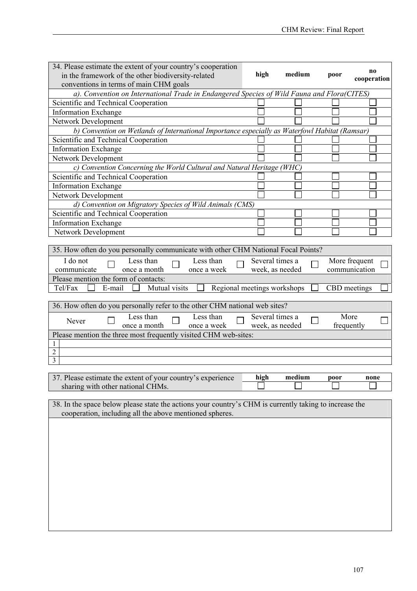| 34. Please estimate the extent of your country's cooperation<br>in the framework of the other biodiversity-related | high                        | medium | poor          | n <sub>0</sub><br>cooperation |
|--------------------------------------------------------------------------------------------------------------------|-----------------------------|--------|---------------|-------------------------------|
| conventions in terms of main CHM goals                                                                             |                             |        |               |                               |
| a). Convention on International Trade in Endangered Species of Wild Fauna and Flora(CITES)                         |                             |        |               |                               |
| Scientific and Technical Cooperation                                                                               |                             |        |               |                               |
| <b>Information Exchange</b>                                                                                        |                             |        |               |                               |
| Network Development                                                                                                |                             |        |               |                               |
| b) Convention on Wetlands of International Importance especially as Waterfowl Habitat (Ramsar)                     |                             |        |               |                               |
| Scientific and Technical Cooperation                                                                               |                             |        |               |                               |
| <b>Information Exchange</b>                                                                                        |                             |        |               |                               |
| Network Development                                                                                                |                             |        |               |                               |
| c) Convention Concerning the World Cultural and Natural Heritage (WHC)                                             |                             |        |               |                               |
| Scientific and Technical Cooperation                                                                               |                             |        |               |                               |
| <b>Information Exchange</b>                                                                                        |                             |        |               |                               |
| Network Development                                                                                                |                             |        |               |                               |
| d) Convention on Migratory Species of Wild Animals (CMS)                                                           |                             |        |               |                               |
| Scientific and Technical Cooperation                                                                               |                             |        |               |                               |
| <b>Information Exchange</b>                                                                                        |                             |        |               |                               |
| Network Development                                                                                                |                             |        |               |                               |
|                                                                                                                    |                             |        |               |                               |
| 35. How often do you personally communicate with other CHM National Focal Points?                                  |                             |        |               |                               |
| I do not<br>Less than<br>Less than                                                                                 | Several times a             |        | More frequent |                               |
| communicate<br>once a week<br>once a month                                                                         | week, as needed             |        | communication |                               |
| Please mention the form of contacts:                                                                               |                             |        |               |                               |
| Mutual visits<br>Tel/Fax<br>E-mail                                                                                 | Regional meetings workshops |        | CBD meetings  |                               |
|                                                                                                                    |                             |        |               |                               |
| 36. How often do you personally refer to the other CHM national web sites?                                         |                             |        |               |                               |
| Less than<br>Less than                                                                                             | Several times a             |        | More          |                               |
| Never<br>once a week<br>once a month                                                                               | week, as needed             |        |               |                               |
| Please mention the three most frequently visited CHM web-sites:                                                    |                             |        | frequently    |                               |
|                                                                                                                    |                             |        |               |                               |
| $\boldsymbol{2}$                                                                                                   |                             |        |               |                               |
| 3                                                                                                                  |                             |        |               |                               |
|                                                                                                                    |                             |        |               |                               |
| 37. Please estimate the extent of your country's experience                                                        | high                        | medium | poor          | none                          |
| sharing with other national CHMs.                                                                                  |                             |        |               |                               |
|                                                                                                                    |                             |        |               |                               |
| 38. In the space below please state the actions your country's CHM is currently taking to increase the             |                             |        |               |                               |
| cooperation, including all the above mentioned spheres.                                                            |                             |        |               |                               |
|                                                                                                                    |                             |        |               |                               |
|                                                                                                                    |                             |        |               |                               |
|                                                                                                                    |                             |        |               |                               |
|                                                                                                                    |                             |        |               |                               |
|                                                                                                                    |                             |        |               |                               |
|                                                                                                                    |                             |        |               |                               |
|                                                                                                                    |                             |        |               |                               |
|                                                                                                                    |                             |        |               |                               |
|                                                                                                                    |                             |        |               |                               |
|                                                                                                                    |                             |        |               |                               |
|                                                                                                                    |                             |        |               |                               |
|                                                                                                                    |                             |        |               |                               |
|                                                                                                                    |                             |        |               |                               |
|                                                                                                                    |                             |        |               |                               |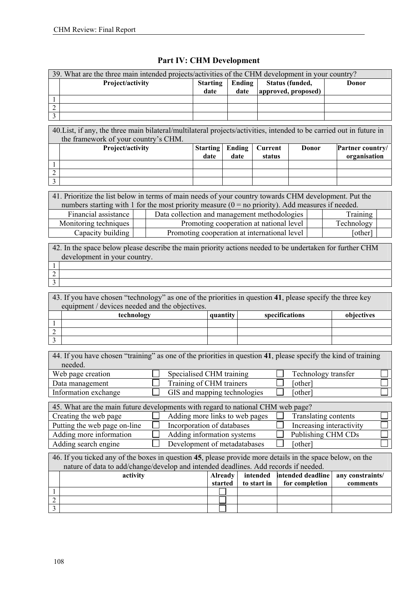# Part IV<sup>.</sup> CHM Development

|                                  | 39. What are the three main intended projects/activities of the CHM development in your country?                                                                                                             |                                              |                                |                       |                                              |                          |                                  |
|----------------------------------|--------------------------------------------------------------------------------------------------------------------------------------------------------------------------------------------------------------|----------------------------------------------|--------------------------------|-----------------------|----------------------------------------------|--------------------------|----------------------------------|
|                                  | Project/activity                                                                                                                                                                                             |                                              | <b>Starting</b>                | Ending                |                                              | Status (funded,          | Donor                            |
|                                  |                                                                                                                                                                                                              |                                              | date                           | date                  | approved, proposed)                          |                          |                                  |
| 1                                |                                                                                                                                                                                                              |                                              |                                |                       |                                              |                          |                                  |
| $\overline{2}$                   |                                                                                                                                                                                                              |                                              |                                |                       |                                              |                          |                                  |
| 3                                |                                                                                                                                                                                                              |                                              |                                |                       |                                              |                          |                                  |
|                                  | 40. List, if any, the three main bilateral/multilateral projects/activities, intended to be carried out in future in<br>the framework of your country's CHM.                                                 |                                              |                                |                       |                                              |                          |                                  |
|                                  | Project/activity                                                                                                                                                                                             |                                              | <b>Starting</b><br>date        | <b>Ending</b><br>date | <b>Current</b><br>status                     | <b>Donor</b>             | Partner country/<br>organisation |
| 1                                |                                                                                                                                                                                                              |                                              |                                |                       |                                              |                          |                                  |
| $\overline{c}$                   |                                                                                                                                                                                                              |                                              |                                |                       |                                              |                          |                                  |
| $\overline{3}$                   |                                                                                                                                                                                                              |                                              |                                |                       |                                              |                          |                                  |
|                                  | 41. Prioritize the list below in terms of main needs of your country towards CHM development. Put the<br>numbers starting with 1 for the most priority measure ( $0 =$ no priority). Add measures if needed. |                                              |                                |                       |                                              |                          |                                  |
|                                  | Financial assistance                                                                                                                                                                                         | Data collection and management methodologies |                                |                       |                                              |                          | Training                         |
|                                  | Monitoring techniques                                                                                                                                                                                        |                                              |                                |                       | Promoting cooperation at national level      |                          | Technology                       |
|                                  | Capacity building                                                                                                                                                                                            |                                              |                                |                       | Promoting cooperation at international level |                          | [other]                          |
| 1<br>$\overline{2}$              | 42. In the space below please describe the main priority actions needed to be undertaken for further CHM<br>development in your country.                                                                     |                                              |                                |                       |                                              |                          |                                  |
| $\overline{3}$                   |                                                                                                                                                                                                              |                                              |                                |                       |                                              |                          |                                  |
|                                  | 43. If you have chosen "technology" as one of the priorities in question 41, please specify the three key                                                                                                    |                                              |                                |                       |                                              |                          |                                  |
|                                  | equipment / devices needed and the objectives.                                                                                                                                                               |                                              |                                |                       |                                              |                          |                                  |
|                                  | technology                                                                                                                                                                                                   |                                              | quantity                       |                       | specifications                               |                          | objectives                       |
| 1                                |                                                                                                                                                                                                              |                                              |                                |                       |                                              |                          |                                  |
| $\mathfrak{2}$                   |                                                                                                                                                                                                              |                                              |                                |                       |                                              |                          |                                  |
| $\overline{3}$                   |                                                                                                                                                                                                              |                                              |                                |                       |                                              |                          |                                  |
|                                  | 44. If you have chosen "training" as one of the priorities in question 41, please specify the kind of training<br>needed.                                                                                    |                                              |                                |                       |                                              |                          |                                  |
|                                  | Web page creation                                                                                                                                                                                            |                                              | Specialised CHM training       |                       |                                              | Technology transfer      |                                  |
|                                  | Data management                                                                                                                                                                                              |                                              | Training of CHM trainers       |                       |                                              | [other]                  |                                  |
|                                  | Information exchange                                                                                                                                                                                         |                                              | GIS and mapping technologies   |                       |                                              | [other]                  |                                  |
|                                  | 45. What are the main future developments with regard to national CHM web page?                                                                                                                              |                                              |                                |                       |                                              |                          |                                  |
|                                  | Creating the web page                                                                                                                                                                                        |                                              | Adding more links to web pages |                       |                                              | Translating contents     |                                  |
|                                  | Putting the web page on-line                                                                                                                                                                                 |                                              | Incorporation of databases     |                       |                                              | Increasing interactivity |                                  |
|                                  | Adding more information                                                                                                                                                                                      |                                              | Adding information systems     |                       |                                              | Publishing CHM CDs       |                                  |
|                                  | Adding search engine                                                                                                                                                                                         |                                              | Development of metadatabases   |                       |                                              | [other]                  |                                  |
|                                  | 46. If you ticked any of the boxes in question 45, please provide more details in the space below, on the<br>nature of data to add/change/develop and intended deadlines. Add records if needed.             |                                              |                                |                       |                                              |                          |                                  |
|                                  | activity                                                                                                                                                                                                     |                                              | <b>Already</b>                 |                       | intended                                     | intended deadline        | any constraints/                 |
| 1                                |                                                                                                                                                                                                              |                                              | started                        |                       | to start in                                  | for completion           | comments                         |
| $\overline{2}$<br>$\mathfrak{Z}$ |                                                                                                                                                                                                              |                                              |                                |                       |                                              |                          |                                  |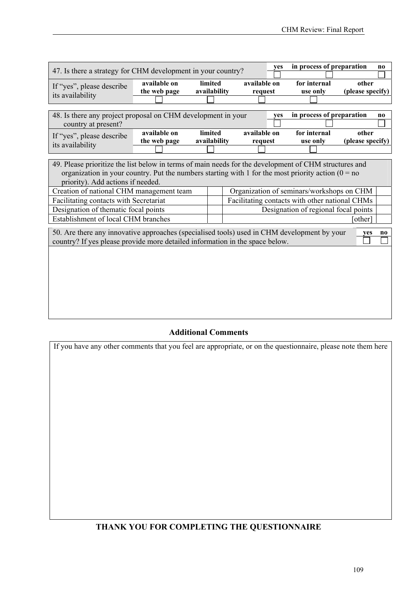| ves<br>47. Is there a strategy for CHM development in your country?                                                                                                                                                                                |              |              |              |     | in process of preparation                      |                  | n <sub>0</sub>   |
|----------------------------------------------------------------------------------------------------------------------------------------------------------------------------------------------------------------------------------------------------|--------------|--------------|--------------|-----|------------------------------------------------|------------------|------------------|
| If "yes", please describe                                                                                                                                                                                                                          | available on | limited      | available on |     | for internal                                   | other            |                  |
| its availability                                                                                                                                                                                                                                   | the web page | availability | request      |     | use only                                       |                  | (please specify) |
|                                                                                                                                                                                                                                                    |              |              |              |     |                                                |                  |                  |
| 48. Is there any project proposal on CHM development in your<br>country at present?                                                                                                                                                                |              |              |              | ves | in process of preparation                      |                  | n0               |
| If "yes", please describe                                                                                                                                                                                                                          | available on | limited      | available on |     | for internal                                   | other            |                  |
| its availability                                                                                                                                                                                                                                   | the web page | availability | request      |     | use only                                       | (please specify) |                  |
|                                                                                                                                                                                                                                                    |              |              |              |     |                                                |                  |                  |
| 49. Please prioritize the list below in terms of main needs for the development of CHM structures and<br>organization in your country. Put the numbers starting with 1 for the most priority action $(0 = no$<br>priority). Add actions if needed. |              |              |              |     |                                                |                  |                  |
| Creation of national CHM management team                                                                                                                                                                                                           |              |              |              |     | Organization of seminars/workshops on CHM      |                  |                  |
| Facilitating contacts with Secretariat                                                                                                                                                                                                             |              |              |              |     | Facilitating contacts with other national CHMs |                  |                  |
| Designation of thematic focal points                                                                                                                                                                                                               |              |              |              |     | Designation of regional focal points           |                  |                  |
| Establishment of local CHM branches                                                                                                                                                                                                                |              |              |              |     |                                                | [other]          |                  |
| 50. Are there any innovative approaches (specialised tools) used in CHM development by your<br>country? If yes please provide more detailed information in the space below.                                                                        |              |              |              |     |                                                | yes              | n0               |
|                                                                                                                                                                                                                                                    |              |              |              |     |                                                |                  |                  |

### **Additional Comments**

If you have any other comments that you feel are appropriate, or on the questionnaire, please note them here

# **THANK YOU FOR COMPLETING THE QUESTIONNAIRE**